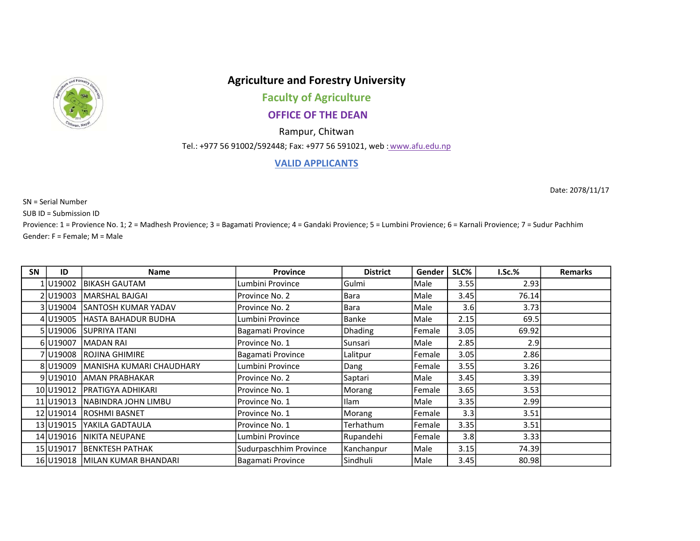

## Agriculture and Forestry University

Faculty of Agriculture

## OFFICE OF THE DEAN

Rampur, Chitwan

Tel.: +977 56 91002/592448; Fax: +977 56 591021, web : www.afu.edu.np

## VALID APPLICANTS

SN = Serial Number

SUB ID = Submission ID

Provience: 1 = Provience No. 1; 2 = Madhesh Provience; 3 = Bagamati Provience; 4 = Gandaki Provience; 5 = Lumbini Provience; 6 = Karnali Provience; 7 = Sudur Pachhim Gender: F = Female; M = Male

| <b>SN</b> | ID          | <b>Name</b>                 | <b>Province</b>        | <b>District</b> | Gender | SLC% | $I.Sc.\%$ | Remarks |
|-----------|-------------|-----------------------------|------------------------|-----------------|--------|------|-----------|---------|
|           | 1   U19002  | IBIKASH GAUTAM              | Lumbini Province       | Gulmi           | Male   | 3.55 | 2.93      |         |
|           | 2 U19003    | MARSHAL BAJGAI              | Province No. 2         | Bara            | Male   | 3.45 | 76.14     |         |
|           | 3 JU19004   | lsantosh kumar yadav        | Province No. 2         | Bara            | Male   | 3.6  | 3.73      |         |
|           | 4U19005     | lHASTA BAHADUR BUDHA        | Lumbini Province       | Banke           | Male   | 2.15 | 69.5      |         |
|           | 5 JU19006   | ISUPRIYA ITANI              | Bagamati Province      | <b>Dhading</b>  | Female | 3.05 | 69.92     |         |
|           | 6U19007     | <b>MADAN RAI</b>            | Province No. 1         | Sunsari         | Male   | 2.85 | 2.9       |         |
|           | 7 U19008    | IROJINA GHIMIRE             | Bagamati Province      | Lalitpur        | Female | 3.05 | 2.86      |         |
|           | 8 U19009    | İMANISHA KUMARI CHAUDHARY   | Lumbini Province       | Dang            | Female | 3.55 | 3.26      |         |
|           | 9 U19010    | <b>AMAN PRABHAKAR</b>       | Province No. 2         | Saptari         | Male   | 3.45 | 3.39      |         |
|           | 10 U19012   | İPRATIGYA ADHIKARI          | Province No. 1         | Morang          | Female | 3.65 | 3.53      |         |
|           | 11 U 1901 3 | INABINDRA JOHN LIMBU        | Province No. 1         | <b>Ilam</b>     | Male   | 3.35 | 2.99      |         |
|           | 12 U19014   | <b>ROSHMI BASNET</b>        | Province No. 1         | Morang          | Female | 3.3  | 3.51      |         |
|           | 13 U19015   | lYAKILA GADTAULA            | Province No. 1         | Terhathum       | Female | 3.35 | 3.51      |         |
|           | 14 U19016   | INIKITA NEUPANE             | Lumbini Province       | Rupandehi       | Female | 3.8  | 3.33      |         |
|           | 15 U19017   | BENKTESH PATHAK             | Sudurpaschhim Province | Kanchanpur      | Male   | 3.15 | 74.39     |         |
|           | 16 U19018   | <b>MILAN KUMAR BHANDARI</b> | Bagamati Province      | Sindhuli        | Male   | 3.45 | 80.98     |         |

Date: 2078/11/17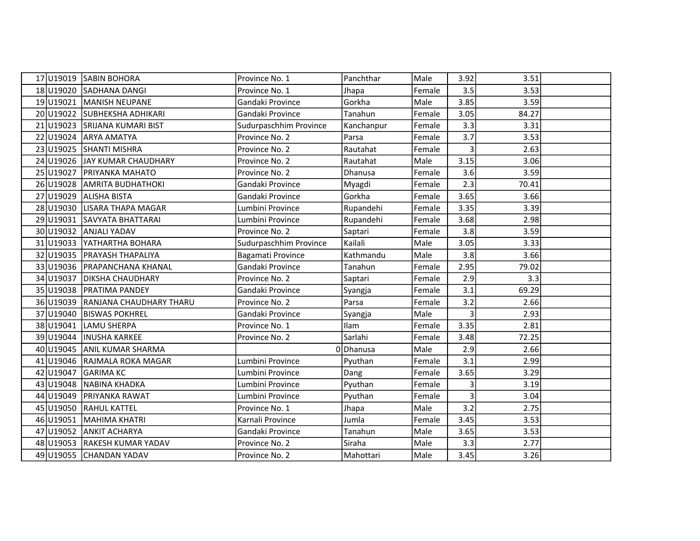|           | 17 U19019 SABIN BOHORA            | Province No. 1         | Panchthar  | Male   | 3.92           | 3.51  |  |
|-----------|-----------------------------------|------------------------|------------|--------|----------------|-------|--|
|           | 18 U19020 SADHANA DANGI           | Province No. 1         | Jhapa      | Female | 3.5            | 3.53  |  |
|           | 19 U19021 MANISH NEUPANE          | Gandaki Province       | Gorkha     | Male   | 3.85           | 3.59  |  |
|           | 20 U19022 SUBHEKSHA ADHIKARI      | Gandaki Province       | Tanahun    | Female | 3.05           | 84.27 |  |
|           | 21 U19023 SRIJANA KUMARI BIST     | Sudurpaschhim Province | Kanchanpur | Female | 3.3            | 3.31  |  |
|           | 22 U19024 ARYA AMATYA             | Province No. 2         | Parsa      | Female | 3.7            | 3.53  |  |
|           | 23 U19025 SHANTI MISHRA           | Province No. 2         | Rautahat   | Female | 3              | 2.63  |  |
|           | 24 U19026 JAY KUMAR CHAUDHARY     | Province No. 2         | Rautahat   | Male   | 3.15           | 3.06  |  |
|           | 25 U19027 PRIYANKA MAHATO         | Province No. 2         | Dhanusa    | Female | 3.6            | 3.59  |  |
|           | 26 U19028 AMRITA BUDHATHOKI       | Gandaki Province       | Myagdi     | Female | 2.3            | 70.41 |  |
|           | 27 U19029 ALISHA BISTA            | Gandaki Province       | Gorkha     | Female | 3.65           | 3.66  |  |
|           | 28 U19030 LISARA THAPA MAGAR      | Lumbini Province       | Rupandehi  | Female | 3.35           | 3.39  |  |
|           | 29 U19031 SAVYATA BHATTARAI       | Lumbini Province       | Rupandehi  | Female | 3.68           | 2.98  |  |
|           | 30 U19032 ANJALI YADAV            | Province No. 2         | Saptari    | Female | 3.8            | 3.59  |  |
|           | 31 U19033 YATHARTHA BOHARA        | Sudurpaschhim Province | Kailali    | Male   | 3.05           | 3.33  |  |
|           | 32 U19035 PRAYASH THAPALIYA       | Bagamati Province      | Kathmandu  | Male   | 3.8            | 3.66  |  |
|           | 33 U19036 PRAPANCHANA KHANAL      | Gandaki Province       | Tanahun    | Female | 2.95           | 79.02 |  |
| 34 U19037 | <b>DIKSHA CHAUDHARY</b>           | Province No. 2         | Saptari    | Female | 2.9            | 3.3   |  |
|           | 35 U19038 PRATIMA PANDEY          | Gandaki Province       | Syangja    | Female | 3.1            | 69.29 |  |
|           | 36 U19039 RANJANA CHAUDHARY THARU | Province No. 2         | Parsa      | Female | 3.2            | 2.66  |  |
|           | 37 U19040 BISWAS POKHREL          | Gandaki Province       | Syangja    | Male   | $\overline{3}$ | 2.93  |  |
|           | 38 U19041 LAMU SHERPA             | Province No. 1         | Ilam       | Female | 3.35           | 2.81  |  |
|           | 39 U19044 INUSHA KARKEE           | Province No. 2         | Sarlahi    | Female | 3.48           | 72.25 |  |
|           | 40 U19045 ANIL KUMAR SHARMA       |                        | 0Dhanusa   | Male   | 2.9            | 2.66  |  |
|           | 41 U19046 RAJMALA ROKA MAGAR      | Lumbini Province       | Pyuthan    | Female | 3.1            | 2.99  |  |
| 42 U19047 | <b>GARIMA KC</b>                  | Lumbini Province       | Dang       | Female | 3.65           | 3.29  |  |
|           | 43 U19048 NABINA KHADKA           | Lumbini Province       | Pyuthan    | Female | 3              | 3.19  |  |
|           | 44 U19049 PRIYANKA RAWAT          | Lumbini Province       | Pyuthan    | Female | $\overline{3}$ | 3.04  |  |
|           | 45 U19050 RAHUL KATTEL            | Province No. 1         | Jhapa      | Male   | 3.2            | 2.75  |  |
|           | 46 U19051 MAHIMA KHATRI           | Karnali Province       | Jumla      | Female | 3.45           | 3.53  |  |
|           | 47 U19052 ANKIT ACHARYA           | Gandaki Province       | Tanahun    | Male   | 3.65           | 3.53  |  |
|           | 48 U19053 RAKESH KUMAR YADAV      | Province No. 2         | Siraha     | Male   | 3.3            | 2.77  |  |
|           | 49 U19055 CHANDAN YADAV           | Province No. 2         | Mahottari  | Male   | 3.45           | 3.26  |  |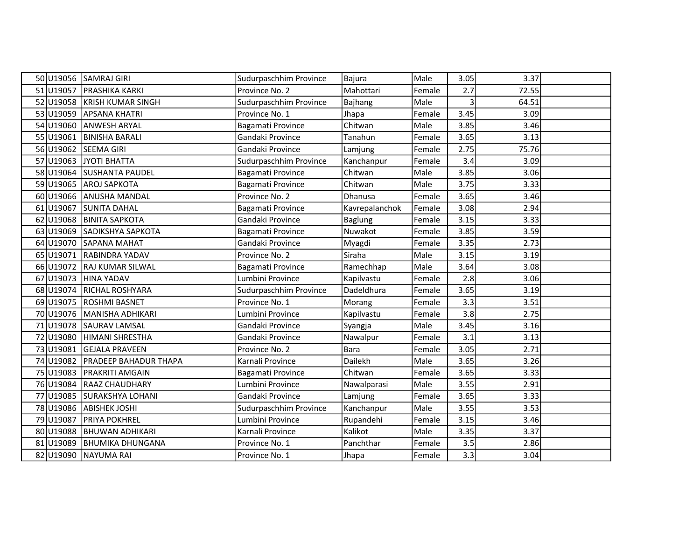|      |           | 50 U19056 SAMRAJ GIRI        | Sudurpaschhim Province | Bajura         | Male   | 3.05 | 3.37  |  |
|------|-----------|------------------------------|------------------------|----------------|--------|------|-------|--|
|      | 51 U19057 | <b>PRASHIKA KARKI</b>        | Province No. 2         | Mahottari      | Female | 2.7  | 72.55 |  |
|      | 52 U19058 | <b>KRISH KUMAR SINGH</b>     | Sudurpaschhim Province | Bajhang        | Male   | 3    | 64.51 |  |
|      | 53 U19059 | <b>APSANA KHATRI</b>         | Province No. 1         | Jhapa          | Female | 3.45 | 3.09  |  |
|      | 54 U19060 | <b>ANWESH ARYAL</b>          | Bagamati Province      | Chitwan        | Male   | 3.85 | 3.46  |  |
|      | 55 U19061 | <b>BINISHA BARALI</b>        | Gandaki Province       | Tanahun        | Female | 3.65 | 3.13  |  |
|      | 56 U19062 | <b>SEEMA GIRI</b>            | Gandaki Province       | Lamjung        | Female | 2.75 | 75.76 |  |
|      | 57 U19063 | JYOTI BHATTA                 | Sudurpaschhim Province | Kanchanpur     | Female | 3.4  | 3.09  |  |
|      | 58 U19064 | <b>SUSHANTA PAUDEL</b>       | Bagamati Province      | Chitwan        | Male   | 3.85 | 3.06  |  |
|      | 59 U19065 | <b>AROJ SAPKOTA</b>          | Bagamati Province      | Chitwan        | Male   | 3.75 | 3.33  |  |
|      | 60 U19066 | <b>ANUSHA MANDAL</b>         | Province No. 2         | Dhanusa        | Female | 3.65 | 3.46  |  |
| 61   | U19067    | <b>SUNITA DAHAL</b>          | Bagamati Province      | Kavrepalanchok | Female | 3.08 | 2.94  |  |
|      | 62 U19068 | <b>BINITA SAPKOTA</b>        | Gandaki Province       | <b>Baglung</b> | Female | 3.15 | 3.33  |  |
| 63 l | U19069    | SADIKSHYA SAPKOTA            | Bagamati Province      | Nuwakot        | Female | 3.85 | 3.59  |  |
|      | 64 U19070 | <b>SAPANA MAHAT</b>          | Gandaki Province       | Myagdi         | Female | 3.35 | 2.73  |  |
|      | 65 U19071 | <b>RABINDRA YADAV</b>        | Province No. 2         | Siraha         | Male   | 3.15 | 3.19  |  |
|      | 66 U19072 | <b>RAJ KUMAR SILWAL</b>      | Bagamati Province      | Ramechhap      | Male   | 3.64 | 3.08  |  |
| 67   | U19073    | HINA YADAV                   | Lumbini Province       | Kapilvastu     | Female | 2.8  | 3.06  |  |
|      | 68 U19074 | <b>RICHAL ROSHYARA</b>       | Sudurpaschhim Province | Dadeldhura     | Female | 3.65 | 3.19  |  |
|      | 69 U19075 | <b>ROSHMI BASNET</b>         | Province No. 1         | Morang         | Female | 3.3  | 3.51  |  |
|      | 70 U19076 | MANISHA ADHIKARI             | Lumbini Province       | Kapilvastu     | Female | 3.8  | 2.75  |  |
|      | 71 U19078 | <b>SAURAV LAMSAL</b>         | Gandaki Province       | Syangja        | Male   | 3.45 | 3.16  |  |
|      | 72 U19080 | HIMANI SHRESTHA              | Gandaki Province       | Nawalpur       | Female | 3.1  | 3.13  |  |
|      | 73 U19081 | <b>GEJALA PRAVEEN</b>        | Province No. 2         | Bara           | Female | 3.05 | 2.71  |  |
|      | 74 U19082 | <b>PRADEEP BAHADUR THAPA</b> | Karnali Province       | Dailekh        | Male   | 3.65 | 3.26  |  |
|      | 75 U19083 | <b>PRAKRITI AMGAIN</b>       | Bagamati Province      | Chitwan        | Female | 3.65 | 3.33  |  |
|      | 76 U19084 | <b>RAAZ CHAUDHARY</b>        | Lumbini Province       | Nawalparasi    | Male   | 3.55 | 2.91  |  |
|      | 77 U19085 | SURAKSHYA LOHANI             | Gandaki Province       | Lamjung        | Female | 3.65 | 3.33  |  |
|      | 78 U19086 | <b>ABISHEK JOSHI</b>         | Sudurpaschhim Province | Kanchanpur     | Male   | 3.55 | 3.53  |  |
|      | 79 U19087 | <b>PRIYA POKHREL</b>         | Lumbini Province       | Rupandehi      | Female | 3.15 | 3.46  |  |
|      | 80 U19088 | <b>BHUWAN ADHIKARI</b>       | Karnali Province       | Kalikot        | Male   | 3.35 | 3.37  |  |
|      | 81 U19089 | <b>BHUMIKA DHUNGANA</b>      | Province No. 1         | Panchthar      | Female | 3.5  | 2.86  |  |
|      |           | 82 U19090 NAYUMA RAI         | Province No. 1         | Jhapa          | Female | 3.3  | 3.04  |  |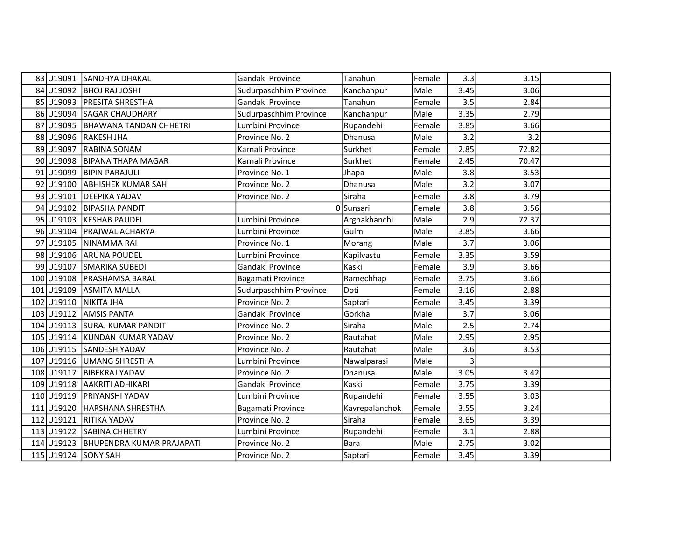|            | 83 U19091 SANDHYA DHAKAL         | Gandaki Province       | Tanahun        | Female | 3.3            | 3.15  |  |
|------------|----------------------------------|------------------------|----------------|--------|----------------|-------|--|
| 84 U19092  | <b>BHOJ RAJ JOSHI</b>            | Sudurpaschhim Province | Kanchanpur     | Male   | 3.45           | 3.06  |  |
| 85 U19093  | <b>PRESITA SHRESTHA</b>          | Gandaki Province       | Tanahun        | Female | 3.5            | 2.84  |  |
| 86 U19094  | <b>SAGAR CHAUDHARY</b>           | Sudurpaschhim Province | Kanchanpur     | Male   | 3.35           | 2.79  |  |
| 87 U19095  | <b>BHAWANA TANDAN CHHETRI</b>    | Lumbini Province       | Rupandehi      | Female | 3.85           | 3.66  |  |
| 88 U19096  | <b>RAKESH JHA</b>                | Province No. 2         | Dhanusa        | Male   | 3.2            | 3.2   |  |
| 89 U19097  | <b>RABINA SONAM</b>              | Karnali Province       | Surkhet        | Female | 2.85           | 72.82 |  |
| 90 U19098  | <b>BIPANA THAPA MAGAR</b>        | Karnali Province       | Surkhet        | Female | 2.45           | 70.47 |  |
| 91 U19099  | <b>BIPIN PARAJULI</b>            | Province No. 1         | Jhapa          | Male   | 3.8            | 3.53  |  |
| 92 U19100  | <b>ABHISHEK KUMAR SAH</b>        | Province No. 2         | Dhanusa        | Male   | 3.2            | 3.07  |  |
| 93 U19101  | <b>DEEPIKA YADAV</b>             | Province No. 2         | Siraha         | Female | 3.8            | 3.79  |  |
| 94 U19102  | <b>BIPASHA PANDIT</b>            |                        | 0 Sunsari      | Female | 3.8            | 3.56  |  |
| 95 U19103  | <b>KESHAB PAUDEL</b>             | Lumbini Province       | Arghakhanchi   | Male   | 2.9            | 72.37 |  |
| 96 U19104  | PRAJWAL ACHARYA                  | Lumbini Province       | Gulmi          | Male   | 3.85           | 3.66  |  |
| 97 U19105  | NINAMMA RAI                      | Province No. 1         | Morang         | Male   | 3.7            | 3.06  |  |
| 98 U19106  | <b>ARUNA POUDEL</b>              | Lumbini Province       | Kapilvastu     | Female | 3.35           | 3.59  |  |
| 99 U19107  | <b>SMARIKA SUBEDI</b>            | Gandaki Province       | Kaski          | Female | 3.9            | 3.66  |  |
| 100 U19108 | <b>PRASHAMSA BARAL</b>           | Bagamati Province      | Ramechhap      | Female | 3.75           | 3.66  |  |
| 101 U19109 | <b>ASMITA MALLA</b>              | Sudurpaschhim Province | Doti           | Female | 3.16           | 2.88  |  |
| 102 U19110 | NIKITA JHA                       | Province No. 2         | Saptari        | Female | 3.45           | 3.39  |  |
| 103 U19112 | <b>AMSIS PANTA</b>               | Gandaki Province       | Gorkha         | Male   | 3.7            | 3.06  |  |
|            | 104 U19113 SURAJ KUMAR PANDIT    | Province No. 2         | Siraha         | Male   | 2.5            | 2.74  |  |
|            | 105 U19114 KUNDAN KUMAR YADAV    | Province No. 2         | Rautahat       | Male   | 2.95           | 2.95  |  |
|            | 106 U19115 SANDESH YADAV         | Province No. 2         | Rautahat       | Male   | 3.6            | 3.53  |  |
|            | 107 U19116 UMANG SHRESTHA        | Lumbini Province       | Nawalparasi    | Male   | $\overline{3}$ |       |  |
| 108 U19117 | <b>BIBEKRAJ YADAV</b>            | Province No. 2         | Dhanusa        | Male   | 3.05           | 3.42  |  |
| 109 U19118 | <b>AAKRITI ADHIKARI</b>          | Gandaki Province       | Kaski          | Female | 3.75           | 3.39  |  |
| 110 U19119 | <b>PRIYANSHI YADAV</b>           | Lumbini Province       | Rupandehi      | Female | 3.55           | 3.03  |  |
| 111 U19120 | HARSHANA SHRESTHA                | Bagamati Province      | Kavrepalanchok | Female | 3.55           | 3.24  |  |
| 112 U19121 | <b>RITIKA YADAV</b>              | Province No. 2         | Siraha         | Female | 3.65           | 3.39  |  |
| 113 U19122 | <b>SABINA CHHETRY</b>            | Lumbini Province       | Rupandehi      | Female | 3.1            | 2.88  |  |
| 114 U19123 | <b>BHUPENDRA KUMAR PRAJAPATI</b> | Province No. 2         | <b>Bara</b>    | Male   | 2.75           | 3.02  |  |
|            | 115 U19124 SONY SAH              | Province No. 2         | Saptari        | Female | 3.45           | 3.39  |  |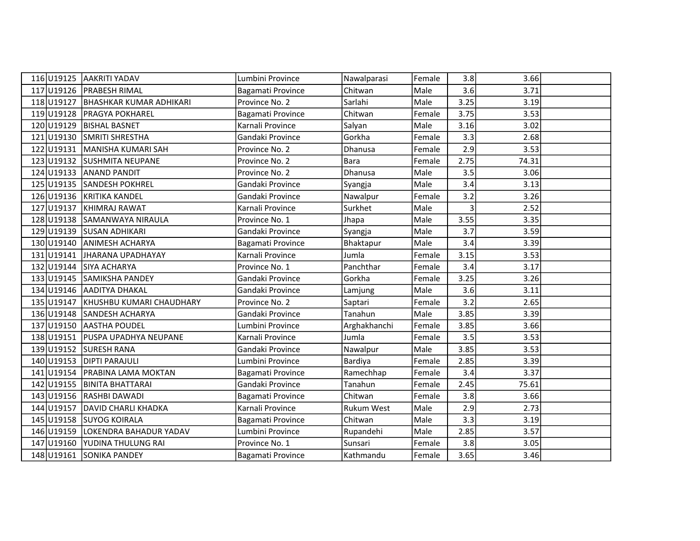|            | 116 U19125 AAKRITI YADAV         | Lumbini Province  | Nawalparasi       | Female | 3.8  | 3.66  |  |
|------------|----------------------------------|-------------------|-------------------|--------|------|-------|--|
| 117 U19126 | <b>PRABESH RIMAL</b>             | Bagamati Province | Chitwan           | Male   | 3.6  | 3.71  |  |
| 118 U19127 | <b>BHASHKAR KUMAR ADHIKARI</b>   | Province No. 2    | Sarlahi           | Male   | 3.25 | 3.19  |  |
| 119 U19128 | <b>PRAGYA POKHAREL</b>           | Bagamati Province | Chitwan           | Female | 3.75 | 3.53  |  |
| 120 U19129 | <b>BISHAL BASNET</b>             | Karnali Province  | Salyan            | Male   | 3.16 | 3.02  |  |
| 121 U19130 | <b>SMRITI SHRESTHA</b>           | Gandaki Province  | Gorkha            | Female | 3.3  | 2.68  |  |
|            | 122 U19131 MANISHA KUMARI SAH    | Province No. 2    | Dhanusa           | Female | 2.9  | 3.53  |  |
|            | 123 U19132 SUSHMITA NEUPANE      | Province No. 2    | Bara              | Female | 2.75 | 74.31 |  |
| 124 U19133 | <b>ANAND PANDIT</b>              | Province No. 2    | Dhanusa           | Male   | 3.5  | 3.06  |  |
|            | 125 U19135 SANDESH POKHREL       | Gandaki Province  | Syangja           | Male   | 3.4  | 3.13  |  |
| 126 U19136 | <b>KRITIKA KANDEL</b>            | Gandaki Province  | Nawalpur          | Female | 3.2  | 3.26  |  |
| 127 U19137 | KHIMRAJ RAWAT                    | Karnali Province  | Surkhet           | Male   | 3    | 2.52  |  |
| 128 U19138 | SAMANWAYA NIRAULA                | Province No. 1    | Jhapa             | Male   | 3.55 | 3.35  |  |
| 129U19139  | <b>SUSAN ADHIKARI</b>            | Gandaki Province  | Syangja           | Male   | 3.7  | 3.59  |  |
| 130 U19140 | <b>ANIMESH ACHARYA</b>           | Bagamati Province | Bhaktapur         | Male   | 3.4  | 3.39  |  |
| 131 U19141 | JHARANA UPADHAYAY                | Karnali Province  | Jumla             | Female | 3.15 | 3.53  |  |
| 132 U19144 | <b>SIYA ACHARYA</b>              | Province No. 1    | Panchthar         | Female | 3.4  | 3.17  |  |
| 133 U19145 | SAMIKSHA PANDEY                  | Gandaki Province  | Gorkha            | Female | 3.25 | 3.26  |  |
|            | 134 U19146 AADITYA DHAKAL        | Gandaki Province  | Lamjung           | Male   | 3.6  | 3.11  |  |
| 135 U19147 | <b>IKHUSHBU KUMARI CHAUDHARY</b> | Province No. 2    | Saptari           | Female | 3.2  | 2.65  |  |
| 136 U19148 | <b>SANDESH ACHARYA</b>           | Gandaki Province  | Tanahun           | Male   | 3.85 | 3.39  |  |
|            | 137 U19150 AASTHA POUDEL         | Lumbini Province  | Arghakhanchi      | Female | 3.85 | 3.66  |  |
|            | 138 U19151 PUSPA UPADHYA NEUPANE | Karnali Province  | Jumla             | Female | 3.5  | 3.53  |  |
| 139 U19152 | <b>SURESH RANA</b>               | Gandaki Province  | Nawalpur          | Male   | 3.85 | 3.53  |  |
| 140 U19153 | <b>DIPTI PARAJULI</b>            | Lumbini Province  | Bardiya           | Female | 2.85 | 3.39  |  |
| 141 U19154 | <b>PRABINA LAMA MOKTAN</b>       | Bagamati Province | Ramechhap         | Female | 3.4  | 3.37  |  |
| 142 U19155 | IBINITA BHATTARAI                | Gandaki Province  | Tanahun           | Female | 2.45 | 75.61 |  |
| 143 U19156 | <b>RASHBI DAWADI</b>             | Bagamati Province | Chitwan           | Female | 3.8  | 3.66  |  |
| 144 U19157 | <b>DAVID CHARLI KHADKA</b>       | Karnali Province  | <b>Rukum West</b> | Male   | 2.9  | 2.73  |  |
| 145 U19158 | <b>SUYOG KOIRALA</b>             | Bagamati Province | Chitwan           | Male   | 3.3  | 3.19  |  |
| 146 U19159 | LOKENDRA BAHADUR YADAV           | Lumbini Province  | Rupandehi         | Male   | 2.85 | 3.57  |  |
| 147 U19160 | YUDINA THULUNG RAI               | Province No. 1    | Sunsari           | Female | 3.8  | 3.05  |  |
|            | 148 U19161 SONIKA PANDEY         | Bagamati Province | Kathmandu         | Female | 3.65 | 3.46  |  |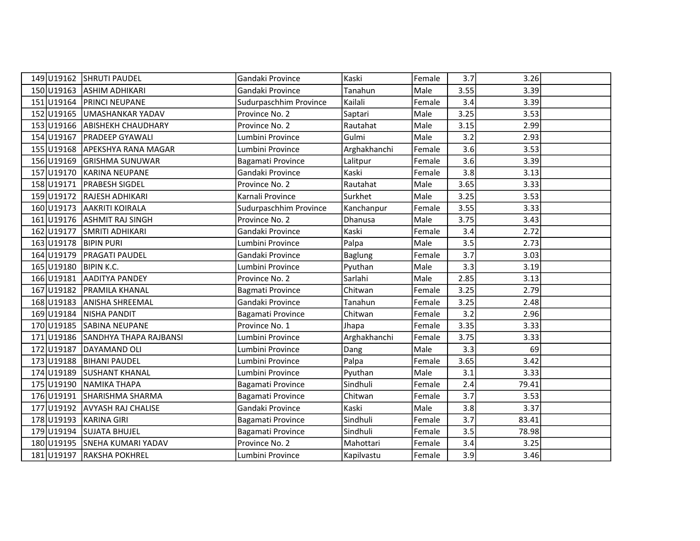|            | 149 U19162 SHRUTI PAUDEL          | Gandaki Province        | Kaski          | Female | 3.7  | 3.26  |  |
|------------|-----------------------------------|-------------------------|----------------|--------|------|-------|--|
|            | 150 U19163 ASHIM ADHIKARI         | Gandaki Province        | Tanahun        | Male   | 3.55 | 3.39  |  |
| 151 U19164 | <b>PRINCI NEUPANE</b>             | Sudurpaschhim Province  | Kailali        | Female | 3.4  | 3.39  |  |
|            | 152 U19165 UMASHANKAR YADAV       | Province No. 2          | Saptari        | Male   | 3.25 | 3.53  |  |
| 153 U19166 | <b>ABISHEKH CHAUDHARY</b>         | Province No. 2          | Rautahat       | Male   | 3.15 | 2.99  |  |
| 154 U19167 | <b>PRADEEP GYAWALI</b>            | Lumbini Province        | Gulmi          | Male   | 3.2  | 2.93  |  |
|            | 155 U19168 APEKSHYA RANA MAGAR    | Lumbini Province        | Arghakhanchi   | Female | 3.6  | 3.53  |  |
|            | 156 U19169 GRISHMA SUNUWAR        | Bagamati Province       | Lalitpur       | Female | 3.6  | 3.39  |  |
| 157 U19170 | KARINA NEUPANE                    | Gandaki Province        | Kaski          | Female | 3.8  | 3.13  |  |
| 158 U19171 | <b>PRABESH SIGDEL</b>             | Province No. 2          | Rautahat       | Male   | 3.65 | 3.33  |  |
|            | 159 U19172 RAJESH ADHIKARI        | Karnali Province        | Surkhet        | Male   | 3.25 | 3.53  |  |
| 160 U19173 | <b>AAKRITI KOIRALA</b>            | Sudurpaschhim Province  | Kanchanpur     | Female | 3.55 | 3.33  |  |
| 161 U19176 | <b>ASHMIT RAJ SINGH</b>           | Province No. 2          | Dhanusa        | Male   | 3.75 | 3.43  |  |
| 162 U19177 | <b>SMRITI ADHIKARI</b>            | Gandaki Province        | Kaski          | Female | 3.4  | 2.72  |  |
|            | 163 U19178   BIPIN PURI           | Lumbini Province        | Palpa          | Male   | 3.5  | 2.73  |  |
| 164 U19179 | <b>PRAGATI PAUDEL</b>             | Gandaki Province        | <b>Baglung</b> | Female | 3.7  | 3.03  |  |
|            | 165 U19180 BIPIN K.C.             | Lumbini Province        | Pyuthan        | Male   | 3.3  | 3.19  |  |
| 166 U19181 | <b>AADITYA PANDEY</b>             | Province No. 2          | Sarlahi        | Male   | 2.85 | 3.13  |  |
|            | 167 U19182 PRAMILA KHANAL         | <b>Bagmati Province</b> | Chitwan        | Female | 3.25 | 2.79  |  |
| 168 U19183 | <b>ANISHA SHREEMAL</b>            | Gandaki Province        | Tanahun        | Female | 3.25 | 2.48  |  |
| 169 U19184 | NISHA PANDIT                      | Bagamati Province       | Chitwan        | Female | 3.2  | 2.96  |  |
| 170 U19185 | <b>SABINA NEUPANE</b>             | Province No. 1          | Jhapa          | Female | 3.35 | 3.33  |  |
|            | 171 U19186 SANDHYA THAPA RAJBANSI | Lumbini Province        | Arghakhanchi   | Female | 3.75 | 3.33  |  |
| 172 U19187 | DAYAMAND OLI                      | Lumbini Province        | Dang           | Male   | 3.3  | 69    |  |
|            | 173 U19188 BIHANI PAUDEL          | Lumbini Province        | Palpa          | Female | 3.65 | 3.42  |  |
|            | 174 U19189 SUSHANT KHANAL         | Lumbini Province        | Pyuthan        | Male   | 3.1  | 3.33  |  |
| 175 U19190 | NAMIKA THAPA                      | Bagamati Province       | Sindhuli       | Female | 2.4  | 79.41 |  |
| 176 U19191 | SHARISHMA SHARMA                  | Bagamati Province       | Chitwan        | Female | 3.7  | 3.53  |  |
|            | 177 U19192 AVYASH RAJ CHALISE     | Gandaki Province        | Kaski          | Male   | 3.8  | 3.37  |  |
|            | 178 U19193 KARINA GIRI            | Bagamati Province       | Sindhuli       | Female | 3.7  | 83.41 |  |
|            | 179 U19194 SUJATA BHUJEL          | Bagamati Province       | Sindhuli       | Female | 3.5  | 78.98 |  |
|            | 180 U19195 SNEHA KUMARI YADAV     | Province No. 2          | Mahottari      | Female | 3.4  | 3.25  |  |
|            | 181 U19197 RAKSHA POKHREL         | Lumbini Province        | Kapilvastu     | Female | 3.9  | 3.46  |  |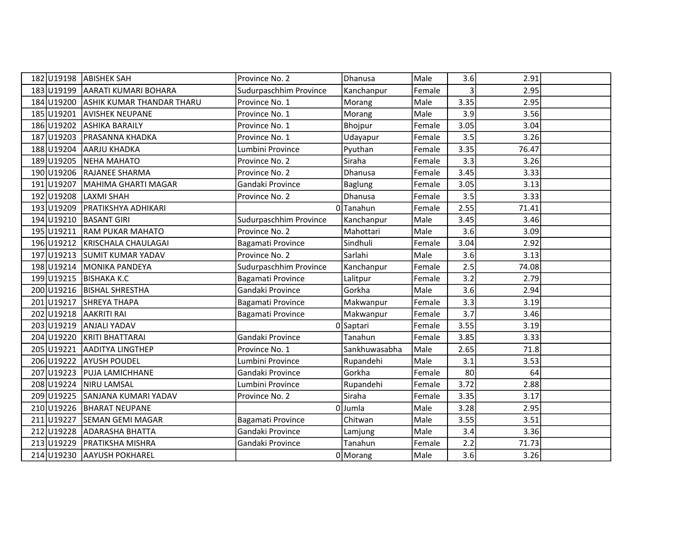|            | 182 U19198 ABISHEK SAH           | Province No. 2         | Dhanusa        | Male   | 3.6             | 2.91  |  |
|------------|----------------------------------|------------------------|----------------|--------|-----------------|-------|--|
| 183U19199  | AARATI KUMARI BOHARA             | Sudurpaschhim Province | Kanchanpur     | Female | 3               | 2.95  |  |
| 184 U19200 | <b>ASHIK KUMAR THANDAR THARU</b> | Province No. 1         | Morang         | Male   | 3.35            | 2.95  |  |
| 185 U19201 | <b>AVISHEK NEUPANE</b>           | Province No. 1         | Morang         | Male   | 3.9             | 3.56  |  |
| 186 U19202 | <b>ASHIKA BARAILY</b>            | Province No. 1         | Bhojpur        | Female | 3.05            | 3.04  |  |
| 187 U19203 | <b>PRASANNA KHADKA</b>           | Province No. 1         | Udayapur       | Female | 3.5             | 3.26  |  |
| 188U19204  | <b>AARJU KHADKA</b>              | Lumbini Province       | Pyuthan        | Female | 3.35            | 76.47 |  |
| 189 U19205 | <b>NEHA MAHATO</b>               | Province No. 2         | Siraha         | Female | 3.3             | 3.26  |  |
| 190 U19206 | <b>RAJANEE SHARMA</b>            | Province No. 2         | Dhanusa        | Female | 3.45            | 3.33  |  |
| 191 U19207 | MAHIMA GHARTI MAGAR              | Gandaki Province       | <b>Baglung</b> | Female | 3.05            | 3.13  |  |
| 192 U19208 | LAXMI SHAH                       | Province No. 2         | Dhanusa        | Female | 3.5             | 3.33  |  |
| 193 U19209 | <b>PRATIKSHYA ADHIKARI</b>       |                        | 0Tanahun       | Female | 2.55            | 71.41 |  |
| 194 U19210 | <b>BASANT GIRI</b>               | Sudurpaschhim Province | Kanchanpur     | Male   | 3.45            | 3.46  |  |
| 195 U19211 | <b>RAM PUKAR MAHATO</b>          | Province No. 2         | Mahottari      | Male   | 3.6             | 3.09  |  |
| 196 U19212 | KRISCHALA CHAULAGAI              | Bagamati Province      | Sindhuli       | Female | 3.04            | 2.92  |  |
| 197 U19213 | <b>SUMIT KUMAR YADAV</b>         | Province No. 2         | Sarlahi        | Male   | 3.6             | 3.13  |  |
| 198 U19214 | MONIKA PANDEYA                   | Sudurpaschhim Province | Kanchanpur     | Female | 2.5             | 74.08 |  |
| 199U19215  | <b>BISHAKA K.C</b>               | Bagamati Province      | Lalitpur       | Female | 3.2             | 2.79  |  |
|            | 200 U19216 BISHAL SHRESTHA       | Gandaki Province       | Gorkha         | Male   | 3.6             | 2.94  |  |
| 201 U19217 | <b>SHREYA THAPA</b>              | Bagamati Province      | Makwanpur      | Female | 3.3             | 3.19  |  |
| 202 U19218 | <b>AAKRITI RAI</b>               | Bagamati Province      | Makwanpur      | Female | 3.7             | 3.46  |  |
| 203 U19219 | <b>ANJALI YADAV</b>              |                        | 0 Saptari      | Female | 3.55            | 3.19  |  |
| 204 U19220 | KRITI BHATTARAI                  | Gandaki Province       | Tanahun        | Female | 3.85            | 3.33  |  |
| 205 U19221 | <b>AADITYA LINGTHEP</b>          | Province No. 1         | Sankhuwasabha  | Male   | 2.65            | 71.8  |  |
| 206 U19222 | <b>AYUSH POUDEL</b>              | Lumbini Province       | Rupandehi      | Male   | 3.1             | 3.53  |  |
| 207 U19223 | <b>PUJA LAMICHHANE</b>           | Gandaki Province       | Gorkha         | Female | 80 <sup>2</sup> | 64    |  |
| 208 U19224 | <b>NIRU LAMSAL</b>               | Lumbini Province       | Rupandehi      | Female | 3.72            | 2.88  |  |
| 209U19225  | SANJANA KUMARI YADAV             | Province No. 2         | Siraha         | Female | 3.35            | 3.17  |  |
| 210 U19226 | <b>BHARAT NEUPANE</b>            |                        | 0Jumla         | Male   | 3.28            | 2.95  |  |
| 211 U19227 | <b>SEMAN GEMI MAGAR</b>          | Bagamati Province      | Chitwan        | Male   | 3.55            | 3.51  |  |
| 212 U19228 | <b>ADARASHA BHATTA</b>           | Gandaki Province       | Lamjung        | Male   | 3.4             | 3.36  |  |
| 213 U19229 | <b>PRATIKSHA MISHRA</b>          | Gandaki Province       | Tanahun        | Female | 2.2             | 71.73 |  |
|            | 214 U19230 AAYUSH POKHAREL       |                        | 0 Morang       | Male   | 3.6             | 3.26  |  |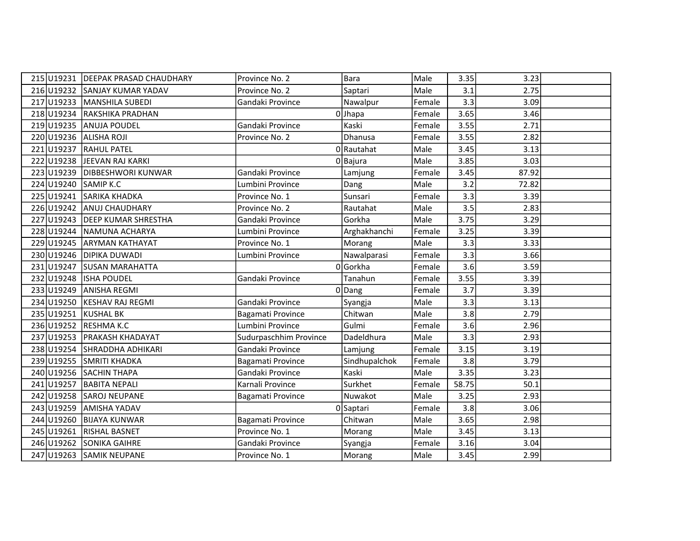|            | 215 U19231 DEEPAK PRASAD CHAUDHARY | Province No. 2         | Bara          | Male   | 3.35  | 3.23  |  |
|------------|------------------------------------|------------------------|---------------|--------|-------|-------|--|
|            | 216 U19232 SANJAY KUMAR YADAV      | Province No. 2         | Saptari       | Male   | 3.1   | 2.75  |  |
|            | 217 U19233 MANSHILA SUBEDI         | Gandaki Province       | Nawalpur      | Female | 3.3   | 3.09  |  |
|            | 218 U19234 RAKSHIKA PRADHAN        |                        | $0$ Jhapa     | Female | 3.65  | 3.46  |  |
| 219 U19235 | <b>ANUJA POUDEL</b>                | Gandaki Province       | Kaski         | Female | 3.55  | 2.71  |  |
| 220 U19236 | <b>ALISHA ROJI</b>                 | Province No. 2         | Dhanusa       | Female | 3.55  | 2.82  |  |
| 221 U19237 | <b>RAHUL PATEL</b>                 |                        | 0 Rautahat    | Male   | 3.45  | 3.13  |  |
|            | 222 U19238 JEEVAN RAJ KARKI        |                        | 0 Bajura      | Male   | 3.85  | 3.03  |  |
|            | 223 U19239 DIBBESHWORI KUNWAR      | Gandaki Province       | Lamjung       | Female | 3.45  | 87.92 |  |
|            | 224 U19240 SAMIP K.C               | Lumbini Province       | Dang          | Male   | 3.2   | 72.82 |  |
|            | 225 U19241 SARIKA KHADKA           | Province No. 1         | Sunsari       | Female | 3.3   | 3.39  |  |
|            | 226 U19242 ANUJ CHAUDHARY          | Province No. 2         | Rautahat      | Male   | 3.5   | 2.83  |  |
|            | 227 U19243 DEEP KUMAR SHRESTHA     | Gandaki Province       | Gorkha        | Male   | 3.75  | 3.29  |  |
|            | 228 U19244 NAMUNA ACHARYA          | Lumbini Province       | Arghakhanchi  | Female | 3.25  | 3.39  |  |
|            | 229 U19245 ARYMAN KATHAYAT         | Province No. 1         | Morang        | Male   | 3.3   | 3.33  |  |
|            | 230 U19246 DIPIKA DUWADI           | Lumbini Province       | Nawalparasi   | Female | 3.3   | 3.66  |  |
|            | 231 U19247 SUSAN MARAHATTA         |                        | 0Gorkha       | Female | 3.6   | 3.59  |  |
|            | 232 U19248 ISHA POUDEL             | Gandaki Province       | Tanahun       | Female | 3.55  | 3.39  |  |
|            | 233 U19249 ANISHA REGMI            |                        | 0 Dang        | Female | 3.7   | 3.39  |  |
| 234 U19250 | <b>KESHAV RAJ REGMI</b>            | Gandaki Province       | Syangja       | Male   | 3.3   | 3.13  |  |
| 235 U19251 | <b>KUSHAL BK</b>                   | Bagamati Province      | Chitwan       | Male   | 3.8   | 2.79  |  |
|            | 236 U19252 RESHMA K.C              | Lumbini Province       | Gulmi         | Female | 3.6   | 2.96  |  |
|            | 237 U19253 PRAKASH KHADAYAT        | Sudurpaschhim Province | Dadeldhura    | Male   | 3.3   | 2.93  |  |
|            | 238 U19254 SHRADDHA ADHIKARI       | Gandaki Province       | Lamjung       | Female | 3.15  | 3.19  |  |
|            | 239 U19255 SMRITI KHADKA           | Bagamati Province      | Sindhupalchok | Female | 3.8   | 3.79  |  |
|            | 240 U19256 SACHIN THAPA            | Gandaki Province       | Kaski         | Male   | 3.35  | 3.23  |  |
|            | 241 U19257 BABITA NEPALI           | Karnali Province       | Surkhet       | Female | 58.75 | 50.1  |  |
|            | 242 U19258 SAROJ NEUPANE           | Bagamati Province      | Nuwakot       | Male   | 3.25  | 2.93  |  |
|            | 243 U19259 AMISHA YADAV            |                        | 0Saptari      | Female | 3.8   | 3.06  |  |
|            | 244 U19260 BIJAYA KUNWAR           | Bagamati Province      | Chitwan       | Male   | 3.65  | 2.98  |  |
| 245 U19261 | <b>RISHAL BASNET</b>               | Province No. 1         | Morang        | Male   | 3.45  | 3.13  |  |
|            | 246 U19262 SONIKA GAIHRE           | Gandaki Province       | Syangja       | Female | 3.16  | 3.04  |  |
|            | 247 U19263 SAMIK NEUPANE           | Province No. 1         | Morang        | Male   | 3.45  | 2.99  |  |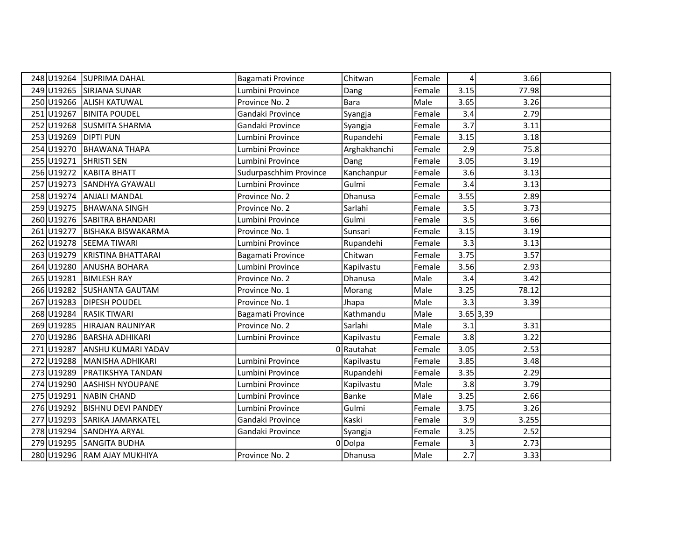|            | 248 U19264 SUPRIMA DAHAL      | Bagamati Province      | Chitwan      | Female | 4         | 3.66  |  |
|------------|-------------------------------|------------------------|--------------|--------|-----------|-------|--|
|            | 249 U19265 SIRJANA SUNAR      | Lumbini Province       | Dang         | Female | 3.15      | 77.98 |  |
|            | 250 U19266 ALISH KATUWAL      | Province No. 2         | <b>Bara</b>  | Male   | 3.65      | 3.26  |  |
|            | 251 U19267 BINITA POUDEL      | Gandaki Province       | Syangja      | Female | 3.4       | 2.79  |  |
| 252 U19268 | <b>SUSMITA SHARMA</b>         | Gandaki Province       | Syangja      | Female | 3.7       | 3.11  |  |
| 253 U19269 | <b>DIPTI PUN</b>              | Lumbini Province       | Rupandehi    | Female | 3.15      | 3.18  |  |
|            | 254 U19270 BHAWANA THAPA      | Lumbini Province       | Arghakhanchi | Female | 2.9       | 75.8  |  |
|            | 255 U19271 SHRISTI SEN        | Lumbini Province       | Dang         | Female | 3.05      | 3.19  |  |
|            | 256 U19272 KABITA BHATT       | Sudurpaschhim Province | Kanchanpur   | Female | 3.6       | 3.13  |  |
|            | 257 U19273 SANDHYA GYAWALI    | Lumbini Province       | Gulmi        | Female | 3.4       | 3.13  |  |
|            | 258 U19274 ANJALI MANDAL      | Province No. 2         | Dhanusa      | Female | 3.55      | 2.89  |  |
|            | 259 U19275 BHAWANA SINGH      | Province No. 2         | Sarlahi      | Female | 3.5       | 3.73  |  |
|            | 260 U19276 SABITRA BHANDARI   | Lumbini Province       | Gulmi        | Female | 3.5       | 3.66  |  |
|            | 261 U19277 BISHAKA BISWAKARMA | Province No. 1         | Sunsari      | Female | 3.15      | 3.19  |  |
|            | 262 U19278 SEEMA TIWARI       | Lumbini Province       | Rupandehi    | Female | 3.3       | 3.13  |  |
|            | 263 U19279 KRISTINA BHATTARAI | Bagamati Province      | Chitwan      | Female | 3.75      | 3.57  |  |
|            | 264 U19280 ANUSHA BOHARA      | Lumbini Province       | Kapilvastu   | Female | 3.56      | 2.93  |  |
|            | 265 U19281 BIMLESH RAY        | Province No. 2         | Dhanusa      | Male   | 3.4       | 3.42  |  |
|            | 266 U19282 SUSHANTA GAUTAM    | Province No. 1         | Morang       | Male   | 3.25      | 78.12 |  |
| 267 U19283 | <b>DIPESH POUDEL</b>          | Province No. 1         | Jhapa        | Male   | 3.3       | 3.39  |  |
|            | 268 U19284 RASIK TIWARI       | Bagamati Province      | Kathmandu    | Male   | 3.65 3,39 |       |  |
|            | 269 U19285 HIRAJAN RAUNIYAR   | Province No. 2         | Sarlahi      | Male   | 3.1       | 3.31  |  |
|            | 270 U19286 BARSHA ADHIKARI    | Lumbini Province       | Kapilvastu   | Female | 3.8       | 3.22  |  |
|            | 271 U19287 ANSHU KUMARI YADAV |                        | 0 Rautahat   | Female | 3.05      | 2.53  |  |
|            | 272 U19288 MANISHA ADHIKARI   | Lumbini Province       | Kapilvastu   | Female | 3.85      | 3.48  |  |
|            | 273 U19289 PRATIKSHYA TANDAN  | Lumbini Province       | Rupandehi    | Female | 3.35      | 2.29  |  |
| 274 U19290 | <b>AASHISH NYOUPANE</b>       | Lumbini Province       | Kapilvastu   | Male   | 3.8       | 3.79  |  |
| 275 U19291 | NABIN CHAND                   | Lumbini Province       | Banke        | Male   | 3.25      | 2.66  |  |
| 276 U19292 | <b>BISHNU DEVI PANDEY</b>     | Lumbini Province       | Gulmi        | Female | 3.75      | 3.26  |  |
|            | 277 U19293 SARIKA JAMARKATEL  | Gandaki Province       | Kaski        | Female | 3.9       | 3.255 |  |
|            | 278 U19294 SANDHYA ARYAL      | Gandaki Province       | Syangja      | Female | 3.25      | 2.52  |  |
|            | 279 U19295 SANGITA BUDHA      |                        | 0 Dolpa      | Female | 3         | 2.73  |  |
|            | 280 U19296 RAM AJAY MUKHIYA   | Province No. 2         | Dhanusa      | Male   | 2.7       | 3.33  |  |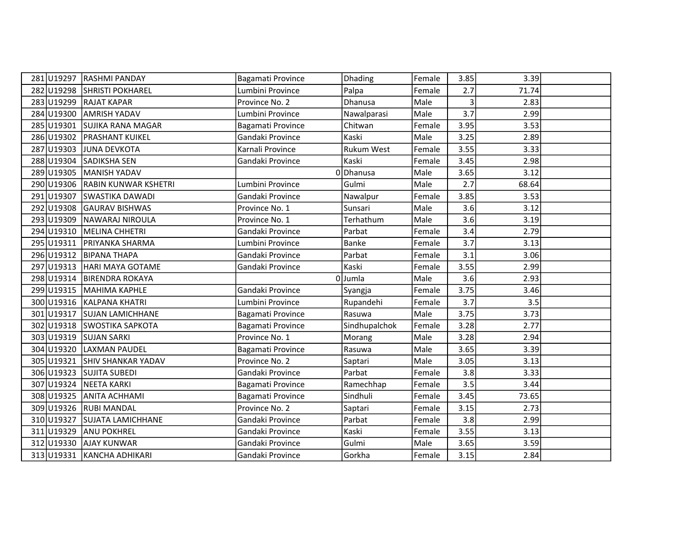|            | 281 U19297 RASHMI PANDAY        | Bagamati Province | <b>Dhading</b>    | Female | 3.85           | 3.39  |  |
|------------|---------------------------------|-------------------|-------------------|--------|----------------|-------|--|
|            | 282 U19298 SHRISTI POKHAREL     | Lumbini Province  | Palpa             | Female | 2.7            | 71.74 |  |
|            | 283 U19299 RAJAT KAPAR          | Province No. 2    | Dhanusa           | Male   | $\overline{3}$ | 2.83  |  |
| 284 U19300 | <b>AMRISH YADAV</b>             | Lumbini Province  | Nawalparasi       | Male   | 3.7            | 2.99  |  |
| 285 U19301 | <b>SUJIKA RANA MAGAR</b>        | Bagamati Province | Chitwan           | Female | 3.95           | 3.53  |  |
| 286U19302  | <b>PRASHANT KUIKEL</b>          | Gandaki Province  | Kaski             | Male   | 3.25           | 2.89  |  |
| 287 U19303 | JUNA DEVKOTA                    | Karnali Province  | <b>Rukum West</b> | Female | 3.55           | 3.33  |  |
|            | 288 U19304 SADIKSHA SEN         | Gandaki Province  | Kaski             | Female | 3.45           | 2.98  |  |
| 289U19305  | MANISH YADAV                    |                   | 0Dhanusa          | Male   | 3.65           | 3.12  |  |
|            | 290 U19306 RABIN KUNWAR KSHETRI | Lumbini Province  | Gulmi             | Male   | 2.7            | 68.64 |  |
|            | 291 U19307 SWASTIKA DAWADI      | Gandaki Province  | Nawalpur          | Female | 3.85           | 3.53  |  |
| 292 U19308 | <b>GAURAV BISHWAS</b>           | Province No. 1    | Sunsari           | Male   | 3.6            | 3.12  |  |
| 293 U19309 | NAWARAJ NIROULA                 | Province No. 1    | Terhathum         | Male   | 3.6            | 3.19  |  |
|            | 294 U19310 MELINA CHHETRI       | Gandaki Province  | Parbat            | Female | 3.4            | 2.79  |  |
|            | 295 U19311 PRIYANKA SHARMA      | Lumbini Province  | <b>Banke</b>      | Female | 3.7            | 3.13  |  |
|            | 296 U19312 BIPANA THAPA         | Gandaki Province  | Parbat            | Female | 3.1            | 3.06  |  |
|            | 297 U19313 HARI MAYA GOTAME     | Gandaki Province  | Kaski             | Female | 3.55           | 2.99  |  |
|            | 298 U19314 BIRENDRA ROKAYA      |                   | 0Jumla            | Male   | 3.6            | 2.93  |  |
|            | 299 U19315 MAHIMA KAPHLE        | Gandaki Province  | Syangja           | Female | 3.75           | 3.46  |  |
|            | 300 U19316 KALPANA KHATRI       | Lumbini Province  | Rupandehi         | Female | 3.7            | 3.5   |  |
| 301 U19317 | <b>SUJAN LAMICHHANE</b>         | Bagamati Province | Rasuwa            | Male   | 3.75           | 3.73  |  |
|            | 302 U19318 SWOSTIKA SAPKOTA     | Bagamati Province | Sindhupalchok     | Female | 3.28           | 2.77  |  |
|            | 303 U19319 SUJAN SARKI          | Province No. 1    | Morang            | Male   | 3.28           | 2.94  |  |
| 304 U19320 | <b>LAXMAN PAUDEL</b>            | Bagamati Province | Rasuwa            | Male   | 3.65           | 3.39  |  |
| 305 U19321 | <b>SHIV SHANKAR YADAV</b>       | Province No. 2    | Saptari           | Male   | 3.05           | 3.13  |  |
|            | 306 U19323 SUJITA SUBEDI        | Gandaki Province  | Parbat            | Female | 3.8            | 3.33  |  |
| 307 U19324 | NEETA KARKI                     | Bagamati Province | Ramechhap         | Female | 3.5            | 3.44  |  |
| 308 U19325 | <b>ANITA ACHHAMI</b>            | Bagamati Province | Sindhuli          | Female | 3.45           | 73.65 |  |
|            | 309 U19326 RUBI MANDAL          | Province No. 2    | Saptari           | Female | 3.15           | 2.73  |  |
|            | 310 U19327 SUJATA LAMICHHANE    | Gandaki Province  | Parbat            | Female | 3.8            | 2.99  |  |
| 311 U19329 | <b>ANU POKHREL</b>              | Gandaki Province  | Kaski             | Female | 3.55           | 3.13  |  |
| 312 U19330 | <b>AJAY KUNWAR</b>              | Gandaki Province  | Gulmi             | Male   | 3.65           | 3.59  |  |
|            | 313 U19331 KANCHA ADHIKARI      | Gandaki Province  | Gorkha            | Female | 3.15           | 2.84  |  |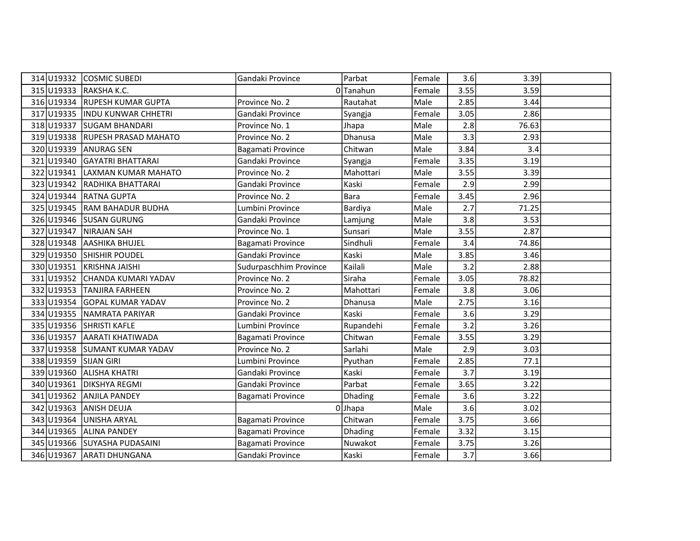|            | 314 U19332 COSMIC SUBEDI         | Gandaki Province       | Parbat      | Female | 3.6  | 3.39  |  |
|------------|----------------------------------|------------------------|-------------|--------|------|-------|--|
|            | 315 U19333 RAKSHA K.C.           |                        | 0Tanahun    | Female | 3.55 | 3.59  |  |
|            | 316 U19334 RUPESH KUMAR GUPTA    | Province No. 2         | Rautahat    | Male   | 2.85 | 3.44  |  |
|            | 317 U19335   INDU KUNWAR CHHETRI | Gandaki Province       | Syangja     | Female | 3.05 | 2.86  |  |
| 318 U19337 | <b>SUGAM BHANDARI</b>            | Province No. 1         | Jhapa       | Male   | 2.8  | 76.63 |  |
|            | 319 U19338 RUPESH PRASAD MAHATO  | Province No. 2         | Dhanusa     | Male   | 3.3  | 2.93  |  |
| 320 U19339 | <b>ANURAG SEN</b>                | Bagamati Province      | Chitwan     | Male   | 3.84 | 3.4   |  |
|            | 321 U19340 GAYATRI BHATTARAI     | Gandaki Province       | Syangja     | Female | 3.35 | 3.19  |  |
| 322 U19341 | LAXMAN KUMAR MAHATO              | Province No. 2         | Mahottari   | Male   | 3.55 | 3.39  |  |
|            | 323 U19342 RADHIKA BHATTARAI     | Gandaki Province       | Kaski       | Female | 2.9  | 2.99  |  |
|            | 324 U19344 RATNA GUPTA           | Province No. 2         | <b>Bara</b> | Female | 3.45 | 2.96  |  |
|            | 325 U19345 RAM BAHADUR BUDHA     | Lumbini Province       | Bardiya     | Male   | 2.7  | 71.25 |  |
|            | 326 U19346 SUSAN GURUNG          | Gandaki Province       | Lamjung     | Male   | 3.8  | 3.53  |  |
| 327 U19347 | NIRAJAN SAH                      | Province No. 1         | Sunsari     | Male   | 3.55 | 2.87  |  |
|            | 328 U19348 AASHIKA BHUJEL        | Bagamati Province      | Sindhuli    | Female | 3.4  | 74.86 |  |
|            | 329 U19350 SHISHIR POUDEL        | Gandaki Province       | Kaski       | Male   | 3.85 | 3.46  |  |
|            | 330 U19351 KRISHNA JAISHI        | Sudurpaschhim Province | Kailali     | Male   | 3.2  | 2.88  |  |
|            | 331 U19352 CHANDA KUMARI YADAV   | Province No. 2         | Siraha      | Female | 3.05 | 78.82 |  |
|            | 332 U19353 TANJIRA FARHEEN       | Province No. 2         | Mahottari   | Female | 3.8  | 3.06  |  |
| 333 U19354 | <b>GOPAL KUMAR YADAV</b>         | Province No. 2         | Dhanusa     | Male   | 2.75 | 3.16  |  |
|            | 334 U19355 NAMRATA PARIYAR       | Gandaki Province       | Kaski       | Female | 3.6  | 3.29  |  |
|            | 335 U19356 SHRISTI KAFLE         | Lumbini Province       | Rupandehi   | Female | 3.2  | 3.26  |  |
|            | 336 U19357 AARATI KHATIWADA      | Bagamati Province      | Chitwan     | Female | 3.55 | 3.29  |  |
|            | 337 U19358 SUMANT KUMAR YADAV    | Province No. 2         | Sarlahi     | Male   | 2.9  | 3.03  |  |
|            | 338 U19359 SIJAN GIRI            | Lumbini Province       | Pyuthan     | Female | 2.85 | 77.1  |  |
|            | 339 U19360 ALISHA KHATRI         | Gandaki Province       | Kaski       | Female | 3.7  | 3.19  |  |
| 340 U19361 | <b>DIKSHYA REGMI</b>             | Gandaki Province       | Parbat      | Female | 3.65 | 3.22  |  |
| 341 U19362 | <b>ANJILA PANDEY</b>             | Bagamati Province      | Dhading     | Female | 3.6  | 3.22  |  |
| 342 U19363 | <b>ANISH DEUJA</b>               |                        | $0$ Jhapa   | Male   | 3.6  | 3.02  |  |
| 343 U19364 | UNISHA ARYAL                     | Bagamati Province      | Chitwan     | Female | 3.75 | 3.66  |  |
| 344 U19365 | <b>ALINA PANDEY</b>              | Bagamati Province      | Dhading     | Female | 3.32 | 3.15  |  |
|            | 345 U19366 SUYASHA PUDASAINI     | Bagamati Province      | Nuwakot     | Female | 3.75 | 3.26  |  |
|            | 346 U19367 ARATI DHUNGANA        | Gandaki Province       | Kaski       | Female | 3.7  | 3.66  |  |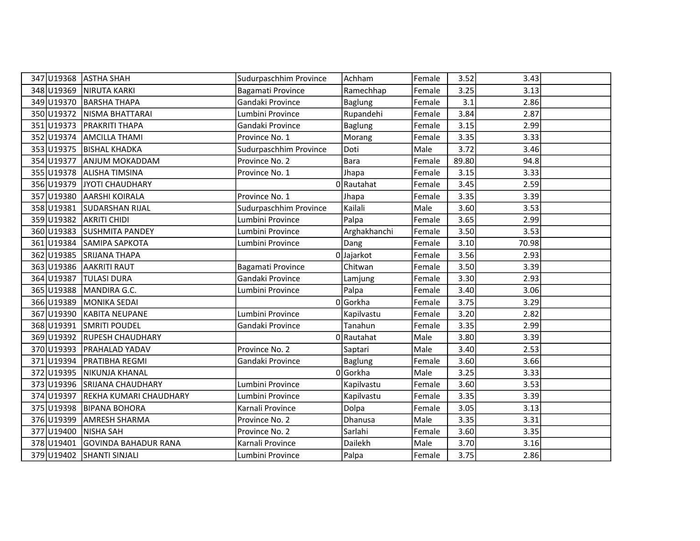|            | 347 U19368 ASTHA SHAH         | Sudurpaschhim Province | Achham         | Female | 3.52  | 3.43  |  |
|------------|-------------------------------|------------------------|----------------|--------|-------|-------|--|
|            | 348 U19369 NIRUTA KARKI       | Bagamati Province      | Ramechhap      | Female | 3.25  | 3.13  |  |
|            | 349 U19370 BARSHA THAPA       | Gandaki Province       | <b>Baglung</b> | Female | 3.1   | 2.86  |  |
|            | 350 U19372 NISMA BHATTARAI    | Lumbini Province       | Rupandehi      | Female | 3.84  | 2.87  |  |
| 351 U19373 | <b>PRAKRITI THAPA</b>         | Gandaki Province       | <b>Baglung</b> | Female | 3.15  | 2.99  |  |
|            | 352 U19374 AMCILLA THAMI      | Province No. 1         | Morang         | Female | 3.35  | 3.33  |  |
|            | 353 U19375 BISHAL KHADKA      | Sudurpaschhim Province | Doti           | Male   | 3.72  | 3.46  |  |
|            | 354 U19377 ANJUM MOKADDAM     | Province No. 2         | Bara           | Female | 89.80 | 94.8  |  |
|            | 355 U19378 ALISHA TIMSINA     | Province No. 1         | Jhapa          | Female | 3.15  | 3.33  |  |
|            | 356 U19379 JYOTI CHAUDHARY    |                        | 0 Rautahat     | Female | 3.45  | 2.59  |  |
|            | 357 U19380 AARSHI KOIRALA     | Province No. 1         | Jhapa          | Female | 3.35  | 3.39  |  |
| 358 U19381 | <b>SUDARSHAN RIJAL</b>        | Sudurpaschhim Province | Kailali        | Male   | 3.60  | 3.53  |  |
|            | 359 U19382 AKRITI CHIDI       | Lumbini Province       | Palpa          | Female | 3.65  | 2.99  |  |
|            | 360 U19383 SUSHMITA PANDEY    | Lumbini Province       | Arghakhanchi   | Female | 3.50  | 3.53  |  |
|            | 361 U19384 SAMIPA SAPKOTA     | Lumbini Province       | Dang           | Female | 3.10  | 70.98 |  |
|            | 362 U19385 SRIJANA THAPA      |                        | 0 Jajarkot     | Female | 3.56  | 2.93  |  |
|            | 363 U19386 AAKRITI RAUT       | Bagamati Province      | Chitwan        | Female | 3.50  | 3.39  |  |
| 364 U19387 | <b>TULASI DURA</b>            | Gandaki Province       | Lamjung        | Female | 3.30  | 2.93  |  |
| 365 U19388 | MANDIRA G.C.                  | Lumbini Province       | Palpa          | Female | 3.40  | 3.06  |  |
| 366 U19389 | <b>MONIKA SEDAI</b>           |                        | 0 Gorkha       | Female | 3.75  | 3.29  |  |
|            | 367 U19390 KABITA NEUPANE     | Lumbini Province       | Kapilvastu     | Female | 3.20  | 2.82  |  |
|            | 368 U19391 SMRITI POUDEL      | Gandaki Province       | Tanahun        | Female | 3.35  | 2.99  |  |
|            | 369 U19392 RUPESH CHAUDHARY   |                        | 0 Rautahat     | Male   | 3.80  | 3.39  |  |
|            | 370 U19393   PRAHALAD YADAV   | Province No. 2         | Saptari        | Male   | 3.40  | 2.53  |  |
|            | 371 U19394 PRATIBHA REGMI     | Gandaki Province       | Baglung        | Female | 3.60  | 3.66  |  |
|            | 372 U19395 NIKUNJA KHANAL     |                        | 0Gorkha        | Male   | 3.25  | 3.33  |  |
|            | 373 U19396 SRIJANA CHAUDHARY  | Lumbini Province       | Kapilvastu     | Female | 3.60  | 3.53  |  |
| 374 U19397 | <b>REKHA KUMARI CHAUDHARY</b> | Lumbini Province       | Kapilvastu     | Female | 3.35  | 3.39  |  |
| 375 U19398 | <b>BIPANA BOHORA</b>          | Karnali Province       | Dolpa          | Female | 3.05  | 3.13  |  |
| 376 U19399 | <b>AMRESH SHARMA</b>          | Province No. 2         | Dhanusa        | Male   | 3.35  | 3.31  |  |
| 377 U19400 | NISHA SAH                     | Province No. 2         | Sarlahi        | Female | 3.60  | 3.35  |  |
| 378 U19401 | <b>GOVINDA BAHADUR RANA</b>   | Karnali Province       | Dailekh        | Male   | 3.70  | 3.16  |  |
|            | 379 U19402 SHANTI SINJALI     | Lumbini Province       | Palpa          | Female | 3.75  | 2.86  |  |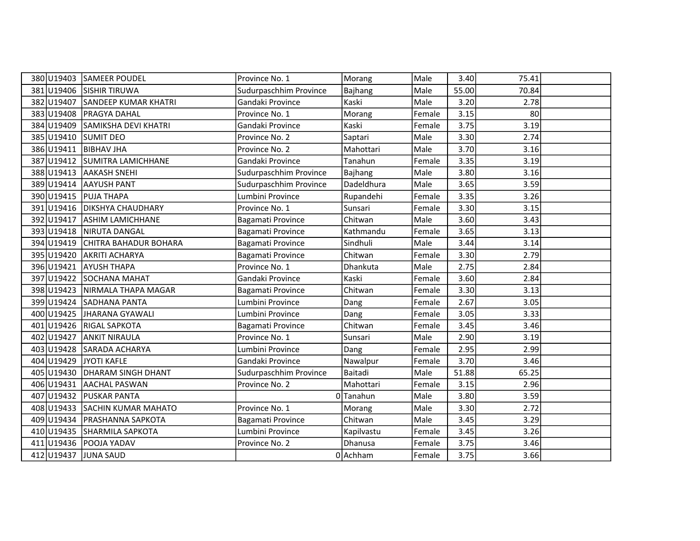|            | 380 U19403 SAMEER POUDEL    | Province No. 1         | Morang     | Male   | 3.40  | 75.41 |  |
|------------|-----------------------------|------------------------|------------|--------|-------|-------|--|
| 381 U19406 | <b>SISHIR TIRUWA</b>        | Sudurpaschhim Province | Bajhang    | Male   | 55.00 | 70.84 |  |
| 382 U19407 | <b>SANDEEP KUMAR KHATRI</b> | Gandaki Province       | Kaski      | Male   | 3.20  | 2.78  |  |
| 383 U19408 | PRAGYA DAHAL                | Province No. 1         | Morang     | Female | 3.15  | 80    |  |
| 384 U19409 | SAMIKSHA DEVI KHATRI        | Gandaki Province       | Kaski      | Female | 3.75  | 3.19  |  |
| 385 U19410 | <b>SUMIT DEO</b>            | Province No. 2         | Saptari    | Male   | 3.30  | 2.74  |  |
| 386 U19411 | <b>BIBHAV JHA</b>           | Province No. 2         | Mahottari  | Male   | 3.70  | 3.16  |  |
| 387 U19412 | <b>SUMITRA LAMICHHANE</b>   | Gandaki Province       | Tanahun    | Female | 3.35  | 3.19  |  |
| 388U19413  | <b>AAKASH SNEHI</b>         | Sudurpaschhim Province | Bajhang    | Male   | 3.80  | 3.16  |  |
| 389U19414  | <b>AAYUSH PANT</b>          | Sudurpaschhim Province | Dadeldhura | Male   | 3.65  | 3.59  |  |
| 390 U19415 | <b>PUJA THAPA</b>           | Lumbini Province       | Rupandehi  | Female | 3.35  | 3.26  |  |
| 391 U19416 | <b>DIKSHYA CHAUDHARY</b>    | Province No. 1         | Sunsari    | Female | 3.30  | 3.15  |  |
| 392 U19417 | ASHIM LAMICHHANE            | Bagamati Province      | Chitwan    | Male   | 3.60  | 3.43  |  |
| 393 U19418 | NIRUTA DANGAL               | Bagamati Province      | Kathmandu  | Female | 3.65  | 3.13  |  |
| 394 U19419 | CHITRA BAHADUR BOHARA       | Bagamati Province      | Sindhuli   | Male   | 3.44  | 3.14  |  |
| 395 U19420 | <b>AKRITI ACHARYA</b>       | Bagamati Province      | Chitwan    | Female | 3.30  | 2.79  |  |
| 396 U19421 | <b>AYUSH THAPA</b>          | Province No. 1         | Dhankuta   | Male   | 2.75  | 2.84  |  |
| 397 U19422 | <b>SOCHANA MAHAT</b>        | Gandaki Province       | Kaski      | Female | 3.60  | 2.84  |  |
| 398 U19423 | NIRMALA THAPA MAGAR         | Bagamati Province      | Chitwan    | Female | 3.30  | 3.13  |  |
| 399 U19424 | <b>SADHANA PANTA</b>        | Lumbini Province       | Dang       | Female | 2.67  | 3.05  |  |
| 400 U19425 | JHARANA GYAWALI             | Lumbini Province       | Dang       | Female | 3.05  | 3.33  |  |
| 401 U19426 | <b>RIGAL SAPKOTA</b>        | Bagamati Province      | Chitwan    | Female | 3.45  | 3.46  |  |
| 402 U19427 | <b>ANKIT NIRAULA</b>        | Province No. 1         | Sunsari    | Male   | 2.90  | 3.19  |  |
| 403 U19428 | SARADA ACHARYA              | Lumbini Province       | Dang       | Female | 2.95  | 2.99  |  |
| 404 U19429 | JYOTI KAFLE                 | Gandaki Province       | Nawalpur   | Female | 3.70  | 3.46  |  |
| 405 U19430 | <b>DHARAM SINGH DHANT</b>   | Sudurpaschhim Province | Baitadi    | Male   | 51.88 | 65.25 |  |
| 406 U19431 | <b>AACHAL PASWAN</b>        | Province No. 2         | Mahottari  | Female | 3.15  | 2.96  |  |
| 407 U19432 | <b>PUSKAR PANTA</b>         |                        | 0Tanahun   | Male   | 3.80  | 3.59  |  |
| 408 U19433 | <b>SACHIN KUMAR MAHATO</b>  | Province No. 1         | Morang     | Male   | 3.30  | 2.72  |  |
| 409 U19434 | <b>PRASHANNA SAPKOTA</b>    | Bagamati Province      | Chitwan    | Male   | 3.45  | 3.29  |  |
| 410 U19435 | <b>SHARMILA SAPKOTA</b>     | Lumbini Province       | Kapilvastu | Female | 3.45  | 3.26  |  |
| 411 U19436 | POOJA YADAV                 | Province No. 2         | Dhanusa    | Female | 3.75  | 3.46  |  |
|            | 412 U19437 JUNA SAUD        |                        | 0 Achham   | Female | 3.75  | 3.66  |  |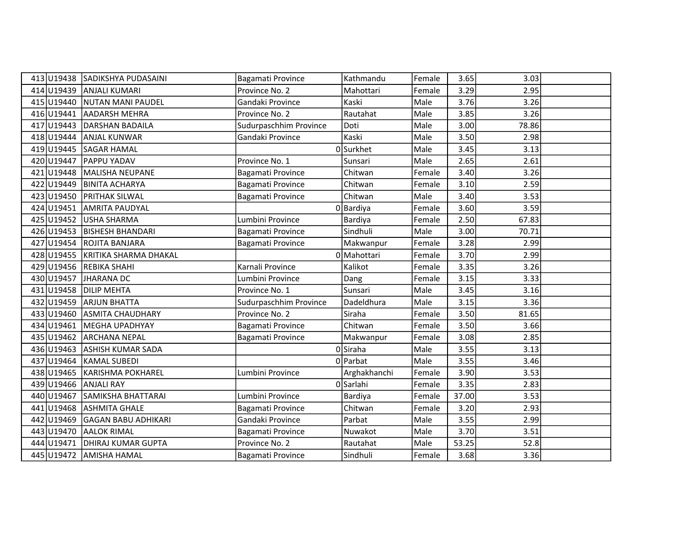|     |            | 413 U19438 SADIKSHYA PUDASAINI | Bagamati Province      | Kathmandu    | Female | 3.65  | 3.03  |  |
|-----|------------|--------------------------------|------------------------|--------------|--------|-------|-------|--|
|     | 414 U19439 | <b>ANJALI KUMARI</b>           | Province No. 2         | Mahottari    | Female | 3.29  | 2.95  |  |
|     | 415 U19440 | <b>NUTAN MANI PAUDEL</b>       | Gandaki Province       | Kaski        | Male   | 3.76  | 3.26  |  |
|     | 416 U19441 | <b>AADARSH MEHRA</b>           | Province No. 2         | Rautahat     | Male   | 3.85  | 3.26  |  |
|     | 417 U19443 | <b>DARSHAN BADAILA</b>         | Sudurpaschhim Province | Doti         | Male   | 3.00  | 78.86 |  |
|     | 418 U19444 | <b>ANJAL KUNWAR</b>            | Gandaki Province       | Kaski        | Male   | 3.50  | 2.98  |  |
|     | 419 U19445 | <b>SAGAR HAMAL</b>             |                        | 0Surkhet     | Male   | 3.45  | 3.13  |  |
|     | 420 U19447 | <b>PAPPU YADAV</b>             | Province No. 1         | Sunsari      | Male   | 2.65  | 2.61  |  |
|     | 421 U19448 | MALISHA NEUPANE                | Bagamati Province      | Chitwan      | Female | 3.40  | 3.26  |  |
|     | 422 U19449 | <b>BINITA ACHARYA</b>          | Bagamati Province      | Chitwan      | Female | 3.10  | 2.59  |  |
|     | 423 U19450 | <b>PRITHAK SILWAL</b>          | Bagamati Province      | Chitwan      | Male   | 3.40  | 3.53  |  |
|     | 424 U19451 | <b>AMRITA PAUDYAL</b>          |                        | 0 Bardiya    | Female | 3.60  | 3.59  |  |
|     | 425 U19452 | <b>USHA SHARMA</b>             | Lumbini Province       | Bardiya      | Female | 2.50  | 67.83 |  |
|     | 426 U19453 | <b>BISHESH BHANDARI</b>        | Bagamati Province      | Sindhuli     | Male   | 3.00  | 70.71 |  |
|     | 427 U19454 | ROJITA BANJARA                 | Bagamati Province      | Makwanpur    | Female | 3.28  | 2.99  |  |
|     | 428 U19455 | KRITIKA SHARMA DHAKAL          |                        | 0 Mahottari  | Female | 3.70  | 2.99  |  |
|     | 429 U19456 | REBIKA SHAHI                   | Karnali Province       | Kalikot      | Female | 3.35  | 3.26  |  |
|     | 430 U19457 | JHARANA DC                     | Lumbini Province       | Dang         | Female | 3.15  | 3.33  |  |
|     | 431 U19458 | <b>DILIP MEHTA</b>             | Province No. 1         | Sunsari      | Male   | 3.45  | 3.16  |  |
|     | 432 U19459 | <b>ARJUN BHATTA</b>            | Sudurpaschhim Province | Dadeldhura   | Male   | 3.15  | 3.36  |  |
|     | 433 U19460 | <b>ASMITA CHAUDHARY</b>        | Province No. 2         | Siraha       | Female | 3.50  | 81.65 |  |
|     | 434 U19461 | MEGHA UPADHYAY                 | Bagamati Province      | Chitwan      | Female | 3.50  | 3.66  |  |
|     | 435 U19462 | <b>ARCHANA NEPAL</b>           | Bagamati Province      | Makwanpur    | Female | 3.08  | 2.85  |  |
|     | 436 U19463 | <b>ASHISH KUMAR SADA</b>       |                        | 0Siraha      | Male   | 3.55  | 3.13  |  |
|     | 437 U19464 | <b>KAMAL SUBEDI</b>            |                        | 0 Parbat     | Male   | 3.55  | 3.46  |  |
|     | 438 U19465 | <b>KARISHMA POKHAREL</b>       | Lumbini Province       | Arghakhanchi | Female | 3.90  | 3.53  |  |
|     | 439 U19466 | <b>ANJALI RAY</b>              |                        | 0 Sarlahi    | Female | 3.35  | 2.83  |  |
|     | 440 U19467 | SAMIKSHA BHATTARAI             | Lumbini Province       | Bardiya      | Female | 37.00 | 3.53  |  |
|     | 441 U19468 | <b>ASHMITA GHALE</b>           | Bagamati Province      | Chitwan      | Female | 3.20  | 2.93  |  |
|     | 442 U19469 | GAGAN BABU ADHIKARI            | Gandaki Province       | Parbat       | Male   | 3.55  | 2.99  |  |
|     | 443 U19470 | <b>AALOK RIMAL</b>             | Bagamati Province      | Nuwakot      | Male   | 3.70  | 3.51  |  |
| 444 | U19471     | DHIRAJ KUMAR GUPTA             | Province No. 2         | Rautahat     | Male   | 53.25 | 52.8  |  |
|     |            | 445 U19472 AMISHA HAMAL        | Bagamati Province      | Sindhuli     | Female | 3.68  | 3.36  |  |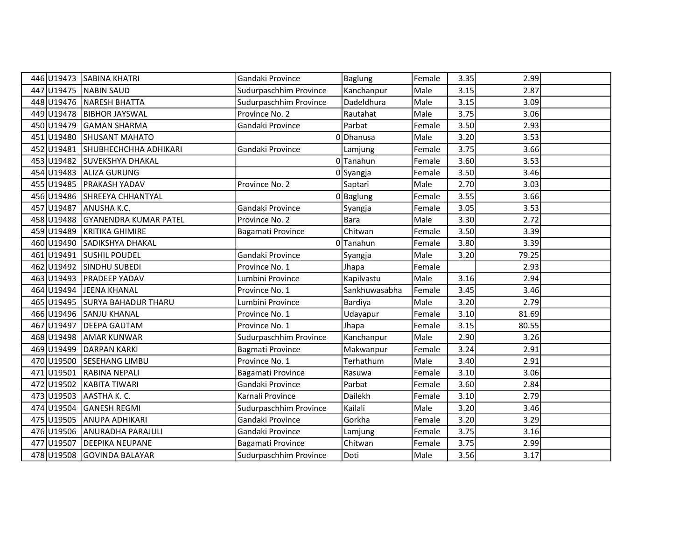| 446 U19473 | <b>SABINA KHATRI</b>         | Gandaki Province        | <b>Baglung</b> | Female | 3.35 | 2.99  |  |
|------------|------------------------------|-------------------------|----------------|--------|------|-------|--|
| 447 U19475 | <b>NABIN SAUD</b>            | Sudurpaschhim Province  | Kanchanpur     | Male   | 3.15 | 2.87  |  |
| 448 U19476 | NARESH BHATTA                | Sudurpaschhim Province  | Dadeldhura     | Male   | 3.15 | 3.09  |  |
| 449 U19478 | <b>BIBHOR JAYSWAL</b>        | Province No. 2          | Rautahat       | Male   | 3.75 | 3.06  |  |
| 450 U19479 | <b>GAMAN SHARMA</b>          | Gandaki Province        | Parbat         | Female | 3.50 | 2.93  |  |
| 451 U19480 | <b>SHUSANT MAHATO</b>        |                         | 0 Dhanusa      | Male   | 3.20 | 3.53  |  |
| 452 U19481 | SHUBHECHCHHA ADHIKARI        | Gandaki Province        | Lamjung        | Female | 3.75 | 3.66  |  |
| 453 U19482 | <b>SUVEKSHYA DHAKAL</b>      |                         | 0Tanahun       | Female | 3.60 | 3.53  |  |
| 454 U19483 | <b>ALIZA GURUNG</b>          |                         | 0Syangja       | Female | 3.50 | 3.46  |  |
| 455 U19485 | <b>PRAKASH YADAV</b>         | Province No. 2          | Saptari        | Male   | 2.70 | 3.03  |  |
| 456 U19486 | SHREEYA CHHANTYAL            |                         | $0$ Baglung    | Female | 3.55 | 3.66  |  |
| 457 U19487 | <b>ANUSHA K.C.</b>           | Gandaki Province        | Syangja        | Female | 3.05 | 3.53  |  |
| 458 U19488 | <b>GYANENDRA KUMAR PATEL</b> | Province No. 2          | <b>Bara</b>    | Male   | 3.30 | 2.72  |  |
| 459 U19489 | KRITIKA GHIMIRE              | Bagamati Province       | Chitwan        | Female | 3.50 | 3.39  |  |
| 460 U19490 | <b>SADIKSHYA DHAKAL</b>      |                         | 0Tanahun       | Female | 3.80 | 3.39  |  |
| 461 U19491 | <b>SUSHIL POUDEL</b>         | Gandaki Province        | Syangja        | Male   | 3.20 | 79.25 |  |
| 462 U19492 | SINDHU SUBEDI                | Province No. 1          | Jhapa          | Female |      | 2.93  |  |
| 463 U19493 | <b>PRADEEP YADAV</b>         | Lumbini Province        | Kapilvastu     | Male   | 3.16 | 2.94  |  |
| 464 U19494 | JEENA KHANAL                 | Province No. 1          | Sankhuwasabha  | Female | 3.45 | 3.46  |  |
| 465 U19495 | <b>SURYA BAHADUR THARU</b>   | Lumbini Province        | Bardiya        | Male   | 3.20 | 2.79  |  |
| 466 U19496 | <b>SANJU KHANAL</b>          | Province No. 1          | Udayapur       | Female | 3.10 | 81.69 |  |
| 467 U19497 | <b>DEEPA GAUTAM</b>          | Province No. 1          | Jhapa          | Female | 3.15 | 80.55 |  |
| 468 U19498 | <b>AMAR KUNWAR</b>           | Sudurpaschhim Province  | Kanchanpur     | Male   | 2.90 | 3.26  |  |
| 469 U19499 | <b>DARPAN KARKI</b>          | <b>Bagmati Province</b> | Makwanpur      | Female | 3.24 | 2.91  |  |
| 470 U19500 | SESEHANG LIMBU               | Province No. 1          | Terhathum      | Male   | 3.40 | 2.91  |  |
| 471 U19501 | RABINA NEPALI                | Bagamati Province       | Rasuwa         | Female | 3.10 | 3.06  |  |
| 472 U19502 | <b>KABITA TIWARI</b>         | Gandaki Province        | Parbat         | Female | 3.60 | 2.84  |  |
| 473 U19503 | AASTHA K. C.                 | Karnali Province        | Dailekh        | Female | 3.10 | 2.79  |  |
| 474 U19504 | <b>GANESH REGMI</b>          | Sudurpaschhim Province  | Kailali        | Male   | 3.20 | 3.46  |  |
| 475 U19505 | <b>ANUPA ADHIKARI</b>        | Gandaki Province        | Gorkha         | Female | 3.20 | 3.29  |  |
| 476 U19506 | ANURADHA PARAJULI            | Gandaki Province        | Lamjung        | Female | 3.75 | 3.16  |  |
| 477 U19507 | <b>DEEPIKA NEUPANE</b>       | Bagamati Province       | Chitwan        | Female | 3.75 | 2.99  |  |
|            | 478 U19508 GOVINDA BALAYAR   | Sudurpaschhim Province  | Doti           | Male   | 3.56 | 3.17  |  |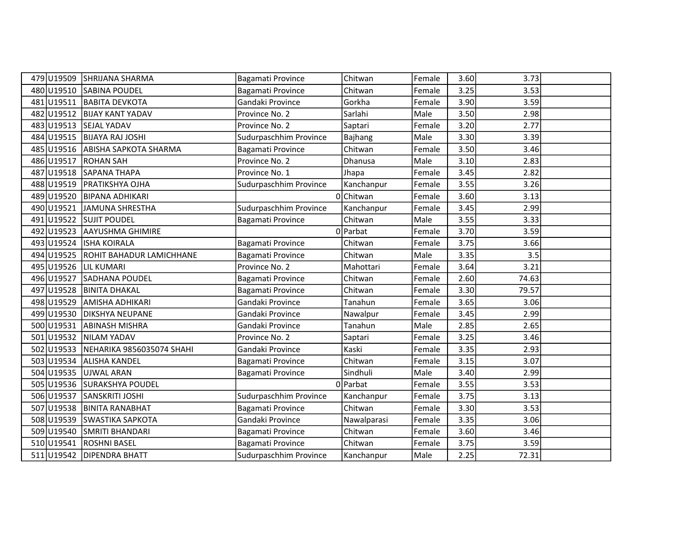| 479 U19509 | <b>SHRIJANA SHARMA</b>           | Bagamati Province      | Chitwan     | Female | 3.60 | 3.73  |  |
|------------|----------------------------------|------------------------|-------------|--------|------|-------|--|
| 480 U19510 | <b>SABINA POUDEL</b>             | Bagamati Province      | Chitwan     | Female | 3.25 | 3.53  |  |
| 481 U19511 | <b>BABITA DEVKOTA</b>            | Gandaki Province       | Gorkha      | Female | 3.90 | 3.59  |  |
| 482 U19512 | <b>BIJAY KANT YADAV</b>          | Province No. 2         | Sarlahi     | Male   | 3.50 | 2.98  |  |
| 483 U19513 | <b>SEJAL YADAV</b>               | Province No. 2         | Saptari     | Female | 3.20 | 2.77  |  |
| 484 U19515 | <b>BIJAYA RAJ JOSHI</b>          | Sudurpaschhim Province | Bajhang     | Male   | 3.30 | 3.39  |  |
|            | 485 U19516 ABISHA SAPKOTA SHARMA | Bagamati Province      | Chitwan     | Female | 3.50 | 3.46  |  |
| 486U19517  | <b>ROHAN SAH</b>                 | Province No. 2         | Dhanusa     | Male   | 3.10 | 2.83  |  |
| 487 U19518 | SAPANA THAPA                     | Province No. 1         | Jhapa       | Female | 3.45 | 2.82  |  |
|            | 488 U19519   PRATIKSHYA OJHA     | Sudurpaschhim Province | Kanchanpur  | Female | 3.55 | 3.26  |  |
| 489 U19520 | <b>BIPANA ADHIKARI</b>           |                        | 0 Chitwan   | Female | 3.60 | 3.13  |  |
| 490 U19521 | JAMUNA SHRESTHA                  | Sudurpaschhim Province | Kanchanpur  | Female | 3.45 | 2.99  |  |
| 491 U19522 | <b>SUJIT POUDEL</b>              | Bagamati Province      | Chitwan     | Male   | 3.55 | 3.33  |  |
| 492 U19523 | <b>AAYUSHMA GHIMIRE</b>          |                        | 0 Parbat    | Female | 3.70 | 3.59  |  |
| 493 U19524 | <b>ISHA KOIRALA</b>              | Bagamati Province      | Chitwan     | Female | 3.75 | 3.66  |  |
| 494 U19525 | ROHIT BAHADUR LAMICHHANE         | Bagamati Province      | Chitwan     | Male   | 3.35 | 3.5   |  |
| 495 U19526 | <b>LIL KUMARI</b>                | Province No. 2         | Mahottari   | Female | 3.64 | 3.21  |  |
| 496 U19527 | SADHANA POUDEL                   | Bagamati Province      | Chitwan     | Female | 2.60 | 74.63 |  |
| 497 U19528 | <b>BINITA DHAKAL</b>             | Bagamati Province      | Chitwan     | Female | 3.30 | 79.57 |  |
| 498 U19529 | <b>AMISHA ADHIKARI</b>           | Gandaki Province       | Tanahun     | Female | 3.65 | 3.06  |  |
| 499 U19530 | <b>DIKSHYA NEUPANE</b>           | Gandaki Province       | Nawalpur    | Female | 3.45 | 2.99  |  |
| 500 U19531 | <b>ABINASH MISHRA</b>            | Gandaki Province       | Tanahun     | Male   | 2.85 | 2.65  |  |
| 501 U19532 | NILAM YADAV                      | Province No. 2         | Saptari     | Female | 3.25 | 3.46  |  |
| 502 U19533 | NEHARIKA 9856035074 SHAHI        | Gandaki Province       | Kaski       | Female | 3.35 | 2.93  |  |
|            | 503 U19534 ALISHA KANDEL         | Bagamati Province      | Chitwan     | Female | 3.15 | 3.07  |  |
| 504 U19535 | UJWAL ARAN                       | Bagamati Province      | Sindhuli    | Male   | 3.40 | 2.99  |  |
| 505 U19536 | <b>SURAKSHYA POUDEL</b>          |                        | 0 Parbat    | Female | 3.55 | 3.53  |  |
| 506 U19537 | <b>SANSKRITI JOSHI</b>           | Sudurpaschhim Province | Kanchanpur  | Female | 3.75 | 3.13  |  |
| 507 U19538 | <b>BINITA RANABHAT</b>           | Bagamati Province      | Chitwan     | Female | 3.30 | 3.53  |  |
| 508 U19539 | <b>SWASTIKA SAPKOTA</b>          | Gandaki Province       | Nawalparasi | Female | 3.35 | 3.06  |  |
| 509 U19540 | SMRITI BHANDARI                  | Bagamati Province      | Chitwan     | Female | 3.60 | 3.46  |  |
| 510 U19541 | <b>ROSHNI BASEL</b>              | Bagamati Province      | Chitwan     | Female | 3.75 | 3.59  |  |
|            | 511 U19542 DIPENDRA BHATT        | Sudurpaschhim Province | Kanchanpur  | Male   | 2.25 | 72.31 |  |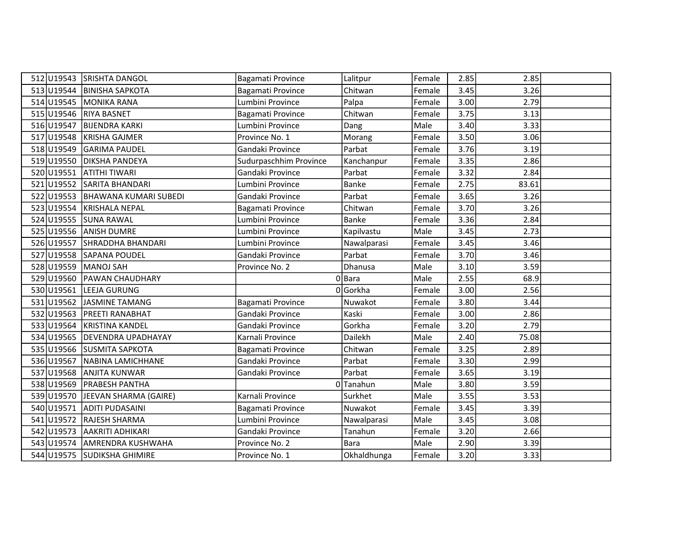|            | 512 U19543 SRISHTA DANGOL        | Bagamati Province      | Lalitpur    | Female | 2.85 | 2.85  |  |
|------------|----------------------------------|------------------------|-------------|--------|------|-------|--|
|            | 513 U19544 BINISHA SAPKOTA       | Bagamati Province      | Chitwan     | Female | 3.45 | 3.26  |  |
|            | 514 U19545 MONIKA RANA           | Lumbini Province       | Palpa       | Female | 3.00 | 2.79  |  |
|            | 515 U19546 RIYA BASNET           | Bagamati Province      | Chitwan     | Female | 3.75 | 3.13  |  |
| 516 U19547 | <b>BIJENDRA KARKI</b>            | Lumbini Province       | Dang        | Male   | 3.40 | 3.33  |  |
| 517 U19548 | KRISHA GAJMER                    | Province No. 1         | Morang      | Female | 3.50 | 3.06  |  |
| 518 U19549 | <b>GARIMA PAUDEL</b>             | Gandaki Province       | Parbat      | Female | 3.76 | 3.19  |  |
|            | 519 U19550 DIKSHA PANDEYA        | Sudurpaschhim Province | Kanchanpur  | Female | 3.35 | 2.86  |  |
| 520 U19551 | <b>ATITHI TIWARI</b>             | Gandaki Province       | Parbat      | Female | 3.32 | 2.84  |  |
|            | 521 U19552 SARITA BHANDARI       | Lumbini Province       | Banke       | Female | 2.75 | 83.61 |  |
|            | 522 U19553 BHAWANA KUMARI SUBEDI | Gandaki Province       | Parbat      | Female | 3.65 | 3.26  |  |
|            | 523 U19554 KRISHALA NEPAL        | Bagamati Province      | Chitwan     | Female | 3.70 | 3.26  |  |
|            | 524 U19555 SUNA RAWAL            | Lumbini Province       | Banke       | Female | 3.36 | 2.84  |  |
|            | 525 U19556 ANISH DUMRE           | Lumbini Province       | Kapilvastu  | Male   | 3.45 | 2.73  |  |
|            | 526 U19557 SHRADDHA BHANDARI     | Lumbini Province       | Nawalparasi | Female | 3.45 | 3.46  |  |
|            | 527 U19558 SAPANA POUDEL         | Gandaki Province       | Parbat      | Female | 3.70 | 3.46  |  |
|            | 528 U19559 MANOJ SAH             | Province No. 2         | Dhanusa     | Male   | 3.10 | 3.59  |  |
|            | 529 U19560 PAWAN CHAUDHARY       |                        | 0Bara       | Male   | 2.55 | 68.9  |  |
|            | 530 U19561 LEEJA GURUNG          |                        | 0 Gorkha    | Female | 3.00 | 2.56  |  |
| 531 U19562 | JASMINE TAMANG                   | Bagamati Province      | Nuwakot     | Female | 3.80 | 3.44  |  |
|            | 532 U19563 PREETI RANABHAT       | Gandaki Province       | Kaski       | Female | 3.00 | 2.86  |  |
|            | 533 U19564 KRISTINA KANDEL       | Gandaki Province       | Gorkha      | Female | 3.20 | 2.79  |  |
|            | 534 U19565 DEVENDRA UPADHAYAY    | Karnali Province       | Dailekh     | Male   | 2.40 | 75.08 |  |
|            | 535 U19566 SUSMITA SAPKOTA       | Bagamati Province      | Chitwan     | Female | 3.25 | 2.89  |  |
|            | 536 U19567 NABINA LAMICHHANE     | Gandaki Province       | Parbat      | Female | 3.30 | 2.99  |  |
|            | 537 U19568 ANJITA KUNWAR         | Gandaki Province       | Parbat      | Female | 3.65 | 3.19  |  |
| 538 U19569 | <b>PRABESH PANTHA</b>            |                        | 0Tanahun    | Male   | 3.80 | 3.59  |  |
| 539 U19570 | JEEVAN SHARMA (GAIRE)            | Karnali Province       | Surkhet     | Male   | 3.55 | 3.53  |  |
| 540 U19571 | <b>ADITI PUDASAINI</b>           | Bagamati Province      | Nuwakot     | Female | 3.45 | 3.39  |  |
|            | 541 U19572 RAJESH SHARMA         | Lumbini Province       | Nawalparasi | Male   | 3.45 | 3.08  |  |
| 542 U19573 | <b>AAKRITI ADHIKARI</b>          | Gandaki Province       | Tanahun     | Female | 3.20 | 2.66  |  |
|            | 543 U19574 AMRENDRA KUSHWAHA     | Province No. 2         | <b>Bara</b> | Male   | 2.90 | 3.39  |  |
|            | 544 U19575 SUDIKSHA GHIMIRE      | Province No. 1         | Okhaldhunga | Female | 3.20 | 3.33  |  |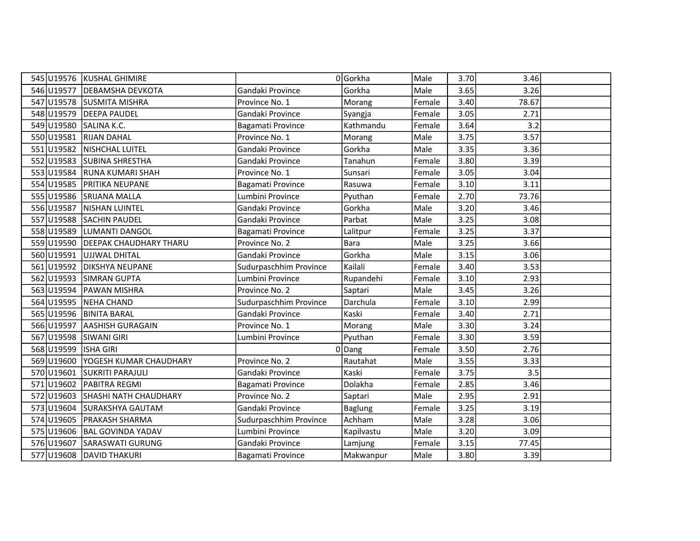| 545 U19576 | KUSHAL GHIMIRE                |                        | 0 Gorkha       | Male   | 3.70 | 3.46  |  |
|------------|-------------------------------|------------------------|----------------|--------|------|-------|--|
| 546 U19577 | <b>DEBAMSHA DEVKOTA</b>       | Gandaki Province       | Gorkha         | Male   | 3.65 | 3.26  |  |
| 547 U19578 | <b>SUSMITA MISHRA</b>         | Province No. 1         | Morang         | Female | 3.40 | 78.67 |  |
| 548 U19579 | <b>DEEPA PAUDEL</b>           | Gandaki Province       | Syangja        | Female | 3.05 | 2.71  |  |
| 549 U19580 | SALINA K.C.                   | Bagamati Province      | Kathmandu      | Female | 3.64 | 3.2   |  |
| 550 U19581 | <b>RIJAN DAHAL</b>            | Province No. 1         | Morang         | Male   | 3.75 | 3.57  |  |
| 551 U19582 | NISHCHAL LUITEL               | Gandaki Province       | Gorkha         | Male   | 3.35 | 3.36  |  |
| 552 U19583 | <b>SUBINA SHRESTHA</b>        | Gandaki Province       | Tanahun        | Female | 3.80 | 3.39  |  |
| 553 U19584 | <b>RUNA KUMARI SHAH</b>       | Province No. 1         | Sunsari        | Female | 3.05 | 3.04  |  |
| 554 U19585 | PRITIKA NEUPANE               | Bagamati Province      | Rasuwa         | Female | 3.10 | 3.11  |  |
| 555 U19586 | <b>SRIJANA MALLA</b>          | Lumbini Province       | Pyuthan        | Female | 2.70 | 73.76 |  |
| 556 U19587 | <b>NISHAN LUINTEL</b>         | Gandaki Province       | Gorkha         | Male   | 3.20 | 3.46  |  |
| 557 U19588 | <b>SACHIN PAUDEL</b>          | Gandaki Province       | Parbat         | Male   | 3.25 | 3.08  |  |
| 558 U19589 | LUMANTI DANGOL                | Bagamati Province      | Lalitpur       | Female | 3.25 | 3.37  |  |
| 559 U19590 | <b>DEEPAK CHAUDHARY THARU</b> | Province No. 2         | Bara           | Male   | 3.25 | 3.66  |  |
| 560 U19591 | UJJWAL DHITAL                 | Gandaki Province       | Gorkha         | Male   | 3.15 | 3.06  |  |
| 561 U19592 | <b>DIKSHYA NEUPANE</b>        | Sudurpaschhim Province | Kailali        | Female | 3.40 | 3.53  |  |
| 562 U19593 | <b>SIMRAN GUPTA</b>           | Lumbini Province       | Rupandehi      | Female | 3.10 | 2.93  |  |
| 563 U19594 | PAWAN MISHRA                  | Province No. 2         | Saptari        | Male   | 3.45 | 3.26  |  |
| 564 U19595 | NEHA CHAND                    | Sudurpaschhim Province | Darchula       | Female | 3.10 | 2.99  |  |
| 565 U19596 | <b>BINITA BARAL</b>           | Gandaki Province       | Kaski          | Female | 3.40 | 2.71  |  |
| 566 U19597 | <b>AASHISH GURAGAIN</b>       | Province No. 1         | Morang         | Male   | 3.30 | 3.24  |  |
| 567 U19598 | <b>SIWANI GIRI</b>            | Lumbini Province       | Pyuthan        | Female | 3.30 | 3.59  |  |
| 568 U19599 | <b>ISHA GIRI</b>              |                        | $0$  Dang      | Female | 3.50 | 2.76  |  |
| 569 U19600 | YOGESH KUMAR CHAUDHARY        | Province No. 2         | Rautahat       | Male   | 3.55 | 3.33  |  |
| 570 U19601 | <b>SUKRITI PARAJULI</b>       | Gandaki Province       | Kaski          | Female | 3.75 | 3.5   |  |
| 571 U19602 | PABITRA REGMI                 | Bagamati Province      | Dolakha        | Female | 2.85 | 3.46  |  |
| 572 U19603 | <b>SHASHI NATH CHAUDHARY</b>  | Province No. 2         | Saptari        | Male   | 2.95 | 2.91  |  |
| 573 U19604 | SURAKSHYA GAUTAM              | Gandaki Province       | <b>Baglung</b> | Female | 3.25 | 3.19  |  |
| 574 U19605 | <b>PRAKASH SHARMA</b>         | Sudurpaschhim Province | Achham         | Male   | 3.28 | 3.06  |  |
| 575 U19606 | <b>BAL GOVINDA YADAV</b>      | Lumbini Province       | Kapilvastu     | Male   | 3.20 | 3.09  |  |
| 576 U19607 | SARASWATI GURUNG              | Gandaki Province       | Lamjung        | Female | 3.15 | 77.45 |  |
|            | 577 U19608 DAVID THAKURI      | Bagamati Province      | Makwanpur      | Male   | 3.80 | 3.39  |  |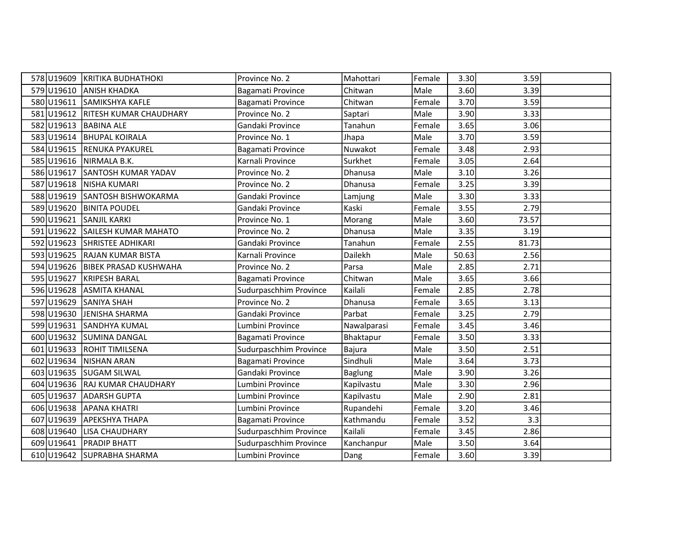|            | 578 U19609 KRITIKA BUDHATHOKI       | Province No. 2         | Mahottari      | Female | 3.30  | 3.59  |  |
|------------|-------------------------------------|------------------------|----------------|--------|-------|-------|--|
|            | 579 U19610 ANISH KHADKA             | Bagamati Province      | Chitwan        | Male   | 3.60  | 3.39  |  |
| 580 U19611 | SAMIKSHYA KAFLE                     | Bagamati Province      | Chitwan        | Female | 3.70  | 3.59  |  |
|            | 581 U19612   RITESH KUMAR CHAUDHARY | Province No. 2         | Saptari        | Male   | 3.90  | 3.33  |  |
| 582 U19613 | <b>BABINA ALE</b>                   | Gandaki Province       | Tanahun        | Female | 3.65  | 3.06  |  |
|            | 583 U19614 BHUPAL KOIRALA           | Province No. 1         | Jhapa          | Male   | 3.70  | 3.59  |  |
|            | 584 U19615 RENUKA PYAKUREL          | Bagamati Province      | Nuwakot        | Female | 3.48  | 2.93  |  |
|            | 585 U19616 NIRMALA B.K.             | Karnali Province       | Surkhet        | Female | 3.05  | 2.64  |  |
| 586 U19617 | SANTOSH KUMAR YADAV                 | Province No. 2         | Dhanusa        | Male   | 3.10  | 3.26  |  |
|            | 587 U19618 NISHA KUMARI             | Province No. 2         | Dhanusa        | Female | 3.25  | 3.39  |  |
|            | 588 U19619 SANTOSH BISHWOKARMA      | Gandaki Province       | Lamjung        | Male   | 3.30  | 3.33  |  |
|            | 589 U19620 BINITA POUDEL            | Gandaki Province       | Kaski          | Female | 3.55  | 2.79  |  |
| 590 U19621 | <b>SANJIL KARKI</b>                 | Province No. 1         | Morang         | Male   | 3.60  | 73.57 |  |
| 591 U19622 | SAILESH KUMAR MAHATO                | Province No. 2         | Dhanusa        | Male   | 3.35  | 3.19  |  |
|            | 592 U19623 SHRISTEE ADHIKARI        | Gandaki Province       | Tanahun        | Female | 2.55  | 81.73 |  |
|            | 593 U19625 RAJAN KUMAR BISTA        | Karnali Province       | Dailekh        | Male   | 50.63 | 2.56  |  |
|            | 594 U19626 BIBEK PRASAD KUSHWAHA    | Province No. 2         | Parsa          | Male   | 2.85  | 2.71  |  |
|            | 595 U19627 KRIPESH BARAL            | Bagamati Province      | Chitwan        | Male   | 3.65  | 3.66  |  |
|            | 596 U19628 ASMITA KHANAL            | Sudurpaschhim Province | Kailali        | Female | 2.85  | 2.78  |  |
| 597 U19629 | <b>SANIYA SHAH</b>                  | Province No. 2         | Dhanusa        | Female | 3.65  | 3.13  |  |
| 598 U19630 | JENISHA SHARMA                      | Gandaki Province       | Parbat         | Female | 3.25  | 2.79  |  |
| 599 U19631 | <b>SANDHYA KUMAL</b>                | Lumbini Province       | Nawalparasi    | Female | 3.45  | 3.46  |  |
|            | 600 U19632 SUMINA DANGAL            | Bagamati Province      | Bhaktapur      | Female | 3.50  | 3.33  |  |
|            | 601 U19633 ROHIT TIMILSENA          | Sudurpaschhim Province | Bajura         | Male   | 3.50  | 2.51  |  |
|            | 602 U19634 NISHAN ARAN              | Bagamati Province      | Sindhuli       | Male   | 3.64  | 3.73  |  |
|            | 603 U19635 SUGAM SILWAL             | Gandaki Province       | <b>Baglung</b> | Male   | 3.90  | 3.26  |  |
|            | 604 U19636 RAJ KUMAR CHAUDHARY      | Lumbini Province       | Kapilvastu     | Male   | 3.30  | 2.96  |  |
| 605 U19637 | <b>ADARSH GUPTA</b>                 | Lumbini Province       | Kapilvastu     | Male   | 2.90  | 2.81  |  |
|            | 606 U19638 APANA KHATRI             | Lumbini Province       | Rupandehi      | Female | 3.20  | 3.46  |  |
|            | 607 U19639 APEKSHYA THAPA           | Bagamati Province      | Kathmandu      | Female | 3.52  | 3.3   |  |
| 608 U19640 | <b>LISA CHAUDHARY</b>               | Sudurpaschhim Province | Kailali        | Female | 3.45  | 2.86  |  |
| 609 U19641 | <b>PRADIP BHATT</b>                 | Sudurpaschhim Province | Kanchanpur     | Male   | 3.50  | 3.64  |  |
|            | 610 U19642 SUPRABHA SHARMA          | Lumbini Province       | Dang           | Female | 3.60  | 3.39  |  |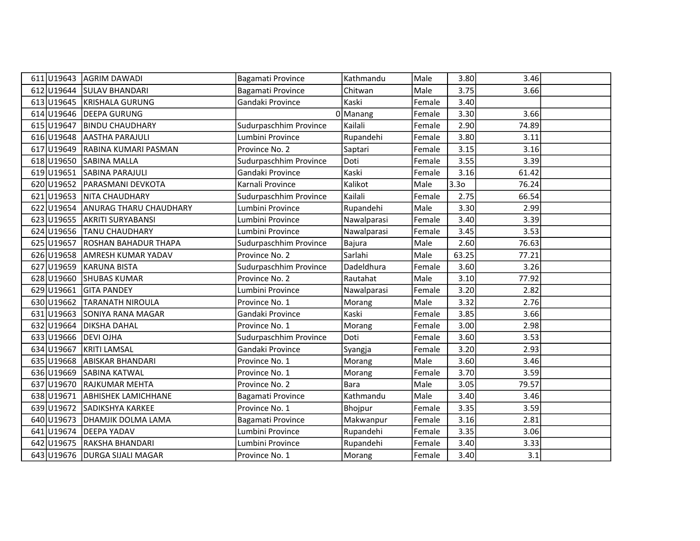|            | 611 U19643 AGRIM DAWADI           | Bagamati Province      | Kathmandu   | Male   | 3.80             | 3.46  |  |
|------------|-----------------------------------|------------------------|-------------|--------|------------------|-------|--|
|            | 612 U19644 SULAV BHANDARI         | Bagamati Province      | Chitwan     | Male   | 3.75             | 3.66  |  |
|            | 613 U19645 KRISHALA GURUNG        | Gandaki Province       | Kaski       | Female | 3.40             |       |  |
|            | 614 U19646 DEEPA GURUNG           |                        | $0$ Manang  | Female | 3.30             | 3.66  |  |
| 615 U19647 | <b>BINDU CHAUDHARY</b>            | Sudurpaschhim Province | Kailali     | Female | 2.90             | 74.89 |  |
| 616 U19648 | <b>AASTHA PARAJULI</b>            | Lumbini Province       | Rupandehi   | Female | 3.80             | 3.11  |  |
|            | 617 U19649 RABINA KUMARI PASMAN   | Province No. 2         | Saptari     | Female | 3.15             | 3.16  |  |
|            | 618 U19650 SABINA MALLA           | Sudurpaschhim Province | Doti        | Female | 3.55             | 3.39  |  |
|            | 619 U19651 SABINA PARAJULI        | Gandaki Province       | Kaski       | Female | 3.16             | 61.42 |  |
|            | 620 U19652 PARASMANI DEVKOTA      | Karnali Province       | Kalikot     | Male   | 3.3 <sub>0</sub> | 76.24 |  |
|            | 621 U19653 NITA CHAUDHARY         | Sudurpaschhim Province | Kailali     | Female | 2.75             | 66.54 |  |
|            | 622 U19654 ANURAG THARU CHAUDHARY | Lumbini Province       | Rupandehi   | Male   | 3.30             | 2.99  |  |
|            | 623 U19655 AKRITI SURYABANSI      | Lumbini Province       | Nawalparasi | Female | 3.40             | 3.39  |  |
|            | 624 U19656 TANU CHAUDHARY         | Lumbini Province       | Nawalparasi | Female | 3.45             | 3.53  |  |
|            | 625 U19657 ROSHAN BAHADUR THAPA   | Sudurpaschhim Province | Bajura      | Male   | 2.60             | 76.63 |  |
| 626 U19658 | <b>AMRESH KUMAR YADAV</b>         | Province No. 2         | Sarlahi     | Male   | 63.25            | 77.21 |  |
|            | 627 U19659 KARUNA BISTA           | Sudurpaschhim Province | Dadeldhura  | Female | 3.60             | 3.26  |  |
|            | 628 U19660 SHUBAS KUMAR           | Province No. 2         | Rautahat    | Male   | 3.10             | 77.92 |  |
| 629 U19661 | <b>GITA PANDEY</b>                | Lumbini Province       | Nawalparasi | Female | 3.20             | 2.82  |  |
| 630 U19662 | <b>TARANATH NIROULA</b>           | Province No. 1         | Morang      | Male   | 3.32             | 2.76  |  |
|            | 631 U19663 SONIYA RANA MAGAR      | Gandaki Province       | Kaski       | Female | 3.85             | 3.66  |  |
|            | 632 U19664 DIKSHA DAHAL           | Province No. 1         | Morang      | Female | 3.00             | 2.98  |  |
|            | 633 U19666 DEVI OJHA              | Sudurpaschhim Province | Doti        | Female | 3.60             | 3.53  |  |
| 634 U19667 | <b>KRITI LAMSAL</b>               | Gandaki Province       | Syangja     | Female | 3.20             | 2.93  |  |
|            | 635 U19668 ABISKAR BHANDARI       | Province No. 1         | Morang      | Male   | 3.60             | 3.46  |  |
|            | 636 U19669 SABINA KATWAL          | Province No. 1         | Morang      | Female | 3.70             | 3.59  |  |
| 637 U19670 | <b>RAJKUMAR MEHTA</b>             | Province No. 2         | Bara        | Male   | 3.05             | 79.57 |  |
| 638 U19671 | <b>ABHISHEK LAMICHHANE</b>        | Bagamati Province      | Kathmandu   | Male   | 3.40             | 3.46  |  |
| 639 U19672 | <b>SADIKSHYA KARKEE</b>           | Province No. 1         | Bhojpur     | Female | 3.35             | 3.59  |  |
|            | 640 U19673 DHAMJIK DOLMA LAMA     | Bagamati Province      | Makwanpur   | Female | 3.16             | 2.81  |  |
| 641 U19674 | <b>DEEPA YADAV</b>                | Lumbini Province       | Rupandehi   | Female | 3.35             | 3.06  |  |
| 642 U19675 | RAKSHA BHANDARI                   | Lumbini Province       | Rupandehi   | Female | 3.40             | 3.33  |  |
|            | 643 U19676 DURGA SIJALI MAGAR     | Province No. 1         | Morang      | Female | 3.40             | 3.1   |  |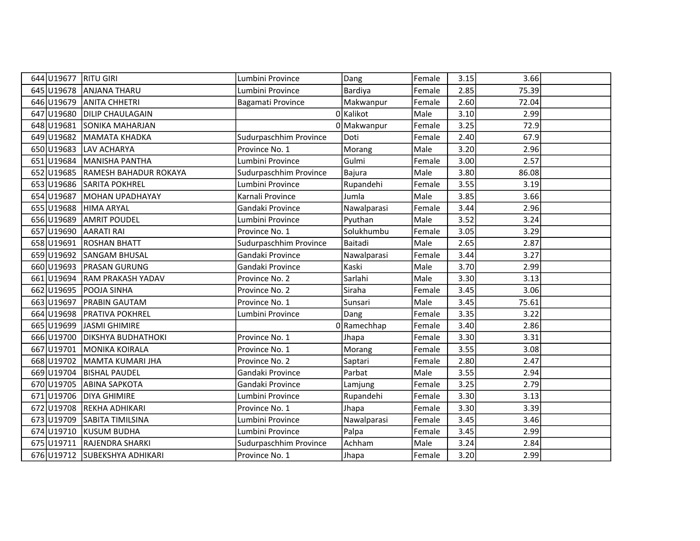| 644 U19677 | <b>RITU GIRI</b>              | Lumbini Province       | Dang        | Female | 3.15 | 3.66  |  |
|------------|-------------------------------|------------------------|-------------|--------|------|-------|--|
| 645 U19678 | <b>ANJANA THARU</b>           | Lumbini Province       | Bardiya     | Female | 2.85 | 75.39 |  |
| 646 U19679 | <b>ANITA CHHETRI</b>          | Bagamati Province      | Makwanpur   | Female | 2.60 | 72.04 |  |
| 647 U19680 | <b>DILIP CHAULAGAIN</b>       |                        | 0 Kalikot   | Male   | 3.10 | 2.99  |  |
| 648 U19681 | <b>SONIKA MAHARJAN</b>        |                        | 0 Makwanpur | Female | 3.25 | 72.9  |  |
| 649 U19682 | <b>MAMATA KHADKA</b>          | Sudurpaschhim Province | Doti        | Female | 2.40 | 67.9  |  |
| 650 U19683 | <b>LAV ACHARYA</b>            | Province No. 1         | Morang      | Male   | 3.20 | 2.96  |  |
| 651 U19684 | MANISHA PANTHA                | Lumbini Province       | Gulmi       | Female | 3.00 | 2.57  |  |
| 652 U19685 | RAMESH BAHADUR ROKAYA         | Sudurpaschhim Province | Bajura      | Male   | 3.80 | 86.08 |  |
| 653 U19686 | <b>SARITA POKHREL</b>         | Lumbini Province       | Rupandehi   | Female | 3.55 | 3.19  |  |
| 654 U19687 | MOHAN UPADHAYAY               | Karnali Province       | Jumla       | Male   | 3.85 | 3.66  |  |
| 655 U19688 | <b>HIMA ARYAL</b>             | Gandaki Province       | Nawalparasi | Female | 3.44 | 2.96  |  |
| 656 U19689 | <b>AMRIT POUDEL</b>           | Lumbini Province       | Pyuthan     | Male   | 3.52 | 3.24  |  |
| 657 U19690 | <b>AARATI RAI</b>             | Province No. 1         | Solukhumbu  | Female | 3.05 | 3.29  |  |
| 658 U19691 | <b>ROSHAN BHATT</b>           | Sudurpaschhim Province | Baitadi     | Male   | 2.65 | 2.87  |  |
| 659 U19692 | <b>SANGAM BHUSAL</b>          | Gandaki Province       | Nawalparasi | Female | 3.44 | 3.27  |  |
| 660U19693  | <b>PRASAN GURUNG</b>          | Gandaki Province       | Kaski       | Male   | 3.70 | 2.99  |  |
| 661 U19694 | RAM PRAKASH YADAV             | Province No. 2         | Sarlahi     | Male   | 3.30 | 3.13  |  |
| 662 U19695 | POOJA SINHA                   | Province No. 2         | Siraha      | Female | 3.45 | 3.06  |  |
| 663 U19697 | <b>PRABIN GAUTAM</b>          | Province No. 1         | Sunsari     | Male   | 3.45 | 75.61 |  |
| 664 U19698 | PRATIVA POKHREL               | Lumbini Province       | Dang        | Female | 3.35 | 3.22  |  |
| 665 U19699 | JASMI GHIMIRE                 |                        | 0 Ramechhap | Female | 3.40 | 2.86  |  |
| 666U19700  | <b>DIKSHYA BUDHATHOKI</b>     | Province No. 1         | Jhapa       | Female | 3.30 | 3.31  |  |
| 667 U19701 | <b>MONIKA KOIRALA</b>         | Province No. 1         | Morang      | Female | 3.55 | 3.08  |  |
| 668 U19702 | MAMTA KUMARI JHA              | Province No. 2         | Saptari     | Female | 2.80 | 2.47  |  |
| 669 U19704 | <b>BISHAL PAUDEL</b>          | Gandaki Province       | Parbat      | Male   | 3.55 | 2.94  |  |
| 670 U19705 | <b>ABINA SAPKOTA</b>          | Gandaki Province       | Lamjung     | Female | 3.25 | 2.79  |  |
| 671 U19706 | <b>DIYA GHIMIRE</b>           | Lumbini Province       | Rupandehi   | Female | 3.30 | 3.13  |  |
| 672 U19708 | REKHA ADHIKARI                | Province No. 1         | Jhapa       | Female | 3.30 | 3.39  |  |
| 673 U19709 | SABITA TIMILSINA              | Lumbini Province       | Nawalparasi | Female | 3.45 | 3.46  |  |
| 674 U19710 | KUSUM BUDHA                   | Lumbini Province       | Palpa       | Female | 3.45 | 2.99  |  |
| 675 U19711 | RAJENDRA SHARKI               | Sudurpaschhim Province | Achham      | Male   | 3.24 | 2.84  |  |
|            | 676 U19712 SUBEKSHYA ADHIKARI | Province No. 1         | Jhapa       | Female | 3.20 | 2.99  |  |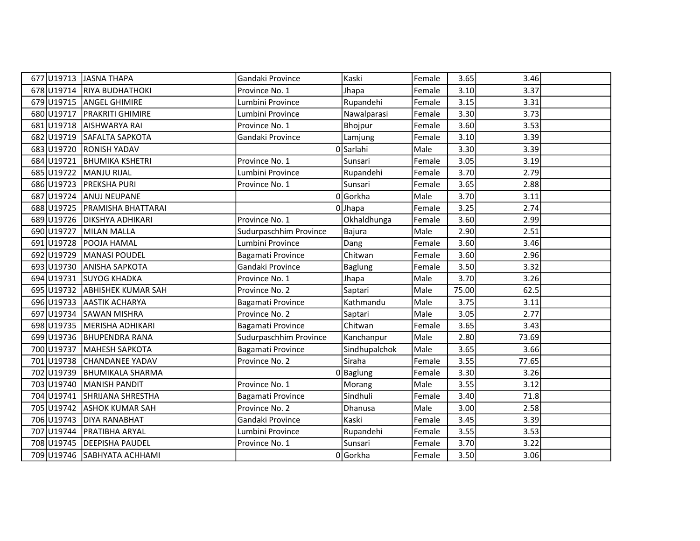|            | 677 U19713 JASNA THAPA          | Gandaki Province       | Kaski          | Female | 3.65  | 3.46  |  |
|------------|---------------------------------|------------------------|----------------|--------|-------|-------|--|
|            | 678 U19714 RIYA BUDHATHOKI      | Province No. 1         | Jhapa          | Female | 3.10  | 3.37  |  |
|            | 679 U19715 ANGEL GHIMIRE        | Lumbini Province       | Rupandehi      | Female | 3.15  | 3.31  |  |
| 680 U19717 | <b>PRAKRITI GHIMIRE</b>         | Lumbini Province       | Nawalparasi    | Female | 3.30  | 3.73  |  |
| 681 U19718 | <b>AISHWARYA RAI</b>            | Province No. 1         | Bhojpur        | Female | 3.60  | 3.53  |  |
|            | 682 U19719 SAFALTA SAPKOTA      | Gandaki Province       | Lamjung        | Female | 3.10  | 3.39  |  |
| 683 U19720 | <b>RONISH YADAV</b>             |                        | 0 Sarlahi      | Male   | 3.30  | 3.39  |  |
| 684 U19721 | <b>BHUMIKA KSHETRI</b>          | Province No. 1         | Sunsari        | Female | 3.05  | 3.19  |  |
| 685 U19722 | MANJU RIJAL                     | Lumbini Province       | Rupandehi      | Female | 3.70  | 2.79  |  |
|            | 686 U19723 PREKSHA PURI         | Province No. 1         | Sunsari        | Female | 3.65  | 2.88  |  |
|            | 687 U19724 ANUJ NEUPANE         |                        | 0Gorkha        | Male   | 3.70  | 3.11  |  |
|            | 688 U19725   PRAMISHA BHATTARAI |                        | $0$ Jhapa      | Female | 3.25  | 2.74  |  |
| 689U19726  | <b>DIKSHYA ADHIKARI</b>         | Province No. 1         | Okhaldhunga    | Female | 3.60  | 2.99  |  |
| 690 U19727 | MILAN MALLA                     | Sudurpaschhim Province | Bajura         | Male   | 2.90  | 2.51  |  |
| 691 U19728 | <b>POOJA HAMAL</b>              | Lumbini Province       | Dang           | Female | 3.60  | 3.46  |  |
| 692 U19729 | MANASI POUDEL                   | Bagamati Province      | Chitwan        | Female | 3.60  | 2.96  |  |
| 693 U19730 | <b>ANISHA SAPKOTA</b>           | Gandaki Province       | <b>Baglung</b> | Female | 3.50  | 3.32  |  |
| 694 U19731 | <b>SUYOG KHADKA</b>             | Province No. 1         | Jhapa          | Male   | 3.70  | 3.26  |  |
|            | 695 U19732 ABHISHEK KUMAR SAH   | Province No. 2         | Saptari        | Male   | 75.00 | 62.5  |  |
| 696 U19733 | <b>AASTIK ACHARYA</b>           | Bagamati Province      | Kathmandu      | Male   | 3.75  | 3.11  |  |
| 697 U19734 | <b>SAWAN MISHRA</b>             | Province No. 2         | Saptari        | Male   | 3.05  | 2.77  |  |
| 698 U19735 | MERISHA ADHIKARI                | Bagamati Province      | Chitwan        | Female | 3.65  | 3.43  |  |
|            | 699 U19736 BHUPENDRA RANA       | Sudurpaschhim Province | Kanchanpur     | Male   | 2.80  | 73.69 |  |
| 700 U19737 | MAHESH SAPKOTA                  | Bagamati Province      | Sindhupalchok  | Male   | 3.65  | 3.66  |  |
| 701 U19738 | <b>CHANDANEE YADAV</b>          | Province No. 2         | Siraha         | Female | 3.55  | 77.65 |  |
|            | 702 U19739 BHUMIKALA SHARMA     |                        | $0$  Baglung   | Female | 3.30  | 3.26  |  |
| 703 U19740 | MANISH PANDIT                   | Province No. 1         | Morang         | Male   | 3.55  | 3.12  |  |
| 704 U19741 | <b>SHRIJANA SHRESTHA</b>        | Bagamati Province      | Sindhuli       | Female | 3.40  | 71.8  |  |
|            | 705 U19742 ASHOK KUMAR SAH      | Province No. 2         | Dhanusa        | Male   | 3.00  | 2.58  |  |
|            | 706 U19743 DIYA RANABHAT        | Gandaki Province       | Kaski          | Female | 3.45  | 3.39  |  |
|            | 707 U19744   PRATIBHA ARYAL     | Lumbini Province       | Rupandehi      | Female | 3.55  | 3.53  |  |
| 708 U19745 | <b>DEEPISHA PAUDEL</b>          | Province No. 1         | Sunsari        | Female | 3.70  | 3.22  |  |
|            | 709 U19746 SABHYATA ACHHAMI     |                        | 0Gorkha        | Female | 3.50  | 3.06  |  |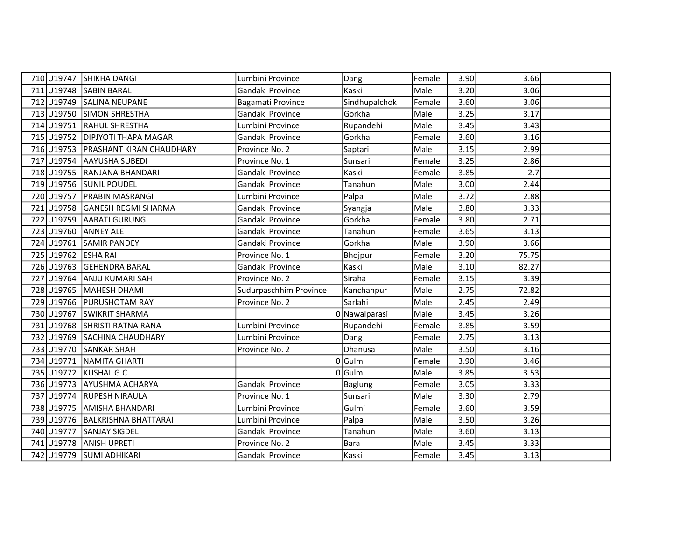|            | 710 U19747 SHIKHA DANGI               | Lumbini Province       | Dang           | Female | 3.90 | 3.66  |  |
|------------|---------------------------------------|------------------------|----------------|--------|------|-------|--|
|            | 711 U19748 SABIN BARAL                | Gandaki Province       | Kaski          | Male   | 3.20 | 3.06  |  |
|            | 712 U19749 SALINA NEUPANE             | Bagamati Province      | Sindhupalchok  | Female | 3.60 | 3.06  |  |
|            | 713 U19750 SIMON SHRESTHA             | Gandaki Province       | Gorkha         | Male   | 3.25 | 3.17  |  |
|            | 714 U19751 RAHUL SHRESTHA             | Lumbini Province       | Rupandehi      | Male   | 3.45 | 3.43  |  |
|            | 715 U19752 DIPJYOTI THAPA MAGAR       | Gandaki Province       | Gorkha         | Female | 3.60 | 3.16  |  |
|            | 716 U19753   PRASHANT KIRAN CHAUDHARY | Province No. 2         | Saptari        | Male   | 3.15 | 2.99  |  |
|            | 717 U19754 AAYUSHA SUBEDI             | Province No. 1         | Sunsari        | Female | 3.25 | 2.86  |  |
|            | 718 U19755 RANJANA BHANDARI           | Gandaki Province       | Kaski          | Female | 3.85 | 2.7   |  |
|            | 719 U19756 SUNIL POUDEL               | Gandaki Province       | Tanahun        | Male   | 3.00 | 2.44  |  |
|            | 720 U19757 PRABIN MASRANGI            | Lumbini Province       | Palpa          | Male   | 3.72 | 2.88  |  |
| 721 U19758 | <b>GANESH REGMI SHARMA</b>            | Gandaki Province       | Syangja        | Male   | 3.80 | 3.33  |  |
|            | 722 U19759 AARATI GURUNG              | Gandaki Province       | Gorkha         | Female | 3.80 | 2.71  |  |
|            | 723 U19760 ANNEY ALE                  | Gandaki Province       | Tanahun        | Female | 3.65 | 3.13  |  |
|            | 724 U19761 SAMIR PANDEY               | Gandaki Province       | Gorkha         | Male   | 3.90 | 3.66  |  |
|            | 725 U19762 ESHA RAI                   | Province No. 1         | Bhojpur        | Female | 3.20 | 75.75 |  |
|            | 726 U19763 GEHENDRA BARAL             | Gandaki Province       | Kaski          | Male   | 3.10 | 82.27 |  |
|            | 727 U19764 ANJU KUMARI SAH            | Province No. 2         | Siraha         | Female | 3.15 | 3.39  |  |
|            | 728 U19765   MAHESH DHAMI             | Sudurpaschhim Province | Kanchanpur     | Male   | 2.75 | 72.82 |  |
| 729 U19766 | <b>IPURUSHOTAM RAY</b>                | Province No. 2         | Sarlahi        | Male   | 2.45 | 2.49  |  |
|            | 730 U19767 SWIKRIT SHARMA             |                        | 0 Nawalparasi  | Male   | 3.45 | 3.26  |  |
|            | 731 U19768 SHRISTI RATNA RANA         | Lumbini Province       | Rupandehi      | Female | 3.85 | 3.59  |  |
|            | 732 U19769 SACHINA CHAUDHARY          | Lumbini Province       | Dang           | Female | 2.75 | 3.13  |  |
|            | 733 U19770 SANKAR SHAH                | Province No. 2         | Dhanusa        | Male   | 3.50 | 3.16  |  |
|            | 734 U19771 NAMITA GHARTI              |                        | 0Gulmi         | Female | 3.90 | 3.46  |  |
|            | 735 U19772 KUSHAL G.C.                |                        | 0Gulmi         | Male   | 3.85 | 3.53  |  |
|            | 736 U19773 AYUSHMA ACHARYA            | Gandaki Province       | <b>Baglung</b> | Female | 3.05 | 3.33  |  |
|            | 737 U19774 RUPESH NIRAULA             | Province No. 1         | Sunsari        | Male   | 3.30 | 2.79  |  |
|            | 738 U19775 AMISHA BHANDARI            | Lumbini Province       | Gulmi          | Female | 3.60 | 3.59  |  |
|            | 739 U19776 BALKRISHNA BHATTARAI       | Lumbini Province       | Palpa          | Male   | 3.50 | 3.26  |  |
| 740 U19777 | SANJAY SIGDEL                         | Gandaki Province       | Tanahun        | Male   | 3.60 | 3.13  |  |
|            | 741 U19778 ANISH UPRETI               | Province No. 2         | <b>Bara</b>    | Male   | 3.45 | 3.33  |  |
|            | 742 U19779 SUMI ADHIKARI              | Gandaki Province       | Kaski          | Female | 3.45 | 3.13  |  |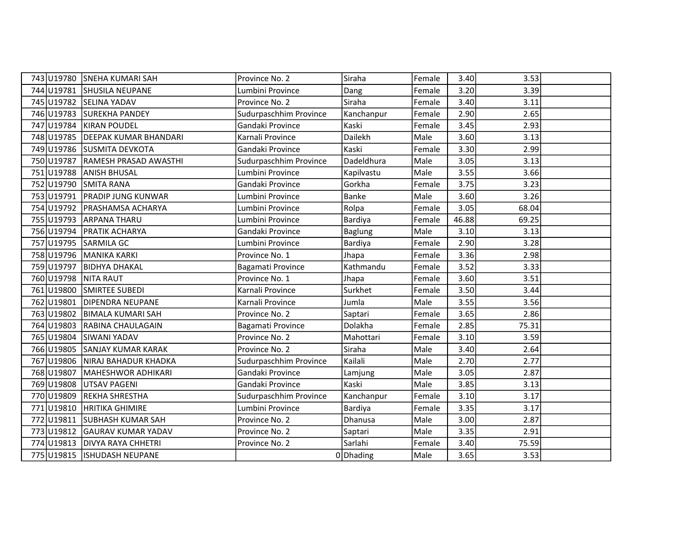|            | 743 U19780 SNEHA KUMARI SAH   | Province No. 2         | Siraha         | Female | 3.40  | 3.53  |  |
|------------|-------------------------------|------------------------|----------------|--------|-------|-------|--|
| 744 U19781 | <b>SHUSILA NEUPANE</b>        | Lumbini Province       | Dang           | Female | 3.20  | 3.39  |  |
|            | 745 U19782 SELINA YADAV       | Province No. 2         | Siraha         | Female | 3.40  | 3.11  |  |
| 746 U19783 | <b>SUREKHA PANDEY</b>         | Sudurpaschhim Province | Kanchanpur     | Female | 2.90  | 2.65  |  |
| 747 U19784 | <b>KIRAN POUDEL</b>           | Gandaki Province       | Kaski          | Female | 3.45  | 2.93  |  |
| 748 U19785 | <b>DEEPAK KUMAR BHANDARI</b>  | Karnali Province       | Dailekh        | Male   | 3.60  | 3.13  |  |
|            | 749 U19786 SUSMITA DEVKOTA    | Gandaki Province       | Kaski          | Female | 3.30  | 2.99  |  |
| 750 U19787 | RAMESH PRASAD AWASTHI         | Sudurpaschhim Province | Dadeldhura     | Male   | 3.05  | 3.13  |  |
| 751 U19788 | <b>ANISH BHUSAL</b>           | Lumbini Province       | Kapilvastu     | Male   | 3.55  | 3.66  |  |
| 752 U19790 | <b>SMITA RANA</b>             | Gandaki Province       | Gorkha         | Female | 3.75  | 3.23  |  |
| 753 U19791 | <b>PRADIP JUNG KUNWAR</b>     | Lumbini Province       | Banke          | Male   | 3.60  | 3.26  |  |
| 754 U19792 | <b>PRASHAMSA ACHARYA</b>      | Lumbini Province       | Rolpa          | Female | 3.05  | 68.04 |  |
| 755 U19793 | <b>ARPANA THARU</b>           | Lumbini Province       | Bardiya        | Female | 46.88 | 69.25 |  |
| 756 U19794 | <b>PRATIK ACHARYA</b>         | Gandaki Province       | <b>Baglung</b> | Male   | 3.10  | 3.13  |  |
| 757 U19795 | <b>SARMILA GC</b>             | Lumbini Province       | Bardiya        | Female | 2.90  | 3.28  |  |
| 758 U19796 | MANIKA KARKI                  | Province No. 1         | Jhapa          | Female | 3.36  | 2.98  |  |
| 759 U19797 | <b>BIDHYA DHAKAL</b>          | Bagamati Province      | Kathmandu      | Female | 3.52  | 3.33  |  |
| 760 U19798 | <b>NITA RAUT</b>              | Province No. 1         | Jhapa          | Female | 3.60  | 3.51  |  |
| 761 U19800 | SMIRTEE SUBEDI                | Karnali Province       | Surkhet        | Female | 3.50  | 3.44  |  |
| 762 U19801 | <b>DIPENDRA NEUPANE</b>       | Karnali Province       | Jumla          | Male   | 3.55  | 3.56  |  |
| 763 U19802 | <b>BIMALA KUMARI SAH</b>      | Province No. 2         | Saptari        | Female | 3.65  | 2.86  |  |
| 764 U19803 | RABINA CHAULAGAIN             | Bagamati Province      | Dolakha        | Female | 2.85  | 75.31 |  |
| 765 U19804 | <b>SIWANI YADAV</b>           | Province No. 2         | Mahottari      | Female | 3.10  | 3.59  |  |
| 766 U19805 | <b>SANJAY KUMAR KARAK</b>     | Province No. 2         | Siraha         | Male   | 3.40  | 2.64  |  |
| 767 U19806 | NIRAJ BAHADUR KHADKA          | Sudurpaschhim Province | Kailali        | Male   | 2.70  | 2.77  |  |
| 768 U19807 | MAHESHWOR ADHIKARI            | Gandaki Province       | Lamjung        | Male   | 3.05  | 2.87  |  |
| 769 U19808 | <b>UTSAV PAGENI</b>           | Gandaki Province       | Kaski          | Male   | 3.85  | 3.13  |  |
| 770 U19809 | REKHA SHRESTHA                | Sudurpaschhim Province | Kanchanpur     | Female | 3.10  | 3.17  |  |
| 771 U19810 | <b>HRITIKA GHIMIRE</b>        | Lumbini Province       | Bardiya        | Female | 3.35  | 3.17  |  |
| 772 U19811 | <b>SUBHASH KUMAR SAH</b>      | Province No. 2         | Dhanusa        | Male   | 3.00  | 2.87  |  |
| 773 U19812 | <b>GAURAV KUMAR YADAV</b>     | Province No. 2         | Saptari        | Male   | 3.35  | 2.91  |  |
| 774 U19813 | <b>DIVYA RAYA CHHETRI</b>     | Province No. 2         | Sarlahi        | Female | 3.40  | 75.59 |  |
|            | 775 U19815   ISHUDASH NEUPANE |                        | $0$ Dhading    | Male   | 3.65  | 3.53  |  |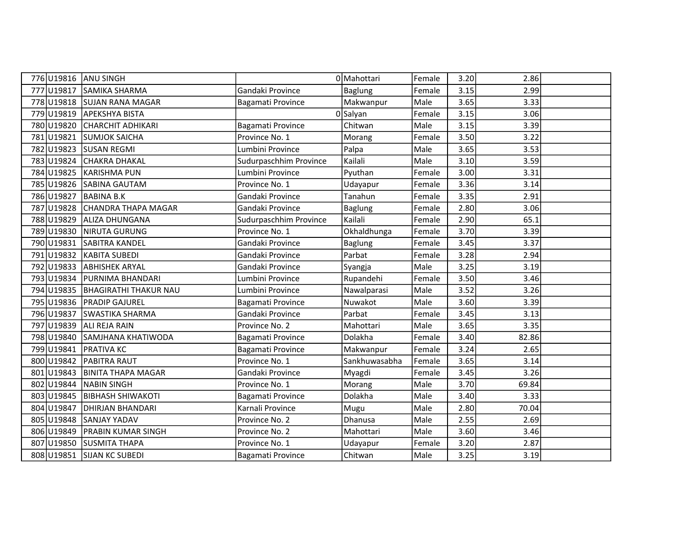| 776 U19816 | <b>ANU SINGH</b>                 |                        | 0 Mahottari    | Female | 3.20 | 2.86  |  |
|------------|----------------------------------|------------------------|----------------|--------|------|-------|--|
| 777 U19817 | <b>SAMIKA SHARMA</b>             | Gandaki Province       | <b>Baglung</b> | Female | 3.15 | 2.99  |  |
|            | 778 U19818 SUJAN RANA MAGAR      | Bagamati Province      | Makwanpur      | Male   | 3.65 | 3.33  |  |
|            | 779 U19819 APEKSHYA BISTA        |                        | 0 Salyan       | Female | 3.15 | 3.06  |  |
| 780 U19820 | <b>CHARCHIT ADHIKARI</b>         | Bagamati Province      | Chitwan        | Male   | 3.15 | 3.39  |  |
| 781 U19821 | <b>SUMJOK SAICHA</b>             | Province No. 1         | Morang         | Female | 3.50 | 3.22  |  |
|            | 782 U19823 SUSAN REGMI           | Lumbini Province       | Palpa          | Male   | 3.65 | 3.53  |  |
| 783 U19824 | <b>CHAKRA DHAKAL</b>             | Sudurpaschhim Province | Kailali        | Male   | 3.10 | 3.59  |  |
| 784 U19825 | <b>KARISHMA PUN</b>              | Lumbini Province       | Pyuthan        | Female | 3.00 | 3.31  |  |
|            | 785 U19826 SABINA GAUTAM         | Province No. 1         | Udayapur       | Female | 3.36 | 3.14  |  |
| 786 U19827 | <b>BABINA B.K</b>                | Gandaki Province       | Tanahun        | Female | 3.35 | 2.91  |  |
| 787 U19828 | CHANDRA THAPA MAGAR              | Gandaki Province       | <b>Baglung</b> | Female | 2.80 | 3.06  |  |
| 788 U19829 | ALIZA DHUNGANA                   | Sudurpaschhim Province | Kailali        | Female | 2.90 | 65.1  |  |
| 789 U19830 | <b>NIRUTA GURUNG</b>             | Province No. 1         | Okhaldhunga    | Female | 3.70 | 3.39  |  |
| 790 U19831 | SABITRA KANDEL                   | Gandaki Province       | <b>Baglung</b> | Female | 3.45 | 3.37  |  |
| 791 U19832 | KABITA SUBEDI                    | Gandaki Province       | Parbat         | Female | 3.28 | 2.94  |  |
| 792 U19833 | <b>ABHISHEK ARYAL</b>            | Gandaki Province       | Syangja        | Male   | 3.25 | 3.19  |  |
| 793 U19834 | <b>PURNIMA BHANDARI</b>          | Lumbini Province       | Rupandehi      | Female | 3.50 | 3.46  |  |
|            | 794 U19835 BHAGIRATHI THAKUR NAU | Lumbini Province       | Nawalparasi    | Male   | 3.52 | 3.26  |  |
| 795 U19836 | <b>PRADIP GAJUREL</b>            | Bagamati Province      | Nuwakot        | Male   | 3.60 | 3.39  |  |
| 796 U19837 | <b>SWASTIKA SHARMA</b>           | Gandaki Province       | Parbat         | Female | 3.45 | 3.13  |  |
|            | 797 U19839 ALI REJA RAIN         | Province No. 2         | Mahottari      | Male   | 3.65 | 3.35  |  |
| 798 U19840 | SAMJHANA KHATIWODA               | Bagamati Province      | Dolakha        | Female | 3.40 | 82.86 |  |
| 799 U19841 | <b>PRATIVA KC</b>                | Bagamati Province      | Makwanpur      | Female | 3.24 | 2.65  |  |
| 800 U19842 | <b>PABITRA RAUT</b>              | Province No. 1         | Sankhuwasabha  | Female | 3.65 | 3.14  |  |
| 801 U19843 | <b>BINITA THAPA MAGAR</b>        | Gandaki Province       | Myagdi         | Female | 3.45 | 3.26  |  |
| 802 U19844 | <b>NABIN SINGH</b>               | Province No. 1         | Morang         | Male   | 3.70 | 69.84 |  |
| 803 U19845 | <b>BIBHASH SHIWAKOTI</b>         | Bagamati Province      | Dolakha        | Male   | 3.40 | 3.33  |  |
| 804 U19847 | <b>DHIRJAN BHANDARI</b>          | Karnali Province       | Mugu           | Male   | 2.80 | 70.04 |  |
| 805 U19848 | <b>SANJAY YADAV</b>              | Province No. 2         | Dhanusa        | Male   | 2.55 | 2.69  |  |
| 806 U19849 | <b>PRABIN KUMAR SINGH</b>        | Province No. 2         | Mahottari      | Male   | 3.60 | 3.46  |  |
| 807 U19850 | <b>SUSMITA THAPA</b>             | Province No. 1         | Udayapur       | Female | 3.20 | 2.87  |  |
|            | 808 U19851 SIJAN KC SUBEDI       | Bagamati Province      | Chitwan        | Male   | 3.25 | 3.19  |  |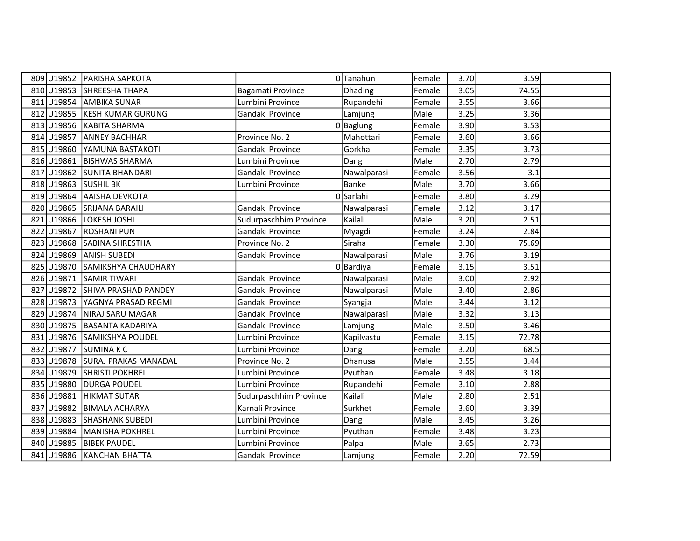|            | 809 U19852 PARISHA SAPKOTA  |                        | 0Tanahun    | Female | 3.70 | 3.59  |  |
|------------|-----------------------------|------------------------|-------------|--------|------|-------|--|
|            | 810 U19853 SHREESHA THAPA   | Bagamati Province      | Dhading     | Female | 3.05 | 74.55 |  |
| 811 U19854 | <b>AMBIKA SUNAR</b>         | Lumbini Province       | Rupandehi   | Female | 3.55 | 3.66  |  |
| 812 U19855 | <b>KESH KUMAR GURUNG</b>    | Gandaki Province       | Lamjung     | Male   | 3.25 | 3.36  |  |
| 813 U19856 | KABITA SHARMA               |                        | $0$ Baglung | Female | 3.90 | 3.53  |  |
| 814 U19857 | <b>ANNEY BACHHAR</b>        | Province No. 2         | Mahottari   | Female | 3.60 | 3.66  |  |
| 815 U19860 | YAMUNA BASTAKOTI            | Gandaki Province       | Gorkha      | Female | 3.35 | 3.73  |  |
| 816 U19861 | <b>BISHWAS SHARMA</b>       | Lumbini Province       | Dang        | Male   | 2.70 | 2.79  |  |
| 817 U19862 | <b>SUNITA BHANDARI</b>      | Gandaki Province       | Nawalparasi | Female | 3.56 | 3.1   |  |
| 818 U19863 | <b>SUSHIL BK</b>            | Lumbini Province       | Banke       | Male   | 3.70 | 3.66  |  |
| 819 U19864 | <b>AAISHA DEVKOTA</b>       |                        | 0 Sarlahi   | Female | 3.80 | 3.29  |  |
| 820 U19865 | <b>SRIJANA BARAILI</b>      | Gandaki Province       | Nawalparasi | Female | 3.12 | 3.17  |  |
| 821 U19866 | LOKESH JOSHI                | Sudurpaschhim Province | Kailali     | Male   | 3.20 | 2.51  |  |
| 822 U19867 | <b>ROSHANI PUN</b>          | Gandaki Province       | Myagdi      | Female | 3.24 | 2.84  |  |
| 823 U19868 | SABINA SHRESTHA             | Province No. 2         | Siraha      | Female | 3.30 | 75.69 |  |
| 824 U19869 | <b>ANISH SUBEDI</b>         | Gandaki Province       | Nawalparasi | Male   | 3.76 | 3.19  |  |
| 825 U19870 | <b>SAMIKSHYA CHAUDHARY</b>  |                        | 0 Bardiya   | Female | 3.15 | 3.51  |  |
| 826 U19871 | <b>SAMIR TIWARI</b>         | Gandaki Province       | Nawalparasi | Male   | 3.00 | 2.92  |  |
| 827 U19872 | SHIVA PRASHAD PANDEY        | Gandaki Province       | Nawalparasi | Male   | 3.40 | 2.86  |  |
| 828 U19873 | YAGNYA PRASAD REGMI         | Gandaki Province       | Syangja     | Male   | 3.44 | 3.12  |  |
| 829 U19874 | NIRAJ SARU MAGAR            | Gandaki Province       | Nawalparasi | Male   | 3.32 | 3.13  |  |
| 830 U19875 | <b>BASANTA KADARIYA</b>     | Gandaki Province       | Lamjung     | Male   | 3.50 | 3.46  |  |
| 831 U19876 | SAMIKSHYA POUDEL            | Lumbini Province       | Kapilvastu  | Female | 3.15 | 72.78 |  |
| 832 U19877 | SUMINA K C                  | Lumbini Province       | Dang        | Female | 3.20 | 68.5  |  |
| 833 U19878 | <b>SURAJ PRAKAS MANADAL</b> | Province No. 2         | Dhanusa     | Male   | 3.55 | 3.44  |  |
| 834 U19879 | <b>SHRISTI POKHREL</b>      | Lumbini Province       | Pyuthan     | Female | 3.48 | 3.18  |  |
| 835 U19880 | <b>DURGA POUDEL</b>         | Lumbini Province       | Rupandehi   | Female | 3.10 | 2.88  |  |
| 836 U19881 | <b>HIKMAT SUTAR</b>         | Sudurpaschhim Province | Kailali     | Male   | 2.80 | 2.51  |  |
| 837 U19882 | <b>BIMALA ACHARYA</b>       | Karnali Province       | Surkhet     | Female | 3.60 | 3.39  |  |
| 838 U19883 | <b>SHASHANK SUBEDI</b>      | Lumbini Province       | Dang        | Male   | 3.45 | 3.26  |  |
| 839 U19884 | <b>MANISHA POKHREL</b>      | Lumbini Province       | Pyuthan     | Female | 3.48 | 3.23  |  |
| 840 U19885 | <b>BIBEK PAUDEL</b>         | Lumbini Province       | Palpa       | Male   | 3.65 | 2.73  |  |
|            | 841 U19886 KANCHAN BHATTA   | Gandaki Province       | Lamjung     | Female | 2.20 | 72.59 |  |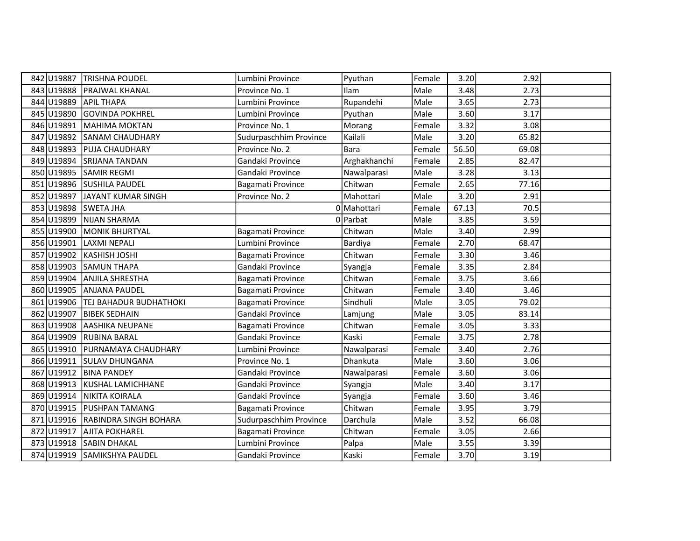|     | 842 U19887 | <b>TRISHNA POUDEL</b>    | Lumbini Province       | Pyuthan      | Female | 3.20  | 2.92  |  |
|-----|------------|--------------------------|------------------------|--------------|--------|-------|-------|--|
|     | 843 U19888 | PRAJWAL KHANAL           | Province No. 1         | Ilam         | Male   | 3.48  | 2.73  |  |
|     | 844 U19889 | <b>APIL THAPA</b>        | Lumbini Province       | Rupandehi    | Male   | 3.65  | 2.73  |  |
|     | 845 U19890 | <b>GOVINDA POKHREL</b>   | Lumbini Province       | Pyuthan      | Male   | 3.60  | 3.17  |  |
|     | 846 U19891 | <b>MAHIMA MOKTAN</b>     | Province No. 1         | Morang       | Female | 3.32  | 3.08  |  |
| 847 | U19892     | <b>SANAM CHAUDHARY</b>   | Sudurpaschhim Province | Kailali      | Male   | 3.20  | 65.82 |  |
|     | 848 U19893 | PUJA CHAUDHARY           | Province No. 2         | Bara         | Female | 56.50 | 69.08 |  |
|     | 849 U19894 | <b>SRIJANA TANDAN</b>    | Gandaki Province       | Arghakhanchi | Female | 2.85  | 82.47 |  |
|     | 850 U19895 | <b>SAMIR REGMI</b>       | Gandaki Province       | Nawalparasi  | Male   | 3.28  | 3.13  |  |
|     | 851 U19896 | <b>SUSHILA PAUDEL</b>    | Bagamati Province      | Chitwan      | Female | 2.65  | 77.16 |  |
|     | 852 U19897 | JAYANT KUMAR SINGH       | Province No. 2         | Mahottari    | Male   | 3.20  | 2.91  |  |
|     | 853 U19898 | <b>SWETA JHA</b>         |                        | 0 Mahottari  | Female | 67.13 | 70.5  |  |
|     | 854 U19899 | <b>NIJAN SHARMA</b>      |                        | 0 Parbat     | Male   | 3.85  | 3.59  |  |
|     | 855 U19900 | <b>MONIK BHURTYAL</b>    | Bagamati Province      | Chitwan      | Male   | 3.40  | 2.99  |  |
|     | 856 U19901 | <b>LAXMI NEPALI</b>      | Lumbini Province       | Bardiya      | Female | 2.70  | 68.47 |  |
|     | 857 U19902 | <b>KASHISH JOSHI</b>     | Bagamati Province      | Chitwan      | Female | 3.30  | 3.46  |  |
|     | 858 U19903 | <b>SAMUN THAPA</b>       | Gandaki Province       | Syangja      | Female | 3.35  | 2.84  |  |
|     | 859 U19904 | <b>ANJILA SHRESTHA</b>   | Bagamati Province      | Chitwan      | Female | 3.75  | 3.66  |  |
|     | 860 U19905 | <b>ANJANA PAUDEL</b>     | Bagamati Province      | Chitwan      | Female | 3.40  | 3.46  |  |
|     | 861 U19906 | TEJ BAHADUR BUDHATHOKI   | Bagamati Province      | Sindhuli     | Male   | 3.05  | 79.02 |  |
|     | 862 U19907 | <b>BIBEK SEDHAIN</b>     | Gandaki Province       | Lamjung      | Male   | 3.05  | 83.14 |  |
|     | 863 U19908 | AASHIKA NEUPANE          | Bagamati Province      | Chitwan      | Female | 3.05  | 3.33  |  |
|     | 864 U19909 | <b>RUBINA BARAL</b>      | Gandaki Province       | Kaski        | Female | 3.75  | 2.78  |  |
|     | 865 U19910 | PURNAMAYA CHAUDHARY      | Lumbini Province       | Nawalparasi  | Female | 3.40  | 2.76  |  |
|     | 866 U19911 | <b>SULAV DHUNGANA</b>    | Province No. 1         | Dhankuta     | Male   | 3.60  | 3.06  |  |
|     | 867 U19912 | <b>BINA PANDEY</b>       | Gandaki Province       | Nawalparasi  | Female | 3.60  | 3.06  |  |
|     | 868 U19913 | <b>KUSHAL LAMICHHANE</b> | Gandaki Province       | Syangja      | Male   | 3.40  | 3.17  |  |
|     | 869 U19914 | <b>NIKITA KOIRALA</b>    | Gandaki Province       | Syangja      | Female | 3.60  | 3.46  |  |
|     | 870 U19915 | <b>PUSHPAN TAMANG</b>    | Bagamati Province      | Chitwan      | Female | 3.95  | 3.79  |  |
|     | 871 U19916 | RABINDRA SINGH BOHARA    | Sudurpaschhim Province | Darchula     | Male   | 3.52  | 66.08 |  |
|     | 872 U19917 | <b>AJITA POKHAREL</b>    | Bagamati Province      | Chitwan      | Female | 3.05  | 2.66  |  |
|     | 873 U19918 | <b>SABIN DHAKAL</b>      | Lumbini Province       | Palpa        | Male   | 3.55  | 3.39  |  |
|     | 874 U19919 | <b>SAMIKSHYA PAUDEL</b>  | Gandaki Province       | Kaski        | Female | 3.70  | 3.19  |  |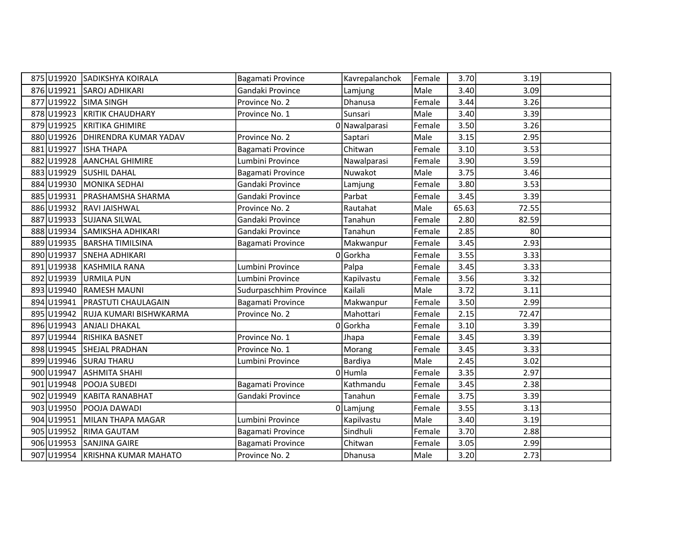|            | 875 U19920 SADIKSHYA KOIRALA    | Bagamati Province      | Kavrepalanchok | Female | 3.70  | 3.19  |  |
|------------|---------------------------------|------------------------|----------------|--------|-------|-------|--|
| 876 U19921 | <b>SAROJ ADHIKARI</b>           | Gandaki Province       | Lamjung        | Male   | 3.40  | 3.09  |  |
| 877 U19922 | <b>SIMA SINGH</b>               | Province No. 2         | Dhanusa        | Female | 3.44  | 3.26  |  |
| 878 U19923 | <b>KRITIK CHAUDHARY</b>         | Province No. 1         | Sunsari        | Male   | 3.40  | 3.39  |  |
| 879 U19925 | KRITIKA GHIMIRE                 |                        | 0 Nawalparasi  | Female | 3.50  | 3.26  |  |
| 880 U19926 | DHIRENDRA KUMAR YADAV           | Province No. 2         | Saptari        | Male   | 3.15  | 2.95  |  |
| 881 U19927 | <b>ISHA THAPA</b>               | Bagamati Province      | Chitwan        | Female | 3.10  | 3.53  |  |
| 882 U19928 | <b>AANCHAL GHIMIRE</b>          | Lumbini Province       | Nawalparasi    | Female | 3.90  | 3.59  |  |
| 883 U19929 | <b>SUSHIL DAHAL</b>             | Bagamati Province      | Nuwakot        | Male   | 3.75  | 3.46  |  |
| 884 U19930 | MONIKA SEDHAI                   | Gandaki Province       | Lamjung        | Female | 3.80  | 3.53  |  |
| 885 U19931 | <b>PRASHAMSHA SHARMA</b>        | Gandaki Province       | Parbat         | Female | 3.45  | 3.39  |  |
| 886 U19932 | <b>RAVI JAISHWAL</b>            | Province No. 2         | Rautahat       | Male   | 65.63 | 72.55 |  |
| 887 U19933 | <b>SUJANA SILWAL</b>            | Gandaki Province       | Tanahun        | Female | 2.80  | 82.59 |  |
| 888U19934  | SAMIKSHA ADHIKARI               | Gandaki Province       | Tanahun        | Female | 2.85  | 80    |  |
| 889U19935  | BARSHA TIMILSINA                | Bagamati Province      | Makwanpur      | Female | 3.45  | 2.93  |  |
| 890 U19937 | <b>SNEHA ADHIKARI</b>           |                        | 0Gorkha        | Female | 3.55  | 3.33  |  |
| 891 U19938 | <b>KASHMILA RANA</b>            | Lumbini Province       | Palpa          | Female | 3.45  | 3.33  |  |
| 892 U19939 | <b>URMILA PUN</b>               | Lumbini Province       | Kapilvastu     | Female | 3.56  | 3.32  |  |
| 893 U19940 | <b>RAMESH MAUNI</b>             | Sudurpaschhim Province | Kailali        | Male   | 3.72  | 3.11  |  |
| 894 U19941 | <b>PRASTUTI CHAULAGAIN</b>      | Bagamati Province      | Makwanpur      | Female | 3.50  | 2.99  |  |
| 895 U19942 | RUJA KUMARI BISHWKARMA          | Province No. 2         | Mahottari      | Female | 2.15  | 72.47 |  |
| 896 U19943 | <b>ANJALI DHAKAL</b>            |                        | 0 Gorkha       | Female | 3.10  | 3.39  |  |
| 897 U19944 | RISHIKA BASNET                  | Province No. 1         | Jhapa          | Female | 3.45  | 3.39  |  |
| 898 U19945 | <b>SHEJAL PRADHAN</b>           | Province No. 1         | Morang         | Female | 3.45  | 3.33  |  |
| 899 U19946 | <b>SURAJ THARU</b>              | Lumbini Province       | Bardiya        | Male   | 2.45  | 3.02  |  |
| 900 U19947 | <b>ASHMITA SHAHI</b>            |                        | 0 Humla        | Female | 3.35  | 2.97  |  |
| 901 U19948 | POOJA SUBEDI                    | Bagamati Province      | Kathmandu      | Female | 3.45  | 2.38  |  |
| 902 U19949 | <b>KABITA RANABHAT</b>          | Gandaki Province       | Tanahun        | Female | 3.75  | 3.39  |  |
| 903 U19950 | POOJA DAWADI                    |                        | 0 Lamjung      | Female | 3.55  | 3.13  |  |
| 904 U19951 | MILAN THAPA MAGAR               | Lumbini Province       | Kapilvastu     | Male   | 3.40  | 3.19  |  |
| 905 U19952 | <b>RIMA GAUTAM</b>              | Bagamati Province      | Sindhuli       | Female | 3.70  | 2.88  |  |
| 906 U19953 | <b>SANJINA GAIRE</b>            | Bagamati Province      | Chitwan        | Female | 3.05  | 2.99  |  |
|            | 907 U19954 KRISHNA KUMAR MAHATO | Province No. 2         | Dhanusa        | Male   | 3.20  | 2.73  |  |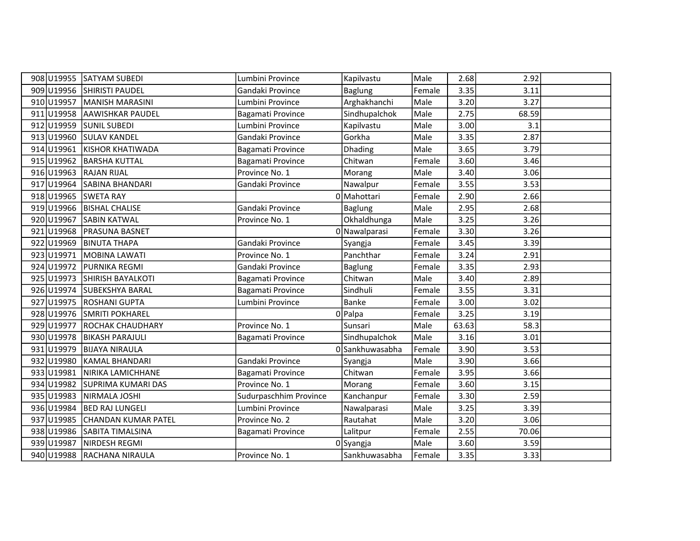| 908 U19955 | <b>SATYAM SUBEDI</b>       | Lumbini Province       | Kapilvastu      | Male   | 2.68  | 2.92  |  |
|------------|----------------------------|------------------------|-----------------|--------|-------|-------|--|
| 909 U19956 | SHIRISTI PAUDEL            | Gandaki Province       | <b>Baglung</b>  | Female | 3.35  | 3.11  |  |
| 910 U19957 | MANISH MARASINI            | Lumbini Province       | Arghakhanchi    | Male   | 3.20  | 3.27  |  |
| 911 U19958 | <b>AAWISHKAR PAUDEL</b>    | Bagamati Province      | Sindhupalchok   | Male   | 2.75  | 68.59 |  |
| 912 U19959 | SUNIL SUBEDI               | Lumbini Province       | Kapilvastu      | Male   | 3.00  | 3.1   |  |
| 913 U19960 | <b>SULAV KANDEL</b>        | Gandaki Province       | Gorkha          | Male   | 3.35  | 2.87  |  |
| 914 U19961 | <b>KISHOR KHATIWADA</b>    | Bagamati Province      | Dhading         | Male   | 3.65  | 3.79  |  |
| 915 U19962 | <b>BARSHA KUTTAL</b>       | Bagamati Province      | Chitwan         | Female | 3.60  | 3.46  |  |
| 916 U19963 | <b>RAJAN RIJAL</b>         | Province No. 1         | Morang          | Male   | 3.40  | 3.06  |  |
| 917 U19964 | SABINA BHANDARI            | Gandaki Province       | Nawalpur        | Female | 3.55  | 3.53  |  |
| 918 U19965 | <b>SWETA RAY</b>           |                        | 0 Mahottari     | Female | 2.90  | 2.66  |  |
| 919 U19966 | <b>BISHAL CHALISE</b>      | Gandaki Province       | Baglung         | Male   | 2.95  | 2.68  |  |
| 920 U19967 | <b>SABIN KATWAL</b>        | Province No. 1         | Okhaldhunga     | Male   | 3.25  | 3.26  |  |
| 921 U19968 | PRASUNA BASNET             |                        | 0 Nawalparasi   | Female | 3.30  | 3.26  |  |
| 922 U19969 | <b>BINUTA THAPA</b>        | Gandaki Province       | Syangja         | Female | 3.45  | 3.39  |  |
| 923 U19971 | MOBINA LAWATI              | Province No. 1         | Panchthar       | Female | 3.24  | 2.91  |  |
| 924 U19972 | <b>PURNIKA REGMI</b>       | Gandaki Province       | <b>Baglung</b>  | Female | 3.35  | 2.93  |  |
| 925 U19973 | <b>SHIRISH BAYALKOTI</b>   | Bagamati Province      | Chitwan         | Male   | 3.40  | 2.89  |  |
| 926 U19974 | SUBEKSHYA BARAL            | Bagamati Province      | Sindhuli        | Female | 3.55  | 3.31  |  |
| 927 U19975 | <b>ROSHANI GUPTA</b>       | Lumbini Province       | <b>Banke</b>    | Female | 3.00  | 3.02  |  |
| 928 U19976 | <b>SMRITI POKHAREL</b>     |                        | $0$  Palpa      | Female | 3.25  | 3.19  |  |
| 929 U19977 | <b>ROCHAK CHAUDHARY</b>    | Province No. 1         | Sunsari         | Male   | 63.63 | 58.3  |  |
| 930 U19978 | <b>BIKASH PARAJULI</b>     | Bagamati Province      | Sindhupalchok   | Male   | 3.16  | 3.01  |  |
| 931 U19979 | <b>BIJAYA NIRAULA</b>      |                        | 0 Sankhuwasabha | Female | 3.90  | 3.53  |  |
| 932 U19980 | <b>KAMAL BHANDARI</b>      | Gandaki Province       | Syangja         | Male   | 3.90  | 3.66  |  |
| 933 U19981 | NIRIKA LAMICHHANE          | Bagamati Province      | Chitwan         | Female | 3.95  | 3.66  |  |
| 934 U19982 | SUPRIMA KUMARI DAS         | Province No. 1         | Morang          | Female | 3.60  | 3.15  |  |
| 935 U19983 | NIRMALA JOSHI              | Sudurpaschhim Province | Kanchanpur      | Female | 3.30  | 2.59  |  |
| 936 U19984 | <b>BED RAJ LUNGELI</b>     | Lumbini Province       | Nawalparasi     | Male   | 3.25  | 3.39  |  |
| 937 U19985 | <b>CHANDAN KUMAR PATEL</b> | Province No. 2         | Rautahat        | Male   | 3.20  | 3.06  |  |
| 938 U19986 | SABITA TIMALSINA           | Bagamati Province      | Lalitpur        | Female | 2.55  | 70.06 |  |
| 939 U19987 | NIRDESH REGMI              |                        | 0Syangja        | Male   | 3.60  | 3.59  |  |
| 940 U19988 | RACHANA NIRAULA            | Province No. 1         | Sankhuwasabha   | Female | 3.35  | 3.33  |  |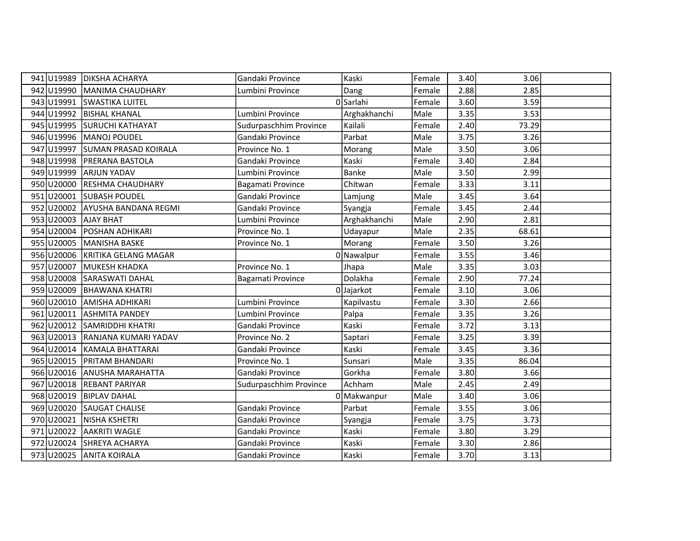|     |            | 941 U19989 DIKSHA ACHARYA   | Gandaki Province       | Kaski        | Female | 3.40 | 3.06  |  |
|-----|------------|-----------------------------|------------------------|--------------|--------|------|-------|--|
|     | 942 U19990 | MANIMA CHAUDHARY            | Lumbini Province       | Dang         | Female | 2.88 | 2.85  |  |
|     | 943 U19991 | <b>SWASTIKA LUITEL</b>      |                        | 0 Sarlahi    | Female | 3.60 | 3.59  |  |
|     | 944 U19992 | <b>BISHAL KHANAL</b>        | Lumbini Province       | Arghakhanchi | Male   | 3.35 | 3.53  |  |
|     | 945 U19995 | <b>SURUCHI KATHAYAT</b>     | Sudurpaschhim Province | Kailali      | Female | 2.40 | 73.29 |  |
|     | 946 U19996 | MANOJ POUDEL                | Gandaki Province       | Parbat       | Male   | 3.75 | 3.26  |  |
|     | 947 U19997 | <b>SUMAN PRASAD KOIRALA</b> | Province No. 1         | Morang       | Male   | 3.50 | 3.06  |  |
|     | 948 U19998 | PRERANA BASTOLA             | Gandaki Province       | Kaski        | Female | 3.40 | 2.84  |  |
|     | 949 U19999 | <b>ARJUN YADAV</b>          | Lumbini Province       | <b>Banke</b> | Male   | 3.50 | 2.99  |  |
|     | 950 U20000 | RESHMA CHAUDHARY            | Bagamati Province      | Chitwan      | Female | 3.33 | 3.11  |  |
|     | 951 U20001 | <b>SUBASH POUDEL</b>        | Gandaki Province       | Lamjung      | Male   | 3.45 | 3.64  |  |
|     | 952 U20002 | AYUSHA BANDANA REGMI        | Gandaki Province       | Syangja      | Female | 3.45 | 2.44  |  |
|     | 953 U20003 | <b>AJAY BHAT</b>            | Lumbini Province       | Arghakhanchi | Male   | 2.90 | 2.81  |  |
|     | 954 U20004 | <b>POSHAN ADHIKARI</b>      | Province No. 1         | Udayapur     | Male   | 2.35 | 68.61 |  |
|     | 955 U20005 | MANISHA BASKE               | Province No. 1         | Morang       | Female | 3.50 | 3.26  |  |
|     | 956 U20006 | KRITIKA GELANG MAGAR        |                        | 0 Nawalpur   | Female | 3.55 | 3.46  |  |
|     | 957 U20007 | MUKESH KHADKA               | Province No. 1         | Jhapa        | Male   | 3.35 | 3.03  |  |
|     | 958 U20008 | SARASWATI DAHAL             | Bagamati Province      | Dolakha      | Female | 2.90 | 77.24 |  |
|     | 959 U20009 | <b>BHAWANA KHATRI</b>       |                        | 0 Jajarkot   | Female | 3.10 | 3.06  |  |
|     | 960 U20010 | <b>AMISHA ADHIKARI</b>      | Lumbini Province       | Kapilvastu   | Female | 3.30 | 2.66  |  |
|     | 961 U20011 | <b>ASHMITA PANDEY</b>       | Lumbini Province       | Palpa        | Female | 3.35 | 3.26  |  |
|     | 962 U20012 | <b>SAMRIDDHI KHATRI</b>     | Gandaki Province       | Kaski        | Female | 3.72 | 3.13  |  |
|     | 963 U20013 | RANJANA KUMARI YADAV        | Province No. 2         | Saptari      | Female | 3.25 | 3.39  |  |
|     | 964 U20014 | KAMALA BHATTARAI            | Gandaki Province       | Kaski        | Female | 3.45 | 3.36  |  |
|     | 965 U20015 | PRITAM BHANDARI             | Province No. 1         | Sunsari      | Male   | 3.35 | 86.04 |  |
|     | 966 U20016 | <b>ANUSHA MARAHATTA</b>     | Gandaki Province       | Gorkha       | Female | 3.80 | 3.66  |  |
| 967 | U20018     | <b>REBANT PARIYAR</b>       | Sudurpaschhim Province | Achham       | Male   | 2.45 | 2.49  |  |
|     | 968 U20019 | <b>BIPLAV DAHAL</b>         |                        | 0 Makwanpur  | Male   | 3.40 | 3.06  |  |
|     | 969 U20020 | <b>SAUGAT CHALISE</b>       | Gandaki Province       | Parbat       | Female | 3.55 | 3.06  |  |
|     | 970 U20021 | NISHA KSHETRI               | Gandaki Province       | Syangja      | Female | 3.75 | 3.73  |  |
|     | 971 U20022 | AAKRITI WAGLE               | Gandaki Province       | Kaski        | Female | 3.80 | 3.29  |  |
|     | 972 U20024 | SHREYA ACHARYA              | Gandaki Province       | Kaski        | Female | 3.30 | 2.86  |  |
|     |            | 973 U20025 ANITA KOIRALA    | Gandaki Province       | Kaski        | Female | 3.70 | 3.13  |  |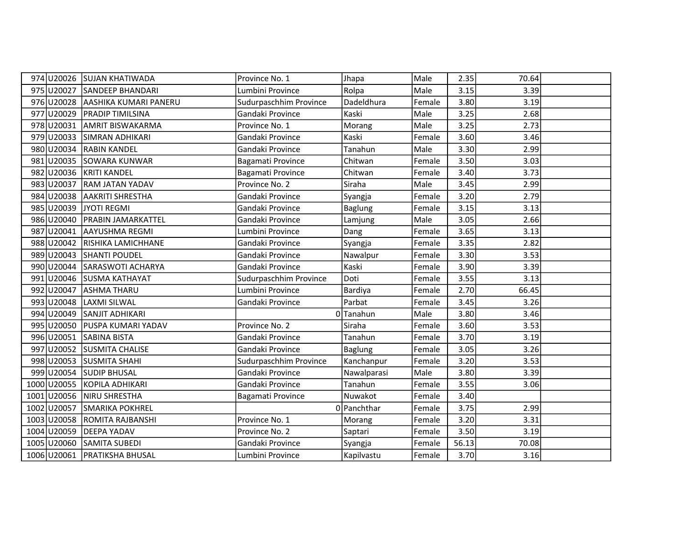|             | 974 U20026 SUJAN KHATIWADA       | Province No. 1         | Jhapa          | Male   | 2.35  | 70.64 |  |
|-------------|----------------------------------|------------------------|----------------|--------|-------|-------|--|
|             | 975 U20027 SANDEEP BHANDARI      | Lumbini Province       | Rolpa          | Male   | 3.15  | 3.39  |  |
|             | 976 U20028 AASHIKA KUMARI PANERU | Sudurpaschhim Province | Dadeldhura     | Female | 3.80  | 3.19  |  |
|             | 977 U20029 PRADIP TIMILSINA      | Gandaki Province       | Kaski          | Male   | 3.25  | 2.68  |  |
| 978 U20031  | <b>AMRIT BISWAKARMA</b>          | Province No. 1         | Morang         | Male   | 3.25  | 2.73  |  |
|             | 979 U20033 SIMRAN ADHIKARI       | Gandaki Province       | Kaski          | Female | 3.60  | 3.46  |  |
|             | 980 U20034 RABIN KANDEL          | Gandaki Province       | Tanahun        | Male   | 3.30  | 2.99  |  |
|             | 981 U20035 SOWARA KUNWAR         | Bagamati Province      | Chitwan        | Female | 3.50  | 3.03  |  |
|             | 982 U20036 KRITI KANDEL          | Bagamati Province      | Chitwan        | Female | 3.40  | 3.73  |  |
|             | 983 U20037 RAM JATAN YADAV       | Province No. 2         | Siraha         | Male   | 3.45  | 2.99  |  |
|             | 984 U20038 AAKRITI SHRESTHA      | Gandaki Province       | Syangja        | Female | 3.20  | 2.79  |  |
| 985 U20039  | JYOTI REGMI                      | Gandaki Province       | Baglung        | Female | 3.15  | 3.13  |  |
| 986 U20040  | <b>PRABIN JAMARKATTEL</b>        | Gandaki Province       | Lamjung        | Male   | 3.05  | 2.66  |  |
| 987 U20041  | AAYUSHMA REGMI                   | Lumbini Province       | Dang           | Female | 3.65  | 3.13  |  |
|             | 988 U20042 RISHIKA LAMICHHANE    | Gandaki Province       | Syangja        | Female | 3.35  | 2.82  |  |
|             | 989 U20043 SHANTI POUDEL         | Gandaki Province       | Nawalpur       | Female | 3.30  | 3.53  |  |
|             | 990 U20044 SARASWOTI ACHARYA     | Gandaki Province       | Kaski          | Female | 3.90  | 3.39  |  |
|             | 991 U20046 SUSMA KATHAYAT        | Sudurpaschhim Province | Doti           | Female | 3.55  | 3.13  |  |
|             | 992 U20047 ASHMA THARU           | Lumbini Province       | Bardiya        | Female | 2.70  | 66.45 |  |
| 993 U20048  | <b>LAXMI SILWAL</b>              | Gandaki Province       | Parbat         | Female | 3.45  | 3.26  |  |
|             | 994 U20049 SANJIT ADHIKARI       |                        | 0Tanahun       | Male   | 3.80  | 3.46  |  |
|             | 995 U20050 PUSPA KUMARI YADAV    | Province No. 2         | Siraha         | Female | 3.60  | 3.53  |  |
|             | 996 U20051 SABINA BISTA          | Gandaki Province       | Tanahun        | Female | 3.70  | 3.19  |  |
|             | 997 U20052 SUSMITA CHALISE       | Gandaki Province       | <b>Baglung</b> | Female | 3.05  | 3.26  |  |
|             | 998 U20053 SUSMITA SHAHI         | Sudurpaschhim Province | Kanchanpur     | Female | 3.20  | 3.53  |  |
|             | 999 U20054 SUDIP BHUSAL          | Gandaki Province       | Nawalparasi    | Male   | 3.80  | 3.39  |  |
| 1000 U20055 | KOPILA ADHIKARI                  | Gandaki Province       | Tanahun        | Female | 3.55  | 3.06  |  |
| 1001 U20056 | NIRU SHRESTHA                    | Bagamati Province      | Nuwakot        | Female | 3.40  |       |  |
| 1002 U20057 | <b>SMARIKA POKHREL</b>           |                        | 0 Panchthar    | Female | 3.75  | 2.99  |  |
| 1003 U20058 | <b>ROMITA RAJBANSHI</b>          | Province No. 1         | Morang         | Female | 3.20  | 3.31  |  |
| 1004 U20059 | <b>DEEPA YADAV</b>               | Province No. 2         | Saptari        | Female | 3.50  | 3.19  |  |
| 1005 U20060 | <b>SAMITA SUBEDI</b>             | Gandaki Province       | Syangja        | Female | 56.13 | 70.08 |  |
|             | 1006 U20061 PRATIKSHA BHUSAL     | Lumbini Province       | Kapilvastu     | Female | 3.70  | 3.16  |  |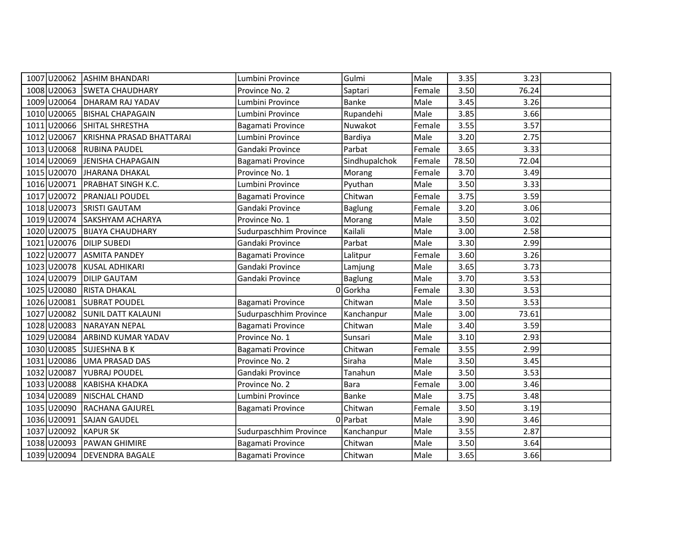| 1007 U20062              | <b>ASHIM BHANDARI</b>        | Lumbini Province       | Gulmi          | Male   | 3.35  | 3.23  |  |
|--------------------------|------------------------------|------------------------|----------------|--------|-------|-------|--|
|                          | 1008 U20063 SWETA CHAUDHARY  | Province No. 2         | Saptari        | Female | 3.50  | 76.24 |  |
|                          | 1009 U20064 DHARAM RAJ YADAV | Lumbini Province       | <b>Banke</b>   | Male   | 3.45  | 3.26  |  |
| 1010 U20065              | <b>BISHAL CHAPAGAIN</b>      | Lumbini Province       | Rupandehi      | Male   | 3.85  | 3.66  |  |
| 1011 U20066              | SHITAL SHRESTHA              | Bagamati Province      | Nuwakot        | Female | 3.55  | 3.57  |  |
| 1012 U20067              | KRISHNA PRASAD BHATTARAI     | Lumbini Province       | Bardiya        | Male   | 3.20  | 2.75  |  |
| 1013 U20068              | <b>RUBINA PAUDEL</b>         | Gandaki Province       | Parbat         | Female | 3.65  | 3.33  |  |
| 1014 U20069              | <b>JENISHA CHAPAGAIN</b>     | Bagamati Province      | Sindhupalchok  | Female | 78.50 | 72.04 |  |
| 1015 U20070              | JHARANA DHAKAL               | Province No. 1         | Morang         | Female | 3.70  | 3.49  |  |
| 1016 U20071              | <b>PRABHAT SINGH K.C.</b>    | Lumbini Province       | Pyuthan        | Male   | 3.50  | 3.33  |  |
| 1017 U20072              | <b>PRANJALI POUDEL</b>       | Bagamati Province      | Chitwan        | Female | 3.75  | 3.59  |  |
| 1018 U20073              | <b>SRISTI GAUTAM</b>         | Gandaki Province       | <b>Baglung</b> | Female | 3.20  | 3.06  |  |
| 1019 U20074              | SAKSHYAM ACHARYA             | Province No. 1         | Morang         | Male   | 3.50  | 3.02  |  |
| 1020 U20075              | <b>BIJAYA CHAUDHARY</b>      | Sudurpaschhim Province | Kailali        | Male   | 3.00  | 2.58  |  |
| 1021 U20076 DILIP SUBEDI |                              | Gandaki Province       | Parbat         | Male   | 3.30  | 2.99  |  |
| 1022 U20077              | <b>ASMITA PANDEY</b>         | Bagamati Province      | Lalitpur       | Female | 3.60  | 3.26  |  |
| 1023 U20078              | KUSAL ADHIKARI               | Gandaki Province       | Lamjung        | Male   | 3.65  | 3.73  |  |
| 1024 U20079              | <b>DILIP GAUTAM</b>          | Gandaki Province       | <b>Baglung</b> | Male   | 3.70  | 3.53  |  |
| 1025 U20080              | <b>RISTA DHAKAL</b>          |                        | 0Gorkha        | Female | 3.30  | 3.53  |  |
| 1026 U20081              | <b>SUBRAT POUDEL</b>         | Bagamati Province      | Chitwan        | Male   | 3.50  | 3.53  |  |
| 1027 U20082              | <b>SUNIL DATT KALAUNI</b>    | Sudurpaschhim Province | Kanchanpur     | Male   | 3.00  | 73.61 |  |
| 1028 U20083              | <b>NARAYAN NEPAL</b>         | Bagamati Province      | Chitwan        | Male   | 3.40  | 3.59  |  |
| 1029 U20084              | <b>ARBIND KUMAR YADAV</b>    | Province No. 1         | Sunsari        | Male   | 3.10  | 2.93  |  |
| 1030 U20085              | <b>SUJESHNA B K</b>          | Bagamati Province      | Chitwan        | Female | 3.55  | 2.99  |  |
| 1031 U20086              | UMA PRASAD DAS               | Province No. 2         | Siraha         | Male   | 3.50  | 3.45  |  |
| 1032 U20087              | <b>YUBRAJ POUDEL</b>         | Gandaki Province       | Tanahun        | Male   | 3.50  | 3.53  |  |
| 1033 U20088              | KABISHA KHADKA               | Province No. 2         | <b>Bara</b>    | Female | 3.00  | 3.46  |  |
| 1034 U20089              | NISCHAL CHAND                | Lumbini Province       | <b>Banke</b>   | Male   | 3.75  | 3.48  |  |
| 1035 U20090              | RACHANA GAJUREL              | Bagamati Province      | Chitwan        | Female | 3.50  | 3.19  |  |
|                          | 1036 U20091 SAJAN GAUDEL     |                        | 0 Parbat       | Male   | 3.90  | 3.46  |  |
| 1037 U20092              | <b>KAPUR SK</b>              | Sudurpaschhim Province | Kanchanpur     | Male   | 3.55  | 2.87  |  |
| 1038 U20093              | <b>PAWAN GHIMIRE</b>         | Bagamati Province      | Chitwan        | Male   | 3.50  | 3.64  |  |
|                          | 1039 U20094 DEVENDRA BAGALE  | Bagamati Province      | Chitwan        | Male   | 3.65  | 3.66  |  |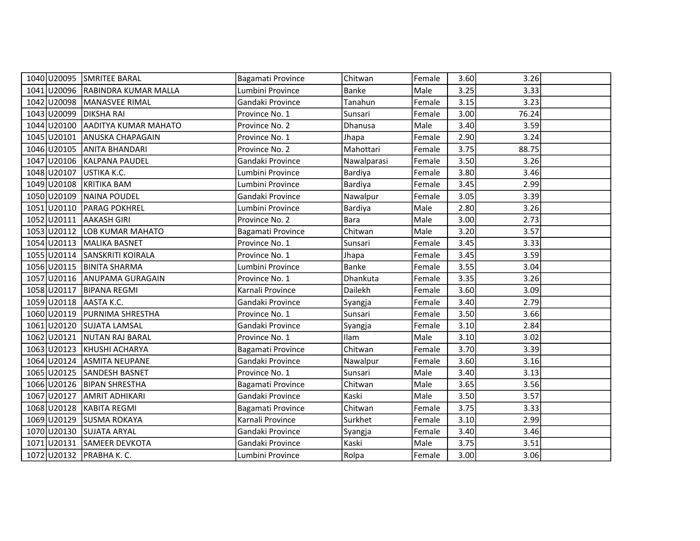|             | 1040 U20095 SMRITEE BARAL        | Bagamati Province | Chitwan      | Female | 3.60 | 3.26  |  |
|-------------|----------------------------------|-------------------|--------------|--------|------|-------|--|
|             | 1041 U20096 RABINDRA KUMAR MALLA | Lumbini Province  | <b>Banke</b> | Male   | 3.25 | 3.33  |  |
|             | 1042 U20098 MANASVEE RIMAL       | Gandaki Province  | Tanahun      | Female | 3.15 | 3.23  |  |
|             | 1043 U20099 DIKSHA RAI           | Province No. 1    | Sunsari      | Female | 3.00 | 76.24 |  |
| 1044 U20100 | <b>AADITYA KUMAR MAHATO</b>      | Province No. 2    | Dhanusa      | Male   | 3.40 | 3.59  |  |
| 1045 U20101 | <b>ANUSKA CHAPAGAIN</b>          | Province No. 1    | Jhapa        | Female | 2.90 | 3.24  |  |
|             | 1046 U20105 ANITA BHANDARI       | Province No. 2    | Mahottari    | Female | 3.75 | 88.75 |  |
|             | 1047 U20106 KALPANA PAUDEL       | Gandaki Province  | Nawalparasi  | Female | 3.50 | 3.26  |  |
| 1048 U20107 | USTIKA K.C.                      | Lumbini Province  | Bardiya      | Female | 3.80 | 3.46  |  |
|             | 1049 U20108 KRITIKA BAM          | Lumbini Province  | Bardiya      | Female | 3.45 | 2.99  |  |
|             | 1050 U20109 NAINA POUDEL         | Gandaki Province  | Nawalpur     | Female | 3.05 | 3.39  |  |
|             | 1051 U20110   PARAG POKHREL      | Lumbini Province  | Bardiya      | Male   | 2.80 | 3.26  |  |
| 1052 U20111 | <b>AAKASH GIRI</b>               | Province No. 2    | Bara         | Male   | 3.00 | 2.73  |  |
|             | 1053 U20112 LOB KUMAR MAHATO     | Bagamati Province | Chitwan      | Male   | 3.20 | 3.57  |  |
|             | 1054 U20113 MALIKA BASNET        | Province No. 1    | Sunsari      | Female | 3.45 | 3.33  |  |
|             | 1055 U20114 SANSKRITI KOIRALA    | Province No. 1    | Jhapa        | Female | 3.45 | 3.59  |  |
|             | 1056 U20115 BINITA SHARMA        | Lumbini Province  | Banke        | Female | 3.55 | 3.04  |  |
|             | 1057 U20116 ANUPAMA GURAGAIN     | Province No. 1    | Dhankuta     | Female | 3.35 | 3.26  |  |
|             | 1058 U20117 BIPANA REGMI         | Karnali Province  | Dailekh      | Female | 3.60 | 3.09  |  |
|             | 1059 U20118 AASTA K.C.           | Gandaki Province  | Syangja      | Female | 3.40 | 2.79  |  |
|             | 1060 U20119 PURNIMA SHRESTHA     | Province No. 1    | Sunsari      | Female | 3.50 | 3.66  |  |
|             | 1061 U20120 SUJATA LAMSAL        | Gandaki Province  | Syangja      | Female | 3.10 | 2.84  |  |
|             | 1062 U20121 NUTAN RAJ BARAL      | Province No. 1    | Ilam         | Male   | 3.10 | 3.02  |  |
|             | 1063 U20123 KHUSHI ACHARYA       | Bagamati Province | Chitwan      | Female | 3.70 | 3.39  |  |
|             | 1064 U20124 ASMITA NEUPANE       | Gandaki Province  | Nawalpur     | Female | 3.60 | 3.16  |  |
|             | 1065 U20125 SANDESH BASNET       | Province No. 1    | Sunsari      | Male   | 3.40 | 3.13  |  |
|             | 1066 U20126 BIPAN SHRESTHA       | Bagamati Province | Chitwan      | Male   | 3.65 | 3.56  |  |
| 1067 U20127 | <b>AMRIT ADHIKARI</b>            | Gandaki Province  | Kaski        | Male   | 3.50 | 3.57  |  |
|             | 1068 U20128 KABITA REGMI         | Bagamati Province | Chitwan      | Female | 3.75 | 3.33  |  |
|             | 1069 U20129 SUSMA ROKAYA         | Karnali Province  | Surkhet      | Female | 3.10 | 2.99  |  |
|             | 1070 U20130 SUJATA ARYAL         | Gandaki Province  | Syangja      | Female | 3.40 | 3.46  |  |
|             | 1071 U20131 SAMEER DEVKOTA       | Gandaki Province  | Kaski        | Male   | 3.75 | 3.51  |  |
|             | 1072 U20132 PRABHA K. C.         | Lumbini Province  | Rolpa        | Female | 3.00 | 3.06  |  |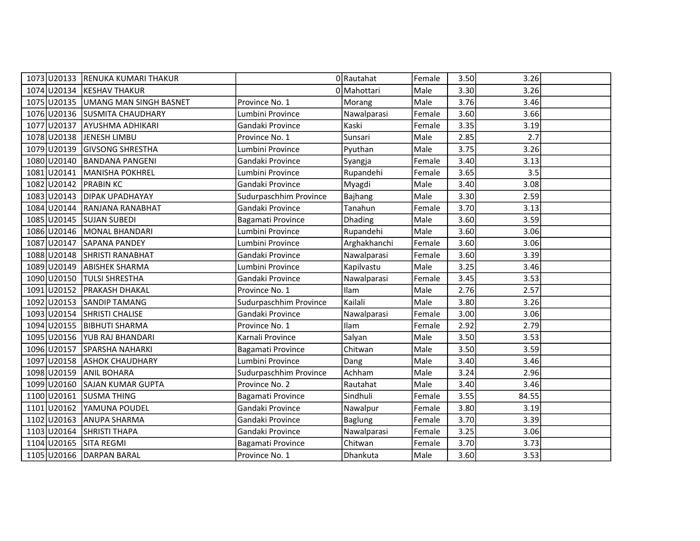|                        | 1073 U20133 RENUKA KUMARI THAKUR   |                        | 0 Rautahat     | Female | 3.50 | 3.26  |  |
|------------------------|------------------------------------|------------------------|----------------|--------|------|-------|--|
|                        | 1074 U20134 KESHAV THAKUR          |                        | 0 Mahottari    | Male   | 3.30 | 3.26  |  |
|                        | 1075 U20135 UMANG MAN SINGH BASNET | Province No. 1         | Morang         | Male   | 3.76 | 3.46  |  |
|                        | 1076 U20136 SUSMITA CHAUDHARY      | Lumbini Province       | Nawalparasi    | Female | 3.60 | 3.66  |  |
| 1077 U20137            | AYUSHMA ADHIKARI                   | Gandaki Province       | Kaski          | Female | 3.35 | 3.19  |  |
| 1078 U20138            | JENESH LIMBU                       | Province No. 1         | Sunsari        | Male   | 2.85 | 2.7   |  |
|                        | 1079 U20139 GIVSONG SHRESTHA       | Lumbini Province       | Pyuthan        | Male   | 3.75 | 3.26  |  |
|                        | 1080 U20140 BANDANA PANGENI        | Gandaki Province       | Syangja        | Female | 3.40 | 3.13  |  |
|                        | 1081 U20141 MANISHA POKHREL        | Lumbini Province       | Rupandehi      | Female | 3.65 | 3.5   |  |
| 1082 U20142 PRABIN KC  |                                    | Gandaki Province       | Myagdi         | Male   | 3.40 | 3.08  |  |
|                        | 1083 U20143   DIPAK UPADHAYAY      | Sudurpaschhim Province | Bajhang        | Male   | 3.30 | 2.59  |  |
| 1084 U20144            | RANJANA RANABHAT                   | Gandaki Province       | Tanahun        | Female | 3.70 | 3.13  |  |
|                        | 1085 U20145 SUJAN SUBEDI           | Bagamati Province      | Dhading        | Male   | 3.60 | 3.59  |  |
|                        | 1086 U20146 MONAL BHANDARI         | Lumbini Province       | Rupandehi      | Male   | 3.60 | 3.06  |  |
|                        | 1087 U20147 SAPANA PANDEY          | Lumbini Province       | Arghakhanchi   | Female | 3.60 | 3.06  |  |
|                        | 1088 U20148 SHRISTI RANABHAT       | Gandaki Province       | Nawalparasi    | Female | 3.60 | 3.39  |  |
|                        | 1089 U20149 ABISHEK SHARMA         | Lumbini Province       | Kapilvastu     | Male   | 3.25 | 3.46  |  |
|                        | 1090 U20150 TULSI SHRESTHA         | Gandaki Province       | Nawalparasi    | Female | 3.45 | 3.53  |  |
|                        | 1091 U20152 PRAKASH DHAKAL         | Province No. 1         | Ilam           | Male   | 2.76 | 2.57  |  |
| 1092 U20153            | <b>SANDIP TAMANG</b>               | Sudurpaschhim Province | Kailali        | Male   | 3.80 | 3.26  |  |
|                        | 1093 U20154 SHRISTI CHALISE        | Gandaki Province       | Nawalparasi    | Female | 3.00 | 3.06  |  |
|                        | 1094 U20155 BIBHUTI SHARMA         | Province No. 1         | Ilam           | Female | 2.92 | 2.79  |  |
|                        | 1095 U20156 YUB RAJ BHANDARI       | Karnali Province       | Salyan         | Male   | 3.50 | 3.53  |  |
|                        | 1096 U20157 SPARSHA NAHARKI        | Bagamati Province      | Chitwan        | Male   | 3.50 | 3.59  |  |
|                        | 1097 U20158 ASHOK CHAUDHARY        | Lumbini Province       | Dang           | Male   | 3.40 | 3.46  |  |
|                        | 1098 U20159 ANIL BOHARA            | Sudurpaschhim Province | Achham         | Male   | 3.24 | 2.96  |  |
| 1099 U20160            | <b>SAJAN KUMAR GUPTA</b>           | Province No. 2         | Rautahat       | Male   | 3.40 | 3.46  |  |
|                        | 1100 U20161 SUSMA THING            | Bagamati Province      | Sindhuli       | Female | 3.55 | 84.55 |  |
|                        | 1101 U20162 YAMUNA POUDEL          | Gandaki Province       | Nawalpur       | Female | 3.80 | 3.19  |  |
|                        | 1102 U20163 ANUPA SHARMA           | Gandaki Province       | <b>Baglung</b> | Female | 3.70 | 3.39  |  |
| 1103 U20164            | <b>SHRISTI THAPA</b>               | Gandaki Province       | Nawalparasi    | Female | 3.25 | 3.06  |  |
| 1104 U20165 SITA REGMI |                                    | Bagamati Province      | Chitwan        | Female | 3.70 | 3.73  |  |
|                        | 1105 U20166 DARPAN BARAL           | Province No. 1         | Dhankuta       | Male   | 3.60 | 3.53  |  |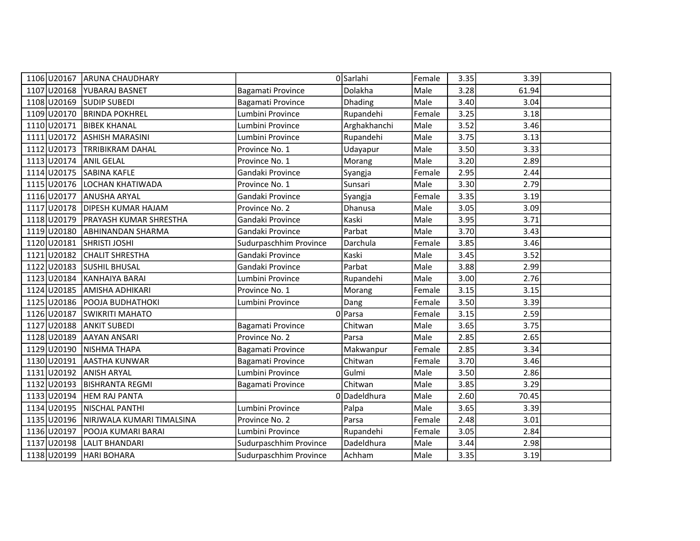| 1106 U20167               | <b>ARUNA CHAUDHARY</b>                |                        | OSarlahi     | Female | 3.35 | 3.39  |  |
|---------------------------|---------------------------------------|------------------------|--------------|--------|------|-------|--|
| 1107 U20168               | <b>YUBARAJ BASNET</b>                 | Bagamati Province      | Dolakha      | Male   | 3.28 | 61.94 |  |
| 1108 U20169 SUDIP SUBEDI  |                                       | Bagamati Province      | Dhading      | Male   | 3.40 | 3.04  |  |
| 1109 U20170               | <b>BRINDA POKHREL</b>                 | Lumbini Province       | Rupandehi    | Female | 3.25 | 3.18  |  |
| 1110 U20171               | <b>BIBEK KHANAL</b>                   | Lumbini Province       | Arghakhanchi | Male   | 3.52 | 3.46  |  |
| 1111 U20172               | <b>ASHISH MARASINI</b>                | Lumbini Province       | Rupandehi    | Male   | 3.75 | 3.13  |  |
|                           | 1112 U20173 TRRIBIKRAM DAHAL          | Province No. 1         | Udayapur     | Male   | 3.50 | 3.33  |  |
| 1113 U20174               | <b>ANIL GELAL</b>                     | Province No. 1         | Morang       | Male   | 3.20 | 2.89  |  |
| 1114 U20175               | <b>SABINA KAFLE</b>                   | Gandaki Province       | Syangja      | Female | 2.95 | 2.44  |  |
| 1115 U20176               | <b>LOCHAN KHATIWADA</b>               | Province No. 1         | Sunsari      | Male   | 3.30 | 2.79  |  |
| 1116 U20177               | <b>ANUSHA ARYAL</b>                   | Gandaki Province       | Syangja      | Female | 3.35 | 3.19  |  |
| 1117 U20178               | <b>DIPESH KUMAR HAJAM</b>             | Province No. 2         | Dhanusa      | Male   | 3.05 | 3.09  |  |
| 1118 U20179               | <b>PRAYASH KUMAR SHRESTHA</b>         | Gandaki Province       | Kaski        | Male   | 3.95 | 3.71  |  |
| 1119 U20180               | <b>ABHINANDAN SHARMA</b>              | Gandaki Province       | Parbat       | Male   | 3.70 | 3.43  |  |
| 1120 U20181 SHRISTI JOSHI |                                       | Sudurpaschhim Province | Darchula     | Female | 3.85 | 3.46  |  |
| 1121 U20182               | <b>CHALIT SHRESTHA</b>                | Gandaki Province       | Kaski        | Male   | 3.45 | 3.52  |  |
| 1122 U20183               | <b>SUSHIL BHUSAL</b>                  | Gandaki Province       | Parbat       | Male   | 3.88 | 2.99  |  |
| 1123 U20184               | KANHAIYA BARAI                        | Lumbini Province       | Rupandehi    | Male   | 3.00 | 2.76  |  |
| 1124 U20185               | AMISHA ADHIKARI                       | Province No. 1         | Morang       | Female | 3.15 | 3.15  |  |
| 1125 U20186               | POOJA BUDHATHOKI                      | Lumbini Province       | Dang         | Female | 3.50 | 3.39  |  |
| 1126 U20187               | <b>SWIKRITI MAHATO</b>                |                        | 0 Parsa      | Female | 3.15 | 2.59  |  |
| 1127 U20188 ANKIT SUBEDI  |                                       | Bagamati Province      | Chitwan      | Male   | 3.65 | 3.75  |  |
|                           | 1128 U20189 AAYAN ANSARI              | Province No. 2         | Parsa        | Male   | 2.85 | 2.65  |  |
| 1129 U20190               | NISHMA THAPA                          | Bagamati Province      | Makwanpur    | Female | 2.85 | 3.34  |  |
| 1130 U20191               | <b>AASTHA KUNWAR</b>                  | Bagamati Province      | Chitwan      | Female | 3.70 | 3.46  |  |
| 1131 U20192 ANISH ARYAL   |                                       | Lumbini Province       | Gulmi        | Male   | 3.50 | 2.86  |  |
| 1132 U20193               | <b>BISHRANTA REGMI</b>                | Bagamati Province      | Chitwan      | Male   | 3.85 | 3.29  |  |
| 1133 U20194               | <b>HEM RAJ PANTA</b>                  | <sup>0</sup>           | Dadeldhura   | Male   | 2.60 | 70.45 |  |
| 1134 U20195               | NISCHAL PANTHI                        | Lumbini Province       | Palpa        | Male   | 3.65 | 3.39  |  |
|                           | 1135 U20196 NIRJWALA KUMARI TIMALSINA | Province No. 2         | Parsa        | Female | 2.48 | 3.01  |  |
| 1136 U20197               | POOJA KUMARI BARAI                    | Lumbini Province       | Rupandehi    | Female | 3.05 | 2.84  |  |
| 1137 U20198               | LALIT BHANDARI                        | Sudurpaschhim Province | Dadeldhura   | Male   | 3.44 | 2.98  |  |
| 1138 U20199 HARI BOHARA   |                                       | Sudurpaschhim Province | Achham       | Male   | 3.35 | 3.19  |  |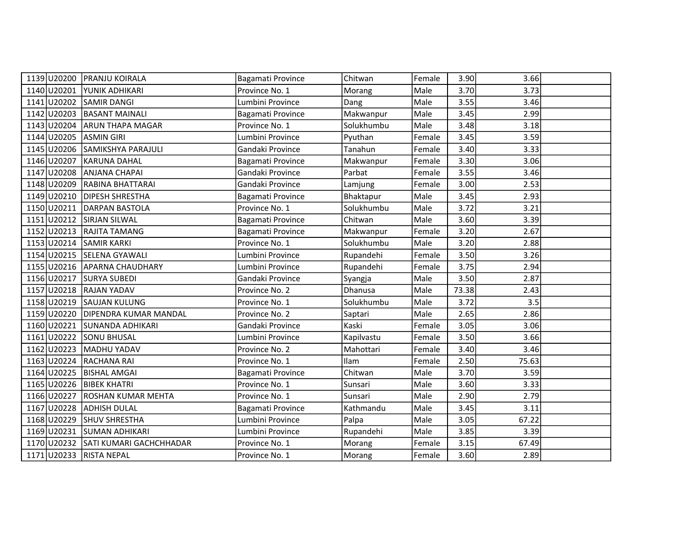|             | 1139 U20200 PRANJU KOIRALA          | Bagamati Province | Chitwan    | Female | 3.90  | 3.66  |  |
|-------------|-------------------------------------|-------------------|------------|--------|-------|-------|--|
|             | 1140 U20201 YUNIK ADHIKARI          | Province No. 1    | Morang     | Male   | 3.70  | 3.73  |  |
|             | 1141 U20202 SAMIR DANGI             | Lumbini Province  | Dang       | Male   | 3.55  | 3.46  |  |
|             | 1142 U20203 BASANT MAINALI          | Bagamati Province | Makwanpur  | Male   | 3.45  | 2.99  |  |
| 1143 U20204 | <b>ARUN THAPA MAGAR</b>             | Province No. 1    | Solukhumbu | Male   | 3.48  | 3.18  |  |
| 1144 U20205 | <b>ASMIN GIRI</b>                   | Lumbini Province  | Pyuthan    | Female | 3.45  | 3.59  |  |
| 1145 U20206 | <b>SAMIKSHYA PARAJULI</b>           | Gandaki Province  | Tanahun    | Female | 3.40  | 3.33  |  |
|             | 1146 U20207 KARUNA DAHAL            | Bagamati Province | Makwanpur  | Female | 3.30  | 3.06  |  |
| 1147 U20208 | <b>ANJANA CHAPAI</b>                | Gandaki Province  | Parbat     | Female | 3.55  | 3.46  |  |
|             | 1148 U20209 RABINA BHATTARAI        | Gandaki Province  | Lamjung    | Female | 3.00  | 2.53  |  |
|             | 1149 U20210   DIPESH SHRESTHA       | Bagamati Province | Bhaktapur  | Male   | 3.45  | 2.93  |  |
| 1150 U20211 | <b>DARPAN BASTOLA</b>               | Province No. 1    | Solukhumbu | Male   | 3.72  | 3.21  |  |
|             | 1151 U20212 SIRJAN SILWAL           | Bagamati Province | Chitwan    | Male   | 3.60  | 3.39  |  |
|             | 1152 U20213 RAJITA TAMANG           | Bagamati Province | Makwanpur  | Female | 3.20  | 2.67  |  |
|             | 1153 U20214 SAMIR KARKI             | Province No. 1    | Solukhumbu | Male   | 3.20  | 2.88  |  |
|             | 1154 U20215 SELENA GYAWALI          | Lumbini Province  | Rupandehi  | Female | 3.50  | 3.26  |  |
|             | 1155 U20216 APARNA CHAUDHARY        | Lumbini Province  | Rupandehi  | Female | 3.75  | 2.94  |  |
|             | 1156 U20217 SURYA SUBEDI            | Gandaki Province  | Syangja    | Male   | 3.50  | 2.87  |  |
|             | 1157 U20218 RAJAN YADAV             | Province No. 2    | Dhanusa    | Male   | 73.38 | 2.43  |  |
|             | 1158 U20219 SAUJAN KULUNG           | Province No. 1    | Solukhumbu | Male   | 3.72  | 3.5   |  |
| 1159 U20220 | <b>DIPENDRA KUMAR MANDAL</b>        | Province No. 2    | Saptari    | Male   | 2.65  | 2.86  |  |
|             | 1160 U20221 SUNANDA ADHIKARI        | Gandaki Province  | Kaski      | Female | 3.05  | 3.06  |  |
|             | 1161 U20222 SONU BHUSAL             | Lumbini Province  | Kapilvastu | Female | 3.50  | 3.66  |  |
|             | 1162 U20223 MADHU YADAV             | Province No. 2    | Mahottari  | Female | 3.40  | 3.46  |  |
|             | 1163 U20224 RACHANA RAI             | Province No. 1    | Ilam       | Female | 2.50  | 75.63 |  |
|             | 1164 U20225   BISHAL AMGAI          | Bagamati Province | Chitwan    | Male   | 3.70  | 3.59  |  |
| 1165 U20226 | <b>BIBEK KHATRI</b>                 | Province No. 1    | Sunsari    | Male   | 3.60  | 3.33  |  |
| 1166 U20227 | <b>ROSHAN KUMAR MEHTA</b>           | Province No. 1    | Sunsari    | Male   | 2.90  | 2.79  |  |
|             | 1167 U20228 ADHISH DULAL            | Bagamati Province | Kathmandu  | Male   | 3.45  | 3.11  |  |
|             | 1168 U20229 SHUV SHRESTHA           | Lumbini Province  | Palpa      | Male   | 3.05  | 67.22 |  |
| 1169 U20231 | <b>SUMAN ADHIKARI</b>               | Lumbini Province  | Rupandehi  | Male   | 3.85  | 3.39  |  |
|             | 1170 U20232 SATI KUMARI GACHCHHADAR | Province No. 1    | Morang     | Female | 3.15  | 67.49 |  |
|             | 1171 U20233 RISTA NEPAL             | Province No. 1    | Morang     | Female | 3.60  | 2.89  |  |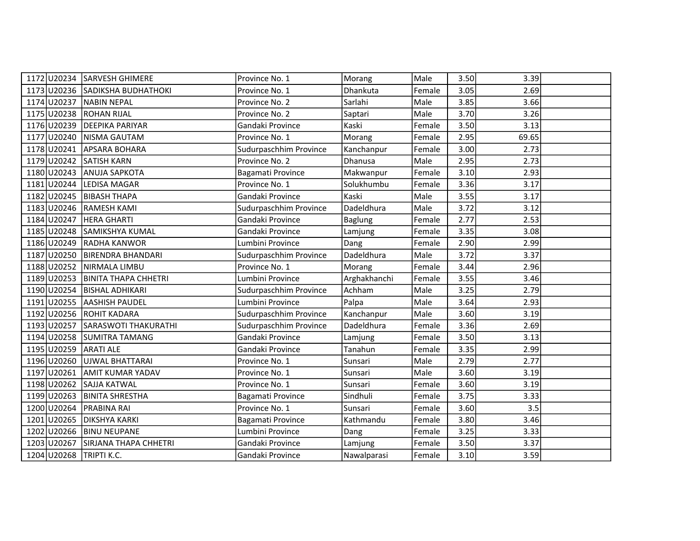|                         | 1172 U20234 SARVESH GHIMERE      | Province No. 1         | Morang       | Male   | 3.50 | 3.39  |  |
|-------------------------|----------------------------------|------------------------|--------------|--------|------|-------|--|
|                         | 1173 U20236 SADIKSHA BUDHATHOKI  | Province No. 1         | Dhankuta     | Female | 3.05 | 2.69  |  |
|                         | 1174 U20237 NABIN NEPAL          | Province No. 2         | Sarlahi      | Male   | 3.85 | 3.66  |  |
| 1175 U20238 ROHAN RIJAL |                                  | Province No. 2         | Saptari      | Male   | 3.70 | 3.26  |  |
| 1176 U20239             | <b>DEEPIKA PARIYAR</b>           | Gandaki Province       | Kaski        | Female | 3.50 | 3.13  |  |
| 1177 U20240             | NISMA GAUTAM                     | Province No. 1         | Morang       | Female | 2.95 | 69.65 |  |
|                         | 1178 U20241 APSARA BOHARA        | Sudurpaschhim Province | Kanchanpur   | Female | 3.00 | 2.73  |  |
| 1179 U20242 SATISH KARN |                                  | Province No. 2         | Dhanusa      | Male   | 2.95 | 2.73  |  |
|                         | 1180 U20243 ANUJA SAPKOTA        | Bagamati Province      | Makwanpur    | Female | 3.10 | 2.93  |  |
|                         | 1181 U20244 LEDISA MAGAR         | Province No. 1         | Solukhumbu   | Female | 3.36 | 3.17  |  |
|                         | 1182 U20245 BIBASH THAPA         | Gandaki Province       | Kaski        | Male   | 3.55 | 3.17  |  |
|                         | 1183 U20246 RAMESH KAMI          | Sudurpaschhim Province | Dadeldhura   | Male   | 3.72 | 3.12  |  |
| 1184 U20247             | <b>HERA GHARTI</b>               | Gandaki Province       | Baglung      | Female | 2.77 | 2.53  |  |
|                         | 1185 U20248 SAMIKSHYA KUMAL      | Gandaki Province       | Lamjung      | Female | 3.35 | 3.08  |  |
|                         | 1186 U20249 RADHA KANWOR         | Lumbini Province       | Dang         | Female | 2.90 | 2.99  |  |
|                         | 1187 U20250 BIRENDRA BHANDARI    | Sudurpaschhim Province | Dadeldhura   | Male   | 3.72 | 3.37  |  |
|                         | 1188 U20252 NIRMALA LIMBU        | Province No. 1         | Morang       | Female | 3.44 | 2.96  |  |
|                         | 1189 U20253 BINITA THAPA CHHETRI | Lumbini Province       | Arghakhanchi | Female | 3.55 | 3.46  |  |
|                         | 1190 U20254 BISHAL ADHIKARI      | Sudurpaschhim Province | Achham       | Male   | 3.25 | 2.79  |  |
| 1191 U20255             | laashish Paudel                  | Lumbini Province       | Palpa        | Male   | 3.64 | 2.93  |  |
|                         | 1192 U20256 ROHIT KADARA         | Sudurpaschhim Province | Kanchanpur   | Male   | 3.60 | 3.19  |  |
|                         | 1193 U20257 SARASWOTI THAKURATHI | Sudurpaschhim Province | Dadeldhura   | Female | 3.36 | 2.69  |  |
|                         | 1194 U20258 SUMITRA TAMANG       | Gandaki Province       | Lamjung      | Female | 3.50 | 3.13  |  |
| 1195 U20259 ARATI ALE   |                                  | Gandaki Province       | Tanahun      | Female | 3.35 | 2.99  |  |
|                         | 1196 U20260 UJWAL BHATTARAI      | Province No. 1         | Sunsari      | Male   | 2.79 | 2.77  |  |
|                         | 1197 U20261 AMIT KUMAR YADAV     | Province No. 1         | Sunsari      | Male   | 3.60 | 3.19  |  |
| 1198 U20262             | <b>SAJJA KATWAL</b>              | Province No. 1         | Sunsari      | Female | 3.60 | 3.19  |  |
| 1199 U20263             | <b>BINITA SHRESTHA</b>           | Bagamati Province      | Sindhuli     | Female | 3.75 | 3.33  |  |
| 1200 U20264             | <b>PRABINA RAI</b>               | Province No. 1         | Sunsari      | Female | 3.60 | 3.5   |  |
|                         | 1201 U20265 DIKSHYA KARKI        | Bagamati Province      | Kathmandu    | Female | 3.80 | 3.46  |  |
| 1202 U20266             | <b>BINU NEUPANE</b>              | Lumbini Province       | Dang         | Female | 3.25 | 3.33  |  |
| 1203 U20267             | SIRJANA THAPA CHHETRI            | Gandaki Province       | Lamjung      | Female | 3.50 | 3.37  |  |
| 1204 U20268 TRIPTI K.C. |                                  | Gandaki Province       | Nawalparasi  | Female | 3.10 | 3.59  |  |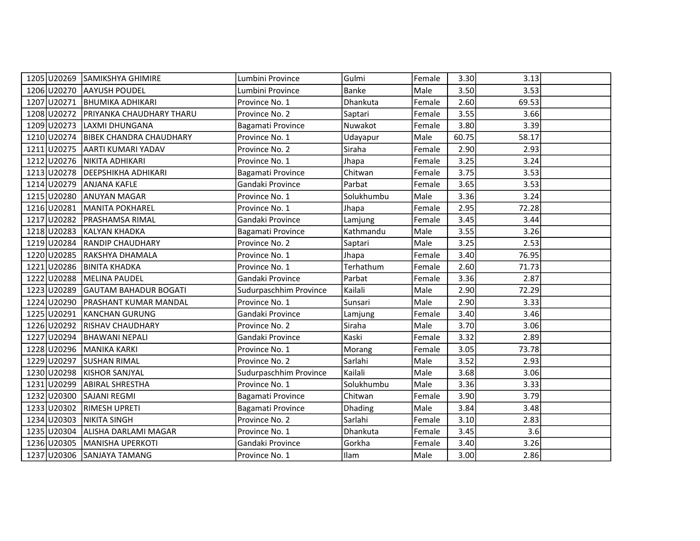|             | 1205 U20269 SAMIKSHYA GHIMIRE        | Lumbini Province       | Gulmi          | Female | 3.30  | 3.13  |  |
|-------------|--------------------------------------|------------------------|----------------|--------|-------|-------|--|
| 1206 U20270 | <b>AAYUSH POUDEL</b>                 | Lumbini Province       | Banke          | Male   | 3.50  | 3.53  |  |
|             | 1207 U20271 BHUMIKA ADHIKARI         | Province No. 1         | Dhankuta       | Female | 2.60  | 69.53 |  |
|             | 1208 U20272 PRIYANKA CHAUDHARY THARU | Province No. 2         | Saptari        | Female | 3.55  | 3.66  |  |
| 1209 U20273 | LAXMI DHUNGANA                       | Bagamati Province      | Nuwakot        | Female | 3.80  | 3.39  |  |
| 1210 U20274 | <b>BIBEK CHANDRA CHAUDHARY</b>       | Province No. 1         | Udayapur       | Male   | 60.75 | 58.17 |  |
|             | 1211 U20275 AARTI KUMARI YADAV       | Province No. 2         | Siraha         | Female | 2.90  | 2.93  |  |
|             | 1212 U20276 NIKITA ADHIKARI          | Province No. 1         | Jhapa          | Female | 3.25  | 3.24  |  |
|             | 1213 U20278 DEEPSHIKHA ADHIKARI      | Bagamati Province      | Chitwan        | Female | 3.75  | 3.53  |  |
|             | 1214 U20279 ANJANA KAFLE             | Gandaki Province       | Parbat         | Female | 3.65  | 3.53  |  |
|             | 1215 U20280 ANUYAN MAGAR             | Province No. 1         | Solukhumbu     | Male   | 3.36  | 3.24  |  |
| 1216 U20281 | MANITA POKHAREL                      | Province No. 1         | Jhapa          | Female | 2.95  | 72.28 |  |
| 1217 U20282 | <b>PRASHAMSA RIMAL</b>               | Gandaki Province       | Lamjung        | Female | 3.45  | 3.44  |  |
|             | 1218 U20283 KALYAN KHADKA            | Bagamati Province      | Kathmandu      | Male   | 3.55  | 3.26  |  |
|             | 1219 U20284 RANDIP CHAUDHARY         | Province No. 2         | Saptari        | Male   | 3.25  | 2.53  |  |
| 1220 U20285 | RAKSHYA DHAMALA                      | Province No. 1         | Jhapa          | Female | 3.40  | 76.95 |  |
|             | 1221 U20286 BINITA KHADKA            | Province No. 1         | Terhathum      | Female | 2.60  | 71.73 |  |
|             | 1222 U20288 MELINA PAUDEL            | Gandaki Province       | Parbat         | Female | 3.36  | 2.87  |  |
|             | 1223 U20289 GAUTAM BAHADUR BOGATI    | Sudurpaschhim Province | Kailali        | Male   | 2.90  | 72.29 |  |
| 1224 U20290 | <b>PRASHANT KUMAR MANDAL</b>         | Province No. 1         | Sunsari        | Male   | 2.90  | 3.33  |  |
| 1225 U20291 | <b>KANCHAN GURUNG</b>                | Gandaki Province       | Lamjung        | Female | 3.40  | 3.46  |  |
|             | 1226 U20292 RISHAV CHAUDHARY         | Province No. 2         | Siraha         | Male   | 3.70  | 3.06  |  |
|             | 1227 U20294 BHAWANI NEPALI           | Gandaki Province       | Kaski          | Female | 3.32  | 2.89  |  |
|             | 1228 U20296 MANIKA KARKI             | Province No. 1         | Morang         | Female | 3.05  | 73.78 |  |
|             | 1229 U20297 SUSHAN RIMAL             | Province No. 2         | Sarlahi        | Male   | 3.52  | 2.93  |  |
|             | 1230 U20298 KISHOR SANJYAL           | Sudurpaschhim Province | Kailali        | Male   | 3.68  | 3.06  |  |
| 1231 U20299 | <b>ABIRAL SHRESTHA</b>               | Province No. 1         | Solukhumbu     | Male   | 3.36  | 3.33  |  |
|             | 1232 U20300 SAJANI REGMI             | Bagamati Province      | Chitwan        | Female | 3.90  | 3.79  |  |
|             | 1233 U20302 RIMESH UPRETI            | Bagamati Province      | <b>Dhading</b> | Male   | 3.84  | 3.48  |  |
|             | 1234 U20303 NIKITA SINGH             | Province No. 2         | Sarlahi        | Female | 3.10  | 2.83  |  |
| 1235 U20304 | ALISHA DARLAMI MAGAR                 | Province No. 1         | Dhankuta       | Female | 3.45  | 3.6   |  |
|             | 1236 U20305   MANISHA UPERKOTI       | Gandaki Province       | Gorkha         | Female | 3.40  | 3.26  |  |
|             | 1237 U20306 SANJAYA TAMANG           | Province No. 1         | Ilam           | Male   | 3.00  | 2.86  |  |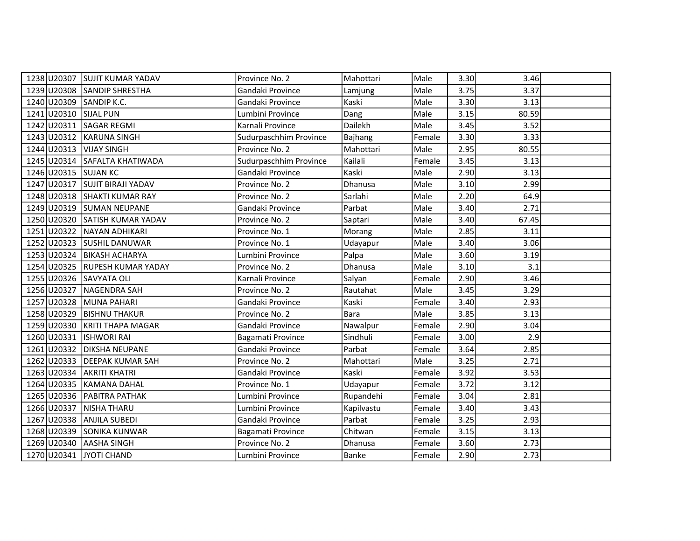|                           | 1238 U20307 SUJIT KUMAR YADAV  | Province No. 2         | Mahottari   | Male   | 3.30 | 3.46  |  |
|---------------------------|--------------------------------|------------------------|-------------|--------|------|-------|--|
|                           | 1239 U20308 SANDIP SHRESTHA    | Gandaki Province       | Lamjung     | Male   | 3.75 | 3.37  |  |
| 1240 U20309 SANDIP K.C.   |                                | Gandaki Province       | Kaski       | Male   | 3.30 | 3.13  |  |
| 1241 U20310 SIJAL PUN     |                                | Lumbini Province       | Dang        | Male   | 3.15 | 80.59 |  |
|                           | 1242 U20311 SAGAR REGMI        | Karnali Province       | Dailekh     | Male   | 3.45 | 3.52  |  |
| 1243 U20312               | <b>KARUNA SINGH</b>            | Sudurpaschhim Province | Bajhang     | Female | 3.30 | 3.33  |  |
| 1244 U20313 VIJAY SINGH   |                                | Province No. 2         | Mahottari   | Male   | 2.95 | 80.55 |  |
|                           | 1245 U20314 SAFALTA KHATIWADA  | Sudurpaschhim Province | Kailali     | Female | 3.45 | 3.13  |  |
| 1246 U20315 SUJAN KC      |                                | Gandaki Province       | Kaski       | Male   | 2.90 | 3.13  |  |
|                           | 1247 U20317 SUJIT BIRAJI YADAV | Province No. 2         | Dhanusa     | Male   | 3.10 | 2.99  |  |
|                           | 1248 U20318 SHAKTI KUMAR RAY   | Province No. 2         | Sarlahi     | Male   | 2.20 | 64.9  |  |
|                           | 1249 U20319 SUMAN NEUPANE      | Gandaki Province       | Parbat      | Male   | 3.40 | 2.71  |  |
|                           | 1250 U20320 SATISH KUMAR YADAV | Province No. 2         | Saptari     | Male   | 3.40 | 67.45 |  |
| 1251 U20322               | NAYAN ADHIKARI                 | Province No. 1         | Morang      | Male   | 2.85 | 3.11  |  |
|                           | 1252 U20323 SUSHIL DANUWAR     | Province No. 1         | Udayapur    | Male   | 3.40 | 3.06  |  |
|                           | 1253 U20324 BIKASH ACHARYA     | Lumbini Province       | Palpa       | Male   | 3.60 | 3.19  |  |
|                           | 1254 U20325 RUPESH KUMAR YADAY | Province No. 2         | Dhanusa     | Male   | 3.10 | 3.1   |  |
| 1255 U20326 SAVYATA OLI   |                                | Karnali Province       | Salyan      | Female | 2.90 | 3.46  |  |
|                           | 1256 U20327 NAGENDRA SAH       | Province No. 2         | Rautahat    | Male   | 3.45 | 3.29  |  |
| 1257 U20328               | MUNA PAHARI                    | Gandaki Province       | Kaski       | Female | 3.40 | 2.93  |  |
|                           | 1258 U20329 BISHNU THAKUR      | Province No. 2         | <b>Bara</b> | Male   | 3.85 | 3.13  |  |
|                           | 1259 U20330 KRITI THAPA MAGAR  | Gandaki Province       | Nawalpur    | Female | 2.90 | 3.04  |  |
| 1260 U20331   ISHWORI RAI |                                | Bagamati Province      | Sindhuli    | Female | 3.00 | 2.9   |  |
|                           | 1261 U20332 DIKSHA NEUPANE     | Gandaki Province       | Parbat      | Female | 3.64 | 2.85  |  |
|                           | 1262 U20333 DEEPAK KUMAR SAH   | Province No. 2         | Mahottari   | Male   | 3.25 | 2.71  |  |
|                           | 1263 U20334 AKRITI KHATRI      | Gandaki Province       | Kaski       | Female | 3.92 | 3.53  |  |
| 1264 U20335               | IKAMANA DAHAL                  | Province No. 1         | Udayapur    | Female | 3.72 | 3.12  |  |
|                           | 1265 U20336 PABITRA PATHAK     | Lumbini Province       | Rupandehi   | Female | 3.04 | 2.81  |  |
| 1266 U20337 NISHA THARU   |                                | Lumbini Province       | Kapilvastu  | Female | 3.40 | 3.43  |  |
|                           | 1267 U20338 ANJILA SUBEDI      | Gandaki Province       | Parbat      | Female | 3.25 | 2.93  |  |
|                           | 1268 U20339 SONIKA KUNWAR      | Bagamati Province      | Chitwan     | Female | 3.15 | 3.13  |  |
| 1269 U20340 AASHA SINGH   |                                | Province No. 2         | Dhanusa     | Female | 3.60 | 2.73  |  |
| 1270 U20341 JYOTI CHAND   |                                | Lumbini Province       | Banke       | Female | 2.90 | 2.73  |  |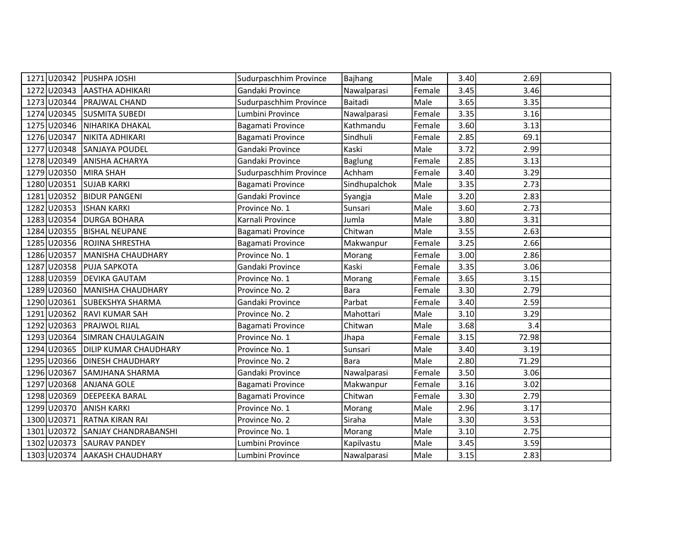| 1271 U20342 | <b>PUSHPA JOSHI</b>          | Sudurpaschhim Province | Bajhang        | Male   | 3.40 | 2.69  |  |
|-------------|------------------------------|------------------------|----------------|--------|------|-------|--|
|             | 1272 U20343 AASTHA ADHIKARI  | Gandaki Province       | Nawalparasi    | Female | 3.45 | 3.46  |  |
|             | 1273 U20344   PRAJWAL CHAND  | Sudurpaschhim Province | Baitadi        | Male   | 3.65 | 3.35  |  |
|             | 1274 U20345 SUSMITA SUBEDI   | Lumbini Province       | Nawalparasi    | Female | 3.35 | 3.16  |  |
| 1275 U20346 | NIHARIKA DHAKAL              | Bagamati Province      | Kathmandu      | Female | 3.60 | 3.13  |  |
| 1276 U20347 | NIKITA ADHIKARI              | Bagamati Province      | Sindhuli       | Female | 2.85 | 69.1  |  |
|             | 1277 U20348 SANJAYA POUDEL   | Gandaki Province       | Kaski          | Male   | 3.72 | 2.99  |  |
|             | 1278 U20349 ANISHA ACHARYA   | Gandaki Province       | <b>Baglung</b> | Female | 2.85 | 3.13  |  |
| 1279 U20350 | MIRA SHAH                    | Sudurpaschhim Province | Achham         | Female | 3.40 | 3.29  |  |
| 1280 U20351 | <b>SUJAB KARKI</b>           | Bagamati Province      | Sindhupalchok  | Male   | 3.35 | 2.73  |  |
|             | 1281 U20352 BIDUR PANGENI    | Gandaki Province       | Syangja        | Male   | 3.20 | 2.83  |  |
| 1282 U20353 | <b>ISHAN KARKI</b>           | Province No. 1         | Sunsari        | Male   | 3.60 | 2.73  |  |
| 1283 U20354 | <b>DURGA BOHARA</b>          | Karnali Province       | Jumla          | Male   | 3.80 | 3.31  |  |
| 1284 U20355 | <b>BISHAL NEUPANE</b>        | Bagamati Province      | Chitwan        | Male   | 3.55 | 2.63  |  |
|             | 1285 U20356 ROJINA SHRESTHA  | Bagamati Province      | Makwanpur      | Female | 3.25 | 2.66  |  |
| 1286 U20357 | MANISHA CHAUDHARY            | Province No. 1         | Morang         | Female | 3.00 | 2.86  |  |
|             | 1287 U20358 PUJA SAPKOTA     | Gandaki Province       | Kaski          | Female | 3.35 | 3.06  |  |
| 1288 U20359 | <b>DEVIKA GAUTAM</b>         | Province No. 1         | Morang         | Female | 3.65 | 3.15  |  |
| 1289 U20360 | MANISHA CHAUDHARY            | Province No. 2         | <b>Bara</b>    | Female | 3.30 | 2.79  |  |
| 1290 U20361 | SUBEKSHYA SHARMA             | Gandaki Province       | Parbat         | Female | 3.40 | 2.59  |  |
| 1291 U20362 | <b>RAVI KUMAR SAH</b>        | Province No. 2         | Mahottari      | Male   | 3.10 | 3.29  |  |
|             | 1292 U20363 PRAJWOL RIJAL    | Bagamati Province      | Chitwan        | Male   | 3.68 | 3.4   |  |
| 1293 U20364 | SIMRAN CHAULAGAIN            | Province No. 1         | Jhapa          | Female | 3.15 | 72.98 |  |
| 1294 U20365 | DILIP KUMAR CHAUDHARY        | Province No. 1         | Sunsari        | Male   | 3.40 | 3.19  |  |
| 1295 U20366 | <b>DINESH CHAUDHARY</b>      | Province No. 2         | <b>Bara</b>    | Male   | 2.80 | 71.29 |  |
| 1296 U20367 | SAMJHANA SHARMA              | Gandaki Province       | Nawalparasi    | Female | 3.50 | 3.06  |  |
| 1297 U20368 | <b>ANJANA GOLE</b>           | Bagamati Province      | Makwanpur      | Female | 3.16 | 3.02  |  |
| 1298 U20369 | DEEPEEKA BARAL               | Bagamati Province      | Chitwan        | Female | 3.30 | 2.79  |  |
| 1299 U20370 | <b>ANISH KARKI</b>           | Province No. 1         | Morang         | Male   | 2.96 | 3.17  |  |
| 1300 U20371 | <b>RATNA KIRAN RAI</b>       | Province No. 2         | Siraha         | Male   | 3.30 | 3.53  |  |
| 1301 U20372 | SANJAY CHANDRABANSHI         | Province No. 1         | Morang         | Male   | 3.10 | 2.75  |  |
|             | 1302 U20373 SAURAV PANDEY    | Lumbini Province       | Kapilvastu     | Male   | 3.45 | 3.59  |  |
|             | 1303 U20374 AAKASH CHAUDHARY | Lumbini Province       | Nawalparasi    | Male   | 3.15 | 2.83  |  |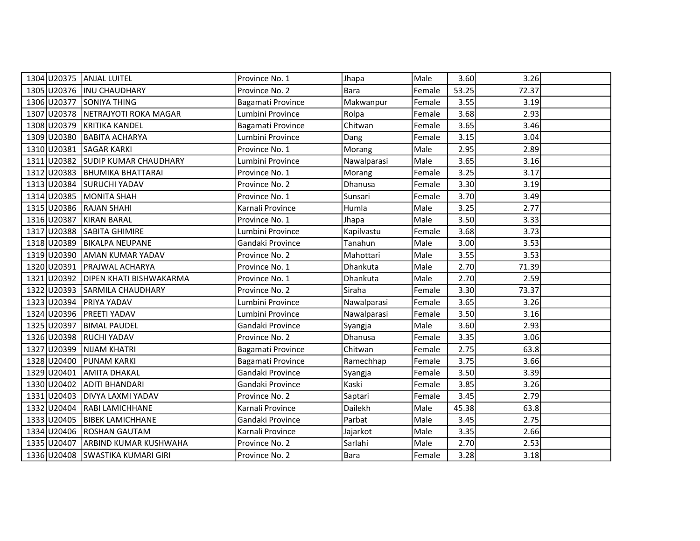| 1304 U20375 ANJAL LUITEL |                                   | Province No. 1    | Jhapa       | Male   | 3.60  | 3.26  |  |
|--------------------------|-----------------------------------|-------------------|-------------|--------|-------|-------|--|
|                          | 1305 U20376  INU CHAUDHARY        | Province No. 2    | Bara        | Female | 53.25 | 72.37 |  |
| 1306 U20377              | <b>SONIYA THING</b>               | Bagamati Province | Makwanpur   | Female | 3.55  | 3.19  |  |
| 1307 U20378              | NETRAJYOTI ROKA MAGAR             | Lumbini Province  | Rolpa       | Female | 3.68  | 2.93  |  |
| 1308 U20379              | KRITIKA KANDEL                    | Bagamati Province | Chitwan     | Female | 3.65  | 3.46  |  |
| 1309 U20380              | <b>BABITA ACHARYA</b>             | Lumbini Province  | Dang        | Female | 3.15  | 3.04  |  |
| 1310 U20381              | <b>SAGAR KARKI</b>                | Province No. 1    | Morang      | Male   | 2.95  | 2.89  |  |
|                          | 1311 U20382 SUDIP KUMAR CHAUDHARY | Lumbini Province  | Nawalparasi | Male   | 3.65  | 3.16  |  |
|                          | 1312 U20383 BHUMIKA BHATTARAI     | Province No. 1    | Morang      | Female | 3.25  | 3.17  |  |
|                          | 1313 U20384 SURUCHI YADAV         | Province No. 2    | Dhanusa     | Female | 3.30  | 3.19  |  |
|                          | 1314 U20385 MONITA SHAH           | Province No. 1    | Sunsari     | Female | 3.70  | 3.49  |  |
| 1315 U20386              | <b>RAJAN SHAHI</b>                | Karnali Province  | Humla       | Male   | 3.25  | 2.77  |  |
| 1316 U20387              | KIRAN BARAL                       | Province No. 1    | Jhapa       | Male   | 3.50  | 3.33  |  |
|                          | 1317 U20388 SABITA GHIMIRE        | Lumbini Province  | Kapilvastu  | Female | 3.68  | 3.73  |  |
|                          | 1318 U20389 BIKALPA NEUPANE       | Gandaki Province  | Tanahun     | Male   | 3.00  | 3.53  |  |
| 1319 U20390              | AMAN KUMAR YADAV                  | Province No. 2    | Mahottari   | Male   | 3.55  | 3.53  |  |
| 1320 U20391              | <b>PRAJWAL ACHARYA</b>            | Province No. 1    | Dhankuta    | Male   | 2.70  | 71.39 |  |
| 1321 U20392              | <b>DIPEN KHATI BISHWAKARMA</b>    | Province No. 1    | Dhankuta    | Male   | 2.70  | 2.59  |  |
|                          | 1322 U20393 SARMILA CHAUDHARY     | Province No. 2    | Siraha      | Female | 3.30  | 73.37 |  |
| 1323 U20394              | <b>PRIYA YADAV</b>                | Lumbini Province  | Nawalparasi | Female | 3.65  | 3.26  |  |
| 1324 U20396              | <b>PREETI YADAV</b>               | Lumbini Province  | Nawalparasi | Female | 3.50  | 3.16  |  |
| 1325 U20397              | <b>BIMAL PAUDEL</b>               | Gandaki Province  | Syangja     | Male   | 3.60  | 2.93  |  |
|                          | 1326 U20398 RUCHI YADAV           | Province No. 2    | Dhanusa     | Female | 3.35  | 3.06  |  |
| 1327 U20399              | NIJAM KHATRI                      | Bagamati Province | Chitwan     | Female | 2.75  | 63.8  |  |
| 1328 U20400              | <b>PUNAM KARKI</b>                | Bagamati Province | Ramechhap   | Female | 3.75  | 3.66  |  |
| 1329 U20401              | <b>AMITA DHAKAL</b>               | Gandaki Province  | Syangja     | Female | 3.50  | 3.39  |  |
| 1330 U20402              | ADITI BHANDARI                    | Gandaki Province  | Kaski       | Female | 3.85  | 3.26  |  |
| 1331 U20403              | DIVYA LAXMI YADAV                 | Province No. 2    | Saptari     | Female | 3.45  | 2.79  |  |
| 1332 U20404              | RABI LAMICHHANE                   | Karnali Province  | Dailekh     | Male   | 45.38 | 63.8  |  |
|                          | 1333 U20405 BIBEK LAMICHHANE      | Gandaki Province  | Parbat      | Male   | 3.45  | 2.75  |  |
| 1334 U20406              | ROSHAN GAUTAM                     | Karnali Province  | Jajarkot    | Male   | 3.35  | 2.66  |  |
| 1335 U20407              | <b>ARBIND KUMAR KUSHWAHA</b>      | Province No. 2    | Sarlahi     | Male   | 2.70  | 2.53  |  |
|                          | 1336 U20408 SWASTIKA KUMARI GIRI  | Province No. 2    | <b>Bara</b> | Female | 3.28  | 3.18  |  |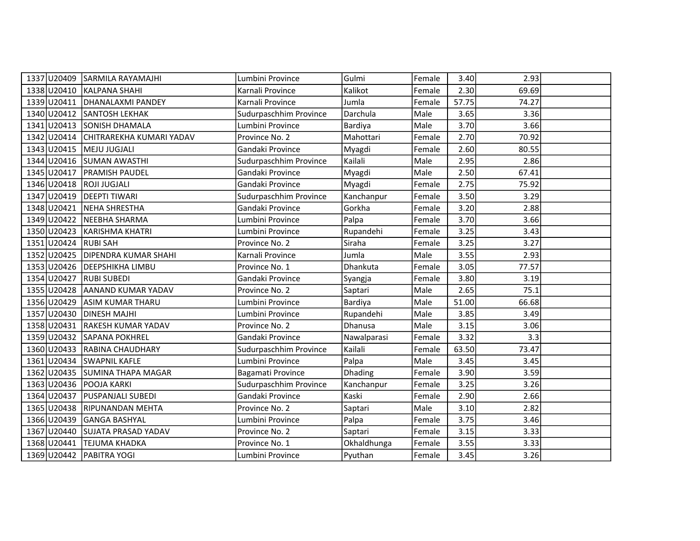|                            | 1337 U20409 SARMILA RAYAMAJHI        | Lumbini Province       | Gulmi          | Female | 3.40  | 2.93  |  |
|----------------------------|--------------------------------------|------------------------|----------------|--------|-------|-------|--|
|                            | 1338 U20410 KALPANA SHAHI            | Karnali Province       | Kalikot        | Female | 2.30  | 69.69 |  |
|                            | 1339 U20411 DHANALAXMI PANDEY        | Karnali Province       | Jumla          | Female | 57.75 | 74.27 |  |
|                            | 1340 U20412 SANTOSH LEKHAK           | Sudurpaschhim Province | Darchula       | Male   | 3.65  | 3.36  |  |
|                            | 1341 U20413 SONISH DHAMALA           | Lumbini Province       | Bardiya        | Male   | 3.70  | 3.66  |  |
|                            | 1342 U20414 CHITRAREKHA KUMARI YADAV | Province No. 2         | Mahottari      | Female | 2.70  | 70.92 |  |
| 1343 U20415   MEJU JUGJALI |                                      | Gandaki Province       | Myagdi         | Female | 2.60  | 80.55 |  |
|                            | 1344 U20416 SUMAN AWASTHI            | Sudurpaschhim Province | Kailali        | Male   | 2.95  | 2.86  |  |
| 1345 U20417                | <b>PRAMISH PAUDEL</b>                | Gandaki Province       | Myagdi         | Male   | 2.50  | 67.41 |  |
| 1346 U20418 ROJI JUGJALI   |                                      | Gandaki Province       | Myagdi         | Female | 2.75  | 75.92 |  |
|                            | 1347 U20419 DEEPTI TIWARI            | Sudurpaschhim Province | Kanchanpur     | Female | 3.50  | 3.29  |  |
| 1348 U20421                | NEHA SHRESTHA                        | Gandaki Province       | Gorkha         | Female | 3.20  | 2.88  |  |
| 1349 U20422                | NEEBHA SHARMA                        | Lumbini Province       | Palpa          | Female | 3.70  | 3.66  |  |
|                            | 1350 U20423 KARISHMA KHATRI          | Lumbini Province       | Rupandehi      | Female | 3.25  | 3.43  |  |
| 1351 U20424 RUBI SAH       |                                      | Province No. 2         | Siraha         | Female | 3.25  | 3.27  |  |
| 1352 U20425                | <b>DIPENDRA KUMAR SHAHI</b>          | Karnali Province       | Jumla          | Male   | 3.55  | 2.93  |  |
|                            | 1353 U20426 DEEPSHIKHA LIMBU         | Province No. 1         | Dhankuta       | Female | 3.05  | 77.57 |  |
| 1354 U20427 RUBI SUBEDI    |                                      | Gandaki Province       | Syangja        | Female | 3.80  | 3.19  |  |
|                            | 1355 U20428 AANAND KUMAR YADAV       | Province No. 2         | Saptari        | Male   | 2.65  | 75.1  |  |
| 1356 U20429                | <b>ASIM KUMAR THARU</b>              | Lumbini Province       | Bardiya        | Male   | 51.00 | 66.68 |  |
| 1357 U20430                | <b>DINESH MAJHI</b>                  | Lumbini Province       | Rupandehi      | Male   | 3.85  | 3.49  |  |
|                            | 1358 U20431 RAKESH KUMAR YADAV       | Province No. 2         | Dhanusa        | Male   | 3.15  | 3.06  |  |
|                            | 1359 U20432 SAPANA POKHREL           | Gandaki Province       | Nawalparasi    | Female | 3.32  | 3.3   |  |
|                            | 1360 U20433 RABINA CHAUDHARY         | Sudurpaschhim Province | Kailali        | Female | 63.50 | 73.47 |  |
|                            | 1361 U20434 SWAPNIL KAFLE            | Lumbini Province       | Palpa          | Male   | 3.45  | 3.45  |  |
|                            | 1362 U20435 SUMINA THAPA MAGAR       | Bagamati Province      | <b>Dhading</b> | Female | 3.90  | 3.59  |  |
| 1363 U20436 POOJA KARKI    |                                      | Sudurpaschhim Province | Kanchanpur     | Female | 3.25  | 3.26  |  |
| 1364 U20437                | <b>PUSPANJALI SUBEDI</b>             | Gandaki Province       | Kaski          | Female | 2.90  | 2.66  |  |
|                            | 1365 U20438 RIPUNANDAN MEHTA         | Province No. 2         | Saptari        | Male   | 3.10  | 2.82  |  |
|                            | 1366 U20439 GANGA BASHYAL            | Lumbini Province       | Palpa          | Female | 3.75  | 3.46  |  |
|                            | 1367 U20440 SUJATA PRASAD YADAV      | Province No. 2         | Saptari        | Female | 3.15  | 3.33  |  |
| 1368 U20441                | <b>TEJUMA KHADKA</b>                 | Province No. 1         | Okhaldhunga    | Female | 3.55  | 3.33  |  |
|                            | 1369 U20442 PABITRA YOGI             | Lumbini Province       | Pyuthan        | Female | 3.45  | 3.26  |  |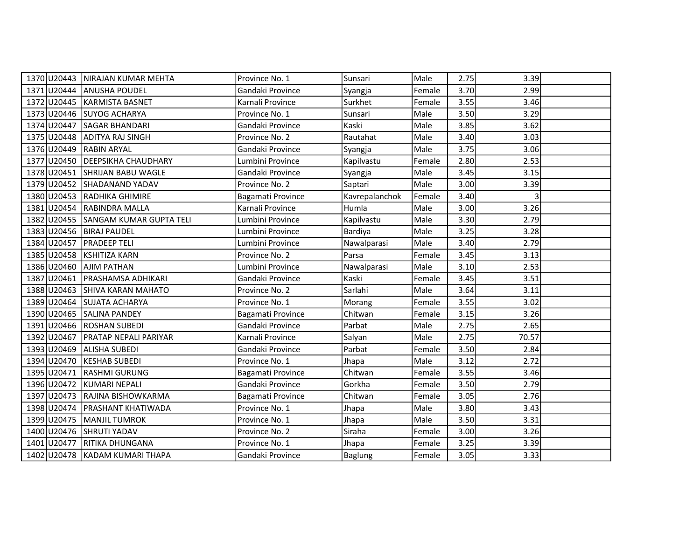|                           | 1370 U20443 NIRAJAN KUMAR MEHTA | Province No. 1    | Sunsari        | Male   | 2.75 | 3.39  |  |
|---------------------------|---------------------------------|-------------------|----------------|--------|------|-------|--|
|                           | 1371 U20444 ANUSHA POUDEL       | Gandaki Province  | Syangja        | Female | 3.70 | 2.99  |  |
| 1372 U20445               | KARMISTA BASNET                 | Karnali Province  | Surkhet        | Female | 3.55 | 3.46  |  |
|                           | 1373 U20446 SUYOG ACHARYA       | Province No. 1    | Sunsari        | Male   | 3.50 | 3.29  |  |
| 1374 U20447               | <b>SAGAR BHANDARI</b>           | Gandaki Province  | Kaski          | Male   | 3.85 | 3.62  |  |
| 1375 U20448               | ADITYA RAJ SINGH                | Province No. 2    | Rautahat       | Male   | 3.40 | 3.03  |  |
| 1376 U20449               | <b>RABIN ARYAL</b>              | Gandaki Province  | Syangja        | Male   | 3.75 | 3.06  |  |
|                           | 1377 U20450 DEEPSIKHA CHAUDHARY | Lumbini Province  | Kapilvastu     | Female | 2.80 | 2.53  |  |
|                           | 1378 U20451 SHRIJAN BABU WAGLE  | Gandaki Province  | Syangja        | Male   | 3.45 | 3.15  |  |
|                           | 1379 U20452 SHADANAND YADAV     | Province No. 2    | Saptari        | Male   | 3.00 | 3.39  |  |
|                           | 1380 U20453 RADHIKA GHIMIRE     | Bagamati Province | Kavrepalanchok | Female | 3.40 | 3     |  |
|                           | 1381 U20454 RABINDRA MALLA      | Karnali Province  | Humla          | Male   | 3.00 | 3.26  |  |
| 1382 U20455               | SANGAM KUMAR GUPTA TELI         | Lumbini Province  | Kapilvastu     | Male   | 3.30 | 2.79  |  |
| 1383 U20456 BIRAJ PAUDEL  |                                 | Lumbini Province  | Bardiya        | Male   | 3.25 | 3.28  |  |
| 1384 U20457 PRADEEP TELI  |                                 | Lumbini Province  | Nawalparasi    | Male   | 3.40 | 2.79  |  |
|                           | 1385 U20458 KSHITIZA KARN       | Province No. 2    | Parsa          | Female | 3.45 | 3.13  |  |
| 1386 U20460   AJIM PATHAN |                                 | Lumbini Province  | Nawalparasi    | Male   | 3.10 | 2.53  |  |
| 1387 U20461               | <b>PRASHAMSA ADHIKARI</b>       | Gandaki Province  | Kaski          | Female | 3.45 | 3.51  |  |
| 1388 U20463               | SHIVA KARAN MAHATO              | Province No. 2    | Sarlahi        | Male   | 3.64 | 3.11  |  |
| 1389 U20464               | SUJATA ACHARYA                  | Province No. 1    | Morang         | Female | 3.55 | 3.02  |  |
|                           | 1390 U20465 SALINA PANDEY       | Bagamati Province | Chitwan        | Female | 3.15 | 3.26  |  |
|                           | 1391 U20466 ROSHAN SUBEDI       | Gandaki Province  | Parbat         | Male   | 2.75 | 2.65  |  |
| 1392 U20467               | <b>PRATAP NEPALI PARIYAR</b>    | Karnali Province  | Salyan         | Male   | 2.75 | 70.57 |  |
|                           | 1393 U20469 ALISHA SUBEDI       | Gandaki Province  | Parbat         | Female | 3.50 | 2.84  |  |
| 1394 U20470               | <b>KESHAB SUBEDI</b>            | Province No. 1    | Jhapa          | Male   | 3.12 | 2.72  |  |
| 1395 U20471               | <b>RASHMI GURUNG</b>            | Bagamati Province | Chitwan        | Female | 3.55 | 3.46  |  |
| 1396 U20472               | <b>KUMARI NEPALI</b>            | Gandaki Province  | Gorkha         | Female | 3.50 | 2.79  |  |
| 1397 U20473               | RAJINA BISHOWKARMA              | Bagamati Province | Chitwan        | Female | 3.05 | 2.76  |  |
| 1398 U20474               | <b>PRASHANT KHATIWADA</b>       | Province No. 1    | Jhapa          | Male   | 3.80 | 3.43  |  |
| 1399 U20475               | MANJIL TUMROK                   | Province No. 1    | Jhapa          | Male   | 3.50 | 3.31  |  |
|                           | 1400 U20476 SHRUTI YADAV        | Province No. 2    | Siraha         | Female | 3.00 | 3.26  |  |
| 1401 U20477               | <b>RITIKA DHUNGANA</b>          | Province No. 1    | Jhapa          | Female | 3.25 | 3.39  |  |
|                           | 1402 U20478 KADAM KUMARI THAPA  | Gandaki Province  | <b>Baglung</b> | Female | 3.05 | 3.33  |  |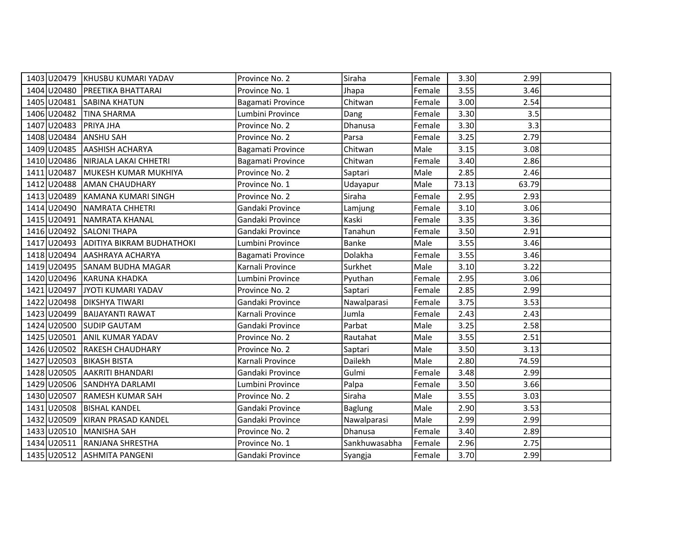|                          | 1403 U20479 KHUSBU KUMARI YADAV       | Province No. 2    | Siraha         | Female | 3.30  | 2.99  |  |
|--------------------------|---------------------------------------|-------------------|----------------|--------|-------|-------|--|
|                          | 1404 U20480 PREETIKA BHATTARAI        | Province No. 1    | Jhapa          | Female | 3.55  | 3.46  |  |
| 1405 U20481              | <b>SABINA KHATUN</b>                  | Bagamati Province | Chitwan        | Female | 3.00  | 2.54  |  |
| 1406 U20482              | <b>TINA SHARMA</b>                    | Lumbini Province  | Dang           | Female | 3.30  | 3.5   |  |
| 1407 U20483              | <b>PRIYA JHA</b>                      | Province No. 2    | Dhanusa        | Female | 3.30  | 3.3   |  |
| 1408 U20484              | <b>ANSHU SAH</b>                      | Province No. 2    | Parsa          | Female | 3.25  | 2.79  |  |
| 1409 U20485              | <b>AASHISH ACHARYA</b>                | Bagamati Province | Chitwan        | Male   | 3.15  | 3.08  |  |
|                          | 1410 U20486 NIRJALA LAKAI CHHETRI     | Bagamati Province | Chitwan        | Female | 3.40  | 2.86  |  |
| 1411 U20487              | MUKESH KUMAR MUKHIYA                  | Province No. 2    | Saptari        | Male   | 2.85  | 2.46  |  |
| 1412 U20488              | <b>AMAN CHAUDHARY</b>                 | Province No. 1    | Udayapur       | Male   | 73.13 | 63.79 |  |
| 1413 U20489              | KAMANA KUMARI SINGH                   | Province No. 2    | Siraha         | Female | 2.95  | 2.93  |  |
| 1414 U20490              | NAMRATA CHHETRI                       | Gandaki Province  | Lamjung        | Female | 3.10  | 3.06  |  |
| 1415 U20491              | NAMRATA KHANAL                        | Gandaki Province  | Kaski          | Female | 3.35  | 3.36  |  |
|                          | 1416 U20492 SALONI THAPA              | Gandaki Province  | Tanahun        | Female | 3.50  | 2.91  |  |
|                          | 1417 U20493 ADITIYA BIKRAM BUDHATHOKI | Lumbini Province  | Banke          | Male   | 3.55  | 3.46  |  |
|                          | 1418 U20494 AASHRAYA ACHARYA          | Bagamati Province | Dolakha        | Female | 3.55  | 3.46  |  |
|                          | 1419 U20495 SANAM BUDHA MAGAR         | Karnali Province  | Surkhet        | Male   | 3.10  | 3.22  |  |
|                          | 1420 U20496 KARUNA KHADKA             | Lumbini Province  | Pyuthan        | Female | 2.95  | 3.06  |  |
|                          | 1421 U20497 JYOTI KUMARI YADAV        | Province No. 2    | Saptari        | Female | 2.85  | 2.99  |  |
| 1422 U20498              | <b>DIKSHYA TIWARI</b>                 | Gandaki Province  | Nawalparasi    | Female | 3.75  | 3.53  |  |
| 1423 U20499              | <b>BAIJAYANTI RAWAT</b>               | Karnali Province  | Jumla          | Female | 2.43  | 2.43  |  |
|                          | 1424 U20500 SUDIP GAUTAM              | Gandaki Province  | Parbat         | Male   | 3.25  | 2.58  |  |
| 1425 U20501              | <b>ANIL KUMAR YADAV</b>               | Province No. 2    | Rautahat       | Male   | 3.55  | 2.51  |  |
| 1426 U20502              | <b>RAKESH CHAUDHARY</b>               | Province No. 2    | Saptari        | Male   | 3.50  | 3.13  |  |
| 1427 U20503 BIKASH BISTA |                                       | Karnali Province  | Dailekh        | Male   | 2.80  | 74.59 |  |
|                          | 1428 U20505 AAKRITI BHANDARI          | Gandaki Province  | Gulmi          | Female | 3.48  | 2.99  |  |
|                          | 1429 U20506 SANDHYA DARLAMI           | Lumbini Province  | Palpa          | Female | 3.50  | 3.66  |  |
| 1430 U20507              | <b>RAMESH KUMAR SAH</b>               | Province No. 2    | Siraha         | Male   | 3.55  | 3.03  |  |
| 1431 U20508              | <b>BISHAL KANDEL</b>                  | Gandaki Province  | <b>Baglung</b> | Male   | 2.90  | 3.53  |  |
|                          | 1432 U20509 KIRAN PRASAD KANDEL       | Gandaki Province  | Nawalparasi    | Male   | 2.99  | 2.99  |  |
| 1433 U20510              | MANISHA SAH                           | Province No. 2    | <b>Dhanusa</b> | Female | 3.40  | 2.89  |  |
| 1434 U20511              | <b>RANJANA SHRESTHA</b>               | Province No. 1    | Sankhuwasabha  | Female | 2.96  | 2.75  |  |
|                          | 1435 U20512 ASHMITA PANGENI           | Gandaki Province  | Syangja        | Female | 3.70  | 2.99  |  |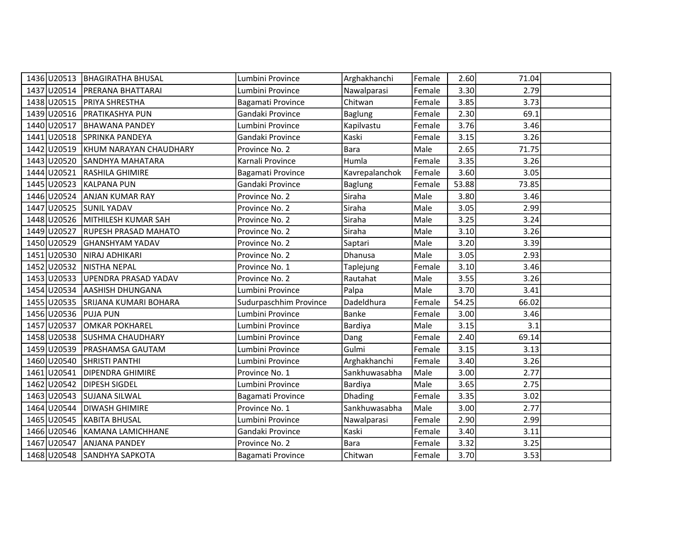|                         | 1436 U20513 BHAGIRATHA BHUSAL      | Lumbini Province       | Arghakhanchi   | Female | 2.60  | 71.04 |  |
|-------------------------|------------------------------------|------------------------|----------------|--------|-------|-------|--|
|                         | 1437 U20514   PRERANA BHATTARAI    | Lumbini Province       | Nawalparasi    | Female | 3.30  | 2.79  |  |
|                         | 1438 U20515 PRIYA SHRESTHA         | Bagamati Province      | Chitwan        | Female | 3.85  | 3.73  |  |
|                         | 1439 U20516   PRATIKASHYA PUN      | Gandaki Province       | <b>Baglung</b> | Female | 2.30  | 69.1  |  |
| 1440 U20517             | <b>BHAWANA PANDEY</b>              | Lumbini Province       | Kapilvastu     | Female | 3.76  | 3.46  |  |
|                         | 1441 U20518 SPRINKA PANDEYA        | Gandaki Province       | Kaski          | Female | 3.15  | 3.26  |  |
|                         | 1442 U20519 KHUM NARAYAN CHAUDHARY | Province No. 2         | <b>Bara</b>    | Male   | 2.65  | 71.75 |  |
|                         | 1443 U20520 SANDHYA MAHATARA       | Karnali Province       | Humla          | Female | 3.35  | 3.26  |  |
|                         | 1444 U20521 RASHILA GHIMIRE        | Bagamati Province      | Kavrepalanchok | Female | 3.60  | 3.05  |  |
|                         | 1445 U20523 KALPANA PUN            | Gandaki Province       | <b>Baglung</b> | Female | 53.88 | 73.85 |  |
|                         | 1446 U20524 ANJAN KUMAR RAY        | Province No. 2         | Siraha         | Male   | 3.80  | 3.46  |  |
| 1447 U20525 SUNIL YADAV |                                    | Province No. 2         | Siraha         | Male   | 3.05  | 2.99  |  |
|                         | 1448 U20526 MITHILESH KUMAR SAH    | Province No. 2         | Siraha         | Male   | 3.25  | 3.24  |  |
|                         | 1449 U20527 RUPESH PRASAD MAHATO   | Province No. 2         | Siraha         | Male   | 3.10  | 3.26  |  |
|                         | 1450 U20529 GHANSHYAM YADAV        | Province No. 2         | Saptari        | Male   | 3.20  | 3.39  |  |
|                         | 1451 U20530 NIRAJ ADHIKARI         | Province No. 2         | Dhanusa        | Male   | 3.05  | 2.93  |  |
|                         | 1452 U20532 NISTHA NEPAL           | Province No. 1         | Taplejung      | Female | 3.10  | 3.46  |  |
|                         | 1453 U20533 UPENDRA PRASAD YADAV   | Province No. 2         | Rautahat       | Male   | 3.55  | 3.26  |  |
|                         | 1454 U20534 AASHISH DHUNGANA       | Lumbini Province       | Palpa          | Male   | 3.70  | 3.41  |  |
| 1455 U20535             | SRIJANA KUMARI BOHARA              | Sudurpaschhim Province | Dadeldhura     | Female | 54.25 | 66.02 |  |
| 1456 U20536 PUJA PUN    |                                    | Lumbini Province       | Banke          | Female | 3.00  | 3.46  |  |
|                         | 1457 U20537 OMKAR POKHAREL         | Lumbini Province       | Bardiya        | Male   | 3.15  | 3.1   |  |
|                         | 1458 U20538 SUSHMA CHAUDHARY       | Lumbini Province       | Dang           | Female | 2.40  | 69.14 |  |
|                         | 1459 U20539 PRASHAMSA GAUTAM       | Lumbini Province       | Gulmi          | Female | 3.15  | 3.13  |  |
|                         | 1460 U20540 SHRISTI PANTHI         | Lumbini Province       | Arghakhanchi   | Female | 3.40  | 3.26  |  |
|                         | 1461 U20541 DIPENDRA GHIMIRE       | Province No. 1         | Sankhuwasabha  | Male   | 3.00  | 2.77  |  |
| 1462 U20542             | <b>DIPESH SIGDEL</b>               | Lumbini Province       | Bardiya        | Male   | 3.65  | 2.75  |  |
|                         | 1463 U20543 SUJANA SILWAL          | Bagamati Province      | <b>Dhading</b> | Female | 3.35  | 3.02  |  |
| 1464 U20544             | <b>DIWASH GHIMIRE</b>              | Province No. 1         | Sankhuwasabha  | Male   | 3.00  | 2.77  |  |
|                         | 1465 U20545 KABITA BHUSAL          | Lumbini Province       | Nawalparasi    | Female | 2.90  | 2.99  |  |
|                         | 1466 U20546 KAMANA LAMICHHANE      | Gandaki Province       | Kaski          | Female | 3.40  | 3.11  |  |
| 1467 U20547             | <b>ANJANA PANDEY</b>               | Province No. 2         | <b>Bara</b>    | Female | 3.32  | 3.25  |  |
|                         | 1468 U20548 SANDHYA SAPKOTA        | Bagamati Province      | Chitwan        | Female | 3.70  | 3.53  |  |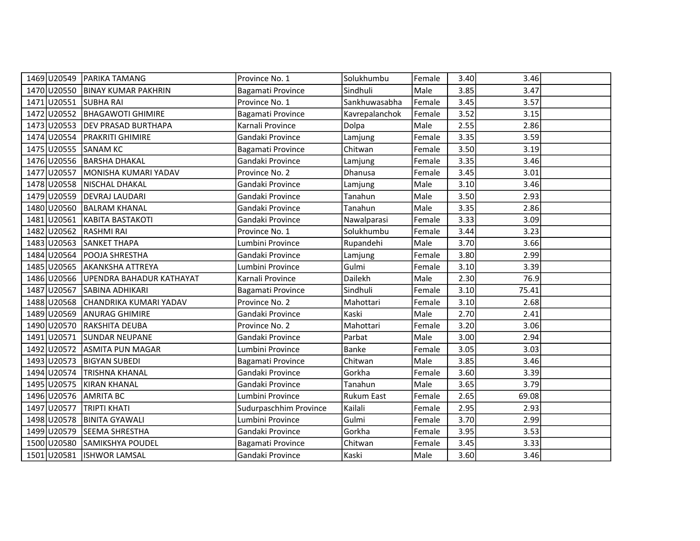|                       | 1469 U20549 PARIKA TAMANG            | Province No. 1         | Solukhumbu        | Female | 3.40 | 3.46  |  |
|-----------------------|--------------------------------------|------------------------|-------------------|--------|------|-------|--|
|                       | 1470 U20550 BINAY KUMAR PAKHRIN      | Bagamati Province      | Sindhuli          | Male   | 3.85 | 3.47  |  |
| 1471 U20551 SUBHA RAI |                                      | Province No. 1         | Sankhuwasabha     | Female | 3.45 | 3.57  |  |
| 1472 U20552           | <b>BHAGAWOTI GHIMIRE</b>             | Bagamati Province      | Kavrepalanchok    | Female | 3.52 | 3.15  |  |
| 1473 U20553           | <b>DEV PRASAD BURTHAPA</b>           | Karnali Province       | Dolpa             | Male   | 2.55 | 2.86  |  |
| 1474 U20554           | <b>PRAKRITI GHIMIRE</b>              | Gandaki Province       | Lamjung           | Female | 3.35 | 3.59  |  |
| 1475 U20555           | <b>SANAM KC</b>                      | Bagamati Province      | Chitwan           | Female | 3.50 | 3.19  |  |
|                       | 1476 U20556 BARSHA DHAKAL            | Gandaki Province       | Lamjung           | Female | 3.35 | 3.46  |  |
| 1477 U20557           | MONISHA KUMARI YADAV                 | Province No. 2         | Dhanusa           | Female | 3.45 | 3.01  |  |
|                       | 1478 U20558 NISCHAL DHAKAL           | Gandaki Province       | Lamjung           | Male   | 3.10 | 3.46  |  |
| 1479 U20559           | <b>DEVRAJ LAUDARI</b>                | Gandaki Province       | Tanahun           | Male   | 3.50 | 2.93  |  |
| 1480 U20560           | <b>BALRAM KHANAL</b>                 | Gandaki Province       | Tanahun           | Male   | 3.35 | 2.86  |  |
| 1481 U20561           | KABITA BASTAKOTI                     | Gandaki Province       | Nawalparasi       | Female | 3.33 | 3.09  |  |
| 1482 U20562           | <b>RASHMI RAI</b>                    | Province No. 1         | Solukhumbu        | Female | 3.44 | 3.23  |  |
|                       | 1483 U20563 SANKET THAPA             | Lumbini Province       | Rupandehi         | Male   | 3.70 | 3.66  |  |
|                       | 1484 U20564 POOJA SHRESTHA           | Gandaki Province       | Lamjung           | Female | 3.80 | 2.99  |  |
| 1485 U20565           | <b>AKANKSHA ATTREYA</b>              | Lumbini Province       | Gulmi             | Female | 3.10 | 3.39  |  |
|                       | 1486 U20566 UPENDRA BAHADUR KATHAYAT | Karnali Province       | Dailekh           | Male   | 2.30 | 76.9  |  |
|                       | 1487 U20567 SABINA ADHIKARI          | Bagamati Province      | Sindhuli          | Female | 3.10 | 75.41 |  |
| 1488 U20568           | CHANDRIKA KUMARI YADAV               | Province No. 2         | Mahottari         | Female | 3.10 | 2.68  |  |
| 1489 U20569           | <b>ANURAG GHIMIRE</b>                | Gandaki Province       | Kaski             | Male   | 2.70 | 2.41  |  |
| 1490 U20570           | <b>RAKSHITA DEUBA</b>                | Province No. 2         | Mahottari         | Female | 3.20 | 3.06  |  |
| 1491 U20571           | <b>SUNDAR NEUPANE</b>                | Gandaki Province       | Parbat            | Male   | 3.00 | 2.94  |  |
| 1492 U20572           | <b>ASMITA PUN MAGAR</b>              | Lumbini Province       | Banke             | Female | 3.05 | 3.03  |  |
| 1493 U20573           | <b>BIGYAN SUBEDI</b>                 | Bagamati Province      | Chitwan           | Male   | 3.85 | 3.46  |  |
| 1494 U20574           | <b>TRISHNA KHANAL</b>                | Gandaki Province       | Gorkha            | Female | 3.60 | 3.39  |  |
| 1495 U20575           | <b>KIRAN KHANAL</b>                  | Gandaki Province       | Tanahun           | Male   | 3.65 | 3.79  |  |
| 1496 U20576           | <b>AMRITA BC</b>                     | Lumbini Province       | <b>Rukum East</b> | Female | 2.65 | 69.08 |  |
| 1497 U20577           | <b>TRIPTI KHATI</b>                  | Sudurpaschhim Province | Kailali           | Female | 2.95 | 2.93  |  |
|                       | 1498 U20578 BINITA GYAWALI           | Lumbini Province       | Gulmi             | Female | 3.70 | 2.99  |  |
| 1499 U20579           | SEEMA SHRESTHA                       | Gandaki Province       | Gorkha            | Female | 3.95 | 3.53  |  |
| 1500 U20580           | SAMIKSHYA POUDEL                     | Bagamati Province      | Chitwan           | Female | 3.45 | 3.33  |  |
|                       | 1501 U20581  ISHWOR LAMSAL           | Gandaki Province       | Kaski             | Male   | 3.60 | 3.46  |  |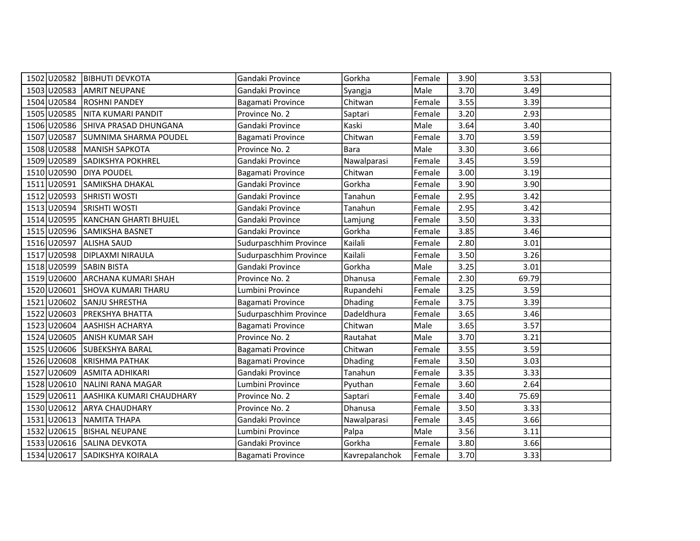|                         | 1502 U20582 BIBHUTI DEVKOTA          | Gandaki Province       | Gorkha         | Female | 3.90 | 3.53  |  |
|-------------------------|--------------------------------------|------------------------|----------------|--------|------|-------|--|
|                         | 1503 U20583 AMRIT NEUPANE            | Gandaki Province       | Syangja        | Male   | 3.70 | 3.49  |  |
|                         | 1504 U20584 ROSHNI PANDEY            | Bagamati Province      | Chitwan        | Female | 3.55 | 3.39  |  |
|                         | 1505 U20585 NITA KUMARI PANDIT       | Province No. 2         | Saptari        | Female | 3.20 | 2.93  |  |
|                         | 1506 U20586 SHIVA PRASAD DHUNGANA    | Gandaki Province       | Kaski          | Male   | 3.64 | 3.40  |  |
|                         | 1507 U20587 SUMNIMA SHARMA POUDEL    | Bagamati Province      | Chitwan        | Female | 3.70 | 3.59  |  |
|                         | 1508 U20588 MANISH SAPKOTA           | Province No. 2         | <b>Bara</b>    | Male   | 3.30 | 3.66  |  |
|                         | 1509 U20589 SADIKSHYA POKHREL        | Gandaki Province       | Nawalparasi    | Female | 3.45 | 3.59  |  |
| 1510 U20590 DIYA POUDEL |                                      | Bagamati Province      | Chitwan        | Female | 3.00 | 3.19  |  |
|                         | 1511 U20591 SAMIKSHA DHAKAL          | Gandaki Province       | Gorkha         | Female | 3.90 | 3.90  |  |
|                         | 1512 U20593 SHRISTI WOSTI            | Gandaki Province       | Tanahun        | Female | 2.95 | 3.42  |  |
|                         | 1513 U20594 SRISHTI WOSTI            | Gandaki Province       | Tanahun        | Female | 2.95 | 3.42  |  |
|                         | 1514 U20595 KANCHAN GHARTI BHUJEL    | Gandaki Province       | Lamjung        | Female | 3.50 | 3.33  |  |
|                         | 1515 U20596 SAMIKSHA BASNET          | Gandaki Province       | Gorkha         | Female | 3.85 | 3.46  |  |
| 1516 U20597 ALISHA SAUD |                                      | Sudurpaschhim Province | Kailali        | Female | 2.80 | 3.01  |  |
|                         | 1517 U20598 DIPLAXMI NIRAULA         | Sudurpaschhim Province | Kailali        | Female | 3.50 | 3.26  |  |
| 1518 U20599 SABIN BISTA |                                      | Gandaki Province       | Gorkha         | Male   | 3.25 | 3.01  |  |
|                         | 1519 U20600 ARCHANA KUMARI SHAH      | Province No. 2         | <b>Dhanusa</b> | Female | 2.30 | 69.79 |  |
|                         | 1520 U20601 SHOVA KUMARI THARU       | Lumbini Province       | Rupandehi      | Female | 3.25 | 3.59  |  |
| 1521 U20602             | <b>SANJU SHRESTHA</b>                | Bagamati Province      | Dhading        | Female | 3.75 | 3.39  |  |
|                         | 1522 U20603 PREKSHYA BHATTA          | Sudurpaschhim Province | Dadeldhura     | Female | 3.65 | 3.46  |  |
|                         | 1523 U20604 AASHISH ACHARYA          | Bagamati Province      | Chitwan        | Male   | 3.65 | 3.57  |  |
|                         | 1524 U20605 ANISH KUMAR SAH          | Province No. 2         | Rautahat       | Male   | 3.70 | 3.21  |  |
|                         | 1525 U20606 SUBEKSHYA BARAL          | Bagamati Province      | Chitwan        | Female | 3.55 | 3.59  |  |
|                         | 1526 U20608 KRISHMA PATHAK           | Bagamati Province      | Dhading        | Female | 3.50 | 3.03  |  |
|                         | 1527 U20609 ASMITA ADHIKARI          | Gandaki Province       | Tanahun        | Female | 3.35 | 3.33  |  |
|                         | 1528 U20610 NALINI RANA MAGAR        | Lumbini Province       | Pyuthan        | Female | 3.60 | 2.64  |  |
|                         | 1529 U20611 AASHIKA KUMARI CHAUDHARY | Province No. 2         | Saptari        | Female | 3.40 | 75.69 |  |
|                         | 1530 U20612 ARYA CHAUDHARY           | Province No. 2         | Dhanusa        | Female | 3.50 | 3.33  |  |
|                         | 1531 U20613 NAMITA THAPA             | Gandaki Province       | Nawalparasi    | Female | 3.45 | 3.66  |  |
|                         | 1532 U20615 BISHAL NEUPANE           | Lumbini Province       | Palpa          | Male   | 3.56 | 3.11  |  |
|                         | 1533 U20616 SALINA DEVKOTA           | Gandaki Province       | Gorkha         | Female | 3.80 | 3.66  |  |
|                         | 1534 U20617 SADIKSHYA KOIRALA        | Bagamati Province      | Kavrepalanchok | Female | 3.70 | 3.33  |  |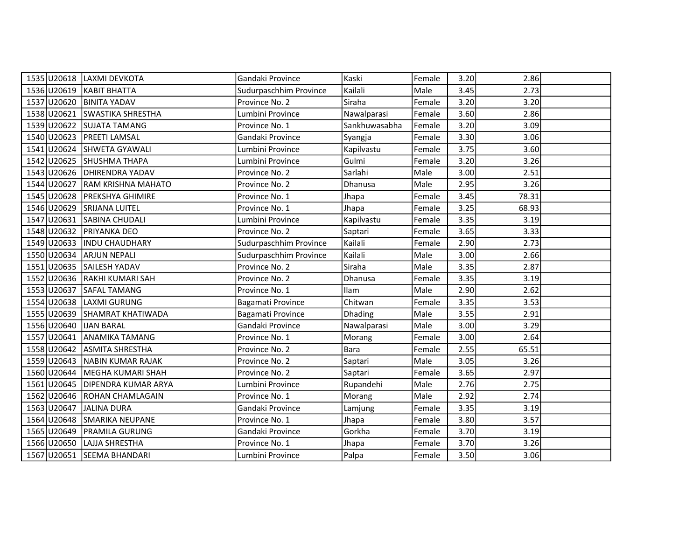|             | 1535 U20618 LAXMI DEVKOTA     | Gandaki Province       | Kaski          | Female | 3.20 | 2.86  |  |
|-------------|-------------------------------|------------------------|----------------|--------|------|-------|--|
|             | 1536 U20619 KABIT BHATTA      | Sudurpaschhim Province | Kailali        | Male   | 3.45 | 2.73  |  |
| 1537 U20620 | <b>BINITA YADAV</b>           | Province No. 2         | Siraha         | Female | 3.20 | 3.20  |  |
|             | 1538 U20621 SWASTIKA SHRESTHA | Lumbini Province       | Nawalparasi    | Female | 3.60 | 2.86  |  |
| 1539 U20622 | <b>SUJATA TAMANG</b>          | Province No. 1         | Sankhuwasabha  | Female | 3.20 | 3.09  |  |
| 1540 U20623 | <b>PREETI LAMSAL</b>          | Gandaki Province       | Syangja        | Female | 3.30 | 3.06  |  |
| 1541 U20624 | <b>SHWETA GYAWALI</b>         | Lumbini Province       | Kapilvastu     | Female | 3.75 | 3.60  |  |
|             | 1542 U20625 SHUSHMA THAPA     | Lumbini Province       | Gulmi          | Female | 3.20 | 3.26  |  |
| 1543 U20626 | <b>DHIRENDRA YADAV</b>        | Province No. 2         | Sarlahi        | Male   | 3.00 | 2.51  |  |
| 1544 U20627 | <b>RAM KRISHNA MAHATO</b>     | Province No. 2         | Dhanusa        | Male   | 2.95 | 3.26  |  |
|             | 1545 U20628 PREKSHYA GHIMIRE  | Province No. 1         | Jhapa          | Female | 3.45 | 78.31 |  |
| 1546 U20629 | <b>SRIJANA LUITEL</b>         | Province No. 1         | Jhapa          | Female | 3.25 | 68.93 |  |
| 1547 U20631 | <b>SABINA CHUDALI</b>         | Lumbini Province       | Kapilvastu     | Female | 3.35 | 3.19  |  |
| 1548 U20632 | <b>PRIYANKA DEO</b>           | Province No. 2         | Saptari        | Female | 3.65 | 3.33  |  |
|             | 1549 U20633  INDU CHAUDHARY   | Sudurpaschhim Province | Kailali        | Female | 2.90 | 2.73  |  |
|             | 1550 U20634 ARJUN NEPALI      | Sudurpaschhim Province | Kailali        | Male   | 3.00 | 2.66  |  |
|             | 1551 U20635 SAILESH YADAV     | Province No. 2         | Siraha         | Male   | 3.35 | 2.87  |  |
|             | 1552 U20636 RAKHI KUMARI SAH  | Province No. 2         | Dhanusa        | Female | 3.35 | 3.19  |  |
|             | 1553 U20637 SAFAL TAMANG      | Province No. 1         | Ilam           | Male   | 2.90 | 2.62  |  |
| 1554 U20638 | llaxmi Gurung                 | Bagamati Province      | Chitwan        | Female | 3.35 | 3.53  |  |
|             | 1555 U20639 SHAMRAT KHATIWADA | Bagamati Province      | <b>Dhading</b> | Male   | 3.55 | 2.91  |  |
| 1556 U20640 | <b>IJAN BARAL</b>             | Gandaki Province       | Nawalparasi    | Male   | 3.00 | 3.29  |  |
|             | 1557 U20641 ANAMIKA TAMANG    | Province No. 1         | Morang         | Female | 3.00 | 2.64  |  |
|             | 1558 U20642 ASMITA SHRESTHA   | Province No. 2         | <b>Bara</b>    | Female | 2.55 | 65.51 |  |
|             | 1559 U20643 NABIN KUMAR RAJAK | Province No. 2         | Saptari        | Male   | 3.05 | 3.26  |  |
| 1560 U20644 | MEGHA KUMARI SHAH             | Province No. 2         | Saptari        | Female | 3.65 | 2.97  |  |
| 1561 U20645 | <b>DIPENDRA KUMAR ARYA</b>    | Lumbini Province       | Rupandehi      | Male   | 2.76 | 2.75  |  |
| 1562 U20646 | ROHAN CHAMLAGAIN              | Province No. 1         | Morang         | Male   | 2.92 | 2.74  |  |
| 1563 U20647 | JALINA DURA                   | Gandaki Province       | Lamjung        | Female | 3.35 | 3.19  |  |
|             | 1564 U20648 SMARIKA NEUPANE   | Province No. 1         | Jhapa          | Female | 3.80 | 3.57  |  |
| 1565 U20649 | <b>PRAMILA GURUNG</b>         | Gandaki Province       | Gorkha         | Female | 3.70 | 3.19  |  |
| 1566 U20650 | LAJJA SHRESTHA                | Province No. 1         | Jhapa          | Female | 3.70 | 3.26  |  |
|             | 1567 U20651 SEEMA BHANDARI    | Lumbini Province       | Palpa          | Female | 3.50 | 3.06  |  |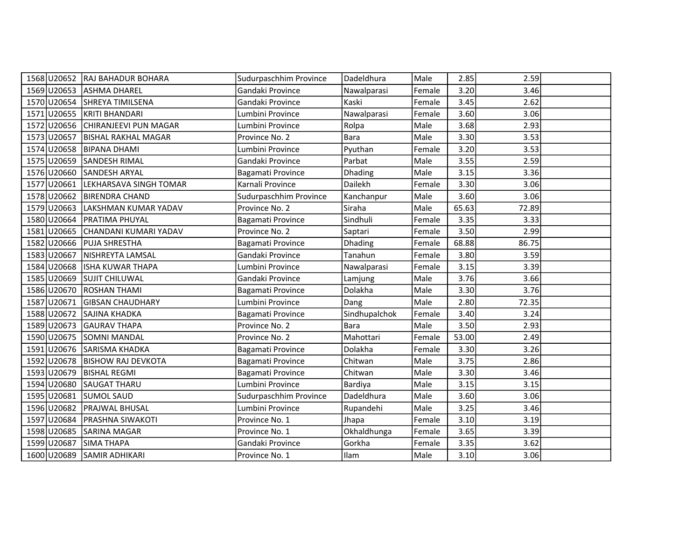| 1568 U20652 | RAJ BAHADUR BOHARA           | Sudurpaschhim Province | Dadeldhura     | Male   | 2.85  | 2.59  |  |
|-------------|------------------------------|------------------------|----------------|--------|-------|-------|--|
|             | 1569 U20653 ASHMA DHAREL     | Gandaki Province       | Nawalparasi    | Female | 3.20  | 3.46  |  |
|             | 1570 U20654 SHREYA TIMILSENA | Gandaki Province       | Kaski          | Female | 3.45  | 2.62  |  |
| 1571 U20655 | <b>KRITI BHANDARI</b>        | Lumbini Province       | Nawalparasi    | Female | 3.60  | 3.06  |  |
| 1572 U20656 | CHIRANJEEVI PUN MAGAR        | Lumbini Province       | Rolpa          | Male   | 3.68  | 2.93  |  |
| 1573 U20657 | <b>BISHAL RAKHAL MAGAR</b>   | Province No. 2         | <b>Bara</b>    | Male   | 3.30  | 3.53  |  |
|             | 1574 U20658 BIPANA DHAMI     | Lumbini Province       | Pyuthan        | Female | 3.20  | 3.53  |  |
|             | 1575 U20659 SANDESH RIMAL    | Gandaki Province       | Parbat         | Male   | 3.55  | 2.59  |  |
| 1576 U20660 | SANDESH ARYAL                | Bagamati Province      | Dhading        | Male   | 3.15  | 3.36  |  |
| 1577 U20661 | LEKHARSAVA SINGH TOMAR       | Karnali Province       | Dailekh        | Female | 3.30  | 3.06  |  |
|             | 1578 U20662 BIRENDRA CHAND   | Sudurpaschhim Province | Kanchanpur     | Male   | 3.60  | 3.06  |  |
| 1579 U20663 | LAKSHMAN KUMAR YADAV         | Province No. 2         | Siraha         | Male   | 65.63 | 72.89 |  |
| 1580 U20664 | <b>PRATIMA PHUYAL</b>        | Bagamati Province      | Sindhuli       | Female | 3.35  | 3.33  |  |
| 1581 U20665 | CHANDANI KUMARI YADAV        | Province No. 2         | Saptari        | Female | 3.50  | 2.99  |  |
| 1582 U20666 | <b>PUJA SHRESTHA</b>         | Bagamati Province      | <b>Dhading</b> | Female | 68.88 | 86.75 |  |
| 1583 U20667 | NISHREYTA LAMSAL             | Gandaki Province       | Tanahun        | Female | 3.80  | 3.59  |  |
| 1584 U20668 | ISHA KUWAR THAPA             | Lumbini Province       | Nawalparasi    | Female | 3.15  | 3.39  |  |
| 1585 U20669 | <b>SUJIT CHILUWAL</b>        | Gandaki Province       | Lamjung        | Male   | 3.76  | 3.66  |  |
| 1586 U20670 | <b>ROSHAN THAMI</b>          | Bagamati Province      | Dolakha        | Male   | 3.30  | 3.76  |  |
| 1587 U20671 | <b>GIBSAN CHAUDHARY</b>      | Lumbini Province       | Dang           | Male   | 2.80  | 72.35 |  |
| 1588 U20672 | SAJINA KHADKA                | Bagamati Province      | Sindhupalchok  | Female | 3.40  | 3.24  |  |
|             | 1589 U20673 GAURAV THAPA     | Province No. 2         | <b>Bara</b>    | Male   | 3.50  | 2.93  |  |
| 1590 U20675 | SOMNI MANDAL                 | Province No. 2         | Mahottari      | Female | 53.00 | 2.49  |  |
|             | 1591 U20676 SARISMA KHADKA   | Bagamati Province      | Dolakha        | Female | 3.30  | 3.26  |  |
| 1592 U20678 | <b>BISHOW RAJ DEVKOTA</b>    | Bagamati Province      | Chitwan        | Male   | 3.75  | 2.86  |  |
| 1593 U20679 | <b>BISHAL REGMI</b>          | Bagamati Province      | Chitwan        | Male   | 3.30  | 3.46  |  |
| 1594 U20680 | lsaugat tharu                | Lumbini Province       | Bardiya        | Male   | 3.15  | 3.15  |  |
| 1595 U20681 | <b>SUMOL SAUD</b>            | Sudurpaschhim Province | Dadeldhura     | Male   | 3.60  | 3.06  |  |
| 1596 U20682 | <b>PRAJWAL BHUSAL</b>        | Lumbini Province       | Rupandehi      | Male   | 3.25  | 3.46  |  |
| 1597 U20684 | <b>PRASHNA SIWAKOTI</b>      | Province No. 1         | Jhapa          | Female | 3.10  | 3.19  |  |
| 1598 U20685 | <b>SARINA MAGAR</b>          | Province No. 1         | Okhaldhunga    | Female | 3.65  | 3.39  |  |
| 1599 U20687 | <b>SIMA THAPA</b>            | Gandaki Province       | Gorkha         | Female | 3.35  | 3.62  |  |
|             | 1600 U20689 SAMIR ADHIKARI   | Province No. 1         | Ilam           | Male   | 3.10  | 3.06  |  |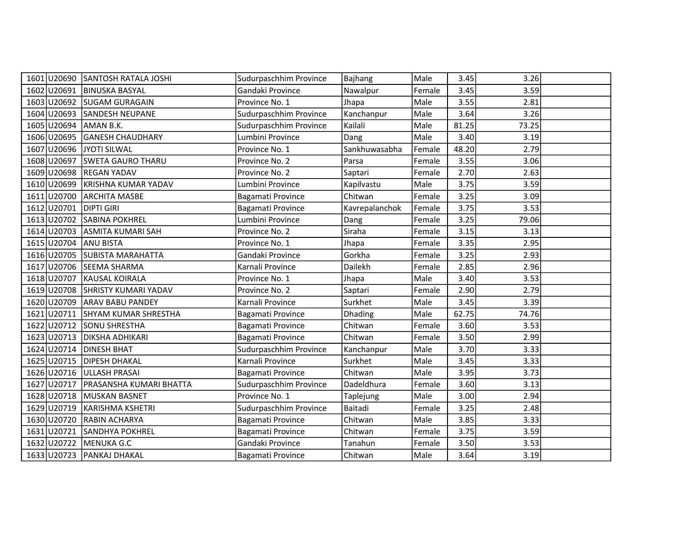|             | 1601 U20690 SANTOSH RATALA JOSHI | Sudurpaschhim Province | Bajhang        | Male   | 3.45  | 3.26  |  |
|-------------|----------------------------------|------------------------|----------------|--------|-------|-------|--|
| 1602 U20691 | <b>BINUSKA BASYAL</b>            | Gandaki Province       | Nawalpur       | Female | 3.45  | 3.59  |  |
| 1603 U20692 | <b>SUGAM GURAGAIN</b>            | Province No. 1         | Jhapa          | Male   | 3.55  | 2.81  |  |
|             | 1604 U20693 SANDESH NEUPANE      | Sudurpaschhim Province | Kanchanpur     | Male   | 3.64  | 3.26  |  |
| 1605 U20694 | AMAN B.K.                        | Sudurpaschhim Province | Kailali        | Male   | 81.25 | 73.25 |  |
| 1606 U20695 | <b>GANESH CHAUDHARY</b>          | Lumbini Province       | Dang           | Male   | 3.40  | 3.19  |  |
| 1607 U20696 | JYOTI SILWAL                     | Province No. 1         | Sankhuwasabha  | Female | 48.20 | 2.79  |  |
|             | 1608 U20697 SWETA GAURO THARU    | Province No. 2         | Parsa          | Female | 3.55  | 3.06  |  |
| 1609 U20698 | <b>REGAN YADAV</b>               | Province No. 2         | Saptari        | Female | 2.70  | 2.63  |  |
|             | 1610 U20699 KRISHNA KUMAR YADAV  | Lumbini Province       | Kapilvastu     | Male   | 3.75  | 3.59  |  |
|             | 1611 U20700 ARCHITA MASBE        | Bagamati Province      | Chitwan        | Female | 3.25  | 3.09  |  |
| 1612 U20701 | <b>DIPTI GIRI</b>                | Bagamati Province      | Kavrepalanchok | Female | 3.75  | 3.53  |  |
| 1613 U20702 | <b>SABINA POKHREL</b>            | Lumbini Province       | Dang           | Female | 3.25  | 79.06 |  |
| 1614 U20703 | <b>ASMITA KUMARI SAH</b>         | Province No. 2         | Siraha         | Female | 3.15  | 3.13  |  |
| 1615 U20704 | <b>ANU BISTA</b>                 | Province No. 1         | Jhapa          | Female | 3.35  | 2.95  |  |
| 1616 U20705 | <b>SUBISTA MARAHATTA</b>         | Gandaki Province       | Gorkha         | Female | 3.25  | 2.93  |  |
|             | 1617 U20706 SEEMA SHARMA         | Karnali Province       | Dailekh        | Female | 2.85  | 2.96  |  |
| 1618 U20707 | <b>KAUSAL KOIRALA</b>            | Province No. 1         | Jhapa          | Male   | 3.40  | 3.53  |  |
|             | 1619 U20708 SHRISTY KUMARI YADAV | Province No. 2         | Saptari        | Female | 2.90  | 2.79  |  |
| 1620 U20709 | <b>ARAV BABU PANDEY</b>          | Karnali Province       | Surkhet        | Male   | 3.45  | 3.39  |  |
| 1621 U20711 | SHYAM KUMAR SHRESTHA             | Bagamati Province      | <b>Dhading</b> | Male   | 62.75 | 74.76 |  |
|             | 1622 U20712 SONU SHRESTHA        | Bagamati Province      | Chitwan        | Female | 3.60  | 3.53  |  |
| 1623 U20713 | <b>DIKSHA ADHIKARI</b>           | Bagamati Province      | Chitwan        | Female | 3.50  | 2.99  |  |
| 1624 U20714 | <b>DINESH BHAT</b>               | Sudurpaschhim Province | Kanchanpur     | Male   | 3.70  | 3.33  |  |
|             | 1625 U20715   DIPESH DHAKAL      | Karnali Province       | Surkhet        | Male   | 3.45  | 3.33  |  |
| 1626 U20716 | <b>ULLASH PRASAI</b>             | Bagamati Province      | Chitwan        | Male   | 3.95  | 3.73  |  |
| 1627 U20717 | PRASANSHA KUMARI BHATTA          | Sudurpaschhim Province | Dadeldhura     | Female | 3.60  | 3.13  |  |
| 1628 U20718 | MUSKAN BASNET                    | Province No. 1         | Taplejung      | Male   | 3.00  | 2.94  |  |
| 1629 U20719 | <b>KARISHMA KSHETRI</b>          | Sudurpaschhim Province | Baitadi        | Female | 3.25  | 2.48  |  |
|             | 1630 U20720 RABIN ACHARYA        | Bagamati Province      | Chitwan        | Male   | 3.85  | 3.33  |  |
| 1631 U20721 | <b>SANDHYA POKHREL</b>           | Bagamati Province      | Chitwan        | Female | 3.75  | 3.59  |  |
| 1632 U20722 | MENUKA G.C                       | Gandaki Province       | Tanahun        | Female | 3.50  | 3.53  |  |
|             | 1633 U20723 PANKAJ DHAKAL        | Bagamati Province      | Chitwan        | Male   | 3.64  | 3.19  |  |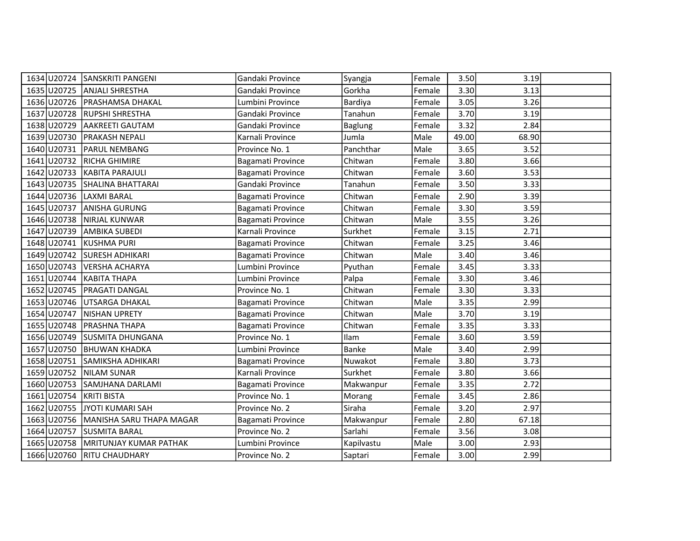|                         | 1634 U20724 SANSKRITI PANGENI        | Gandaki Province  | Syangja        | Female | 3.50  | 3.19  |  |
|-------------------------|--------------------------------------|-------------------|----------------|--------|-------|-------|--|
|                         | 1635 U20725 ANJALI SHRESTHA          | Gandaki Province  | Gorkha         | Female | 3.30  | 3.13  |  |
|                         | 1636 U20726   PRASHAMSA DHAKAL       | Lumbini Province  | Bardiya        | Female | 3.05  | 3.26  |  |
|                         | 1637 U20728 RUPSHI SHRESTHA          | Gandaki Province  | Tanahun        | Female | 3.70  | 3.19  |  |
| 1638 U20729             | AAKREETI GAUTAM                      | Gandaki Province  | <b>Baglung</b> | Female | 3.32  | 2.84  |  |
| 1639 U20730             | <b>PRAKASH NEPALI</b>                | Karnali Province  | Jumla          | Male   | 49.00 | 68.90 |  |
|                         | 1640 U20731 PARUL NEMBANG            | Province No. 1    | Panchthar      | Male   | 3.65  | 3.52  |  |
|                         | 1641 U20732 RICHA GHIMIRE            | Bagamati Province | Chitwan        | Female | 3.80  | 3.66  |  |
|                         | 1642 U20733 KABITA PARAJULI          | Bagamati Province | Chitwan        | Female | 3.60  | 3.53  |  |
|                         | 1643 U20735 SHALINA BHATTARAI        | Gandaki Province  | Tanahun        | Female | 3.50  | 3.33  |  |
| 1644 U20736 LAXMI BARAL |                                      | Bagamati Province | Chitwan        | Female | 2.90  | 3.39  |  |
| 1645 U20737             | <b>ANISHA GURUNG</b>                 | Bagamati Province | Chitwan        | Female | 3.30  | 3.59  |  |
| 1646 U20738             | NIRJAL KUNWAR                        | Bagamati Province | Chitwan        | Male   | 3.55  | 3.26  |  |
|                         | 1647 U20739 AMBIKA SUBEDI            | Karnali Province  | Surkhet        | Female | 3.15  | 2.71  |  |
|                         | 1648 U20741 KUSHMA PURI              | Bagamati Province | Chitwan        | Female | 3.25  | 3.46  |  |
|                         | 1649 U20742 SURESH ADHIKARI          | Bagamati Province | Chitwan        | Male   | 3.40  | 3.46  |  |
|                         | 1650 U20743 VERSHA ACHARYA           | Lumbini Province  | Pyuthan        | Female | 3.45  | 3.33  |  |
|                         | 1651 U20744 KABITA THAPA             | Lumbini Province  | Palpa          | Female | 3.30  | 3.46  |  |
|                         | 1652 U20745 PRAGATI DANGAL           | Province No. 1    | Chitwan        | Female | 3.30  | 3.33  |  |
|                         | 1653 U20746 UTSARGA DHAKAL           | Bagamati Province | Chitwan        | Male   | 3.35  | 2.99  |  |
| 1654 U20747             | NISHAN UPRETY                        | Bagamati Province | Chitwan        | Male   | 3.70  | 3.19  |  |
|                         | 1655 U20748   PRASHNA THAPA          | Bagamati Province | Chitwan        | Female | 3.35  | 3.33  |  |
|                         | 1656 U20749 SUSMITA DHUNGANA         | Province No. 1    | <b>Ilam</b>    | Female | 3.60  | 3.59  |  |
|                         | 1657 U20750 BHUWAN KHADKA            | Lumbini Province  | <b>Banke</b>   | Male   | 3.40  | 2.99  |  |
|                         | 1658 U20751 SAMIKSHA ADHIKARI        | Bagamati Province | Nuwakot        | Female | 3.80  | 3.73  |  |
|                         | 1659 U20752 NILAM SUNAR              | Karnali Province  | Surkhet        | Female | 3.80  | 3.66  |  |
| 1660 U20753             | SAMJHANA DARLAMI                     | Bagamati Province | Makwanpur      | Female | 3.35  | 2.72  |  |
| 1661 U20754             | <b>KRITI BISTA</b>                   | Province No. 1    | Morang         | Female | 3.45  | 2.86  |  |
|                         | 1662 U20755 JYOTI KUMARI SAH         | Province No. 2    | Siraha         | Female | 3.20  | 2.97  |  |
|                         | 1663 U20756 MANISHA SARU THAPA MAGAR | Bagamati Province | Makwanpur      | Female | 2.80  | 67.18 |  |
| 1664 U20757             | <b>SUSMITA BARAL</b>                 | Province No. 2    | Sarlahi        | Female | 3.56  | 3.08  |  |
|                         | 1665 U20758   MRITUNJAY KUMAR PATHAK | Lumbini Province  | Kapilvastu     | Male   | 3.00  | 2.93  |  |
|                         | 1666 U20760 RITU CHAUDHARY           | Province No. 2    | Saptari        | Female | 3.00  | 2.99  |  |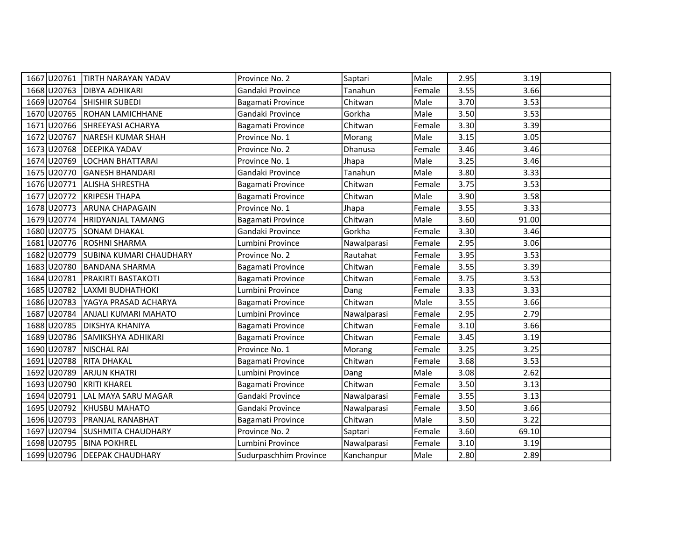| 1667 U20761 | <b>TIRTH NARAYAN YADAV</b>     | Province No. 2         | Saptari     | Male   | 2.95 | 3.19  |  |
|-------------|--------------------------------|------------------------|-------------|--------|------|-------|--|
| 1668 U20763 | <b>DIBYA ADHIKARI</b>          | Gandaki Province       | Tanahun     | Female | 3.55 | 3.66  |  |
| 1669 U20764 | <b>SHISHIR SUBEDI</b>          | Bagamati Province      | Chitwan     | Male   | 3.70 | 3.53  |  |
| 1670 U20765 | <b>ROHAN LAMICHHANE</b>        | Gandaki Province       | Gorkha      | Male   | 3.50 | 3.53  |  |
| 1671 U20766 | SHREEYASI ACHARYA              | Bagamati Province      | Chitwan     | Female | 3.30 | 3.39  |  |
| 1672 U20767 | NARESH KUMAR SHAH              | Province No. 1         | Morang      | Male   | 3.15 | 3.05  |  |
| 1673 U20768 | <b>DEEPIKA YADAV</b>           | Province No. 2         | Dhanusa     | Female | 3.46 | 3.46  |  |
| 1674 U20769 | LOCHAN BHATTARAI               | Province No. 1         | Jhapa       | Male   | 3.25 | 3.46  |  |
| 1675 U20770 | <b>GANESH BHANDARI</b>         | Gandaki Province       | Tanahun     | Male   | 3.80 | 3.33  |  |
| 1676 U20771 | <b>ALISHA SHRESTHA</b>         | Bagamati Province      | Chitwan     | Female | 3.75 | 3.53  |  |
| 1677 U20772 | <b>KRIPESH THAPA</b>           | Bagamati Province      | Chitwan     | Male   | 3.90 | 3.58  |  |
| 1678 U20773 | <b>ARUNA CHAPAGAIN</b>         | Province No. 1         | Jhapa       | Female | 3.55 | 3.33  |  |
| 1679 U20774 | HRIDYANJAL TAMANG              | Bagamati Province      | Chitwan     | Male   | 3.60 | 91.00 |  |
| 1680 U20775 | <b>SONAM DHAKAL</b>            | Gandaki Province       | Gorkha      | Female | 3.30 | 3.46  |  |
|             | 1681 U20776 ROSHNI SHARMA      | Lumbini Province       | Nawalparasi | Female | 2.95 | 3.06  |  |
| 1682 U20779 | <b>SUBINA KUMARI CHAUDHARY</b> | Province No. 2         | Rautahat    | Female | 3.95 | 3.53  |  |
| 1683 U20780 | <b>BANDANA SHARMA</b>          | Bagamati Province      | Chitwan     | Female | 3.55 | 3.39  |  |
| 1684 U20781 | <b>PRAKIRTI BASTAKOTI</b>      | Bagamati Province      | Chitwan     | Female | 3.75 | 3.53  |  |
| 1685 U20782 | LAXMI BUDHATHOKI               | Lumbini Province       | Dang        | Female | 3.33 | 3.33  |  |
| 1686 U20783 | YAGYA PRASAD ACHARYA           | Bagamati Province      | Chitwan     | Male   | 3.55 | 3.66  |  |
| 1687 U20784 | ANJALI KUMARI MAHATO           | Lumbini Province       | Nawalparasi | Female | 2.95 | 2.79  |  |
| 1688 U20785 | <b>DIKSHYA KHANIYA</b>         | Bagamati Province      | Chitwan     | Female | 3.10 | 3.66  |  |
| 1689 U20786 | SAMIKSHYA ADHIKARI             | Bagamati Province      | Chitwan     | Female | 3.45 | 3.19  |  |
| 1690 U20787 | NISCHAL RAI                    | Province No. 1         | Morang      | Female | 3.25 | 3.25  |  |
| 1691 U20788 | <b>RITA DHAKAL</b>             | Bagamati Province      | Chitwan     | Female | 3.68 | 3.53  |  |
| 1692 U20789 | <b>ARJUN KHATRI</b>            | Lumbini Province       | Dang        | Male   | 3.08 | 2.62  |  |
| 1693 U20790 | <b>KRITI KHAREL</b>            | Bagamati Province      | Chitwan     | Female | 3.50 | 3.13  |  |
| 1694 U20791 | LAL MAYA SARU MAGAR            | Gandaki Province       | Nawalparasi | Female | 3.55 | 3.13  |  |
| 1695 U20792 | <b>KHUSBU MAHATO</b>           | Gandaki Province       | Nawalparasi | Female | 3.50 | 3.66  |  |
| 1696 U20793 | PRANJAL RANABHAT               | Bagamati Province      | Chitwan     | Male   | 3.50 | 3.22  |  |
| 1697 U20794 | SUSHMITA CHAUDHARY             | Province No. 2         | Saptari     | Female | 3.60 | 69.10 |  |
| 1698 U20795 | <b>BINA POKHREL</b>            | Lumbini Province       | Nawalparasi | Female | 3.10 | 3.19  |  |
|             | 1699 U20796 DEEPAK CHAUDHARY   | Sudurpaschhim Province | Kanchanpur  | Male   | 2.80 | 2.89  |  |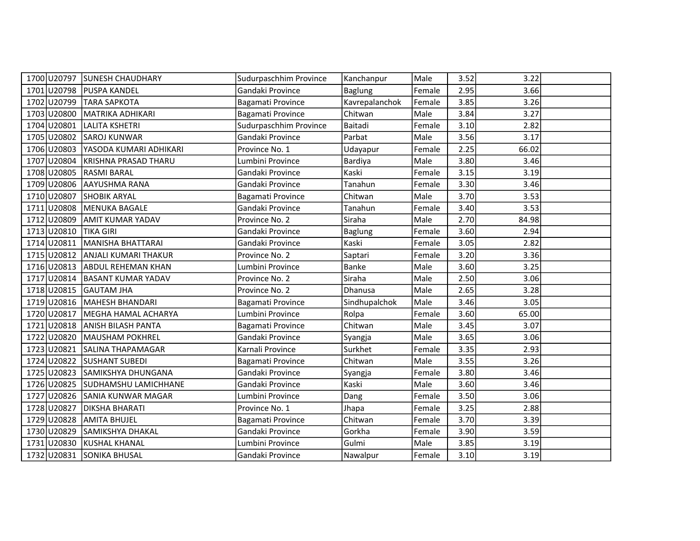|                        | 1700 U20797 SUNESH CHAUDHARY     | Sudurpaschhim Province | Kanchanpur     | Male   | 3.52 | 3.22  |  |
|------------------------|----------------------------------|------------------------|----------------|--------|------|-------|--|
|                        | 1701 U20798 PUSPA KANDEL         | Gandaki Province       | <b>Baglung</b> | Female | 2.95 | 3.66  |  |
| 1702 U20799            | <b>TARA SAPKOTA</b>              | Bagamati Province      | Kavrepalanchok | Female | 3.85 | 3.26  |  |
| 1703 U20800            | <b>MATRIKA ADHIKARI</b>          | Bagamati Province      | Chitwan        | Male   | 3.84 | 3.27  |  |
| 1704 U20801            | <b>LALITA KSHETRI</b>            | Sudurpaschhim Province | Baitadi        | Female | 3.10 | 2.82  |  |
| 1705 U20802            | <b>SAROJ KUNWAR</b>              | Gandaki Province       | Parbat         | Male   | 3.56 | 3.17  |  |
| 1706 U20803            | YASODA KUMARI ADHIKARI           | Province No. 1         | Udayapur       | Female | 2.25 | 66.02 |  |
|                        | 1707 U20804 KRISHNA PRASAD THARU | Lumbini Province       | Bardiya        | Male   | 3.80 | 3.46  |  |
| 1708 U20805            | <b>RASMI BARAL</b>               | Gandaki Province       | Kaski          | Female | 3.15 | 3.19  |  |
|                        | 1709 U20806 AAYUSHMA RANA        | Gandaki Province       | Tanahun        | Female | 3.30 | 3.46  |  |
|                        | 1710 U20807 SHOBIK ARYAL         | Bagamati Province      | Chitwan        | Male   | 3.70 | 3.53  |  |
| 1711 U20808            | MENUKA BAGALE                    | Gandaki Province       | Tanahun        | Female | 3.40 | 3.53  |  |
| 1712 U20809            | AMIT KUMAR YADAV                 | Province No. 2         | Siraha         | Male   | 2.70 | 84.98 |  |
| 1713 U20810            | <b>TIKA GIRI</b>                 | Gandaki Province       | <b>Baglung</b> | Female | 3.60 | 2.94  |  |
|                        | 1714 U20811 MANISHA BHATTARAI    | Gandaki Province       | Kaski          | Female | 3.05 | 2.82  |  |
|                        | 1715 U20812 ANJALI KUMARI THAKUR | Province No. 2         | Saptari        | Female | 3.20 | 3.36  |  |
|                        | 1716 U20813 ABDUL REHEMAN KHAN   | Lumbini Province       | Banke          | Male   | 3.60 | 3.25  |  |
|                        | 1717 U20814 BASANT KUMAR YADAV   | Province No. 2         | Siraha         | Male   | 2.50 | 3.06  |  |
| 1718 U20815 GAUTAM JHA |                                  | Province No. 2         | Dhanusa        | Male   | 2.65 | 3.28  |  |
| 1719 U20816            | MAHESH BHANDARI                  | Bagamati Province      | Sindhupalchok  | Male   | 3.46 | 3.05  |  |
| 1720 U20817            | MEGHA HAMAL ACHARYA              | Lumbini Province       | Rolpa          | Female | 3.60 | 65.00 |  |
|                        | 1721 U20818 ANISH BILASH PANTA   | Bagamati Province      | Chitwan        | Male   | 3.45 | 3.07  |  |
| 1722 U20820            | MAUSHAM POKHREL                  | Gandaki Province       | Syangja        | Male   | 3.65 | 3.06  |  |
|                        | 1723 U20821 SALINA THAPAMAGAR    | Karnali Province       | Surkhet        | Female | 3.35 | 2.93  |  |
| 1724 U20822            | <b>SUSHANT SUBEDI</b>            | Bagamati Province      | Chitwan        | Male   | 3.55 | 3.26  |  |
|                        | 1725 U20823 SAMIKSHYA DHUNGANA   | Gandaki Province       | Syangja        | Female | 3.80 | 3.46  |  |
| 1726 U20825            | ISUDHAMSHU LAMICHHANE            | Gandaki Province       | Kaski          | Male   | 3.60 | 3.46  |  |
|                        | 1727 U20826 SANIA KUNWAR MAGAR   | Lumbini Province       | Dang           | Female | 3.50 | 3.06  |  |
| 1728 U20827            | <b>DIKSHA BHARATI</b>            | Province No. 1         | Jhapa          | Female | 3.25 | 2.88  |  |
|                        | 1729 U20828 AMITA BHUJEL         | Bagamati Province      | Chitwan        | Female | 3.70 | 3.39  |  |
| 1730 U20829            | SAMIKSHYA DHAKAL                 | Gandaki Province       | Gorkha         | Female | 3.90 | 3.59  |  |
| 1731 U20830            | <b>KUSHAL KHANAL</b>             | Lumbini Province       | Gulmi          | Male   | 3.85 | 3.19  |  |
|                        | 1732 U20831 SONIKA BHUSAL        | Gandaki Province       | Nawalpur       | Female | 3.10 | 3.19  |  |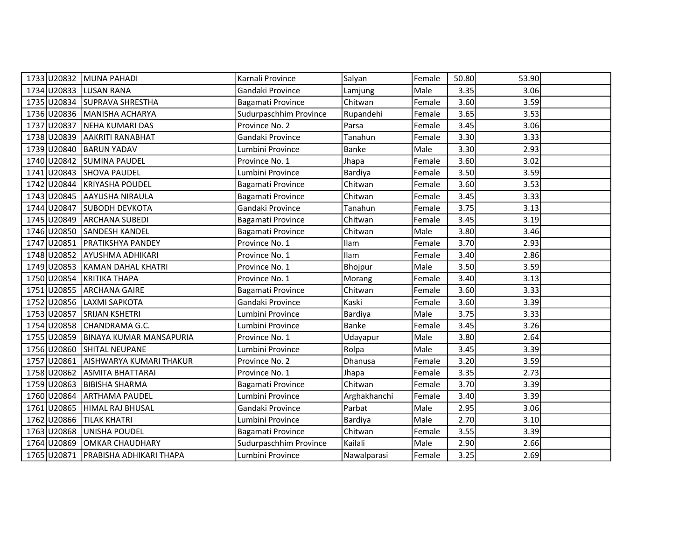|                          | 1733 U20832 MUNA PAHADI             | Karnali Province       | Salyan       | Female | 50.80 | 53.90 |  |
|--------------------------|-------------------------------------|------------------------|--------------|--------|-------|-------|--|
| 1734 U20833 LUSAN RANA   |                                     | Gandaki Province       | Lamjung      | Male   | 3.35  | 3.06  |  |
|                          | 1735 U20834 SUPRAVA SHRESTHA        | Bagamati Province      | Chitwan      | Female | 3.60  | 3.59  |  |
|                          | 1736 U20836 MANISHA ACHARYA         | Sudurpaschhim Province | Rupandehi    | Female | 3.65  | 3.53  |  |
| 1737 U20837              | NEHA KUMARI DAS                     | Province No. 2         | Parsa        | Female | 3.45  | 3.06  |  |
|                          | 1738 U20839 AAKRITI RANABHAT        | Gandaki Province       | Tanahun      | Female | 3.30  | 3.33  |  |
|                          | 1739 U20840 BARUN YADAV             | Lumbini Province       | <b>Banke</b> | Male   | 3.30  | 2.93  |  |
|                          | 1740 U20842 SUMINA PAUDEL           | Province No. 1         | Jhapa        | Female | 3.60  | 3.02  |  |
|                          | 1741 U20843 SHOVA PAUDEL            | Lumbini Province       | Bardiya      | Female | 3.50  | 3.59  |  |
|                          | 1742 U20844 KRIYASHA POUDEL         | Bagamati Province      | Chitwan      | Female | 3.60  | 3.53  |  |
|                          | 1743 U20845 AAYUSHA NIRAULA         | Bagamati Province      | Chitwan      | Female | 3.45  | 3.33  |  |
|                          | 1744 U20847 SUBODH DEVKOTA          | Gandaki Province       | Tanahun      | Female | 3.75  | 3.13  |  |
|                          | 1745 U20849 ARCHANA SUBEDI          | Bagamati Province      | Chitwan      | Female | 3.45  | 3.19  |  |
|                          | 1746 U20850 SANDESH KANDEL          | Bagamati Province      | Chitwan      | Male   | 3.80  | 3.46  |  |
|                          | 1747 U20851 PRATIKSHYA PANDEY       | Province No. 1         | Ilam         | Female | 3.70  | 2.93  |  |
|                          | 1748 U20852 AYUSHMA ADHIKARI        | Province No. 1         | Ilam         | Female | 3.40  | 2.86  |  |
|                          | 1749 U20853 KAMAN DAHAL KHATRI      | Province No. 1         | Bhojpur      | Male   | 3.50  | 3.59  |  |
|                          | 1750 U20854 KRITIKA THAPA           | Province No. 1         | Morang       | Female | 3.40  | 3.13  |  |
|                          | 1751 U20855 ARCHANA GAIRE           | Bagamati Province      | Chitwan      | Female | 3.60  | 3.33  |  |
| 1752 U20856              | LAXMI SAPKOTA                       | Gandaki Province       | Kaski        | Female | 3.60  | 3.39  |  |
|                          | 1753 U20857 SRIJAN KSHETRI          | Lumbini Province       | Bardiya      | Male   | 3.75  | 3.33  |  |
|                          | 1754 U20858 CHANDRAMA G.C.          | Lumbini Province       | Banke        | Female | 3.45  | 3.26  |  |
|                          | 1755 U20859 BINAYA KUMAR MANSAPURIA | Province No. 1         | Udayapur     | Male   | 3.80  | 2.64  |  |
|                          | 1756 U20860 SHITAL NEUPANE          | Lumbini Province       | Rolpa        | Male   | 3.45  | 3.39  |  |
|                          | 1757 U20861 AISHWARYA KUMARI THAKUR | Province No. 2         | Dhanusa      | Female | 3.20  | 3.59  |  |
|                          | 1758 U20862 ASMITA BHATTARAI        | Province No. 1         | Jhapa        | Female | 3.35  | 2.73  |  |
| 1759 U20863              | <b>BIBISHA SHARMA</b>               | Bagamati Province      | Chitwan      | Female | 3.70  | 3.39  |  |
| 1760 U20864              | <b>ARTHAMA PAUDEL</b>               | Lumbini Province       | Arghakhanchi | Female | 3.40  | 3.39  |  |
|                          | 1761 U20865 HIMAL RAJ BHUSAL        | Gandaki Province       | Parbat       | Male   | 2.95  | 3.06  |  |
| 1762 U20866 TILAK KHATRI |                                     | Lumbini Province       | Bardiya      | Male   | 2.70  | 3.10  |  |
| 1763 U20868              | UNISHA POUDEL                       | Bagamati Province      | Chitwan      | Female | 3.55  | 3.39  |  |
| 1764 U20869              | OMKAR CHAUDHARY                     | Sudurpaschhim Province | Kailali      | Male   | 2.90  | 2.66  |  |
|                          | 1765 U20871 PRABISHA ADHIKARI THAPA | Lumbini Province       | Nawalparasi  | Female | 3.25  | 2.69  |  |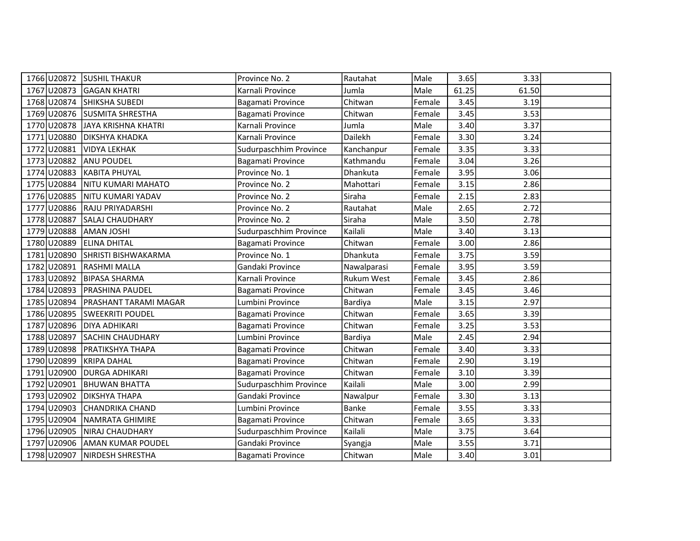|             | 1766 U20872 SUSHIL THAKUR    | Province No. 2         | Rautahat          | Male   | 3.65  | 3.33  |  |
|-------------|------------------------------|------------------------|-------------------|--------|-------|-------|--|
| 1767 U20873 | <b>GAGAN KHATRI</b>          | Karnali Province       | Jumla             | Male   | 61.25 | 61.50 |  |
| 1768 U20874 | <b>SHIKSHA SUBEDI</b>        | Bagamati Province      | Chitwan           | Female | 3.45  | 3.19  |  |
|             | 1769 U20876 SUSMITA SHRESTHA | Bagamati Province      | Chitwan           | Female | 3.45  | 3.53  |  |
| 1770 U20878 | JAYA KRISHNA KHATRI          | Karnali Province       | Jumla             | Male   | 3.40  | 3.37  |  |
| 1771 U20880 | <b>DIKSHYA KHADKA</b>        | Karnali Province       | Dailekh           | Female | 3.30  | 3.24  |  |
| 1772 U20881 | <b>VIDYA LEKHAK</b>          | Sudurpaschhim Province | Kanchanpur        | Female | 3.35  | 3.33  |  |
| 1773 U20882 | <b>ANU POUDEL</b>            | Bagamati Province      | Kathmandu         | Female | 3.04  | 3.26  |  |
| 1774 U20883 | KABITA PHUYAL                | Province No. 1         | Dhankuta          | Female | 3.95  | 3.06  |  |
| 1775 U20884 | NITU KUMARI MAHATO           | Province No. 2         | Mahottari         | Female | 3.15  | 2.86  |  |
| 1776 U20885 | NITU KUMARI YADAV            | Province No. 2         | Siraha            | Female | 2.15  | 2.83  |  |
| 1777 U20886 | <b>RAJU PRIYADARSHI</b>      | Province No. 2         | Rautahat          | Male   | 2.65  | 2.72  |  |
| 1778 U20887 | SALAJ CHAUDHARY              | Province No. 2         | Siraha            | Male   | 3.50  | 2.78  |  |
| 1779 U20888 | <b>AMAN JOSHI</b>            | Sudurpaschhim Province | Kailali           | Male   | 3.40  | 3.13  |  |
| 1780 U20889 | <b>ELINA DHITAL</b>          | Bagamati Province      | Chitwan           | Female | 3.00  | 2.86  |  |
| 1781 U20890 | SHRISTI BISHWAKARMA          | Province No. 1         | Dhankuta          | Female | 3.75  | 3.59  |  |
| 1782 U20891 | <b>RASHMI MALLA</b>          | Gandaki Province       | Nawalparasi       | Female | 3.95  | 3.59  |  |
| 1783 U20892 | <b>BIPASA SHARMA</b>         | Karnali Province       | <b>Rukum West</b> | Female | 3.45  | 2.86  |  |
| 1784 U20893 | <b>PRASHINA PAUDEL</b>       | Bagamati Province      | Chitwan           | Female | 3.45  | 3.46  |  |
| 1785 U20894 | PRASHANT TARAMI MAGAR        | Lumbini Province       | Bardiya           | Male   | 3.15  | 2.97  |  |
| 1786 U20895 | <b>SWEEKRITI POUDEL</b>      | Bagamati Province      | Chitwan           | Female | 3.65  | 3.39  |  |
|             | 1787 U20896 DIYA ADHIKARI    | Bagamati Province      | Chitwan           | Female | 3.25  | 3.53  |  |
|             | 1788 U20897 SACHIN CHAUDHARY | Lumbini Province       | Bardiya           | Male   | 2.45  | 2.94  |  |
| 1789 U20898 | <b>PRATIKSHYA THAPA</b>      | Bagamati Province      | Chitwan           | Female | 3.40  | 3.33  |  |
| 1790 U20899 | <b>KRIPA DAHAL</b>           | Bagamati Province      | Chitwan           | Female | 2.90  | 3.19  |  |
| 1791 U20900 | DURGA ADHIKARI               | Bagamati Province      | Chitwan           | Female | 3.10  | 3.39  |  |
| 1792 U20901 | <b>BHUWAN BHATTA</b>         | Sudurpaschhim Province | Kailali           | Male   | 3.00  | 2.99  |  |
| 1793 U20902 | <b>DIKSHYA THAPA</b>         | Gandaki Province       | Nawalpur          | Female | 3.30  | 3.13  |  |
| 1794 U20903 | <b>CHANDRIKA CHAND</b>       | Lumbini Province       | Banke             | Female | 3.55  | 3.33  |  |
| 1795 U20904 | NAMRATA GHIMIRE              | Bagamati Province      | Chitwan           | Female | 3.65  | 3.33  |  |
| 1796 U20905 | NIRAJ CHAUDHARY              | Sudurpaschhim Province | Kailali           | Male   | 3.75  | 3.64  |  |
| 1797 U20906 | <b>AMAN KUMAR POUDEL</b>     | Gandaki Province       | Syangja           | Male   | 3.55  | 3.71  |  |
|             | 1798 U20907 NIRDESH SHRESTHA | Bagamati Province      | Chitwan           | Male   | 3.40  | 3.01  |  |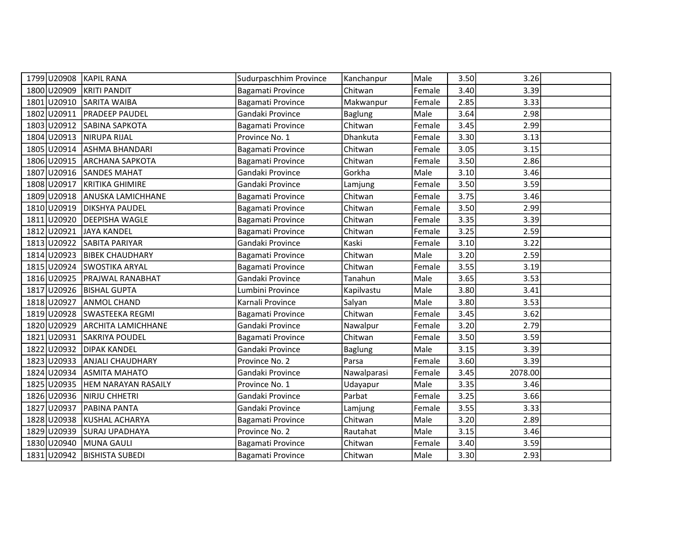| 1799 U20908 KAPIL RANA |                                | Sudurpaschhim Province | Kanchanpur     | Male   | 3.50 | 3.26    |  |
|------------------------|--------------------------------|------------------------|----------------|--------|------|---------|--|
| 1800 U20909            | <b>KRITI PANDIT</b>            | Bagamati Province      | Chitwan        | Female | 3.40 | 3.39    |  |
|                        | 1801 U20910 SARITA WAIBA       | Bagamati Province      | Makwanpur      | Female | 2.85 | 3.33    |  |
| 1802 U20911            | <b>PRADEEP PAUDEL</b>          | Gandaki Province       | <b>Baglung</b> | Male   | 3.64 | 2.98    |  |
| 1803 U20912            | <b>SABINA SAPKOTA</b>          | Bagamati Province      | Chitwan        | Female | 3.45 | 2.99    |  |
| 1804 U20913            | <b>NIRUPA RIJAL</b>            | Province No. 1         | Dhankuta       | Female | 3.30 | 3.13    |  |
|                        | 1805 U20914 ASHMA BHANDARI     | Bagamati Province      | Chitwan        | Female | 3.05 | 3.15    |  |
|                        | 1806 U20915 ARCHANA SAPKOTA    | Bagamati Province      | Chitwan        | Female | 3.50 | 2.86    |  |
|                        | 1807 U20916 SANDES MAHAT       | Gandaki Province       | Gorkha         | Male   | 3.10 | 3.46    |  |
|                        | 1808 U20917 KRITIKA GHIMIRE    | Gandaki Province       | Lamjung        | Female | 3.50 | 3.59    |  |
|                        | 1809 U20918 ANUSKA LAMICHHANE  | Bagamati Province      | Chitwan        | Female | 3.75 | 3.46    |  |
| 1810 U20919            | <b>DIKSHYA PAUDEL</b>          | Bagamati Province      | Chitwan        | Female | 3.50 | 2.99    |  |
| 1811 U20920            | <b>DEEPISHA WAGLE</b>          | Bagamati Province      | Chitwan        | Female | 3.35 | 3.39    |  |
| 1812 U20921            | JAYA KANDEL                    | Bagamati Province      | Chitwan        | Female | 3.25 | 2.59    |  |
|                        | 1813 U20922 SABITA PARIYAR     | Gandaki Province       | Kaski          | Female | 3.10 | 3.22    |  |
|                        | 1814 U20923 BIBEK CHAUDHARY    | Bagamati Province      | Chitwan        | Male   | 3.20 | 2.59    |  |
|                        | 1815 U20924 SWOSTIKA ARYAL     | Bagamati Province      | Chitwan        | Female | 3.55 | 3.19    |  |
|                        | 1816 U20925 PRAJWAL RANABHAT   | Gandaki Province       | Tanahun        | Male   | 3.65 | 3.53    |  |
|                        | 1817 U20926 BISHAL GUPTA       | Lumbini Province       | Kapilvastu     | Male   | 3.80 | 3.41    |  |
| 1818 U20927            | lanmol CHAND                   | Karnali Province       | Salyan         | Male   | 3.80 | 3.53    |  |
|                        | 1819 U20928 SWASTEEKA REGMI    | Bagamati Province      | Chitwan        | Female | 3.45 | 3.62    |  |
|                        | 1820 U20929 ARCHITA LAMICHHANE | Gandaki Province       | Nawalpur       | Female | 3.20 | 2.79    |  |
| 1821 U20931            | <b>SAKRIYA POUDEL</b>          | Bagamati Province      | Chitwan        | Female | 3.50 | 3.59    |  |
|                        | 1822 U20932 DIPAK KANDEL       | Gandaki Province       | <b>Baglung</b> | Male   | 3.15 | 3.39    |  |
|                        | 1823 U20933 ANJALI CHAUDHARY   | Province No. 2         | Parsa          | Female | 3.60 | 3.39    |  |
|                        | 1824 U20934 ASMITA MAHATO      | Gandaki Province       | Nawalparasi    | Female | 3.45 | 2078.00 |  |
| 1825 U20935            | HEM NARAYAN RASAILY            | Province No. 1         | Udayapur       | Male   | 3.35 | 3.46    |  |
| 1826 U20936            | NIRJU CHHETRI                  | Gandaki Province       | Parbat         | Female | 3.25 | 3.66    |  |
| 1827 U20937            | <b>PABINA PANTA</b>            | Gandaki Province       | Lamjung        | Female | 3.55 | 3.33    |  |
|                        | 1828 U20938 KUSHAL ACHARYA     | Bagamati Province      | Chitwan        | Male   | 3.20 | 2.89    |  |
|                        | 1829 U20939 SURAJ UPADHAYA     | Province No. 2         | Rautahat       | Male   | 3.15 | 3.46    |  |
| 1830 U20940            | MUNA GAULI                     | Bagamati Province      | Chitwan        | Female | 3.40 | 3.59    |  |
|                        | 1831 U20942   BISHISTA SUBEDI  | Bagamati Province      | Chitwan        | Male   | 3.30 | 2.93    |  |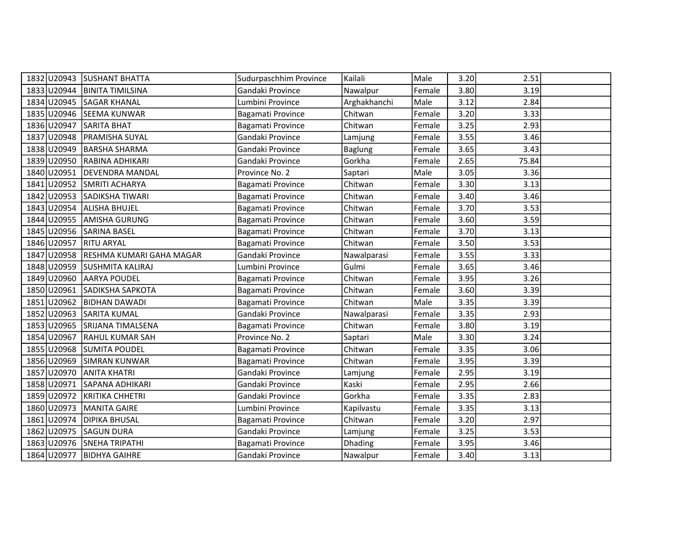| 1832 U20943 | <b>SUSHANT BHATTA</b>        | Sudurpaschhim Province | Kailali        | Male   | 3.20 | 2.51  |  |
|-------------|------------------------------|------------------------|----------------|--------|------|-------|--|
| 1833 U20944 | <b>BINITA TIMILSINA</b>      | Gandaki Province       | Nawalpur       | Female | 3.80 | 3.19  |  |
| 1834 U20945 | <b>SAGAR KHANAL</b>          | Lumbini Province       | Arghakhanchi   | Male   | 3.12 | 2.84  |  |
| 1835 U20946 | <b>SEEMA KUNWAR</b>          | Bagamati Province      | Chitwan        | Female | 3.20 | 3.33  |  |
| 1836 U20947 | SARITA BHAT                  | Bagamati Province      | Chitwan        | Female | 3.25 | 2.93  |  |
| 1837 U20948 | <b>PRAMISHA SUYAL</b>        | Gandaki Province       | Lamjung        | Female | 3.55 | 3.46  |  |
| 1838 U20949 | BARSHA SHARMA                | Gandaki Province       | <b>Baglung</b> | Female | 3.65 | 3.43  |  |
| 1839 U20950 | RABINA ADHIKARI              | Gandaki Province       | Gorkha         | Female | 2.65 | 75.84 |  |
| 1840 U20951 | DEVENDRA MANDAL              | Province No. 2         | Saptari        | Male   | 3.05 | 3.36  |  |
| 1841 U20952 | SMRITI ACHARYA               | Bagamati Province      | Chitwan        | Female | 3.30 | 3.13  |  |
|             | 1842 U20953 SADIKSHA TIWARI  | Bagamati Province      | Chitwan        | Female | 3.40 | 3.46  |  |
| 1843 U20954 | <b>ALISHA BHUJEL</b>         | Bagamati Province      | Chitwan        | Female | 3.70 | 3.53  |  |
| 1844 U20955 | <b>AMISHA GURUNG</b>         | Bagamati Province      | Chitwan        | Female | 3.60 | 3.59  |  |
| 1845 U20956 | <b>SARINA BASEL</b>          | Bagamati Province      | Chitwan        | Female | 3.70 | 3.13  |  |
| 1846 U20957 | <b>RITU ARYAL</b>            | Bagamati Province      | Chitwan        | Female | 3.50 | 3.53  |  |
| 1847 U20958 | RESHMA KUMARI GAHA MAGAR     | Gandaki Province       | Nawalparasi    | Female | 3.55 | 3.33  |  |
|             | 1848 U20959 SUSHMITA KALIRAJ | Lumbini Province       | Gulmi          | Female | 3.65 | 3.46  |  |
| 1849 U20960 | <b>AARYA POUDEL</b>          | Bagamati Province      | Chitwan        | Female | 3.95 | 3.26  |  |
| 1850 U20961 | SADIKSHA SAPKOTA             | Bagamati Province      | Chitwan        | Female | 3.60 | 3.39  |  |
| 1851 U20962 | <b>BIDHAN DAWADI</b>         | Bagamati Province      | Chitwan        | Male   | 3.35 | 3.39  |  |
| 1852 U20963 | <b>SARITA KUMAL</b>          | Gandaki Province       | Nawalparasi    | Female | 3.35 | 2.93  |  |
| 1853 U20965 | <b>SRIJANA TIMALSENA</b>     | Bagamati Province      | Chitwan        | Female | 3.80 | 3.19  |  |
| 1854 U20967 | <b>RAHUL KUMAR SAH</b>       | Province No. 2         | Saptari        | Male   | 3.30 | 3.24  |  |
|             | 1855 U20968 SUMITA POUDEL    | Bagamati Province      | Chitwan        | Female | 3.35 | 3.06  |  |
| 1856 U20969 | <b>SIMRAN KUNWAR</b>         | Bagamati Province      | Chitwan        | Female | 3.95 | 3.39  |  |
| 1857 U20970 | <b>ANITA KHATRI</b>          | Gandaki Province       | Lamjung        | Female | 2.95 | 3.19  |  |
| 1858 U20971 | SAPANA ADHIKARI              | Gandaki Province       | Kaski          | Female | 2.95 | 2.66  |  |
| 1859 U20972 | KRITIKA CHHETRI              | Gandaki Province       | Gorkha         | Female | 3.35 | 2.83  |  |
| 1860 U20973 | MANITA GAIRE                 | Lumbini Province       | Kapilvastu     | Female | 3.35 | 3.13  |  |
| 1861 U20974 | <b>DIPIKA BHUSAL</b>         | Bagamati Province      | Chitwan        | Female | 3.20 | 2.97  |  |
| 1862 U20975 | <b>SAGUN DURA</b>            | Gandaki Province       | Lamjung        | Female | 3.25 | 3.53  |  |
| 1863 U20976 | <b>SNEHA TRIPATHI</b>        | Bagamati Province      | <b>Dhading</b> | Female | 3.95 | 3.46  |  |
| 1864 U20977 | <b>BIDHYA GAIHRE</b>         | Gandaki Province       | Nawalpur       | Female | 3.40 | 3.13  |  |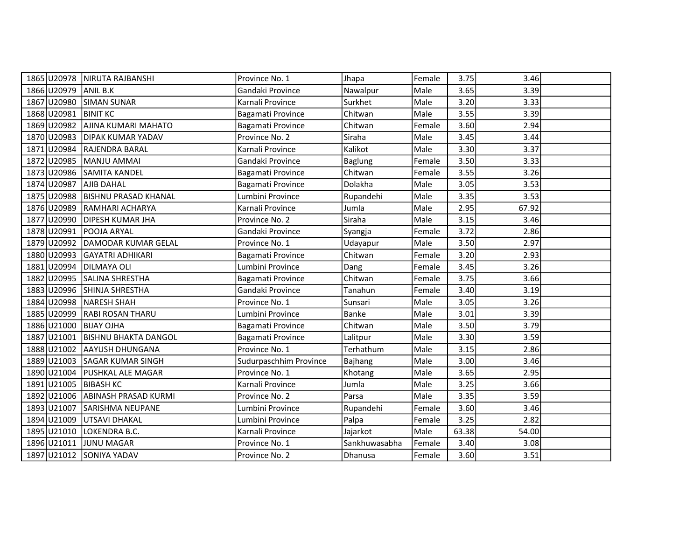|                         | 1865 U20978 NIRUTA RAJBANSHI       | Province No. 1         | Jhapa          | Female | 3.75  | 3.46  |  |
|-------------------------|------------------------------------|------------------------|----------------|--------|-------|-------|--|
| 1866 U20979 ANIL B.K    |                                    | Gandaki Province       | Nawalpur       | Male   | 3.65  | 3.39  |  |
|                         | 1867 U20980 SIMAN SUNAR            | Karnali Province       | Surkhet        | Male   | 3.20  | 3.33  |  |
| 1868 U20981             | <b>BINIT KC</b>                    | Bagamati Province      | Chitwan        | Male   | 3.55  | 3.39  |  |
| 1869 U20982             | AJINA KUMARI MAHATO                | Bagamati Province      | Chitwan        | Female | 3.60  | 2.94  |  |
| 1870 U20983             | <b>DIPAK KUMAR YADAV</b>           | Province No. 2         | Siraha         | Male   | 3.45  | 3.44  |  |
|                         | 1871 U20984 RAJENDRA BARAL         | Karnali Province       | Kalikot        | Male   | 3.30  | 3.37  |  |
|                         | 1872 U20985 MANJU AMMAI            | Gandaki Province       | <b>Baglung</b> | Female | 3.50  | 3.33  |  |
|                         | 1873 U20986 SAMITA KANDEL          | Bagamati Province      | Chitwan        | Female | 3.55  | 3.26  |  |
| 1874 U20987 AJIB DAHAL  |                                    | Bagamati Province      | Dolakha        | Male   | 3.05  | 3.53  |  |
|                         | 1875 U20988   BISHNU PRASAD KHANAL | Lumbini Province       | Rupandehi      | Male   | 3.35  | 3.53  |  |
| 1876 U20989             | RAMHARI ACHARYA                    | Karnali Province       | Jumla          | Male   | 2.95  | 67.92 |  |
| 1877 U20990             | <b>DIPESH KUMAR JHA</b>            | Province No. 2         | Siraha         | Male   | 3.15  | 3.46  |  |
| 1878 U20991             | POOJA ARYAL                        | Gandaki Province       | Syangja        | Female | 3.72  | 2.86  |  |
|                         | 1879 U20992 DAMODAR KUMAR GELAL    | Province No. 1         | Udayapur       | Male   | 3.50  | 2.97  |  |
| 1880 U20993             | GAYATRI ADHIKARI                   | Bagamati Province      | Chitwan        | Female | 3.20  | 2.93  |  |
| 1881 U20994 DILMAYA OLI |                                    | Lumbini Province       | Dang           | Female | 3.45  | 3.26  |  |
|                         | 1882 U20995 SALINA SHRESTHA        | Bagamati Province      | Chitwan        | Female | 3.75  | 3.66  |  |
|                         | 1883 U20996 SHINJA SHRESTHA        | Gandaki Province       | Tanahun        | Female | 3.40  | 3.19  |  |
| 1884 U20998             | NARESH SHAH                        | Province No. 1         | Sunsari        | Male   | 3.05  | 3.26  |  |
|                         | 1885 U20999 RABI ROSAN THARU       | Lumbini Province       | <b>Banke</b>   | Male   | 3.01  | 3.39  |  |
| 1886 U21000 BIJAY OJHA  |                                    | Bagamati Province      | Chitwan        | Male   | 3.50  | 3.79  |  |
|                         | 1887 U21001 BISHNU BHAKTA DANGOL   | Bagamati Province      | Lalitpur       | Male   | 3.30  | 3.59  |  |
|                         | 1888 U21002 AAYUSH DHUNGANA        | Province No. 1         | Terhathum      | Male   | 3.15  | 2.86  |  |
|                         | 1889 U21003 SAGAR KUMAR SINGH      | Sudurpaschhim Province | Bajhang        | Male   | 3.00  | 3.46  |  |
|                         | 1890 U21004   PUSHKAL ALE MAGAR    | Province No. 1         | Khotang        | Male   | 3.65  | 2.95  |  |
| 1891 U21005             | <b>BIBASH KC</b>                   | Karnali Province       | Jumla          | Male   | 3.25  | 3.66  |  |
|                         | 1892 U21006 ABINASH PRASAD KURMI   | Province No. 2         | Parsa          | Male   | 3.35  | 3.59  |  |
|                         | 1893 U21007 SARISHMA NEUPANE       | Lumbini Province       | Rupandehi      | Female | 3.60  | 3.46  |  |
|                         | 1894 U21009 UTSAVI DHAKAL          | Lumbini Province       | Palpa          | Female | 3.25  | 2.82  |  |
| 1895 U21010             | LOKENDRA B.C.                      | Karnali Province       | Jajarkot       | Male   | 63.38 | 54.00 |  |
| 1896 U21011             | JUNU MAGAR                         | Province No. 1         | Sankhuwasabha  | Female | 3.40  | 3.08  |  |
|                         | 1897 U21012 SONIYA YADAV           | Province No. 2         | Dhanusa        | Female | 3.60  | 3.51  |  |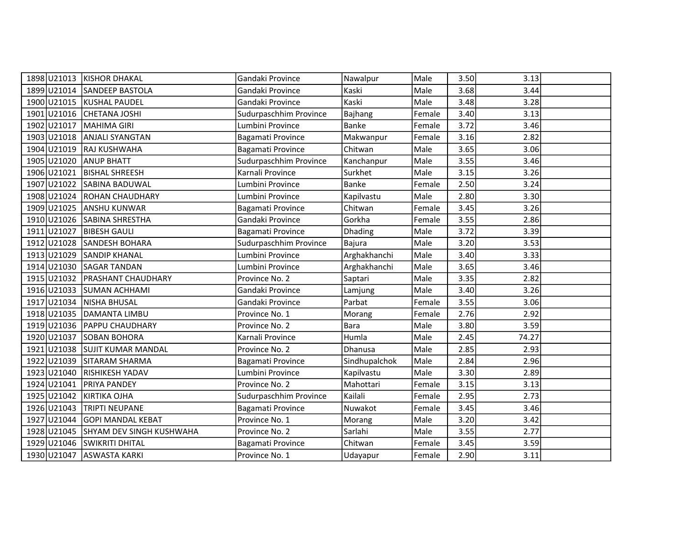|                        | 1898 U21013 KISHOR DHAKAL       | Gandaki Province       | Nawalpur       | Male   | 3.50 | 3.13  |  |
|------------------------|---------------------------------|------------------------|----------------|--------|------|-------|--|
|                        | 1899 U21014 SANDEEP BASTOLA     | Gandaki Province       | Kaski          | Male   | 3.68 | 3.44  |  |
|                        | 1900 U21015 KUSHAL PAUDEL       | Gandaki Province       | Kaski          | Male   | 3.48 | 3.28  |  |
|                        | 1901 U21016 CHETANA JOSHI       | Sudurpaschhim Province | <b>Bajhang</b> | Female | 3.40 | 3.13  |  |
| 1902 U21017            | MAHIMA GIRI                     | Lumbini Province       | Banke          | Female | 3.72 | 3.46  |  |
| 1903 U21018            | <b>ANJALI SYANGTAN</b>          | Bagamati Province      | Makwanpur      | Female | 3.16 | 2.82  |  |
|                        | 1904 U21019 RAJ KUSHWAHA        | Bagamati Province      | Chitwan        | Male   | 3.65 | 3.06  |  |
| 1905 U21020 ANUP BHATT |                                 | Sudurpaschhim Province | Kanchanpur     | Male   | 3.55 | 3.46  |  |
| 1906 U21021            | <b>BISHAL SHREESH</b>           | Karnali Province       | Surkhet        | Male   | 3.15 | 3.26  |  |
| 1907 U21022            | SABINA BADUWAL                  | Lumbini Province       | Banke          | Female | 2.50 | 3.24  |  |
|                        | 1908 U21024 ROHAN CHAUDHARY     | Lumbini Province       | Kapilvastu     | Male   | 2.80 | 3.30  |  |
| 1909 U21025            | <b>ANSHU KUNWAR</b>             | Bagamati Province      | Chitwan        | Female | 3.45 | 3.26  |  |
|                        | 1910 U21026 SABINA SHRESTHA     | Gandaki Province       | Gorkha         | Female | 3.55 | 2.86  |  |
| 1911 U21027            | <b>BIBESH GAULI</b>             | Bagamati Province      | <b>Dhading</b> | Male   | 3.72 | 3.39  |  |
|                        | 1912 U21028 SANDESH BOHARA      | Sudurpaschhim Province | Bajura         | Male   | 3.20 | 3.53  |  |
| 1913 U21029            | <b>SANDIP KHANAL</b>            | Lumbini Province       | Arghakhanchi   | Male   | 3.40 | 3.33  |  |
|                        | 1914 U21030 SAGAR TANDAN        | Lumbini Province       | Arghakhanchi   | Male   | 3.65 | 3.46  |  |
|                        | 1915 U21032 PRASHANT CHAUDHARY  | Province No. 2         | Saptari        | Male   | 3.35 | 2.82  |  |
|                        | 1916 U21033 SUMAN ACHHAMI       | Gandaki Province       | Lamjung        | Male   | 3.40 | 3.26  |  |
| 1917 U21034            | NISHA BHUSAL                    | Gandaki Province       | Parbat         | Female | 3.55 | 3.06  |  |
|                        | 1918 U21035 DAMANTA LIMBU       | Province No. 1         | Morang         | Female | 2.76 | 2.92  |  |
|                        | 1919 U21036 PAPPU CHAUDHARY     | Province No. 2         | <b>Bara</b>    | Male   | 3.80 | 3.59  |  |
| 1920 U21037            | <b>SOBAN BOHORA</b>             | Karnali Province       | Humla          | Male   | 2.45 | 74.27 |  |
|                        | 1921 U21038 SUJIT KUMAR MANDAL  | Province No. 2         | Dhanusa        | Male   | 2.85 | 2.93  |  |
|                        | 1922 U21039 SITARAM SHARMA      | Bagamati Province      | Sindhupalchok  | Male   | 2.84 | 2.96  |  |
|                        | 1923 U21040 RISHIKESH YADAV     | Lumbini Province       | Kapilvastu     | Male   | 3.30 | 2.89  |  |
| 1924 U21041            | <b>PRIYA PANDEY</b>             | Province No. 2         | Mahottari      | Female | 3.15 | 3.13  |  |
| 1925 U21042            | KIRTIKA OJHA                    | Sudurpaschhim Province | Kailali        | Female | 2.95 | 2.73  |  |
| 1926 U21043            | <b>TRIPTI NEUPANE</b>           | Bagamati Province      | Nuwakot        | Female | 3.45 | 3.46  |  |
|                        | 1927 U21044 GOPI MANDAL KEBAT   | Province No. 1         | Morang         | Male   | 3.20 | 3.42  |  |
| 1928 U21045            | <b>SHYAM DEV SINGH KUSHWAHA</b> | Province No. 2         | Sarlahi        | Male   | 3.55 | 2.77  |  |
|                        | 1929 U21046 SWIKRITI DHITAL     | Bagamati Province      | Chitwan        | Female | 3.45 | 3.59  |  |
|                        | 1930 U21047 ASWASTA KARKI       | Province No. 1         | Udayapur       | Female | 2.90 | 3.11  |  |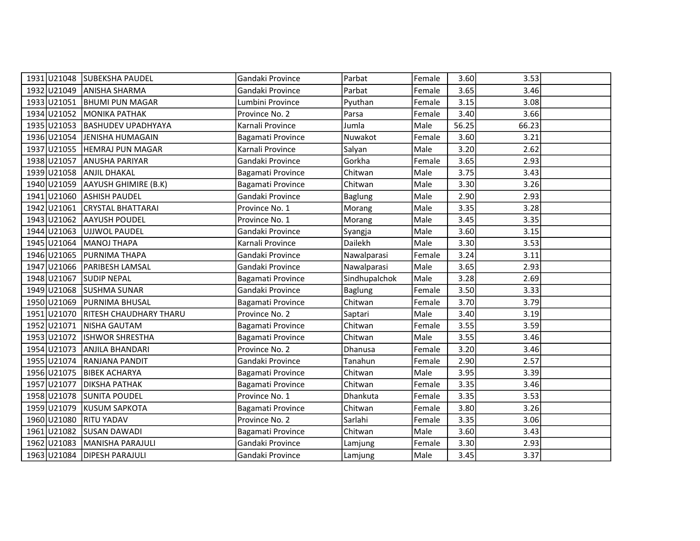|                        | 1931 U21048 SUBEKSHA PAUDEL      | Gandaki Province  | Parbat         | Female | 3.60  | 3.53  |  |
|------------------------|----------------------------------|-------------------|----------------|--------|-------|-------|--|
|                        | 1932 U21049 ANISHA SHARMA        | Gandaki Province  | Parbat         | Female | 3.65  | 3.46  |  |
|                        | 1933 U21051 BHUMI PUN MAGAR      | Lumbini Province  | Pyuthan        | Female | 3.15  | 3.08  |  |
|                        | 1934 U21052 MONIKA PATHAK        | Province No. 2    | Parsa          | Female | 3.40  | 3.66  |  |
| 1935 U21053            | <b>BASHUDEV UPADHYAYA</b>        | Karnali Province  | Jumla          | Male   | 56.25 | 66.23 |  |
| 1936 U21054            | <b>JENISHA HUMAGAIN</b>          | Bagamati Province | Nuwakot        | Female | 3.60  | 3.21  |  |
| 1937 U21055            | <b>HEMRAJ PUN MAGAR</b>          | Karnali Province  | Salyan         | Male   | 3.20  | 2.62  |  |
| 1938 U21057            | <b>ANUSHA PARIYAR</b>            | Gandaki Province  | Gorkha         | Female | 3.65  | 2.93  |  |
| 1939 U21058            | <b>ANJIL DHAKAL</b>              | Bagamati Province | Chitwan        | Male   | 3.75  | 3.43  |  |
|                        | 1940 U21059 AAYUSH GHIMIRE (B.K) | Bagamati Province | Chitwan        | Male   | 3.30  | 3.26  |  |
|                        | 1941 U21060 ASHISH PAUDEL        | Gandaki Province  | <b>Baglung</b> | Male   | 2.90  | 2.93  |  |
| 1942 U21061            | <b>CRYSTAL BHATTARAI</b>         | Province No. 1    | Morang         | Male   | 3.35  | 3.28  |  |
| 1943 U21062            | <b>AAYUSH POUDEL</b>             | Province No. 1    | Morang         | Male   | 3.45  | 3.35  |  |
| 1944 U21063            | <b>UJJWOL PAUDEL</b>             | Gandaki Province  | Syangja        | Male   | 3.60  | 3.15  |  |
|                        | 1945 U21064 MANOJ THAPA          | Karnali Province  | Dailekh        | Male   | 3.30  | 3.53  |  |
| 1946 U21065            | <b>PURNIMA THAPA</b>             | Gandaki Province  | Nawalparasi    | Female | 3.24  | 3.11  |  |
| 1947 U21066            | <b>PARIBESH LAMSAL</b>           | Gandaki Province  | Nawalparasi    | Male   | 3.65  | 2.93  |  |
| 1948 U21067            | <b>SUDIP NEPAL</b>               | Bagamati Province | Sindhupalchok  | Male   | 3.28  | 2.69  |  |
|                        | 1949 U21068 SUSHMA SUNAR         | Gandaki Province  | <b>Baglung</b> | Female | 3.50  | 3.33  |  |
| 1950 U21069            | PURNIMA BHUSAL                   | Bagamati Province | Chitwan        | Female | 3.70  | 3.79  |  |
| 1951 U21070            | <b>RITESH CHAUDHARY THARU</b>    | Province No. 2    | Saptari        | Male   | 3.40  | 3.19  |  |
|                        | 1952 U21071 NISHA GAUTAM         | Bagamati Province | Chitwan        | Female | 3.55  | 3.59  |  |
| 1953 U21072            | <b>ISHWOR SHRESTHA</b>           | Bagamati Province | Chitwan        | Male   | 3.55  | 3.46  |  |
| 1954 U21073            | <b>ANJILA BHANDARI</b>           | Province No. 2    | Dhanusa        | Female | 3.20  | 3.46  |  |
|                        | 1955 U21074 RANJANA PANDIT       | Gandaki Province  | Tanahun        | Female | 2.90  | 2.57  |  |
| 1956 U21075            | <b>BIBEK ACHARYA</b>             | Bagamati Province | Chitwan        | Male   | 3.95  | 3.39  |  |
| 1957 U21077            | <b>DIKSHA PATHAK</b>             | Bagamati Province | Chitwan        | Female | 3.35  | 3.46  |  |
|                        | 1958 U21078 SUNITA POUDEL        | Province No. 1    | Dhankuta       | Female | 3.35  | 3.53  |  |
| 1959 U21079            | KUSUM SAPKOTA                    | Bagamati Province | Chitwan        | Female | 3.80  | 3.26  |  |
| 1960 U21080 RITU YADAV |                                  | Province No. 2    | Sarlahi        | Female | 3.35  | 3.06  |  |
| 1961 U21082            | <b>SUSAN DAWADI</b>              | Bagamati Province | Chitwan        | Male   | 3.60  | 3.43  |  |
| 1962 U21083            | MANISHA PARAJULI                 | Gandaki Province  | Lamjung        | Female | 3.30  | 2.93  |  |
|                        | 1963 U21084 DIPESH PARAJULI      | Gandaki Province  | Lamjung        | Male   | 3.45  | 3.37  |  |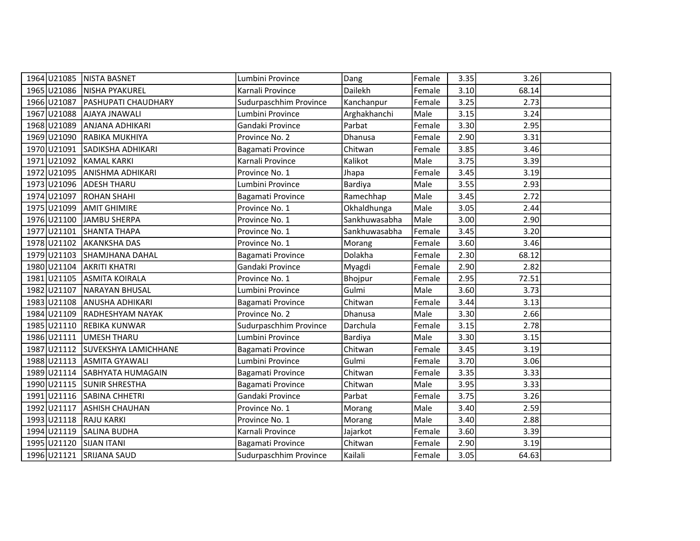|                        | 1964 U21085 NISTA BASNET         | Lumbini Province       | Dang          | Female | 3.35 | 3.26  |  |
|------------------------|----------------------------------|------------------------|---------------|--------|------|-------|--|
|                        | 1965 U21086 NISHA PYAKUREL       | Karnali Province       | Dailekh       | Female | 3.10 | 68.14 |  |
| 1966 U21087            | <b>PASHUPATI CHAUDHARY</b>       | Sudurpaschhim Province | Kanchanpur    | Female | 3.25 | 2.73  |  |
| 1967 U21088            | <b>AJAYA JNAWALI</b>             | Lumbini Province       | Arghakhanchi  | Male   | 3.15 | 3.24  |  |
| 1968 U21089            | ANJANA ADHIKARI                  | Gandaki Province       | Parbat        | Female | 3.30 | 2.95  |  |
| 1969 U21090            | RABIKA MUKHIYA                   | Province No. 2         | Dhanusa       | Female | 2.90 | 3.31  |  |
|                        | 1970 U21091 SADIKSHA ADHIKARI    | Bagamati Province      | Chitwan       | Female | 3.85 | 3.46  |  |
|                        | 1971 U21092 KAMAL KARKI          | Karnali Province       | Kalikot       | Male   | 3.75 | 3.39  |  |
|                        | 1972 U21095 ANISHMA ADHIKARI     | Province No. 1         | Jhapa         | Female | 3.45 | 3.19  |  |
|                        | 1973 U21096 ADESH THARU          | Lumbini Province       | Bardiya       | Male   | 3.55 | 2.93  |  |
|                        | 1974 U21097 ROHAN SHAHI          | Bagamati Province      | Ramechhap     | Male   | 3.45 | 2.72  |  |
| 1975 U21099            | <b>AMIT GHIMIRE</b>              | Province No. 1         | Okhaldhunga   | Male   | 3.05 | 2.44  |  |
| 1976 U21100            | JAMBU SHERPA                     | Province No. 1         | Sankhuwasabha | Male   | 3.00 | 2.90  |  |
| 1977 U21101            | SHANTA THAPA                     | Province No. 1         | Sankhuwasabha | Female | 3.45 | 3.20  |  |
|                        | 1978 U21102 AKANKSHA DAS         | Province No. 1         | Morang        | Female | 3.60 | 3.46  |  |
| 1979 U21103            | SHAMJHANA DAHAL                  | Bagamati Province      | Dolakha       | Female | 2.30 | 68.12 |  |
| 1980 U21104            | <b>AKRITI KHATRI</b>             | Gandaki Province       | Myagdi        | Female | 2.90 | 2.82  |  |
| 1981 U21105            | <b>ASMITA KOIRALA</b>            | Province No. 1         | Bhojpur       | Female | 2.95 | 72.51 |  |
|                        | 1982 U21107 NARAYAN BHUSAL       | Lumbini Province       | Gulmi         | Male   | 3.60 | 3.73  |  |
| 1983 U21108            | ANUSHA ADHIKARI                  | Bagamati Province      | Chitwan       | Female | 3.44 | 3.13  |  |
|                        | 1984 U21109 RADHESHYAM NAYAK     | Province No. 2         | Dhanusa       | Male   | 3.30 | 2.66  |  |
|                        | 1985 U21110 REBIKA KUNWAR        | Sudurpaschhim Province | Darchula      | Female | 3.15 | 2.78  |  |
|                        | 1986 U21111 UMESH THARU          | Lumbini Province       | Bardiya       | Male   | 3.30 | 3.15  |  |
|                        | 1987 U21112 SUVEKSHYA LAMICHHANE | Bagamati Province      | Chitwan       | Female | 3.45 | 3.19  |  |
|                        | 1988 U21113 ASMITA GYAWALI       | Lumbini Province       | Gulmi         | Female | 3.70 | 3.06  |  |
|                        | 1989 U21114 SABHYATA HUMAGAIN    | Bagamati Province      | Chitwan       | Female | 3.35 | 3.33  |  |
|                        | 1990 U21115 SUNIR SHRESTHA       | Bagamati Province      | Chitwan       | Male   | 3.95 | 3.33  |  |
|                        | 1991 U21116 SABINA CHHETRI       | Gandaki Province       | Parbat        | Female | 3.75 | 3.26  |  |
| 1992 U21117            | <b>ASHISH CHAUHAN</b>            | Province No. 1         | Morang        | Male   | 3.40 | 2.59  |  |
| 1993 U21118 RAJU KARKI |                                  | Province No. 1         | Morang        | Male   | 3.40 | 2.88  |  |
| 1994 U21119            | <b>SALINA BUDHA</b>              | Karnali Province       | Jajarkot      | Female | 3.60 | 3.39  |  |
| 1995 U21120            | <b>SIJAN ITANI</b>               | Bagamati Province      | Chitwan       | Female | 2.90 | 3.19  |  |
|                        | 1996 U21121 SRIJANA SAUD         | Sudurpaschhim Province | Kailali       | Female | 3.05 | 64.63 |  |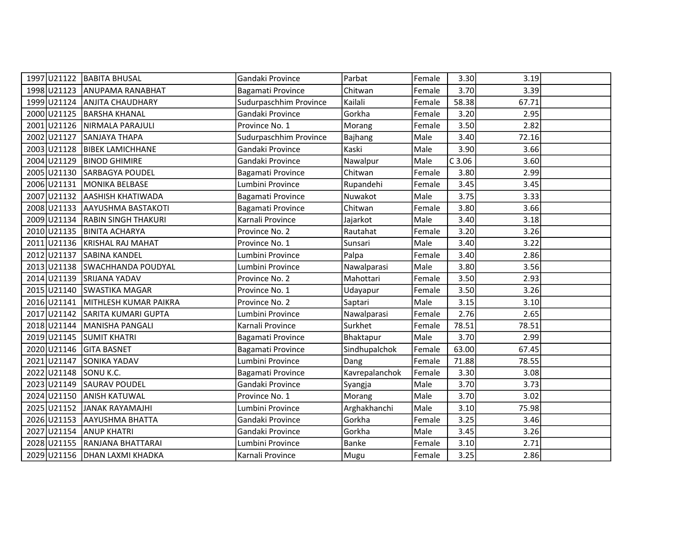|                         | 1997 U21122 BABITA BHUSAL       | Gandaki Province       | Parbat         | Female | 3.30     | 3.19  |  |
|-------------------------|---------------------------------|------------------------|----------------|--------|----------|-------|--|
|                         | 1998 U21123 ANUPAMA RANABHAT    | Bagamati Province      | Chitwan        | Female | 3.70     | 3.39  |  |
|                         | 1999 U21124 ANJITA CHAUDHARY    | Sudurpaschhim Province | Kailali        | Female | 58.38    | 67.71 |  |
|                         | 2000 U21125 BARSHA KHANAL       | Gandaki Province       | Gorkha         | Female | 3.20     | 2.95  |  |
| 2001 U21126             | NIRMALA PARAJULI                | Province No. 1         | Morang         | Female | 3.50     | 2.82  |  |
| 2002 U21127             | SANJAYA THAPA                   | Sudurpaschhim Province | Bajhang        | Male   | 3.40     | 72.16 |  |
|                         | 2003 U21128   BIBEK LAMICHHANE  | Gandaki Province       | Kaski          | Male   | 3.90     | 3.66  |  |
|                         | 2004 U21129 BINOD GHIMIRE       | Gandaki Province       | Nawalpur       | Male   | $C$ 3.06 | 3.60  |  |
|                         | 2005 U21130 SARBAGYA POUDEL     | Bagamati Province      | Chitwan        | Female | 3.80     | 2.99  |  |
| 2006 U21131             | MONIKA BELBASE                  | Lumbini Province       | Rupandehi      | Female | 3.45     | 3.45  |  |
|                         | 2007 U21132 AASHISH KHATIWADA   | Bagamati Province      | Nuwakot        | Male   | 3.75     | 3.33  |  |
| 2008 U21133             | AAYUSHMA BASTAKOTI              | Bagamati Province      | Chitwan        | Female | 3.80     | 3.66  |  |
|                         | 2009 U21134 RABIN SINGH THAKURI | Karnali Province       | Jajarkot       | Male   | 3.40     | 3.18  |  |
|                         | 2010 U21135 BINITA ACHARYA      | Province No. 2         | Rautahat       | Female | 3.20     | 3.26  |  |
|                         | 2011 U21136 KRISHAL RAJ MAHAT   | Province No. 1         | Sunsari        | Male   | 3.40     | 3.22  |  |
| 2012 U21137             | <b>SABINA KANDEL</b>            | Lumbini Province       | Palpa          | Female | 3.40     | 2.86  |  |
|                         | 2013 U21138 SWACHHANDA POUDYAL  | Lumbini Province       | Nawalparasi    | Male   | 3.80     | 3.56  |  |
|                         | 2014 U21139 SRIJANA YADAV       | Province No. 2         | Mahottari      | Female | 3.50     | 2.93  |  |
|                         | 2015 U21140 SWASTIKA MAGAR      | Province No. 1         | Udayapur       | Female | 3.50     | 3.26  |  |
| 2016 U21141             | MITHLESH KUMAR PAIKRA           | Province No. 2         | Saptari        | Male   | 3.15     | 3.10  |  |
|                         | 2017 U21142 SARITA KUMARI GUPTA | Lumbini Province       | Nawalparasi    | Female | 2.76     | 2.65  |  |
|                         | 2018 U21144 MANISHA PANGALI     | Karnali Province       | Surkhet        | Female | 78.51    | 78.51 |  |
|                         | 2019 U21145 SUMIT KHATRI        | Bagamati Province      | Bhaktapur      | Male   | 3.70     | 2.99  |  |
| 2020 U21146 GITA BASNET |                                 | Bagamati Province      | Sindhupalchok  | Female | 63.00    | 67.45 |  |
|                         | 2021 U21147 SONIKA YADAV        | Lumbini Province       | Dang           | Female | 71.88    | 78.55 |  |
| 2022 U21148 SONU K.C.   |                                 | Bagamati Province      | Kavrepalanchok | Female | 3.30     | 3.08  |  |
| 2023 U21149             | <b>SAURAV POUDEL</b>            | Gandaki Province       | Syangja        | Male   | 3.70     | 3.73  |  |
| 2024 U21150             | <b>ANISH KATUWAL</b>            | Province No. 1         | Morang         | Male   | 3.70     | 3.02  |  |
|                         | 2025 U21152 JANAK RAYAMAJHI     | Lumbini Province       | Arghakhanchi   | Male   | 3.10     | 75.98 |  |
|                         | 2026 U21153 AAYUSHMA BHATTA     | Gandaki Province       | Gorkha         | Female | 3.25     | 3.46  |  |
| 2027 U21154             | <b>ANUP KHATRI</b>              | Gandaki Province       | Gorkha         | Male   | 3.45     | 3.26  |  |
|                         | 2028 U21155 RANJANA BHATTARAI   | Lumbini Province       | Banke          | Female | 3.10     | 2.71  |  |
|                         | 2029 U21156 DHAN LAXMI KHADKA   | Karnali Province       | Mugu           | Female | 3.25     | 2.86  |  |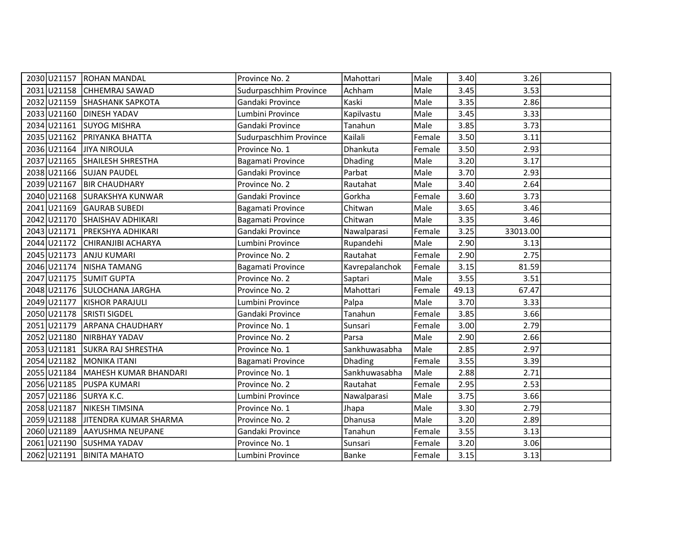|                           | 2030 U21157 ROHAN MANDAL          | Province No. 2         | Mahottari      | Male   | 3.40  | 3.26     |  |
|---------------------------|-----------------------------------|------------------------|----------------|--------|-------|----------|--|
|                           | 2031 U21158 CHHEMRAJ SAWAD        | Sudurpaschhim Province | Achham         | Male   | 3.45  | 3.53     |  |
|                           | 2032 U21159 SHASHANK SAPKOTA      | Gandaki Province       | Kaski          | Male   | 3.35  | 2.86     |  |
|                           | 2033 U21160 DINESH YADAV          | Lumbini Province       | Kapilvastu     | Male   | 3.45  | 3.33     |  |
| 2034 U21161               | <b>SUYOG MISHRA</b>               | Gandaki Province       | Tanahun        | Male   | 3.85  | 3.73     |  |
| 2035 U21162               | <b>PRIYANKA BHATTA</b>            | Sudurpaschhim Province | Kailali        | Female | 3.50  | 3.11     |  |
| 2036 U21164 JIYA NIROULA  |                                   | Province No. 1         | Dhankuta       | Female | 3.50  | 2.93     |  |
|                           | 2037 U21165 SHAILESH SHRESTHA     | Bagamati Province      | <b>Dhading</b> | Male   | 3.20  | 3.17     |  |
|                           | 2038 U21166 SUJAN PAUDEL          | Gandaki Province       | Parbat         | Male   | 3.70  | 2.93     |  |
|                           | 2039 U21167 BIR CHAUDHARY         | Province No. 2         | Rautahat       | Male   | 3.40  | 2.64     |  |
|                           | 2040 U21168 SURAKSHYA KUNWAR      | Gandaki Province       | Gorkha         | Female | 3.60  | 3.73     |  |
|                           | 2041 U21169 GAURAB SUBEDI         | Bagamati Province      | Chitwan        | Male   | 3.65  | 3.46     |  |
|                           | 2042 U21170 SHAISHAV ADHIKARI     | Bagamati Province      | Chitwan        | Male   | 3.35  | 3.46     |  |
| 2043 U21171               | <b>PREKSHYA ADHIKARI</b>          | Gandaki Province       | Nawalparasi    | Female | 3.25  | 33013.00 |  |
|                           | 2044 U21172 CHIRANJIBI ACHARYA    | Lumbini Province       | Rupandehi      | Male   | 2.90  | 3.13     |  |
|                           | 2045 U21173 ANJU KUMARI           | Province No. 2         | Rautahat       | Female | 2.90  | 2.75     |  |
|                           | 2046 U21174 NISHA TAMANG          | Bagamati Province      | Kavrepalanchok | Female | 3.15  | 81.59    |  |
| 2047 U21175 SUMIT GUPTA   |                                   | Province No. 2         | Saptari        | Male   | 3.55  | 3.51     |  |
|                           | 2048 U21176 SULOCHANA JARGHA      | Province No. 2         | Mahottari      | Female | 49.13 | 67.47    |  |
| 2049 U21177               | <b>KISHOR PARAJULI</b>            | Lumbini Province       | Palpa          | Male   | 3.70  | 3.33     |  |
| 2050 U21178 SRISTI SIGDEL |                                   | Gandaki Province       | Tanahun        | Female | 3.85  | 3.66     |  |
|                           | 2051 U21179 ARPANA CHAUDHARY      | Province No. 1         | Sunsari        | Female | 3.00  | 2.79     |  |
|                           | 2052 U21180 NIRBHAY YADAV         | Province No. 2         | Parsa          | Male   | 2.90  | 2.66     |  |
|                           | 2053 U21181 SUKRA RAJ SHRESTHA    | Province No. 1         | Sankhuwasabha  | Male   | 2.85  | 2.97     |  |
|                           | 2054 U21182 MONIKA ITANI          | Bagamati Province      | Dhading        | Female | 3.55  | 3.39     |  |
|                           | 2055 U21184 MAHESH KUMAR BHANDARI | Province No. 1         | Sankhuwasabha  | Male   | 2.88  | 2.71     |  |
| 2056 U21185               | <b>PUSPA KUMARI</b>               | Province No. 2         | Rautahat       | Female | 2.95  | 2.53     |  |
| 2057 U21186 SURYA K.C.    |                                   | Lumbini Province       | Nawalparasi    | Male   | 3.75  | 3.66     |  |
| 2058 U21187               | NIKESH TIMSINA                    | Province No. 1         | Jhapa          | Male   | 3.30  | 2.79     |  |
|                           | 2059 U21188 JITENDRA KUMAR SHARMA | Province No. 2         | Dhanusa        | Male   | 3.20  | 2.89     |  |
| 2060 U21189               | AAYUSHMA NEUPANE                  | Gandaki Province       | Tanahun        | Female | 3.55  | 3.13     |  |
|                           | 2061 U21190 SUSHMA YADAV          | Province No. 1         | Sunsari        | Female | 3.20  | 3.06     |  |
|                           | 2062 U21191 BINITA MAHATO         | Lumbini Province       | Banke          | Female | 3.15  | 3.13     |  |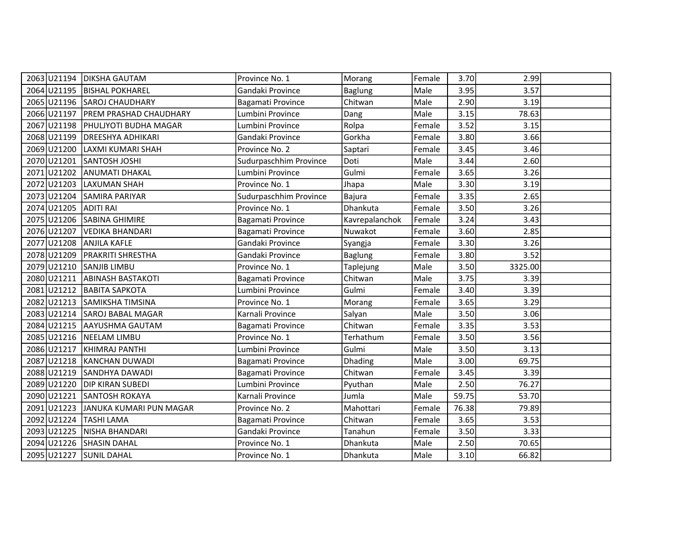|                        | 2063 U21194   DIKSHA GAUTAM          | Province No. 1         | Morang         | Female | 3.70  | 2.99    |  |
|------------------------|--------------------------------------|------------------------|----------------|--------|-------|---------|--|
|                        | 2064 U21195 BISHAL POKHAREL          | Gandaki Province       | <b>Baglung</b> | Male   | 3.95  | 3.57    |  |
|                        | 2065 U21196 SAROJ CHAUDHARY          | Bagamati Province      | Chitwan        | Male   | 2.90  | 3.19    |  |
|                        | 2066 U21197   PREM PRASHAD CHAUDHARY | Lumbini Province       | Dang           | Male   | 3.15  | 78.63   |  |
| 2067 U21198            | PHULJYOTI BUDHA MAGAR                | Lumbini Province       | Rolpa          | Female | 3.52  | 3.15    |  |
| 2068 U21199            | <b>DREESHYA ADHIKARI</b>             | Gandaki Province       | Gorkha         | Female | 3.80  | 3.66    |  |
| 2069 U21200            | LAXMI KUMARI SHAH                    | Province No. 2         | Saptari        | Female | 3.45  | 3.46    |  |
|                        | 2070 U21201 SANTOSH JOSHI            | Sudurpaschhim Province | Doti           | Male   | 3.44  | 2.60    |  |
| 2071 U21202            | <b>ANUMATI DHAKAL</b>                | Lumbini Province       | Gulmi          | Female | 3.65  | 3.26    |  |
| 2072 U21203            | LAXUMAN SHAH                         | Province No. 1         | Jhapa          | Male   | 3.30  | 3.19    |  |
|                        | 2073 U21204 SAMIRA PARIYAR           | Sudurpaschhim Province | Bajura         | Female | 3.35  | 2.65    |  |
| 2074 U21205            | <b>ADITI RAI</b>                     | Province No. 1         | Dhankuta       | Female | 3.50  | 3.26    |  |
|                        | 2075 U21206 SABINA GHIMIRE           | Bagamati Province      | Kavrepalanchok | Female | 3.24  | 3.43    |  |
| 2076 U21207            | VEDIKA BHANDARI                      | Bagamati Province      | Nuwakot        | Female | 3.60  | 2.85    |  |
|                        | 2077 U21208 ANJILA KAFLE             | Gandaki Province       | Syangja        | Female | 3.30  | 3.26    |  |
| 2078 U21209            | <b>PRAKRITI SHRESTHA</b>             | Gandaki Province       | <b>Baglung</b> | Female | 3.80  | 3.52    |  |
|                        | 2079 U21210 SANJIB LIMBU             | Province No. 1         | Taplejung      | Male   | 3.50  | 3325.00 |  |
|                        | 2080 U21211 ABINASH BASTAKOTI        | Bagamati Province      | Chitwan        | Male   | 3.75  | 3.39    |  |
|                        | 2081 U21212   BABITA SAPKOTA         | Lumbini Province       | Gulmi          | Female | 3.40  | 3.39    |  |
| 2082 U21213            | SAMIKSHA TIMSINA                     | Province No. 1         | Morang         | Female | 3.65  | 3.29    |  |
|                        | 2083 U21214 SAROJ BABAL MAGAR        | Karnali Province       | Salyan         | Male   | 3.50  | 3.06    |  |
|                        | 2084 U21215 AAYUSHMA GAUTAM          | Bagamati Province      | Chitwan        | Female | 3.35  | 3.53    |  |
|                        | 2085 U21216 NEELAM LIMBU             | Province No. 1         | Terhathum      | Female | 3.50  | 3.56    |  |
| 2086 U21217            | KHIMRAJ PANTHI                       | Lumbini Province       | Gulmi          | Male   | 3.50  | 3.13    |  |
|                        | 2087 U21218 KANCHAN DUWADI           | Bagamati Province      | Dhading        | Male   | 3.00  | 69.75   |  |
|                        | 2088 U21219 SANDHYA DAWADI           | Bagamati Province      | Chitwan        | Female | 3.45  | 3.39    |  |
| 2089 U21220            | <b>DIP KIRAN SUBEDI</b>              | Lumbini Province       | Pyuthan        | Male   | 2.50  | 76.27   |  |
| 2090 U21221            | SANTOSH ROKAYA                       | Karnali Province       | Jumla          | Male   | 59.75 | 53.70   |  |
| 2091 U21223            | JANUKA KUMARI PUN MAGAR              | Province No. 2         | Mahottari      | Female | 76.38 | 79.89   |  |
| 2092 U21224 TASHI LAMA |                                      | Bagamati Province      | Chitwan        | Female | 3.65  | 3.53    |  |
| 2093 U21225            | NISHA BHANDARI                       | Gandaki Province       | Tanahun        | Female | 3.50  | 3.33    |  |
| 2094 U21226            | <b>SHASIN DAHAL</b>                  | Province No. 1         | Dhankuta       | Male   | 2.50  | 70.65   |  |
|                        | 2095 U21227 SUNIL DAHAL              | Province No. 1         | Dhankuta       | Male   | 3.10  | 66.82   |  |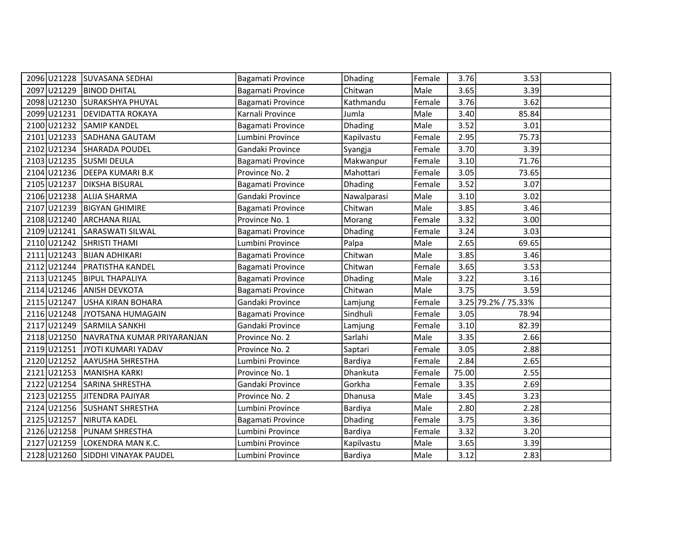|                         | 2096 U21228 SUVASANA SEDHAI            | Bagamati Province | Dhading        | Female | 3.76  | 3.53                |  |
|-------------------------|----------------------------------------|-------------------|----------------|--------|-------|---------------------|--|
| 2097 U21229             | <b>BINOD DHITAL</b>                    | Bagamati Province | Chitwan        | Male   | 3.65  | 3.39                |  |
|                         | 2098 U21230 SURAKSHYA PHUYAL           | Bagamati Province | Kathmandu      | Female | 3.76  | 3.62                |  |
|                         | 2099 U21231 DEVIDATTA ROKAYA           | Karnali Province  | Jumla          | Male   | 3.40  | 85.84               |  |
| 2100 U21232             | SAMIP KANDEL                           | Bagamati Province | <b>Dhading</b> | Male   | 3.52  | 3.01                |  |
|                         | 2101 U21233 SADHANA GAUTAM             | Lumbini Province  | Kapilvastu     | Female | 2.95  | 75.73               |  |
|                         | 2102 U21234 SHARADA POUDEL             | Gandaki Province  | Syangja        | Female | 3.70  | 3.39                |  |
| 2103 U21235 SUSMI DEULA |                                        | Bagamati Province | Makwanpur      | Female | 3.10  | 71.76               |  |
|                         | 2104 U21236 DEEPA KUMARI B.K           | Province No. 2    | Mahottari      | Female | 3.05  | 73.65               |  |
|                         | 2105 U21237 DIKSHA BISURAL             | Bagamati Province | Dhading        | Female | 3.52  | 3.07                |  |
|                         | 2106 U21238 ALIJA SHARMA               | Gandaki Province  | Nawalparasi    | Male   | 3.10  | 3.02                |  |
| 2107 U21239             | <b>BIGYAN GHIMIRE</b>                  | Bagamati Province | Chitwan        | Male   | 3.85  | 3.46                |  |
| 2108 U21240             | <b>ARCHANA RIJAL</b>                   | Province No. 1    | Morang         | Female | 3.32  | 3.00                |  |
| 2109 U21241             | SARASWATI SILWAL                       | Bagamati Province | Dhading        | Female | 3.24  | 3.03                |  |
|                         | 2110 U21242 SHRISTI THAMI              | Lumbini Province  | Palpa          | Male   | 2.65  | 69.65               |  |
| 2111 U21243             | <b>BIJAN ADHIKARI</b>                  | Bagamati Province | Chitwan        | Male   | 3.85  | 3.46                |  |
|                         | 2112 U21244 PRATISTHA KANDEL           | Bagamati Province | Chitwan        | Female | 3.65  | 3.53                |  |
| 2113 U21245             | <b>BIPUL THAPALIYA</b>                 | Bagamati Province | Dhading        | Male   | 3.22  | 3.16                |  |
|                         | 2114 U21246 ANISH DEVKOTA              | Bagamati Province | Chitwan        | Male   | 3.75  | 3.59                |  |
| 2115 U21247             | USHA KIRAN BOHARA                      | Gandaki Province  | Lamjung        | Female |       | 3.25 79.2% / 75.33% |  |
| 2116 U21248             | JYOTSANA HUMAGAIN                      | Bagamati Province | Sindhuli       | Female | 3.05  | 78.94               |  |
|                         | 2117 U21249 SARMILA SANKHI             | Gandaki Province  | Lamjung        | Female | 3.10  | 82.39               |  |
|                         | 2118 U21250 NAVRATNA KUMAR PRIYARANJAN | Province No. 2    | Sarlahi        | Male   | 3.35  | 2.66                |  |
| 2119 U21251             | JYOTI KUMARI YADAV                     | Province No. 2    | Saptari        | Female | 3.05  | 2.88                |  |
|                         | 2120 U21252 AAYUSHA SHRESTHA           | Lumbini Province  | Bardiya        | Female | 2.84  | 2.65                |  |
|                         | 2121 U21253 MANISHA KARKI              | Province No. 1    | Dhankuta       | Female | 75.00 | 2.55                |  |
| 2122 U21254             | SARINA SHRESTHA                        | Gandaki Province  | Gorkha         | Female | 3.35  | 2.69                |  |
| 2123 U21255             | JITENDRA PAJIYAR                       | Province No. 2    | Dhanusa        | Male   | 3.45  | 3.23                |  |
|                         | 2124 U21256 SUSHANT SHRESTHA           | Lumbini Province  | Bardiya        | Male   | 2.80  | 2.28                |  |
|                         | 2125 U21257 NIRUTA KADEL               | Bagamati Province | Dhading        | Female | 3.75  | 3.36                |  |
| 2126 U21258             | PUNAM SHRESTHA                         | Lumbini Province  | Bardiya        | Female | 3.32  | 3.20                |  |
| 2127 U21259             | LOKENDRA MAN K.C.                      | Lumbini Province  | Kapilvastu     | Male   | 3.65  | 3.39                |  |
|                         | 2128 U21260 SIDDHI VINAYAK PAUDEL      | Lumbini Province  | Bardiya        | Male   | 3.12  | 2.83                |  |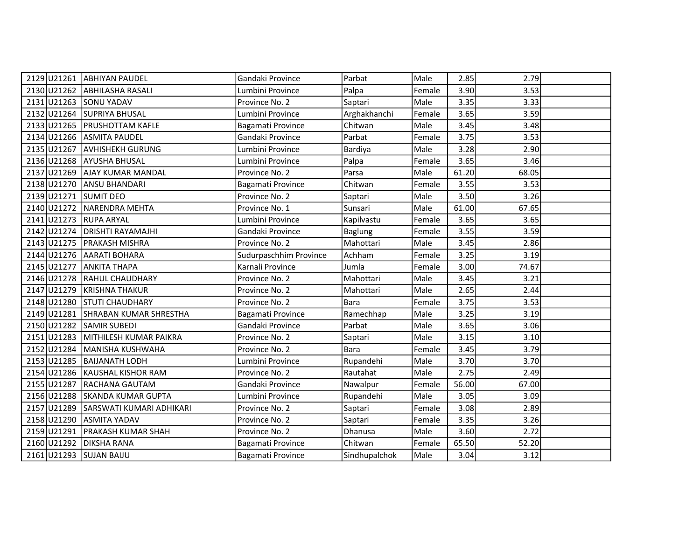|                         | 2129 U21261 ABHIYAN PAUDEL           | Gandaki Province       | Parbat         | Male   | 2.85  | 2.79  |  |
|-------------------------|--------------------------------------|------------------------|----------------|--------|-------|-------|--|
|                         | 2130 U21262 ABHILASHA RASALI         | Lumbini Province       | Palpa          | Female | 3.90  | 3.53  |  |
| 2131 U21263 SONU YADAV  |                                      | Province No. 2         | Saptari        | Male   | 3.35  | 3.33  |  |
|                         | 2132 U21264 SUPRIYA BHUSAL           | Lumbini Province       | Arghakhanchi   | Female | 3.65  | 3.59  |  |
| 2133 U21265             | <b>PRUSHOTTAM KAFLE</b>              | Bagamati Province      | Chitwan        | Male   | 3.45  | 3.48  |  |
|                         | 2134 U21266 ASMITA PAUDEL            | Gandaki Province       | Parbat         | Female | 3.75  | 3.53  |  |
|                         | 2135 U21267 AVHISHEKH GURUNG         | Lumbini Province       | Bardiya        | Male   | 3.28  | 2.90  |  |
|                         | 2136 U21268 AYUSHA BHUSAL            | Lumbini Province       | Palpa          | Female | 3.65  | 3.46  |  |
|                         | 2137 U21269 AJAY KUMAR MANDAL        | Province No. 2         | Parsa          | Male   | 61.20 | 68.05 |  |
|                         | 2138 U21270 ANSU BHANDARI            | Bagamati Province      | Chitwan        | Female | 3.55  | 3.53  |  |
| 2139 U21271 SUMIT DEO   |                                      | Province No. 2         | Saptari        | Male   | 3.50  | 3.26  |  |
| 2140 U21272             | NARENDRA MEHTA                       | Province No. 1         | Sunsari        | Male   | 61.00 | 67.65 |  |
| 2141 U21273 RUPA ARYAL  |                                      | Lumbini Province       | Kapilvastu     | Female | 3.65  | 3.65  |  |
|                         | 2142 U21274 DRISHTI RAYAMAJHI        | Gandaki Province       | <b>Baglung</b> | Female | 3.55  | 3.59  |  |
|                         | 2143 U21275 PRAKASH MISHRA           | Province No. 2         | Mahottari      | Male   | 3.45  | 2.86  |  |
|                         | 2144 U21276 AARATI BOHARA            | Sudurpaschhim Province | Achham         | Female | 3.25  | 3.19  |  |
|                         | 2145 U21277 ANKITA THAPA             | Karnali Province       | Jumla          | Female | 3.00  | 74.67 |  |
|                         | 2146 U21278 RAHUL CHAUDHARY          | Province No. 2         | Mahottari      | Male   | 3.45  | 3.21  |  |
|                         | 2147 U21279 KRISHNA THAKUR           | Province No. 2         | Mahottari      | Male   | 2.65  | 2.44  |  |
| 2148 U21280             | <b>STUTI CHAUDHARY</b>               | Province No. 2         | <b>Bara</b>    | Female | 3.75  | 3.53  |  |
|                         | 2149 U21281 SHRABAN KUMAR SHRESTHA   | Bagamati Province      | Ramechhap      | Male   | 3.25  | 3.19  |  |
|                         | 2150 U21282 SAMIR SUBEDI             | Gandaki Province       | Parbat         | Male   | 3.65  | 3.06  |  |
|                         | 2151 U21283 MITHILESH KUMAR PAIKRA   | Province No. 2         | Saptari        | Male   | 3.15  | 3.10  |  |
|                         | 2152 U21284 MANISHA KUSHWAHA         | Province No. 2         | <b>Bara</b>    | Female | 3.45  | 3.79  |  |
|                         | 2153 U21285 BAIJANATH LODH           | Lumbini Province       | Rupandehi      | Male   | 3.70  | 3.70  |  |
|                         | 2154 U21286 KAUSHAL KISHOR RAM       | Province No. 2         | Rautahat       | Male   | 2.75  | 2.49  |  |
| 2155 U21287             | <b>RACHANA GAUTAM</b>                | Gandaki Province       | Nawalpur       | Female | 56.00 | 67.00 |  |
|                         | 2156 U21288 SKANDA KUMAR GUPTA       | Lumbini Province       | Rupandehi      | Male   | 3.05  | 3.09  |  |
|                         | 2157 U21289 SARSWATI KUMARI ADHIKARI | Province No. 2         | Saptari        | Female | 3.08  | 2.89  |  |
|                         | 2158 U21290 ASMITA YADAV             | Province No. 2         | Saptari        | Female | 3.35  | 3.26  |  |
| 2159 U21291             | PRAKASH KUMAR SHAH                   | Province No. 2         | Dhanusa        | Male   | 3.60  | 2.72  |  |
| 2160 U21292             | <b>DIKSHA RANA</b>                   | Bagamati Province      | Chitwan        | Female | 65.50 | 52.20 |  |
| 2161 U21293 SUJAN BAIJU |                                      | Bagamati Province      | Sindhupalchok  | Male   | 3.04  | 3.12  |  |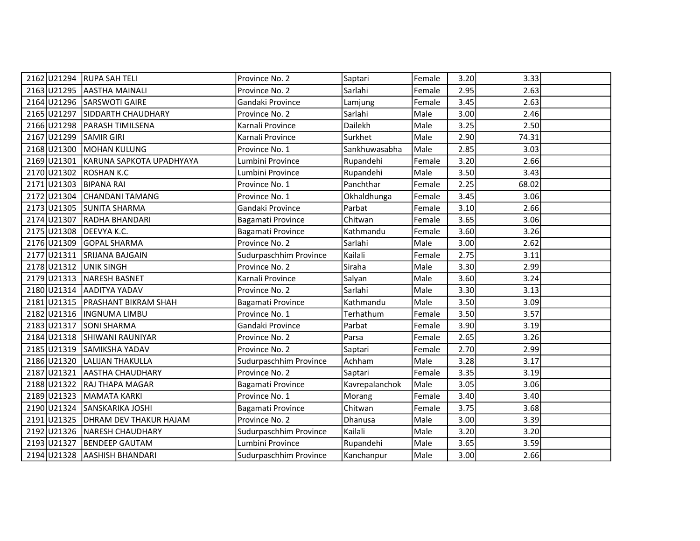|                         | 2162 U21294 RUPA SAH TELI            | Province No. 2         | Saptari        | Female | 3.20 | 3.33  |  |
|-------------------------|--------------------------------------|------------------------|----------------|--------|------|-------|--|
|                         | 2163 U21295 AASTHA MAINALI           | Province No. 2         | Sarlahi        | Female | 2.95 | 2.63  |  |
|                         | 2164 U21296 SARSWOTI GAIRE           | Gandaki Province       | Lamjung        | Female | 3.45 | 2.63  |  |
|                         | 2165 U21297 SIDDARTH CHAUDHARY       | Province No. 2         | Sarlahi        | Male   | 3.00 | 2.46  |  |
|                         | 2166 U21298 PARASH TIMILSENA         | Karnali Province       | Dailekh        | Male   | 3.25 | 2.50  |  |
| 2167 U21299 SAMIR GIRI  |                                      | Karnali Province       | Surkhet        | Male   | 2.90 | 74.31 |  |
|                         | 2168 U21300 MOHAN KULUNG             | Province No. 1         | Sankhuwasabha  | Male   | 2.85 | 3.03  |  |
|                         | 2169 U21301 KARUNA SAPKOTA UPADHYAYA | Lumbini Province       | Rupandehi      | Female | 3.20 | 2.66  |  |
| 2170 U21302 ROSHAN K.C  |                                      | Lumbini Province       | Rupandehi      | Male   | 3.50 | 3.43  |  |
| 2171 U21303 BIPANA RAI  |                                      | Province No. 1         | Panchthar      | Female | 2.25 | 68.02 |  |
|                         | 2172 U21304 CHANDANI TAMANG          | Province No. 1         | Okhaldhunga    | Female | 3.45 | 3.06  |  |
|                         | 2173 U21305 SUNITA SHARMA            | Gandaki Province       | Parbat         | Female | 3.10 | 2.66  |  |
|                         | 2174 U21307 RADHA BHANDARI           | Bagamati Province      | Chitwan        | Female | 3.65 | 3.06  |  |
| 2175 U21308 DEEVYA K.C. |                                      | Bagamati Province      | Kathmandu      | Female | 3.60 | 3.26  |  |
|                         | 2176 U21309 GOPAL SHARMA             | Province No. 2         | Sarlahi        | Male   | 3.00 | 2.62  |  |
|                         | 2177 U21311 SRIJANA BAJGAIN          | Sudurpaschhim Province | Kailali        | Female | 2.75 | 3.11  |  |
| 2178 U21312 UNIK SINGH  |                                      | Province No. 2         | Siraha         | Male   | 3.30 | 2.99  |  |
|                         | 2179 U21313 NARESH BASNET            | Karnali Province       | Salyan         | Male   | 3.60 | 3.24  |  |
|                         | 2180 U21314 AADITYA YADAV            | Province No. 2         | Sarlahi        | Male   | 3.30 | 3.13  |  |
|                         | 2181 U21315 PRASHANT BIKRAM SHAH     | Bagamati Province      | Kathmandu      | Male   | 3.50 | 3.09  |  |
|                         | 2182 U21316   INGNUMA LIMBU          | Province No. 1         | Terhathum      | Female | 3.50 | 3.57  |  |
|                         | 2183 U21317 SONI SHARMA              | Gandaki Province       | Parbat         | Female | 3.90 | 3.19  |  |
|                         | 2184 U21318 SHIWANI RAUNIYAR         | Province No. 2         | Parsa          | Female | 2.65 | 3.26  |  |
|                         | 2185 U21319 SAMIKSHA YADAV           | Province No. 2         | Saptari        | Female | 2.70 | 2.99  |  |
|                         | 2186 U21320 LALIJAN THAKULLA         | Sudurpaschhim Province | Achham         | Male   | 3.28 | 3.17  |  |
|                         | 2187 U21321 AASTHA CHAUDHARY         | Province No. 2         | Saptari        | Female | 3.35 | 3.19  |  |
|                         | 2188 U21322 RAJ THAPA MAGAR          | Bagamati Province      | Kavrepalanchok | Male   | 3.05 | 3.06  |  |
|                         | 2189 U21323 MAMATA KARKI             | Province No. 1         | Morang         | Female | 3.40 | 3.40  |  |
|                         | 2190 U21324 SANSKARIKA JOSHI         | Bagamati Province      | Chitwan        | Female | 3.75 | 3.68  |  |
|                         | 2191 U21325   DHRAM DEV THAKUR HAJAM | Province No. 2         | Dhanusa        | Male   | 3.00 | 3.39  |  |
|                         | 2192 U21326 NARESH CHAUDHARY         | Sudurpaschhim Province | Kailali        | Male   | 3.20 | 3.20  |  |
| 2193 U21327             | <b>BENDEEP GAUTAM</b>                | Lumbini Province       | Rupandehi      | Male   | 3.65 | 3.59  |  |
|                         | 2194 U21328 AASHISH BHANDARI         | Sudurpaschhim Province | Kanchanpur     | Male   | 3.00 | 2.66  |  |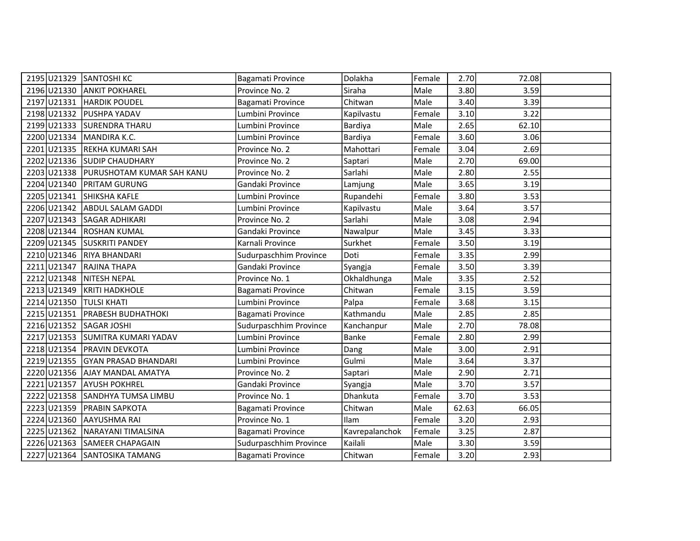| 2195 U21329 SANTOSHI KC |                                       | Bagamati Province      | Dolakha        | Female | 2.70  | 72.08 |  |
|-------------------------|---------------------------------------|------------------------|----------------|--------|-------|-------|--|
|                         | 2196 U21330 ANKIT POKHAREL            | Province No. 2         | Siraha         | Male   | 3.80  | 3.59  |  |
|                         | 2197 U21331 HARDIK POUDEL             | Bagamati Province      | Chitwan        | Male   | 3.40  | 3.39  |  |
| 2198 U21332             | <b>PUSHPA YADAV</b>                   | Lumbini Province       | Kapilvastu     | Female | 3.10  | 3.22  |  |
| 2199 U21333             | SURENDRA THARU                        | Lumbini Province       | Bardiya        | Male   | 2.65  | 62.10 |  |
|                         | 2200 U21334 MANDIRA K.C.              | Lumbini Province       | Bardiya        | Female | 3.60  | 3.06  |  |
| 2201 U21335             | REKHA KUMARI SAH                      | Province No. 2         | Mahottari      | Female | 3.04  | 2.69  |  |
|                         | 2202 U21336 SUDIP CHAUDHARY           | Province No. 2         | Saptari        | Male   | 2.70  | 69.00 |  |
|                         | 2203 U21338 PURUSHOTAM KUMAR SAH KANU | Province No. 2         | Sarlahi        | Male   | 2.80  | 2.55  |  |
| 2204 U21340             | <b>PRITAM GURUNG</b>                  | Gandaki Province       | Lamjung        | Male   | 3.65  | 3.19  |  |
|                         | 2205 U21341 SHIKSHA KAFLE             | Lumbini Province       | Rupandehi      | Female | 3.80  | 3.53  |  |
| 2206 U21342             | <b>ABDUL SALAM GADDI</b>              | Lumbini Province       | Kapilvastu     | Male   | 3.64  | 3.57  |  |
|                         | 2207 U21343 SAGAR ADHIKARI            | Province No. 2         | Sarlahi        | Male   | 3.08  | 2.94  |  |
|                         | 2208 U21344 ROSHAN KUMAL              | Gandaki Province       | Nawalpur       | Male   | 3.45  | 3.33  |  |
|                         | 2209 U21345 SUSKRITI PANDEY           | Karnali Province       | Surkhet        | Female | 3.50  | 3.19  |  |
|                         | 2210 U21346 RIYA BHANDARI             | Sudurpaschhim Province | Doti           | Female | 3.35  | 2.99  |  |
| 2211 U21347             | <b>RAJINA THAPA</b>                   | Gandaki Province       | Syangja        | Female | 3.50  | 3.39  |  |
|                         | 2212 U21348 NITESH NEPAL              | Province No. 1         | Okhaldhunga    | Male   | 3.35  | 2.52  |  |
| 2213 U21349             | <b>KRITI HADKHOLE</b>                 | Bagamati Province      | Chitwan        | Female | 3.15  | 3.59  |  |
| 2214 U21350             | Itulsi khati                          | Lumbini Province       | Palpa          | Female | 3.68  | 3.15  |  |
| 2215 U21351             | <b>PRABESH BUDHATHOKI</b>             | Bagamati Province      | Kathmandu      | Male   | 2.85  | 2.85  |  |
| 2216 U21352 SAGAR JOSHI |                                       | Sudurpaschhim Province | Kanchanpur     | Male   | 2.70  | 78.08 |  |
|                         | 2217 U21353 SUMITRA KUMARI YADAV      | Lumbini Province       | Banke          | Female | 2.80  | 2.99  |  |
|                         | 2218 U21354 PRAVIN DEVKOTA            | Lumbini Province       | Dang           | Male   | 3.00  | 2.91  |  |
|                         | 2219 U21355 GYAN PRASAD BHANDARI      | Lumbini Province       | Gulmi          | Male   | 3.64  | 3.37  |  |
|                         | 2220 U21356 AJAY MANDAL AMATYA        | Province No. 2         | Saptari        | Male   | 2.90  | 2.71  |  |
| 2221 U21357             | <b>AYUSH POKHREL</b>                  | Gandaki Province       | Syangja        | Male   | 3.70  | 3.57  |  |
|                         | 2222 U21358 SANDHYA TUMSA LIMBU       | Province No. 1         | Dhankuta       | Female | 3.70  | 3.53  |  |
| 2223 U21359             | <b>PRABIN SAPKOTA</b>                 | Bagamati Province      | Chitwan        | Male   | 62.63 | 66.05 |  |
|                         | 2224 U21360 AAYUSHMA RAI              | Province No. 1         | Ilam           | Female | 3.20  | 2.93  |  |
| 2225 U21362             | NARAYANI TIMALSINA                    | Bagamati Province      | Kavrepalanchok | Female | 3.25  | 2.87  |  |
| 2226 U21363             | SAMEER CHAPAGAIN                      | Sudurpaschhim Province | Kailali        | Male   | 3.30  | 3.59  |  |
|                         | 2227 U21364 SANTOSIKA TAMANG          | Bagamati Province      | Chitwan        | Female | 3.20  | 2.93  |  |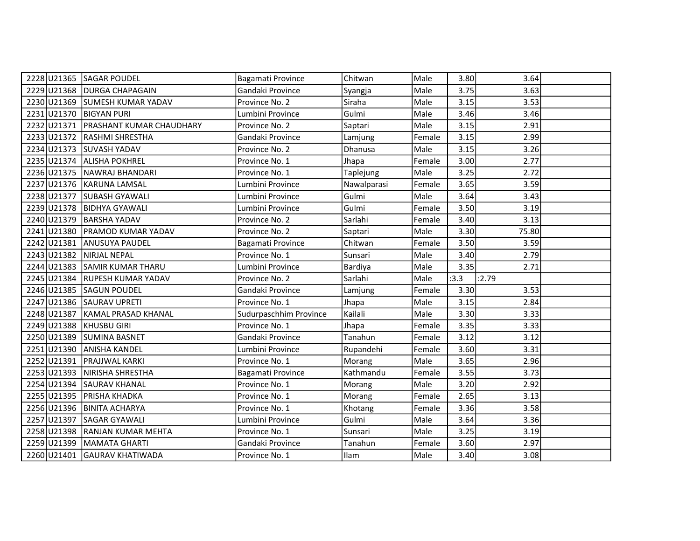|                          | 2228 U21365 SAGAR POUDEL        | Bagamati Province      | Chitwan     | Male   | 3.80 | 3.64  |  |
|--------------------------|---------------------------------|------------------------|-------------|--------|------|-------|--|
|                          | 2229 U21368 DURGA CHAPAGAIN     | Gandaki Province       | Syangja     | Male   | 3.75 | 3.63  |  |
|                          | 2230 U21369 SUMESH KUMAR YADAV  | Province No. 2         | Siraha      | Male   | 3.15 | 3.53  |  |
| 2231 U21370 BIGYAN PURI  |                                 | Lumbini Province       | Gulmi       | Male   | 3.46 | 3.46  |  |
| 2232 U21371              | <b>PRASHANT KUMAR CHAUDHARY</b> | Province No. 2         | Saptari     | Male   | 3.15 | 2.91  |  |
| 2233 U21372              | <b>RASHMI SHRESTHA</b>          | Gandaki Province       | Lamjung     | Female | 3.15 | 2.99  |  |
|                          | 2234 U21373 SUVASH YADAV        | Province No. 2         | Dhanusa     | Male   | 3.15 | 3.26  |  |
|                          | 2235 U21374 ALISHA POKHREL      | Province No. 1         | Jhapa       | Female | 3.00 | 2.77  |  |
|                          | 2236 U21375 NAWRAJ BHANDARI     | Province No. 1         | Taplejung   | Male   | 3.25 | 2.72  |  |
|                          | 2237 U21376 KARUNA LAMSAL       | Lumbini Province       | Nawalparasi | Female | 3.65 | 3.59  |  |
|                          | 2238 U21377 SUBASH GYAWALI      | Lumbini Province       | Gulmi       | Male   | 3.64 | 3.43  |  |
|                          | 2239 U21378 BIDHYA GYAWALI      | Lumbini Province       | Gulmi       | Female | 3.50 | 3.19  |  |
| 2240 U21379              | <b>BARSHA YADAV</b>             | Province No. 2         | Sarlahi     | Female | 3.40 | 3.13  |  |
| 2241 U21380              | <b>PRAMOD KUMAR YADAV</b>       | Province No. 2         | Saptari     | Male   | 3.30 | 75.80 |  |
|                          | 2242 U21381 ANUSUYA PAUDEL      | Bagamati Province      | Chitwan     | Female | 3.50 | 3.59  |  |
| 2243 U21382 NIRJAL NEPAL |                                 | Province No. 1         | Sunsari     | Male   | 3.40 | 2.79  |  |
|                          | 2244 U21383 SAMIR KUMAR THARU   | Lumbini Province       | Bardiya     | Male   | 3.35 | 2.71  |  |
|                          | 2245 U21384 RUPESH KUMAR YADAV  | Province No. 2         | Sarlahi     | Male   | :3.3 | :2.79 |  |
|                          | 2246 U21385 SAGUN POUDEL        | Gandaki Province       | Lamjung     | Female | 3.30 | 3.53  |  |
| 2247 U21386              | <b>SAURAV UPRETI</b>            | Province No. 1         | Jhapa       | Male   | 3.15 | 2.84  |  |
| 2248 U21387              | KAMAL PRASAD KHANAL             | Sudurpaschhim Province | Kailali     | Male   | 3.30 | 3.33  |  |
| 2249 U21388 KHUSBU GIRI  |                                 | Province No. 1         | Jhapa       | Female | 3.35 | 3.33  |  |
| 2250 U21389              | <b>SUMINA BASNET</b>            | Gandaki Province       | Tanahun     | Female | 3.12 | 3.12  |  |
|                          | 2251 U21390 ANISHA KANDEL       | Lumbini Province       | Rupandehi   | Female | 3.60 | 3.31  |  |
|                          | 2252 U21391 PRAJJWAL KARKI      | Province No. 1         | Morang      | Male   | 3.65 | 2.96  |  |
|                          | 2253 U21393 NIRISHA SHRESTHA    | Bagamati Province      | Kathmandu   | Female | 3.55 | 3.73  |  |
| 2254 U21394              | <b>SAURAV KHANAL</b>            | Province No. 1         | Morang      | Male   | 3.20 | 2.92  |  |
| 2255 U21395              | PRISHA KHADKA                   | Province No. 1         | Morang      | Female | 2.65 | 3.13  |  |
|                          | 2256 U21396 BINITA ACHARYA      | Province No. 1         | Khotang     | Female | 3.36 | 3.58  |  |
|                          | 2257 U21397 SAGAR GYAWALI       | Lumbini Province       | Gulmi       | Male   | 3.64 | 3.36  |  |
|                          | 2258 U21398 RANJAN KUMAR MEHTA  | Province No. 1         | Sunsari     | Male   | 3.25 | 3.19  |  |
|                          | 2259 U21399 MAMATA GHARTI       | Gandaki Province       | Tanahun     | Female | 3.60 | 2.97  |  |
|                          | 2260 U21401 GAURAV KHATIWADA    | Province No. 1         | Ilam        | Male   | 3.40 | 3.08  |  |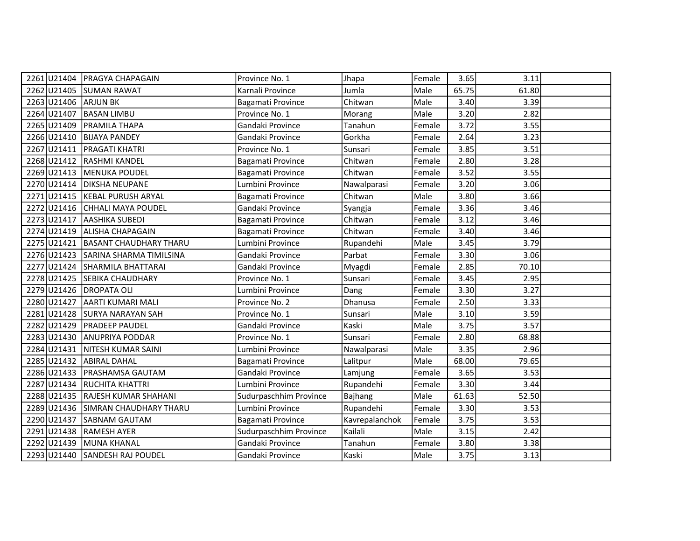|                         | 2261 U21404 PRAGYA CHAPAGAIN        | Province No. 1         | Jhapa          | Female | 3.65  | 3.11  |  |
|-------------------------|-------------------------------------|------------------------|----------------|--------|-------|-------|--|
| 2262 U21405             | <b>SUMAN RAWAT</b>                  | Karnali Province       | Jumla          | Male   | 65.75 | 61.80 |  |
| 2263 U21406             | <b>ARJUN BK</b>                     | Bagamati Province      | Chitwan        | Male   | 3.40  | 3.39  |  |
| 2264 U21407             | <b>BASAN LIMBU</b>                  | Province No. 1         | Morang         | Male   | 3.20  | 2.82  |  |
| 2265 U21409             | <b>PRAMILA THAPA</b>                | Gandaki Province       | Tanahun        | Female | 3.72  | 3.55  |  |
| 2266 U21410             | <b>BIJAYA PANDEY</b>                | Gandaki Province       | Gorkha         | Female | 2.64  | 3.23  |  |
| 2267 U21411             | <b>PRAGATI KHATRI</b>               | Province No. 1         | Sunsari        | Female | 3.85  | 3.51  |  |
| 2268 U21412             | <b>RASHMI KANDEL</b>                | Bagamati Province      | Chitwan        | Female | 2.80  | 3.28  |  |
| 2269 U21413             | MENUKA POUDEL                       | Bagamati Province      | Chitwan        | Female | 3.52  | 3.55  |  |
|                         | 2270 U21414 DIKSHA NEUPANE          | Lumbini Province       | Nawalparasi    | Female | 3.20  | 3.06  |  |
|                         | 2271 U21415 KEBAL PURUSH ARYAL      | Bagamati Province      | Chitwan        | Male   | 3.80  | 3.66  |  |
|                         | 2272 U21416 CHHALI MAYA POUDEL      | Gandaki Province       | Syangja        | Female | 3.36  | 3.46  |  |
| 2273 U21417             | <b>AASHIKA SUBEDI</b>               | Bagamati Province      | Chitwan        | Female | 3.12  | 3.46  |  |
|                         | 2274 U21419 ALISHA CHAPAGAIN        | Bagamati Province      | Chitwan        | Female | 3.40  | 3.46  |  |
|                         | 2275 U21421 BASANT CHAUDHARY THARU  | Lumbini Province       | Rupandehi      | Male   | 3.45  | 3.79  |  |
|                         | 2276 U21423 SARINA SHARMA TIMILSINA | Gandaki Province       | Parbat         | Female | 3.30  | 3.06  |  |
|                         | 2277 U21424 SHARMILA BHATTARAI      | Gandaki Province       | Myagdi         | Female | 2.85  | 70.10 |  |
| 2278 U21425             | <b>SEBIKA CHAUDHARY</b>             | Province No. 1         | Sunsari        | Female | 3.45  | 2.95  |  |
| 2279 U21426 DROPATA OLI |                                     | Lumbini Province       | Dang           | Female | 3.30  | 3.27  |  |
| 2280 U21427             | AARTI KUMARI MALI                   | Province No. 2         | Dhanusa        | Female | 2.50  | 3.33  |  |
| 2281 U21428             | <b>SURYA NARAYAN SAH</b>            | Province No. 1         | Sunsari        | Male   | 3.10  | 3.59  |  |
| 2282 U21429             | <b>PRADEEP PAUDEL</b>               | Gandaki Province       | Kaski          | Male   | 3.75  | 3.57  |  |
| 2283 U21430             | <b>ANUPRIYA PODDAR</b>              | Province No. 1         | Sunsari        | Female | 2.80  | 68.88 |  |
|                         | 2284 U21431 NITESH KUMAR SAINI      | Lumbini Province       | Nawalparasi    | Male   | 3.35  | 2.96  |  |
|                         | 2285 U21432 ABIRAL DAHAL            | Bagamati Province      | Lalitpur       | Male   | 68.00 | 79.65 |  |
|                         | 2286 U21433   PRASHAMSA GAUTAM      | Gandaki Province       | Lamjung        | Female | 3.65  | 3.53  |  |
|                         | 2287 U21434 RUCHITA KHATTRI         | Lumbini Province       | Rupandehi      | Female | 3.30  | 3.44  |  |
| 2288U21435              | <b>RAJESH KUMAR SHAHANI</b>         | Sudurpaschhim Province | Bajhang        | Male   | 61.63 | 52.50 |  |
|                         | 2289 U21436 SIMRAN CHAUDHARY THARU  | Lumbini Province       | Rupandehi      | Female | 3.30  | 3.53  |  |
|                         | 2290 U21437 SABNAM GAUTAM           | Bagamati Province      | Kavrepalanchok | Female | 3.75  | 3.53  |  |
| 2291 U21438             | <b>RAMESH AYER</b>                  | Sudurpaschhim Province | Kailali        | Male   | 3.15  | 2.42  |  |
| 2292 U21439             | MUNA KHANAL                         | Gandaki Province       | Tanahun        | Female | 3.80  | 3.38  |  |
|                         | 2293 U21440 SANDESH RAJ POUDEL      | Gandaki Province       | Kaski          | Male   | 3.75  | 3.13  |  |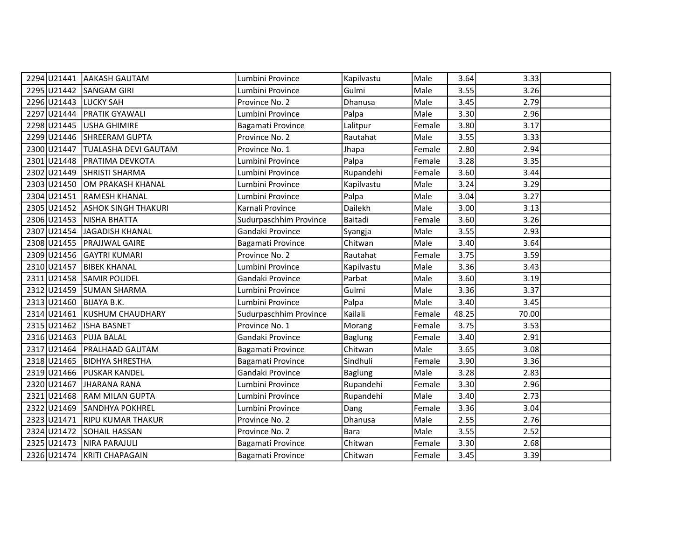|                         | 2294 U21441 AAKASH GAUTAM       | Lumbini Province       | Kapilvastu     | Male   | 3.64  | 3.33  |  |
|-------------------------|---------------------------------|------------------------|----------------|--------|-------|-------|--|
| 2295 U21442 SANGAM GIRI |                                 | Lumbini Province       | Gulmi          | Male   | 3.55  | 3.26  |  |
| 2296 U21443 LUCKY SAH   |                                 | Province No. 2         | Dhanusa        | Male   | 3.45  | 2.79  |  |
| 2297 U21444             | <b>PRATIK GYAWALI</b>           | Lumbini Province       | Palpa          | Male   | 3.30  | 2.96  |  |
| 2298 U21445             | USHA GHIMIRE                    | Bagamati Province      | Lalitpur       | Female | 3.80  | 3.17  |  |
|                         | 2299 U21446 SHREERAM GUPTA      | Province No. 2         | Rautahat       | Male   | 3.55  | 3.33  |  |
| 2300 U21447             | <b>TUALASHA DEVI GAUTAM</b>     | Province No. 1         | Jhapa          | Female | 2.80  | 2.94  |  |
|                         | 2301 U21448 PRATIMA DEVKOTA     | Lumbini Province       | Palpa          | Female | 3.28  | 3.35  |  |
| 2302 U21449             | <b>SHRISTI SHARMA</b>           | Lumbini Province       | Rupandehi      | Female | 3.60  | 3.44  |  |
|                         | 2303 U21450 OM PRAKASH KHANAL   | Lumbini Province       | Kapilvastu     | Male   | 3.24  | 3.29  |  |
|                         | 2304 U21451 RAMESH KHANAL       | Lumbini Province       | Palpa          | Male   | 3.04  | 3.27  |  |
|                         | 2305 U21452 ASHOK SINGH THAKURI | Karnali Province       | Dailekh        | Male   | 3.00  | 3.13  |  |
|                         | 2306 U21453 NISHA BHATTA        | Sudurpaschhim Province | Baitadi        | Female | 3.60  | 3.26  |  |
|                         | 2307 U21454 JAGADISH KHANAL     | Gandaki Province       | Syangja        | Male   | 3.55  | 2.93  |  |
|                         | 2308 U21455   PRAJJWAL GAIRE    | Bagamati Province      | Chitwan        | Male   | 3.40  | 3.64  |  |
|                         | 2309 U21456 GAYTRI KUMARI       | Province No. 2         | Rautahat       | Female | 3.75  | 3.59  |  |
| 2310 U21457             | <b>BIBEK KHANAL</b>             | Lumbini Province       | Kapilvastu     | Male   | 3.36  | 3.43  |  |
|                         | 2311 U21458 SAMIR POUDEL        | Gandaki Province       | Parbat         | Male   | 3.60  | 3.19  |  |
|                         | 2312 U21459 SUMAN SHARMA        | Lumbini Province       | Gulmi          | Male   | 3.36  | 3.37  |  |
| 2313 U21460             | <b>BIJAYA B.K.</b>              | Lumbini Province       | Palpa          | Male   | 3.40  | 3.45  |  |
| 2314 U21461             | KUSHUM CHAUDHARY                | Sudurpaschhim Province | Kailali        | Female | 48.25 | 70.00 |  |
| 2315 U21462 ISHA BASNET |                                 | Province No. 1         | Morang         | Female | 3.75  | 3.53  |  |
| 2316 U21463 PUJA BALAL  |                                 | Gandaki Province       | <b>Baglung</b> | Female | 3.40  | 2.91  |  |
| 2317 U21464             | <b>PRALHAAD GAUTAM</b>          | Bagamati Province      | Chitwan        | Male   | 3.65  | 3.08  |  |
| 2318 U21465             | <b>BIDHYA SHRESTHA</b>          | Bagamati Province      | Sindhuli       | Female | 3.90  | 3.36  |  |
|                         | 2319 U21466   PUSKAR KANDEL     | Gandaki Province       | <b>Baglung</b> | Male   | 3.28  | 2.83  |  |
| 2320 U21467             | <b>JHARANA RANA</b>             | Lumbini Province       | Rupandehi      | Female | 3.30  | 2.96  |  |
|                         | 2321 U21468 RAM MILAN GUPTA     | Lumbini Province       | Rupandehi      | Male   | 3.40  | 2.73  |  |
| 2322 U21469             | <b>SANDHYA POKHREL</b>          | Lumbini Province       | Dang           | Female | 3.36  | 3.04  |  |
|                         | 2323 U21471 RIPU KUMAR THAKUR   | Province No. 2         | Dhanusa        | Male   | 2.55  | 2.76  |  |
| 2324 U21472             | <b>SOHAIL HASSAN</b>            | Province No. 2         | <b>Bara</b>    | Male   | 3.55  | 2.52  |  |
|                         | 2325 U21473 NIRA PARAJULI       | Bagamati Province      | Chitwan        | Female | 3.30  | 2.68  |  |
|                         | 2326 U21474 KRITI CHAPAGAIN     | Bagamati Province      | Chitwan        | Female | 3.45  | 3.39  |  |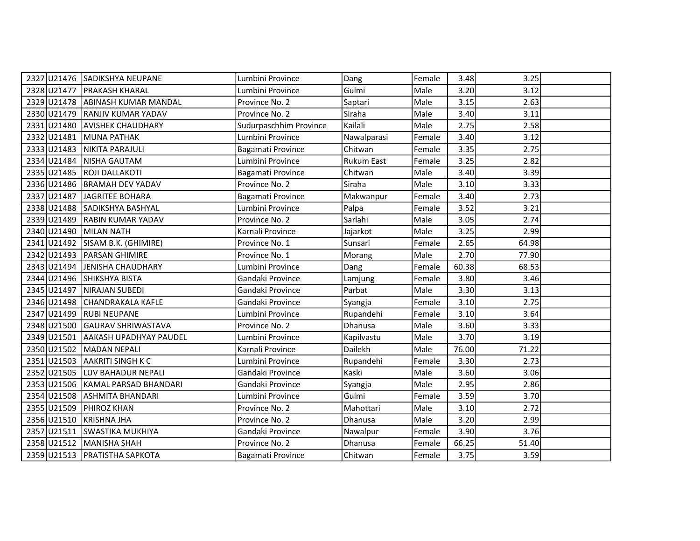|                         | 2327 U21476 SADIKSHYA NEUPANE      | Lumbini Province       | Dang        | Female | 3.48  | 3.25  |  |
|-------------------------|------------------------------------|------------------------|-------------|--------|-------|-------|--|
|                         | 2328 U21477 PRAKASH KHARAL         | Lumbini Province       | Gulmi       | Male   | 3.20  | 3.12  |  |
|                         | 2329 U21478 ABINASH KUMAR MANDAL   | Province No. 2         | Saptari     | Male   | 3.15  | 2.63  |  |
|                         | 2330 U21479 RANJIV KUMAR YADAV     | Province No. 2         | Siraha      | Male   | 3.40  | 3.11  |  |
| 2331 U21480             | <b>AVISHEK CHAUDHARY</b>           | Sudurpaschhim Province | Kailali     | Male   | 2.75  | 2.58  |  |
| 2332 U21481             | MUNA PATHAK                        | Lumbini Province       | Nawalparasi | Female | 3.40  | 3.12  |  |
| 2333 U21483             | NIKITA PARAJULI                    | Bagamati Province      | Chitwan     | Female | 3.35  | 2.75  |  |
| 2334 U21484             | <b>NISHA GAUTAM</b>                | Lumbini Province       | Rukum East  | Female | 3.25  | 2.82  |  |
| 2335 U21485             | <b>IROJI DALLAKOTI</b>             | Bagamati Province      | Chitwan     | Male   | 3.40  | 3.39  |  |
|                         | 2336 U21486 BRAMAH DEV YADAV       | Province No. 2         | Siraha      | Male   | 3.10  | 3.33  |  |
| 2337 U21487             | JAGRITEE BOHARA                    | Bagamati Province      | Makwanpur   | Female | 3.40  | 2.73  |  |
|                         | 2338 U21488 SADIKSHYA BASHYAL      | Lumbini Province       | Palpa       | Female | 3.52  | 3.21  |  |
| 2339 U21489             | <b>RABIN KUMAR YADAV</b>           | Province No. 2         | Sarlahi     | Male   | 3.05  | 2.74  |  |
| 2340 U21490             | MILAN NATH                         | Karnali Province       | Jajarkot    | Male   | 3.25  | 2.99  |  |
|                         | 2341 U21492 SISAM B.K. (GHIMIRE)   | Province No. 1         | Sunsari     | Female | 2.65  | 64.98 |  |
|                         | 2342 U21493 PARSAN GHIMIRE         | Province No. 1         | Morang      | Male   | 2.70  | 77.90 |  |
|                         | 2343 U21494 JENISHA CHAUDHARY      | Lumbini Province       | Dang        | Female | 60.38 | 68.53 |  |
|                         | 2344 U21496 SHIKSHYA BISTA         | Gandaki Province       | Lamjung     | Female | 3.80  | 3.46  |  |
|                         | 2345 U21497 NIRAJAN SUBEDI         | Gandaki Province       | Parbat      | Male   | 3.30  | 3.13  |  |
|                         | 2346 U21498 CHANDRAKALA KAFLE      | Gandaki Province       | Syangja     | Female | 3.10  | 2.75  |  |
|                         | 2347 U21499 RUBI NEUPANE           | Lumbini Province       | Rupandehi   | Female | 3.10  | 3.64  |  |
|                         | 2348 U21500 GAURAV SHRIWASTAVA     | Province No. 2         | Dhanusa     | Male   | 3.60  | 3.33  |  |
|                         | 2349 U21501 AAKASH UPADHYAY PAUDEL | Lumbini Province       | Kapilvastu  | Male   | 3.70  | 3.19  |  |
|                         | 2350 U21502 MADAN NEPALI           | Karnali Province       | Dailekh     | Male   | 76.00 | 71.22 |  |
|                         | 2351 U21503 AAKRITI SINGH K C      | Lumbini Province       | Rupandehi   | Female | 3.30  | 2.73  |  |
|                         | 2352 U21505 LUV BAHADUR NEPALI     | Gandaki Province       | Kaski       | Male   | 3.60  | 3.06  |  |
| 2353 U21506             | KAMAL PARSAD BHANDARI              | Gandaki Province       | Syangja     | Male   | 2.95  | 2.86  |  |
|                         | 2354 U21508 ASHMITA BHANDARI       | Lumbini Province       | Gulmi       | Female | 3.59  | 3.70  |  |
| 2355 U21509             | <b>PHIROZ KHAN</b>                 | Province No. 2         | Mahottari   | Male   | 3.10  | 2.72  |  |
| 2356 U21510 KRISHNA JHA |                                    | Province No. 2         | Dhanusa     | Male   | 3.20  | 2.99  |  |
|                         | 2357 U21511 SWASTIKA MUKHIYA       | Gandaki Province       | Nawalpur    | Female | 3.90  | 3.76  |  |
|                         | 2358 U21512 MANISHA SHAH           | Province No. 2         | Dhanusa     | Female | 66.25 | 51.40 |  |
|                         | 2359 U21513   PRATISTHA SAPKOTA    | Bagamati Province      | Chitwan     | Female | 3.75  | 3.59  |  |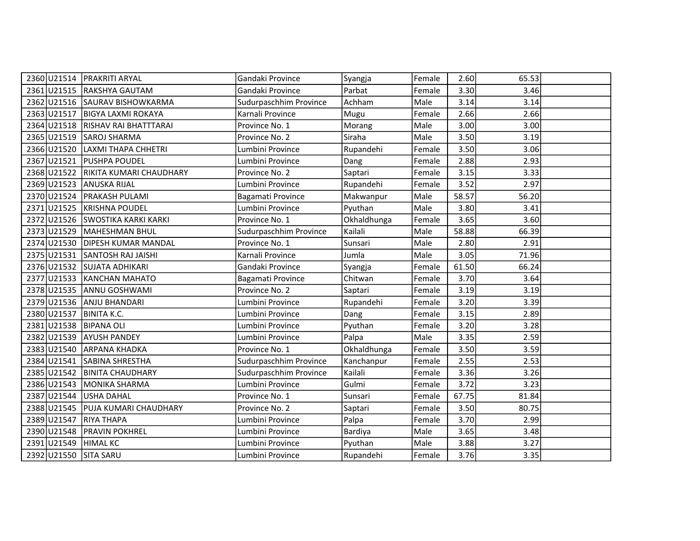|             | 2360 U21514   PRAKRITI ARYAL        | Gandaki Province       | Syangja     | Female | 2.60  | 65.53 |  |
|-------------|-------------------------------------|------------------------|-------------|--------|-------|-------|--|
|             | 2361 U21515 RAKSHYA GAUTAM          | Gandaki Province       | Parbat      | Female | 3.30  | 3.46  |  |
|             | 2362 U21516 SAURAV BISHOWKARMA      | Sudurpaschhim Province | Achham      | Male   | 3.14  | 3.14  |  |
|             | 2363 U21517 BIGYA LAXMI ROKAYA      | Karnali Province       | Mugu        | Female | 2.66  | 2.66  |  |
|             | 2364 U21518 RISHAV RAI BHATTTARAI   | Province No. 1         | Morang      | Male   | 3.00  | 3.00  |  |
|             | 2365 U21519 SAROJ SHARMA            | Province No. 2         | Siraha      | Male   | 3.50  | 3.19  |  |
| 2366 U21520 | <b>ILAXMI THAPA CHHETRI</b>         | Lumbini Province       | Rupandehi   | Female | 3.50  | 3.06  |  |
|             | 2367 U21521 PUSHPA POUDEL           | Lumbini Province       | Dang        | Female | 2.88  | 2.93  |  |
|             | 2368 U21522 RIKITA KUMARI CHAUDHARY | Province No. 2         | Saptari     | Female | 3.15  | 3.33  |  |
|             | 2369 U21523 ANUSKA RIJAL            | Lumbini Province       | Rupandehi   | Female | 3.52  | 2.97  |  |
|             | 2370 U21524 PRAKASH PULAMI          | Bagamati Province      | Makwanpur   | Male   | 58.57 | 56.20 |  |
|             | 2371 U21525 KRISHNA POUDEL          | Lumbini Province       | Pyuthan     | Male   | 3.80  | 3.41  |  |
|             | 2372 U21526 SWOSTIKA KARKI KARKI    | Province No. 1         | Okhaldhunga | Female | 3.65  | 3.60  |  |
|             | 2373 U21529 MAHESHMAN BHUL          | Sudurpaschhim Province | Kailali     | Male   | 58.88 | 66.39 |  |
|             | 2374 U21530 DIPESH KUMAR MANDAL     | Province No. 1         | Sunsari     | Male   | 2.80  | 2.91  |  |
|             | 2375 U21531 SANTOSH RAJ JAISHI      | Karnali Province       | Jumla       | Male   | 3.05  | 71.96 |  |
|             | 2376 U21532 SUJATA ADHIKARI         | Gandaki Province       | Syangja     | Female | 61.50 | 66.24 |  |
|             | 2377 U21533 KANCHAN MAHATO          | Bagamati Province      | Chitwan     | Female | 3.70  | 3.64  |  |
|             | 2378 U21535 ANNU GOSHWAMI           | Province No. 2         | Saptari     | Female | 3.19  | 3.19  |  |
| 2379 U21536 | ANJU BHANDARI                       | Lumbini Province       | Rupandehi   | Female | 3.20  | 3.39  |  |
| 2380 U21537 | <b>BINITA K.C.</b>                  | Lumbini Province       | Dang        | Female | 3.15  | 2.89  |  |
|             | 2381 U21538 BIPANA OLI              | Lumbini Province       | Pyuthan     | Female | 3.20  | 3.28  |  |
|             | 2382 U21539 AYUSH PANDEY            | Lumbini Province       | Palpa       | Male   | 3.35  | 2.59  |  |
|             | 2383 U21540 ARPANA KHADKA           | Province No. 1         | Okhaldhunga | Female | 3.50  | 3.59  |  |
|             | 2384 U21541 SABINA SHRESTHA         | Sudurpaschhim Province | Kanchanpur  | Female | 2.55  | 2.53  |  |
|             | 2385 U21542 BINITA CHAUDHARY        | Sudurpaschhim Province | Kailali     | Female | 3.36  | 3.26  |  |
| 2386 U21543 | MONIKA SHARMA                       | Lumbini Province       | Gulmi       | Female | 3.72  | 3.23  |  |
| 2387 U21544 | USHA DAHAL                          | Province No. 1         | Sunsari     | Female | 67.75 | 81.84 |  |
|             | 2388 U21545 PUJA KUMARI CHAUDHARY   | Province No. 2         | Saptari     | Female | 3.50  | 80.75 |  |
|             | 2389 U21547 RIYA THAPA              | Lumbini Province       | Palpa       | Female | 3.70  | 2.99  |  |
| 2390 U21548 | <b>PRAVIN POKHREL</b>               | Lumbini Province       | Bardiya     | Male   | 3.65  | 3.48  |  |
|             | 2391 U21549 HIMAL KC                | Lumbini Province       | Pyuthan     | Male   | 3.88  | 3.27  |  |
|             | 2392 U21550 SITA SARU               | Lumbini Province       | Rupandehi   | Female | 3.76  | 3.35  |  |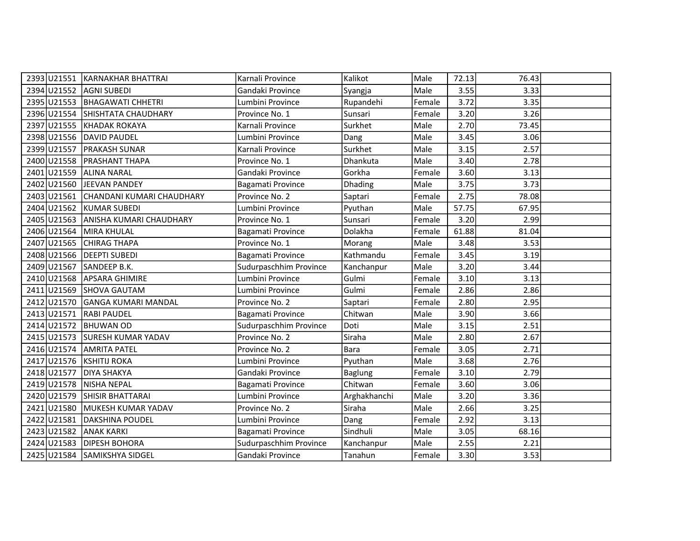|                           | 2393 U21551 KARNAKHAR BHATTRAI        | Karnali Province       | Kalikot        | Male   | 72.13 | 76.43 |  |
|---------------------------|---------------------------------------|------------------------|----------------|--------|-------|-------|--|
| 2394 U21552 AGNI SUBEDI   |                                       | Gandaki Province       | Syangja        | Male   | 3.55  | 3.33  |  |
|                           | 2395 U21553 BHAGAWATI CHHETRI         | Lumbini Province       | Rupandehi      | Female | 3.72  | 3.35  |  |
|                           | 2396 U21554 SHISHTATA CHAUDHARY       | Province No. 1         | Sunsari        | Female | 3.20  | 3.26  |  |
| 2397 U21555               | KHADAK ROKAYA                         | Karnali Province       | Surkhet        | Male   | 2.70  | 73.45 |  |
|                           | 2398 U21556 DAVID PAUDEL              | Lumbini Province       | Dang           | Male   | 3.45  | 3.06  |  |
| 2399 U21557               | <b>PRAKASH SUNAR</b>                  | Karnali Province       | Surkhet        | Male   | 3.15  | 2.57  |  |
|                           | 2400 U21558 PRASHANT THAPA            | Province No. 1         | Dhankuta       | Male   | 3.40  | 2.78  |  |
| 2401 U21559               | <b>ALINA NARAL</b>                    | Gandaki Province       | Gorkha         | Female | 3.60  | 3.13  |  |
|                           | 2402 U21560 JEEVAN PANDEY             | Bagamati Province      | Dhading        | Male   | 3.75  | 3.73  |  |
|                           | 2403 U21561 CHANDANI KUMARI CHAUDHARY | Province No. 2         | Saptari        | Female | 2.75  | 78.08 |  |
|                           | 2404 U21562 KUMAR SUBEDI              | Lumbini Province       | Pyuthan        | Male   | 57.75 | 67.95 |  |
|                           | 2405 U21563 ANISHA KUMARI CHAUDHARY   | Province No. 1         | Sunsari        | Female | 3.20  | 2.99  |  |
| 2406 U21564 MIRA KHULAL   |                                       | Bagamati Province      | Dolakha        | Female | 61.88 | 81.04 |  |
|                           | 2407 U21565 CHIRAG THAPA              | Province No. 1         | Morang         | Male   | 3.48  | 3.53  |  |
|                           | 2408 U21566 DEEPTI SUBEDI             | Bagamati Province      | Kathmandu      | Female | 3.45  | 3.19  |  |
| 2409 U21567 SANDEEP B.K.  |                                       | Sudurpaschhim Province | Kanchanpur     | Male   | 3.20  | 3.44  |  |
|                           | 2410 U21568 APSARA GHIMIRE            | Lumbini Province       | Gulmi          | Female | 3.10  | 3.13  |  |
|                           | 2411 U21569 SHOVA GAUTAM              | Lumbini Province       | Gulmi          | Female | 2.86  | 2.86  |  |
| 2412 U21570               | <b>GANGA KUMARI MANDAL</b>            | Province No. 2         | Saptari        | Female | 2.80  | 2.95  |  |
| 2413 U21571               | <b>RABI PAUDEL</b>                    | Bagamati Province      | Chitwan        | Male   | 3.90  | 3.66  |  |
| 2414 U21572 BHUWAN OD     |                                       | Sudurpaschhim Province | Doti           | Male   | 3.15  | 2.51  |  |
|                           | 2415 U21573 SURESH KUMAR YADAV        | Province No. 2         | Siraha         | Male   | 2.80  | 2.67  |  |
|                           | 2416 U21574 AMRITA PATEL              | Province No. 2         | <b>Bara</b>    | Female | 3.05  | 2.71  |  |
| 2417 U21576 KSHITIJ ROKA  |                                       | Lumbini Province       | Pyuthan        | Male   | 3.68  | 2.76  |  |
| 2418 U21577   DIYA SHAKYA |                                       | Gandaki Province       | <b>Baglung</b> | Female | 3.10  | 2.79  |  |
| 2419 U21578               | <b>NISHA NEPAL</b>                    | Bagamati Province      | Chitwan        | Female | 3.60  | 3.06  |  |
| 2420 U21579               | <b>SHISIR BHATTARAI</b>               | Lumbini Province       | Arghakhanchi   | Male   | 3.20  | 3.36  |  |
| 2421 U21580               | MUKESH KUMAR YADAV                    | Province No. 2         | Siraha         | Male   | 2.66  | 3.25  |  |
|                           | 2422 U21581 DAKSHINA POUDEL           | Lumbini Province       | Dang           | Female | 2.92  | 3.13  |  |
| 2423 U21582               | <b>ANAK KARKI</b>                     | Bagamati Province      | Sindhuli       | Male   | 3.05  | 68.16 |  |
| 2424 U21583               | <b>DIPESH BOHORA</b>                  | Sudurpaschhim Province | Kanchanpur     | Male   | 2.55  | 2.21  |  |
|                           | 2425 U21584 SAMIKSHYA SIDGEL          | Gandaki Province       | Tanahun        | Female | 3.30  | 3.53  |  |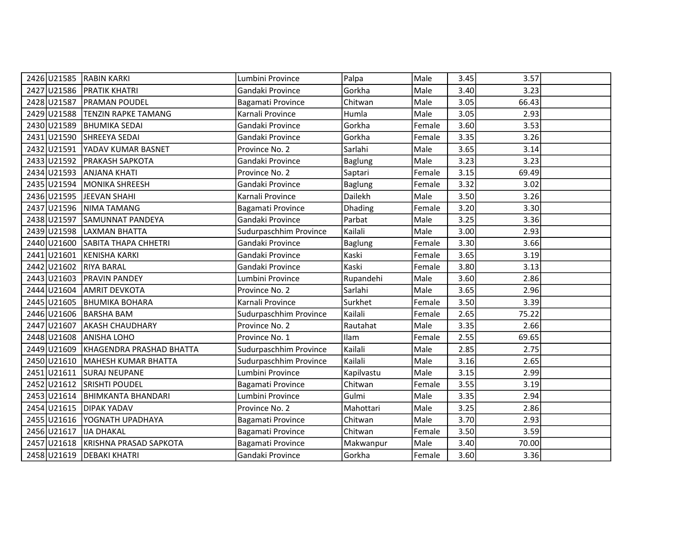| 2426 U21585               | <b>RABIN KARKI</b>                 | Lumbini Province       | Palpa          | Male   | 3.45 | 3.57  |  |
|---------------------------|------------------------------------|------------------------|----------------|--------|------|-------|--|
|                           | 2427 U21586 PRATIK KHATRI          |                        | Gorkha         |        |      |       |  |
|                           |                                    | Gandaki Province       |                | Male   | 3.40 | 3.23  |  |
| 2428 U21587               | <b>PRAMAN POUDEL</b>               | Bagamati Province      | Chitwan        | Male   | 3.05 | 66.43 |  |
| 2429 U21588               | <b>TENZIN RAPKE TAMANG</b>         | Karnali Province       | Humla          | Male   | 3.05 | 2.93  |  |
| 2430 U21589               | <b>BHUMIKA SEDAI</b>               | Gandaki Province       | Gorkha         | Female | 3.60 | 3.53  |  |
| 2431 U21590               | SHREEYA SEDAI                      | Gandaki Province       | Gorkha         | Female | 3.35 | 3.26  |  |
|                           | 2432 U21591 YADAV KUMAR BASNET     | Province No. 2         | Sarlahi        | Male   | 3.65 | 3.14  |  |
| 2433 U21592               | <b>PRAKASH SAPKOTA</b>             | Gandaki Province       | <b>Baglung</b> | Male   | 3.23 | 3.23  |  |
|                           | 2434 U21593 ANJANA KHATI           | Province No. 2         | Saptari        | Female | 3.15 | 69.49 |  |
|                           | 2435 U21594 MONIKA SHREESH         | Gandaki Province       | <b>Baglung</b> | Female | 3.32 | 3.02  |  |
| 2436 U21595               | JEEVAN SHAHI                       | Karnali Province       | Dailekh        | Male   | 3.50 | 3.26  |  |
| 2437 U21596               | NIMA TAMANG                        | Bagamati Province      | <b>Dhading</b> | Female | 3.20 | 3.30  |  |
|                           | 2438 U21597 SAMUNNAT PANDEYA       | Gandaki Province       | Parbat         | Male   | 3.25 | 3.36  |  |
|                           | 2439 U21598 LAXMAN BHATTA          | Sudurpaschhim Province | Kailali        | Male   | 3.00 | 2.93  |  |
|                           | 2440 U21600 SABITA THAPA CHHETRI   | Gandaki Province       | <b>Baglung</b> | Female | 3.30 | 3.66  |  |
| 2441 U21601               | KENISHA KARKI                      | Gandaki Province       | Kaski          | Female | 3.65 | 3.19  |  |
| 2442 U21602               | <b>RIYA BARAL</b>                  | Gandaki Province       | Kaski          | Female | 3.80 | 3.13  |  |
|                           | 2443 U21603 PRAVIN PANDEY          | Lumbini Province       | Rupandehi      | Male   | 3.60 | 2.86  |  |
|                           | 2444 U21604 AMRIT DEVKOTA          | Province No. 2         | Sarlahi        | Male   | 3.65 | 2.96  |  |
| 2445 U21605               | <b>BHUMIKA BOHARA</b>              | Karnali Province       | Surkhet        | Female | 3.50 | 3.39  |  |
| 2446 U21606               | <b>BARSHA BAM</b>                  | Sudurpaschhim Province | Kailali        | Female | 2.65 | 75.22 |  |
| 2447 U21607               | <b>AKASH CHAUDHARY</b>             | Province No. 2         | Rautahat       | Male   | 3.35 | 2.66  |  |
| 2448 U21608               | <b>ANISHA LOHO</b>                 | Province No. 1         | Ilam           | Female | 2.55 | 69.65 |  |
| 2449 U21609               | KHAGENDRA PRASHAD BHATTA           | Sudurpaschhim Province | Kailali        | Male   | 2.85 | 2.75  |  |
| 2450 U21610               | MAHESH KUMAR BHATTA                | Sudurpaschhim Province | Kailali        | Male   | 3.16 | 2.65  |  |
|                           | 2451 U21611 SURAJ NEUPANE          | Lumbini Province       | Kapilvastu     | Male   | 3.15 | 2.99  |  |
| 2452 U21612               | <b>SRISHTI POUDEL</b>              | Bagamati Province      | Chitwan        | Female | 3.55 | 3.19  |  |
|                           | 2453 U21614 BHIMKANTA BHANDARI     | Lumbini Province       | Gulmi          | Male   | 3.35 | 2.94  |  |
| 2454 U21615   DIPAK YADAV |                                    | Province No. 2         | Mahottari      | Male   | 3.25 | 2.86  |  |
|                           | 2455 U21616 YOGNATH UPADHAYA       | Bagamati Province      | Chitwan        | Male   | 3.70 | 2.93  |  |
| 2456 U21617               | <b>IJA DHAKAL</b>                  | Bagamati Province      | Chitwan        | Female | 3.50 | 3.59  |  |
|                           | 2457 U21618 KRISHNA PRASAD SAPKOTA | Bagamati Province      | Makwanpur      | Male   | 3.40 | 70.00 |  |
|                           | 2458 U21619   DEBAKI KHATRI        | Gandaki Province       | Gorkha         | Female | 3.60 | 3.36  |  |